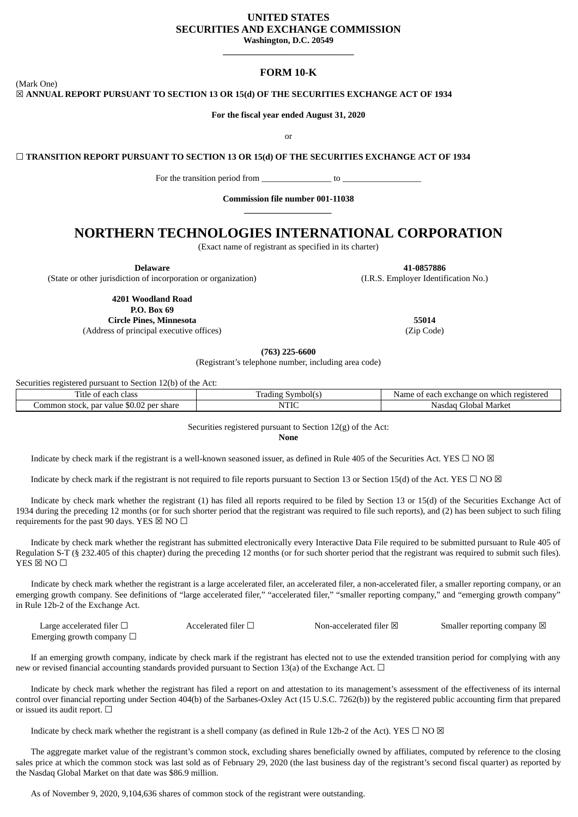## **UNITED STATES SECURITIES AND EXCHANGE COMMISSION**

**Washington, D.C. 20549 \_\_\_\_\_\_\_\_\_\_\_\_\_\_\_\_\_\_\_\_\_\_\_\_\_\_\_\_\_\_**

## **FORM 10-K**

☒ **ANNUAL REPORT PURSUANT TO SECTION 13 OR 15(d) OF THE SECURITIES EXCHANGE ACT OF 1934**

**For the fiscal year ended August 31, 2020**

or

☐ **TRANSITION REPORT PURSUANT TO SECTION 13 OR 15(d) OF THE SECURITIES EXCHANGE ACT OF 1934**

For the transition period from \_\_\_\_\_\_\_\_\_\_\_\_\_\_\_\_\_\_\_ to \_\_\_\_\_\_\_\_\_

**Commission file number 001-11038** *\_\_\_\_\_\_\_\_\_\_\_\_\_\_\_\_\_\_\_\_*

# **NORTHERN TECHNOLOGIES INTERNATIONAL CORPORATION**

(Exact name of registrant as specified in its charter)

**Delaware**

(State or other jurisdiction of incorporation or organization)

**4201 Woodland Road P.O. Box 69 Circle Pines, Minnesota**

(Address of principal executive offices)

**41-0857886**

(I.R.S. Employer Identification No.)

**55014** (Zip Code)

**(763) 225-6600**

(Registrant's telephone number, including area code)

Securities registered pursuant to Section 12(b) of the Act:

| $\sim$<br>l'itle<br>class<br>nt                                                  | wm<br>ıdıng | registere<br>$\sim$<br>$\alpha v$<br>nange<br>Name<br>whic<br>ΩŤ<br>000 <b>m</b><br>-OD. |
|----------------------------------------------------------------------------------|-------------|------------------------------------------------------------------------------------------|
| $\sim$<br>par value<br>share<br>ner<br>.ommon<br>$5 + 0.01$<br>30.0Z<br>' SIOCK. | MTATC<br>N  | Market<br>' ilobal'<br>า ด.วแศ                                                           |

Securities registered pursuant to Section 12(g) of the Act:

**None**

Indicate by check mark if the registrant is a well-known seasoned issuer, as defined in Rule 405 of the Securities Act. YES  $\Box$  NO  $\boxtimes$ 

Indicate by check mark if the registrant is not required to file reports pursuant to Section 13 or Section 15(d) of the Act. YES  $\Box$  NO  $\boxtimes$ 

Indicate by check mark whether the registrant (1) has filed all reports required to be filed by Section 13 or 15(d) of the Securities Exchange Act of 1934 during the preceding 12 months (or for such shorter period that the registrant was required to file such reports), and (2) has been subject to such filing requirements for the past 90 days. YES  $\boxtimes$  NO  $\Box$ 

Indicate by check mark whether the registrant has submitted electronically every Interactive Data File required to be submitted pursuant to Rule 405 of Regulation S-T (§ 232.405 of this chapter) during the preceding 12 months (or for such shorter period that the registrant was required to submit such files).  $YES \boxtimes NO \square$ 

Indicate by check mark whether the registrant is a large accelerated filer, an accelerated filer, a non-accelerated filer, a smaller reporting company, or an emerging growth company. See definitions of "large accelerated filer," "accelerated filer," "smaller reporting company," and "emerging growth company" in Rule 12b-2 of the Exchange Act.

Large accelerated filer □ Accelerated filer □ Non-accelerated filer ⊠ Smaller reporting company ⊠ Emerging growth company  $\Box$ 

If an emerging growth company, indicate by check mark if the registrant has elected not to use the extended transition period for complying with any new or revised financial accounting standards provided pursuant to Section 13(a) of the Exchange Act.  $\Box$ 

Indicate by check mark whether the registrant has filed a report on and attestation to its management's assessment of the effectiveness of its internal control over financial reporting under Section 404(b) of the Sarbanes-Oxley Act (15 U.S.C. 7262(b)) by the registered public accounting firm that prepared or issued its audit report.  $\Box$ 

Indicate by check mark whether the registrant is a shell company (as defined in Rule 12b-2 of the Act). YES  $\Box$  NO  $\boxtimes$ 

The aggregate market value of the registrant's common stock, excluding shares beneficially owned by affiliates, computed by reference to the closing sales price at which the common stock was last sold as of February 29, 2020 (the last business day of the registrant's second fiscal quarter) as reported by the Nasdaq Global Market on that date was \$86.9 million.

As of November 9, 2020, 9,104,636 shares of common stock of the registrant were outstanding.

(Mark One)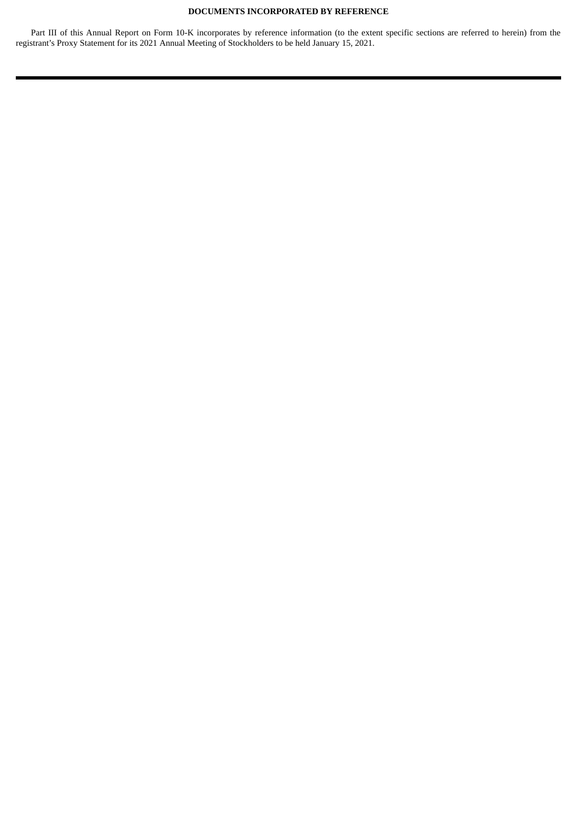## **DOCUMENTS INCORPORATED BY REFERENCE**

Part III of this Annual Report on Form 10-K incorporates by reference information (to the extent specific sections are referred to herein) from the registrant's Proxy Statement for its 2021 Annual Meeting of Stockholders to be held January 15, 2021.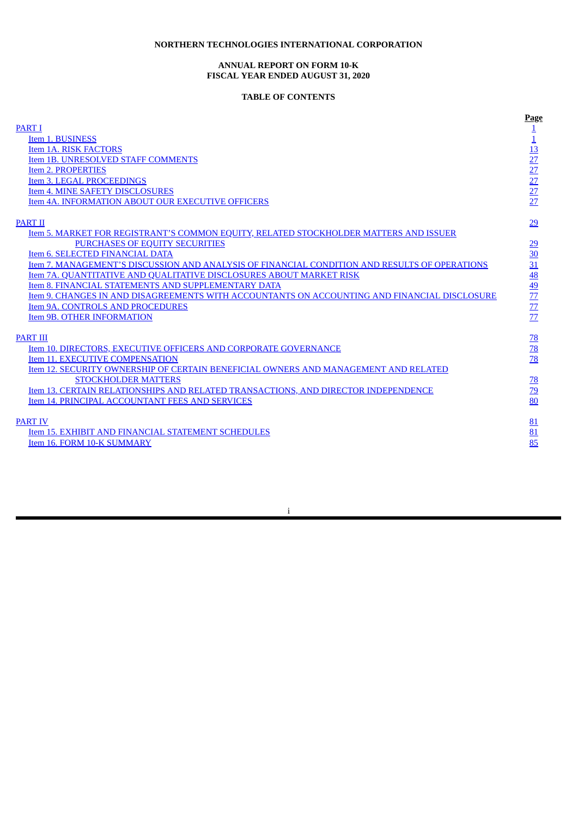## **ANNUAL REPORT ON FORM 10-K FISCAL YEAR ENDED AUGUST 31, 2020**

## **TABLE OF CONTENTS**

| PART I<br>Item 1. BUSINESS<br><b>Item 1A. RISK FACTORS</b><br><b>Item 1B. UNRESOLVED STAFF COMMENTS</b><br><b>Item 2. PROPERTIES</b><br><b>Item 3. LEGAL PROCEEDINGS</b><br><b>Item 4. MINE SAFETY DISCLOSURES</b><br>Item 4A. INFORMATION ABOUT OUR EXECUTIVE OFFICERS                                                                                                                                                                                                                                                                                                   | Page<br>$\frac{13}{27}$<br>$\frac{27}{27}$                                     |
|---------------------------------------------------------------------------------------------------------------------------------------------------------------------------------------------------------------------------------------------------------------------------------------------------------------------------------------------------------------------------------------------------------------------------------------------------------------------------------------------------------------------------------------------------------------------------|--------------------------------------------------------------------------------|
| PART II                                                                                                                                                                                                                                                                                                                                                                                                                                                                                                                                                                   | 29                                                                             |
| Item 5. MARKET FOR REGISTRANT'S COMMON EQUITY, RELATED STOCKHOLDER MATTERS AND ISSUER<br>PURCHASES OF EQUITY SECURITIES<br>Item 6. SELECTED FINANCIAL DATA<br>Item 7. MANAGEMENT'S DISCUSSION AND ANALYSIS OF FINANCIAL CONDITION AND RESULTS OF OPERATIONS<br>Item 7A. QUANTITATIVE AND QUALITATIVE DISCLOSURES ABOUT MARKET RISK<br>Item 8. FINANCIAL STATEMENTS AND SUPPLEMENTARY DATA<br>Item 9. CHANGES IN AND DISAGREEMENTS WITH ACCOUNTANTS ON ACCOUNTING AND FINANCIAL DISCLOSURE<br><b>Item 9A. CONTROLS AND PROCEDURES</b><br><b>Item 9B. OTHER INFORMATION</b> | <u> 29</u><br>$\frac{30}{148}$ $\frac{48}{12}$ $\frac{42}{17}$ $\frac{77}{77}$ |
| <b>PART III</b><br>Item 10. DIRECTORS, EXECUTIVE OFFICERS AND CORPORATE GOVERNANCE<br><b>Item 11. EXECUTIVE COMPENSATION</b><br>Item 12. SECURITY OWNERSHIP OF CERTAIN BENEFICIAL OWNERS AND MANAGEMENT AND RELATED<br><b>STOCKHOLDER MATTERS</b><br>Item 13. CERTAIN RELATIONSHIPS AND RELATED TRANSACTIONS, AND DIRECTOR INDEPENDENCE<br>Item 14. PRINCIPAL ACCOUNTANT FEES AND SERVICES                                                                                                                                                                                | $\frac{78}{78}$<br>78<br>$\overline{28}$<br><u>79</u><br>80                    |
| PART IV<br>Item 15. EXHIBIT AND FINANCIAL STATEMENT SCHEDULES<br>Item 16. FORM 10-K SUMMARY                                                                                                                                                                                                                                                                                                                                                                                                                                                                               | 81<br>81<br>85                                                                 |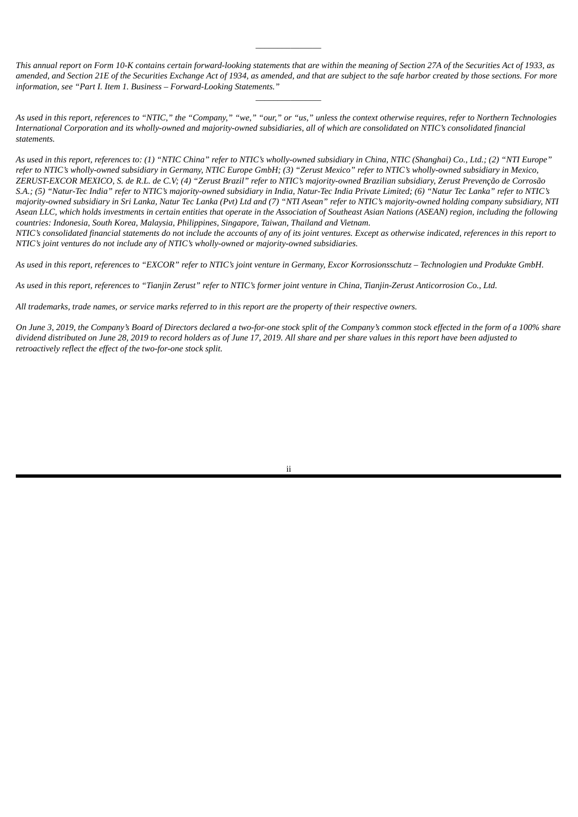This annual report on Form 10-K contains certain forward-looking statements that are within the meaning of Section 27A of the Securities Act of 1933, as amended, and Section 21E of the Securities Exchange Act of 1934, as amended, and that are subject to the safe harbor created by those sections. For more *information, see "Part I. Item 1. Business – Forward-Looking Statements."*

\_\_\_\_\_\_\_\_\_\_\_\_\_\_\_

\_\_\_\_\_\_\_\_\_\_\_\_\_\_\_

As used in this report, references to "NTIC," the "Company," "we," "our," or "us," unless the context otherwise requires, refer to Northern Technologies International Corporation and its wholly-owned and majority-owned subsidiaries, all of which are consolidated on NTIC's consolidated financial *statements.*

As used in this report, references to: (1) "NTIC China" refer to NTIC's wholly-owned subsidiary in China, NTIC (Shanghai) Co., Ltd.; (2) "NTI Europe" refer to NTIC's wholly-owned subsidiary in Germany, NTIC Europe GmbH; (3) "Zerust Mexico" refer to NTIC's wholly-owned subsidiary in Mexico, ZERUST-EXCOR MEXICO, S. de R.L. de C.V; (4) "Zerust Brazil" refer to NTIC's majority-owned Brazilian subsidiary, Zerust Prevenção de Corrosão S.A.; (5) "Natur-Tec India" refer to NTIC's majority-owned subsidiary in India, Natur-Tec India Private Limited; (6) "Natur Tec Lanka" refer to NTIC's majority-owned subsidiary in Sri Lanka, Natur Tec Lanka (Pvt) Ltd and (7) "NTI Asean" refer to NTIC's majority-owned holding company subsidiary, NTI Asean LLC, which holds investments in certain entities that operate in the Association of Southeast Asian Nations (ASEAN) region, including the following *countries: Indonesia, South Korea, Malaysia, Philippines, Singapore, Taiwan, Thailand and Vietnam.*

NTIC's consolidated financial statements do not include the accounts of any of its joint ventures. Except as otherwise indicated, references in this report to *NTIC's joint ventures do not include any of NTIC's wholly-owned or majority-owned subsidiaries.*

As used in this report, references to "EXCOR" refer to NTIC's joint venture in Germany, Excor Korrosionsschutz - Technologien und Produkte GmbH.

As used in this report, references to "Tianjin Zerust" refer to NTIC's former joint venture in China, Tianjin-Zerust Anticorrosion Co., Ltd.

All trademarks, trade names, or service marks referred to in this report are the property of their respective owners.

On June 3, 2019, the Company's Board of Directors declared a two-for-one stock split of the Company's common stock effected in the form of a 100% share dividend distributed on June 28, 2019 to record holders as of June 17, 2019. All share and per share values in this report have been adjusted to *retroactively reflect the effect of the two-for-one stock split.*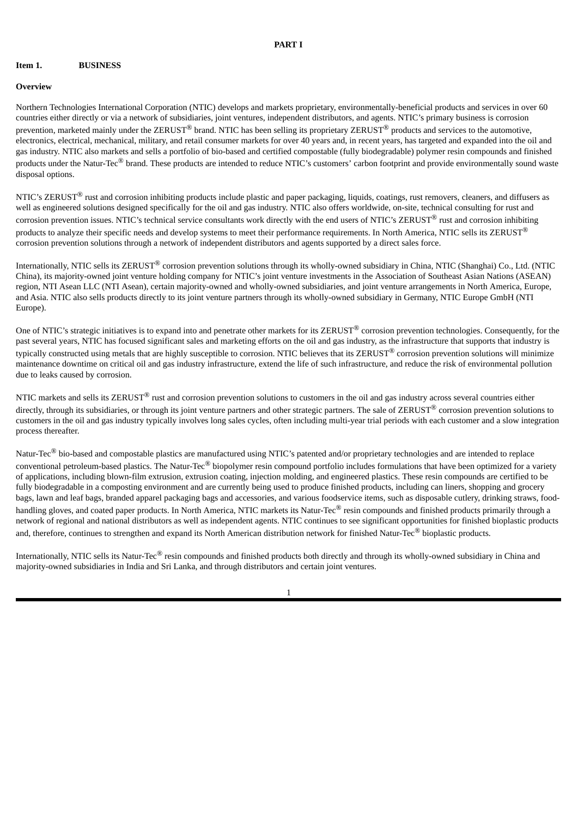#### <span id="page-4-1"></span><span id="page-4-0"></span>**Item 1. BUSINESS**

#### **Overview**

Northern Technologies International Corporation (NTIC) develops and markets proprietary, environmentally-beneficial products and services in over 60 countries either directly or via a network of subsidiaries, joint ventures, independent distributors, and agents. NTIC's primary business is corrosion prevention, marketed mainly under the ZERUST® brand. NTIC has been selling its proprietary ZERUST<sup>®</sup> products and services to the automotive, electronics, electrical, mechanical, military, and retail consumer markets for over 40 years and, in recent years, has targeted and expanded into the oil and gas industry. NTIC also markets and sells a portfolio of bio-based and certified compostable (fully biodegradable) polymer resin compounds and finished products under the Natur-Tec® brand. These products are intended to reduce NTIC's customers' carbon footprint and provide environmentally sound waste disposal options.

NTIC's ZERUST<sup>®</sup> rust and corrosion inhibiting products include plastic and paper packaging, liquids, coatings, rust removers, cleaners, and diffusers as well as engineered solutions designed specifically for the oil and gas industry. NTIC also offers worldwide, on-site, technical consulting for rust and corrosion prevention issues. NTIC's technical service consultants work directly with the end users of NTIC's ZERUST® rust and corrosion inhibiting products to analyze their specific needs and develop systems to meet their performance requirements. In North America, NTIC sells its ZERUST<sup>®</sup> corrosion prevention solutions through a network of independent distributors and agents supported by a direct sales force.

Internationally, NTIC sells its ZERUST<sup>®</sup> corrosion prevention solutions through its wholly-owned subsidiary in China, NTIC (Shanghai) Co., Ltd. (NTIC China), its majority-owned joint venture holding company for NTIC's joint venture investments in the Association of Southeast Asian Nations (ASEAN) region, NTI Asean LLC (NTI Asean), certain majority-owned and wholly-owned subsidiaries, and joint venture arrangements in North America, Europe, and Asia. NTIC also sells products directly to its joint venture partners through its wholly-owned subsidiary in Germany, NTIC Europe GmbH (NTI Europe).

One of NTIC's strategic initiatives is to expand into and penetrate other markets for its ZERUST® corrosion prevention technologies. Consequently, for the past several years, NTIC has focused significant sales and marketing efforts on the oil and gas industry, as the infrastructure that supports that industry is typically constructed using metals that are highly susceptible to corrosion. NTIC believes that its ZERUST<sup>®</sup> corrosion prevention solutions will minimize maintenance downtime on critical oil and gas industry infrastructure, extend the life of such infrastructure, and reduce the risk of environmental pollution due to leaks caused by corrosion.

NTIC markets and sells its ZERUST<sup>®</sup> rust and corrosion prevention solutions to customers in the oil and gas industry across several countries either directly, through its subsidiaries, or through its joint venture partners and other strategic partners. The sale of  $\text{ZERUST}^{\circledR}$  corrosion prevention solutions to customers in the oil and gas industry typically involves long sales cycles, often including multi-year trial periods with each customer and a slow integration process thereafter.

Natur-Tec<sup>®</sup> bio-based and compostable plastics are manufactured using NTIC's patented and/or proprietary technologies and are intended to replace conventional petroleum-based plastics. The Natur-Tec® biopolymer resin compound portfolio includes formulations that have been optimized for a variety of applications, including blown-film extrusion, extrusion coating, injection molding, and engineered plastics. These resin compounds are certified to be fully biodegradable in a composting environment and are currently being used to produce finished products, including can liners, shopping and grocery bags, lawn and leaf bags, branded apparel packaging bags and accessories, and various foodservice items, such as disposable cutlery, drinking straws, foodhandling gloves, and coated paper products. In North America, NTIC markets its Natur-Tec<sup>®</sup> resin compounds and finished products primarily through a network of regional and national distributors as well as independent agents. NTIC continues to see significant opportunities for finished bioplastic products and, therefore, continues to strengthen and expand its North American distribution network for finished Natur-Tec<sup>®</sup> bioplastic products.

Internationally, NTIC sells its Natur-Tec® resin compounds and finished products both directly and through its wholly-owned subsidiary in China and majority-owned subsidiaries in India and Sri Lanka, and through distributors and certain joint ventures.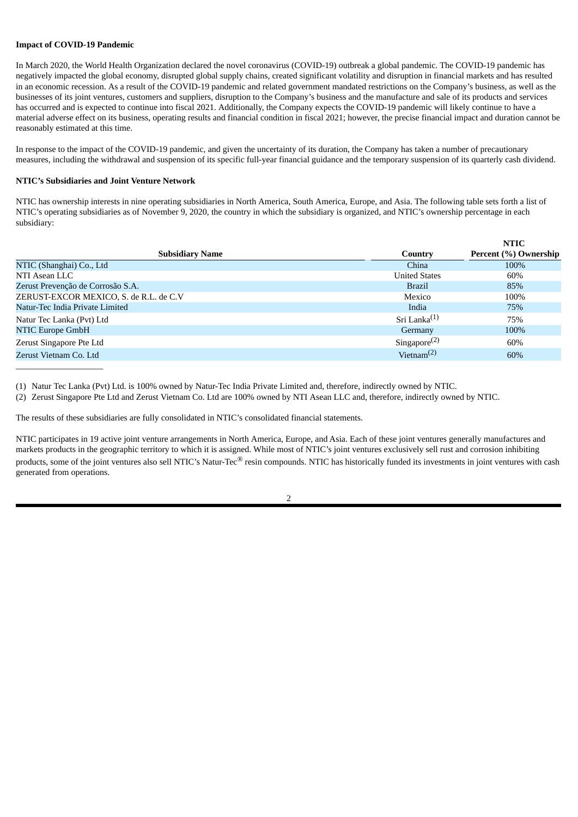#### **Impact of COVID-19 Pandemic**

In March 2020, the World Health Organization declared the novel coronavirus (COVID-19) outbreak a global pandemic. The COVID-19 pandemic has negatively impacted the global economy, disrupted global supply chains, created significant volatility and disruption in financial markets and has resulted in an economic recession. As a result of the COVID-19 pandemic and related government mandated restrictions on the Company's business, as well as the businesses of its joint ventures, customers and suppliers, disruption to the Company's business and the manufacture and sale of its products and services has occurred and is expected to continue into fiscal 2021. Additionally, the Company expects the COVID-19 pandemic will likely continue to have a material adverse effect on its business, operating results and financial condition in fiscal 2021; however, the precise financial impact and duration cannot be reasonably estimated at this time.

In response to the impact of the COVID-19 pandemic, and given the uncertainty of its duration, the Company has taken a number of precautionary measures, including the withdrawal and suspension of its specific full-year financial guidance and the temporary suspension of its quarterly cash dividend.

#### **NTIC's Subsidiaries and Joint Venture Network**

NTIC has ownership interests in nine operating subsidiaries in North America, South America, Europe, and Asia. The following table sets forth a list of NTIC's operating subsidiaries as of November 9, 2020, the country in which the subsidiary is organized, and NTIC's ownership percentage in each subsidiary:

|                                        |                                       | <b>NTIC</b>           |
|----------------------------------------|---------------------------------------|-----------------------|
| <b>Subsidiary Name</b>                 | Country                               | Percent (%) Ownership |
| NTIC (Shanghai) Co., Ltd               | China                                 | 100%                  |
| NTI Asean LLC                          | <b>United States</b>                  | 60%                   |
| Zerust Prevenção de Corrosão S.A.      | <b>Brazil</b>                         | 85%                   |
| ZERUST-EXCOR MEXICO, S. de R.L. de C.V | Mexico                                | 100%                  |
| Natur-Tec India Private Limited        | India                                 | 75%                   |
| Natur Tec Lanka (Pvt) Ltd              | Sri Lanka $^{(1)}$                    | 75%                   |
| <b>NTIC Europe GmbH</b>                | Germany                               | 100%                  |
| Zerust Singapore Pte Ltd               | Singapore <sup><math>(2)</math></sup> | 60%                   |
| Zerust Vietnam Co. Ltd                 | Vietnam $(2)$                         | 60%                   |
|                                        |                                       |                       |

(1) Natur Tec Lanka (Pvt) Ltd. is 100% owned by Natur-Tec India Private Limited and, therefore, indirectly owned by NTIC.

(2) Zerust Singapore Pte Ltd and Zerust Vietnam Co. Ltd are 100% owned by NTI Asean LLC and, therefore, indirectly owned by NTIC.

The results of these subsidiaries are fully consolidated in NTIC's consolidated financial statements.

NTIC participates in 19 active joint venture arrangements in North America, Europe, and Asia. Each of these joint ventures generally manufactures and markets products in the geographic territory to which it is assigned. While most of NTIC's joint ventures exclusively sell rust and corrosion inhibiting products, some of the joint ventures also sell NTIC's Natur-Tec® resin compounds. NTIC has historically funded its investments in joint ventures with cash generated from operations.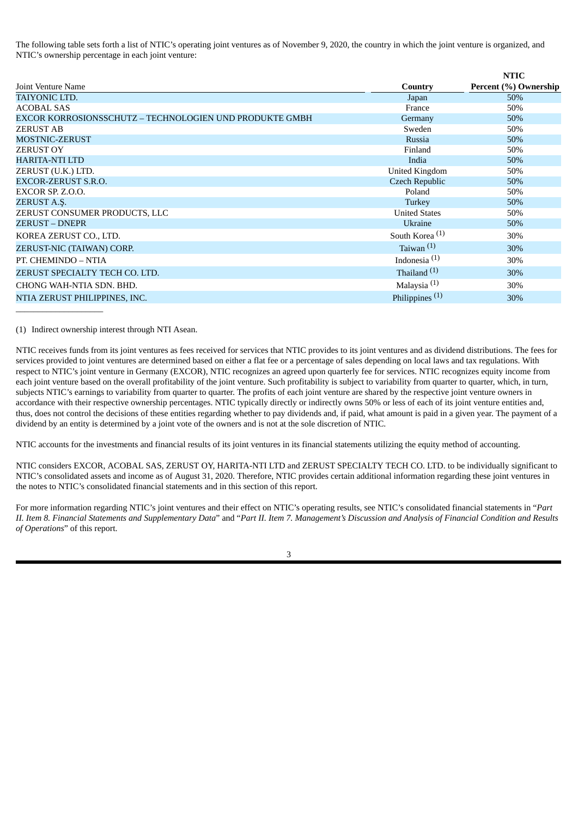The following table sets forth a list of NTIC's operating joint ventures as of November 9, 2020, the country in which the joint venture is organized, and NTIC's ownership percentage in each joint venture:

|                                                         |                            | <b>NTIC</b>           |
|---------------------------------------------------------|----------------------------|-----------------------|
| Joint Venture Name                                      | Country                    | Percent (%) Ownership |
| TAIYONIC LTD.                                           | Japan                      | 50%                   |
| <b>ACOBAL SAS</b>                                       | France                     | 50%                   |
| EXCOR KORROSIONSSCHUTZ - TECHNOLOGIEN UND PRODUKTE GMBH | Germany                    | 50%                   |
| <b>ZERUST AB</b>                                        | Sweden                     | 50%                   |
| MOSTNIC-ZERUST                                          | Russia                     | 50%                   |
| <b>ZERUST OY</b>                                        | Finland                    | 50%                   |
| <b>HARITA-NTI LTD</b>                                   | India                      | 50%                   |
| ZERUST (U.K.) LTD.                                      | <b>United Kingdom</b>      | 50%                   |
| EXCOR-ZERUST S.R.O.                                     | <b>Czech Republic</b>      | 50%                   |
| EXCOR SP. Z.O.O.                                        | Poland                     | 50%                   |
| ZERUST A.Ş.                                             | Turkey                     | 50%                   |
| ZERUST CONSUMER PRODUCTS, LLC                           | <b>United States</b>       | 50%                   |
| <b>ZERUST-DNEPR</b>                                     | Ukraine                    | 50%                   |
| KOREA ZERUST CO., LTD.                                  | South Korea <sup>(1)</sup> | 30%                   |
| ZERUST-NIC (TAIWAN) CORP.                               | Taiwan $(1)$               | 30%                   |
| PT. CHEMINDO - NTIA                                     | Indonesia $(1)$            | 30%                   |
| ZERUST SPECIALTY TECH CO. LTD.                          | Thailand $(1)$             | 30%                   |
| CHONG WAH-NTIA SDN. BHD.                                | Malaysia $(1)$             | 30%                   |
| NTIA ZERUST PHILIPPINES, INC.                           | Philippines $(1)$          | 30%                   |
|                                                         |                            |                       |

(1) Indirect ownership interest through NTI Asean.

NTIC receives funds from its joint ventures as fees received for services that NTIC provides to its joint ventures and as dividend distributions. The fees for services provided to joint ventures are determined based on either a flat fee or a percentage of sales depending on local laws and tax regulations. With respect to NTIC's joint venture in Germany (EXCOR), NTIC recognizes an agreed upon quarterly fee for services. NTIC recognizes equity income from each joint venture based on the overall profitability of the joint venture. Such profitability is subject to variability from quarter to quarter, which, in turn, subjects NTIC's earnings to variability from quarter to quarter. The profits of each joint venture are shared by the respective joint venture owners in accordance with their respective ownership percentages. NTIC typically directly or indirectly owns 50% or less of each of its joint venture entities and, thus, does not control the decisions of these entities regarding whether to pay dividends and, if paid, what amount is paid in a given year. The payment of a dividend by an entity is determined by a joint vote of the owners and is not at the sole discretion of NTIC.

NTIC accounts for the investments and financial results of its joint ventures in its financial statements utilizing the equity method of accounting.

NTIC considers EXCOR, ACOBAL SAS, ZERUST OY, HARITA-NTI LTD and ZERUST SPECIALTY TECH CO. LTD. to be individually significant to NTIC's consolidated assets and income as of August 31, 2020. Therefore, NTIC provides certain additional information regarding these joint ventures in the notes to NTIC's consolidated financial statements and in this section of this report.

For more information regarding NTIC's joint ventures and their effect on NTIC's operating results, see NTIC's consolidated financial statements in "*Part* II. Item 8. Financial Statements and Supplementary Data" and "Part II. Item 7. Management's Discussion and Analysis of Financial Condition and Results *of Operations*" of this report.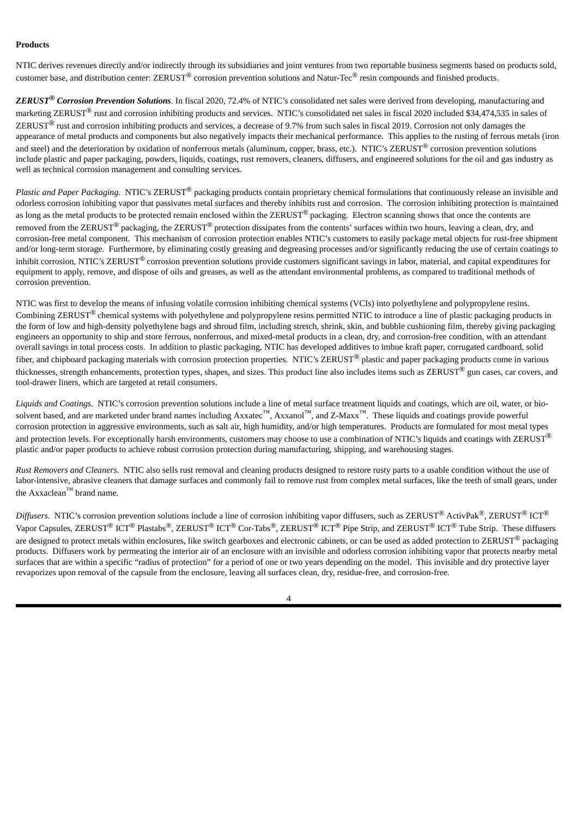#### **Products**

NTIC derives revenues directly and/or indirectly through its subsidiaries and joint ventures from two reportable business segments based on products sold, customer base, and distribution center: ZERUST® corrosion prevention solutions and Natur-Tec® resin compounds and finished products.

*ZERUST® Corrosion Prevention Solutions*. In fiscal 2020, 72.4% of NTIC's consolidated net sales were derived from developing, manufacturing and marketing ZERUST<sup>®</sup> rust and corrosion inhibiting products and services. NTIC's consolidated net sales in fiscal 2020 included \$34,474,535 in sales of  $\text{ZERUST}^{\circledR}$  rust and corrosion inhibiting products and services, a decrease of 9.7% from such sales in fiscal 2019. Corrosion not only damages the appearance of metal products and components but also negatively impacts their mechanical performance. This applies to the rusting of ferrous metals (iron and steel) and the deterioration by oxidation of nonferrous metals (aluminum, copper, brass, etc.). NTIC's ZERUST<sup>®</sup> corrosion prevention solutions include plastic and paper packaging, powders, liquids, coatings, rust removers, cleaners, diffusers, and engineered solutions for the oil and gas industry as well as technical corrosion management and consulting services.

*Plastic and Paper Packaging*. NTIC's ZERUST® packaging products contain proprietary chemical formulations that continuously release an invisible and odorless corrosion inhibiting vapor that passivates metal surfaces and thereby inhibits rust and corrosion. The corrosion inhibiting protection is maintained as long as the metal products to be protected remain enclosed within the ZERUST<sup>®</sup> packaging. Electron scanning shows that once the contents are removed from the ZERUST<sup>®</sup> packaging, the ZERUST<sup>®</sup> protection dissipates from the contents' surfaces within two hours, leaving a clean, dry, and corrosion-free metal component. This mechanism of corrosion protection enables NTIC's customers to easily package metal objects for rust-free shipment and/or long-term storage. Furthermore, by eliminating costly greasing and degreasing processes and/or significantly reducing the use of certain coatings to inhibit corrosion, NTIC's ZERUST<sup>®</sup> corrosion prevention solutions provide customers significant savings in labor, material, and capital expenditures for equipment to apply, remove, and dispose of oils and greases, as well as the attendant environmental problems, as compared to traditional methods of corrosion prevention.

NTIC was first to develop the means of infusing volatile corrosion inhibiting chemical systems (VCIs) into polyethylene and polypropylene resins. Combining ZERUST® chemical systems with polyethylene and polypropylene resins permitted NTIC to introduce a line of plastic packaging products in the form of low and high-density polyethylene bags and shroud film, including stretch, shrink, skin, and bubble cushioning film, thereby giving packaging engineers an opportunity to ship and store ferrous, nonferrous, and mixed-metal products in a clean, dry, and corrosion-free condition, with an attendant overall savings in total process costs. In addition to plastic packaging, NTIC has developed additives to imbue kraft paper, corrugated cardboard, solid fiber, and chipboard packaging materials with corrosion protection properties. NTIC's ZERUST® plastic and paper packaging products come in various thicknesses, strength enhancements, protection types, shapes, and sizes. This product line also includes items such as ZERUST® gun cases, car covers, and tool-drawer liners, which are targeted at retail consumers.

*Liquids and Coatings*. NTIC's corrosion prevention solutions include a line of metal surface treatment liquids and coatings, which are oil, water, or biosolvent based, and are marketed under brand names including Axxatec<sup>™</sup>, Axxanol™, and Z-Maxx<sup>™</sup>. These liquids and coatings provide powerful corrosion protection in aggressive environments, such as salt air, high humidity, and/or high temperatures. Products are formulated for most metal types and protection levels. For exceptionally harsh environments, customers may choose to use a combination of NTIC's liquids and coatings with ZERUST<sup>®</sup> plastic and/or paper products to achieve robust corrosion protection during manufacturing, shipping, and warehousing stages.

*Rust Removers and Cleaners*. NTIC also sells rust removal and cleaning products designed to restore rusty parts to a usable condition without the use of labor-intensive, abrasive cleaners that damage surfaces and commonly fail to remove rust from complex metal surfaces, like the teeth of small gears, under the Axxaclean™ brand name.

*Diffusers*. NTIC's corrosion prevention solutions include a line of corrosion inhibiting vapor diffusers, such as ZERUST® ActivPak®, ZERUST® ICT® Vapor Capsules, ZERUST® ICT® Plastabs®, ZERUST® ICT® Cor-Tabs®, ZERUST® ICT® Pipe Strip, and ZERUST® ICT® Tube Strip. These diffusers are designed to protect metals within enclosures, like switch gearboxes and electronic cabinets, or can be used as added protection to ZERUST® packaging products. Diffusers work by permeating the interior air of an enclosure with an invisible and odorless corrosion inhibiting vapor that protects nearby metal surfaces that are within a specific "radius of protection" for a period of one or two years depending on the model. This invisible and dry protective layer revaporizes upon removal of the capsule from the enclosure, leaving all surfaces clean, dry, residue-free, and corrosion-free.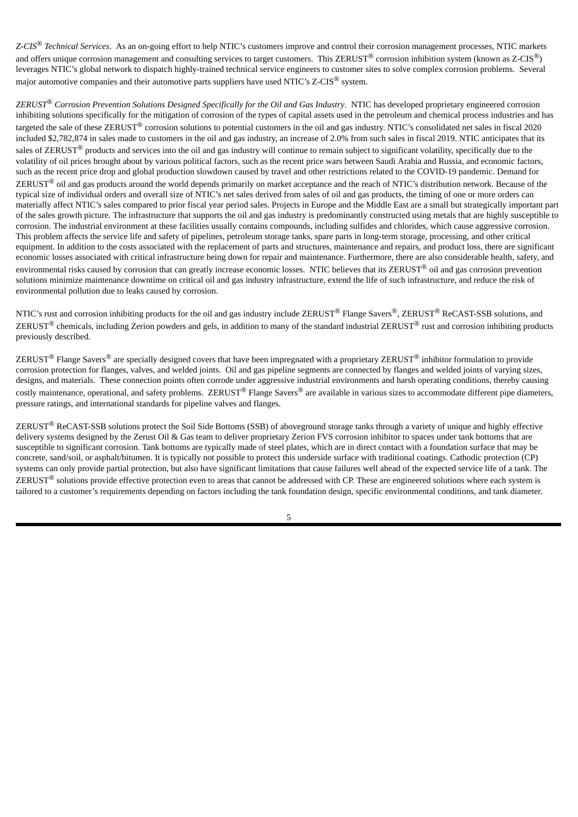*Z-CIS® Technical Services*. As an on-going effort to help NTIC's customers improve and control their corrosion management processes, NTIC markets and offers unique corrosion management and consulting services to target customers. This ZERUST<sup>®</sup> corrosion inhibition system (known as Z-CIS<sup>®</sup>) leverages NTIC's global network to dispatch highly-trained technical service engineers to customer sites to solve complex corrosion problems. Several major automotive companies and their automotive parts suppliers have used NTIC's Z-CIS<sup>®</sup> system.

 $ZERUST^{\circledR}$  Corrosion Prevention Solutions Designed Specifically for the Oil and Gas Industry. NTIC has developed proprietary engineered corrosion inhibiting solutions specifically for the mitigation of corrosion of the types of capital assets used in the petroleum and chemical process industries and has targeted the sale of these ZERUST<sup>®</sup> corrosion solutions to potential customers in the oil and gas industry. NTIC's consolidated net sales in fiscal 2020 included \$2,782,874 in sales made to customers in the oil and gas industry, an increase of 2.0% from such sales in fiscal 2019. NTIC anticipates that its sales of ZERUST<sup>®</sup> products and services into the oil and gas industry will continue to remain subject to significant volatility, specifically due to the volatility of oil prices brought about by various political factors, such as the recent price wars between Saudi Arabia and Russia, and economic factors, such as the recent price drop and global production slowdown caused by travel and other restrictions related to the COVID-19 pandemic. Demand for ZERUST<sup>®</sup> oil and gas products around the world depends primarily on market acceptance and the reach of NTIC's distribution network. Because of the typical size of individual orders and overall size of NTIC's net sales derived from sales of oil and gas products, the timing of one or more orders can materially affect NTIC's sales compared to prior fiscal year period sales. Projects in Europe and the Middle East are a small but strategically important part of the sales growth picture. The infrastructure that supports the oil and gas industry is predominantly constructed using metals that are highly susceptible to corrosion. The industrial environment at these facilities usually contains compounds, including sulfides and chlorides, which cause aggressive corrosion. This problem affects the service life and safety of pipelines, petroleum storage tanks, spare parts in long-term storage, processing, and other critical equipment. In addition to the costs associated with the replacement of parts and structures, maintenance and repairs, and product loss, there are significant economic losses associated with critical infrastructure being down for repair and maintenance. Furthermore, there are also considerable health, safety, and environmental risks caused by corrosion that can greatly increase economic losses. NTIC believes that its ZERUST<sup>®</sup> oil and gas corrosion prevention solutions minimize maintenance downtime on critical oil and gas industry infrastructure, extend the life of such infrastructure, and reduce the risk of environmental pollution due to leaks caused by corrosion.

NTIC's rust and corrosion inhibiting products for the oil and gas industry include ZERUST® Flange Savers®, ZERUST® ReCAST-SSB solutions, and  $\mathsf{ZERUST}^{\circledast}$  chemicals, including Zerion powders and gels, in addition to many of the standard industrial  $\mathsf{ZERUST}^{\circledast}$  rust and corrosion inhibiting products previously described.

 $\mathsf{ZERUST}^{\circledR}$  Flange Savers<sup>®</sup> are specially designed covers that have been impregnated with a proprietary  $\mathsf{ZERUST}^{\circledR}$  inhibitor formulation to provide corrosion protection for flanges, valves, and welded joints. Oil and gas pipeline segments are connected by flanges and welded joints of varying sizes, designs, and materials. These connection points often corrode under aggressive industrial environments and harsh operating conditions, thereby causing costly maintenance, operational, and safety problems. ZERUST® Flange Savers® are available in various sizes to accommodate different pipe diameters, pressure ratings, and international standards for pipeline valves and flanges.

 $\mathsf{ZERUST}^{\circledR}$  ReCAST-SSB solutions protect the Soil Side Bottoms (SSB) of aboveground storage tanks through a variety of unique and highly effective delivery systems designed by the Zerust Oil & Gas team to deliver proprietary Zerion FVS corrosion inhibitor to spaces under tank bottoms that are susceptible to significant corrosion. Tank bottoms are typically made of steel plates, which are in direct contact with a foundation surface that may be concrete, sand/soil, or asphalt/bitumen. It is typically not possible to protect this underside surface with traditional coatings. Cathodic protection (CP) systems can only provide partial protection, but also have significant limitations that cause failures well ahead of the expected service life of a tank. The  $\mathsf{ZERUST}^{\circledR}$  solutions provide effective protection even to areas that cannot be addressed with CP. These are engineered solutions where each system is tailored to a customer's requirements depending on factors including the tank foundation design, specific environmental conditions, and tank diameter.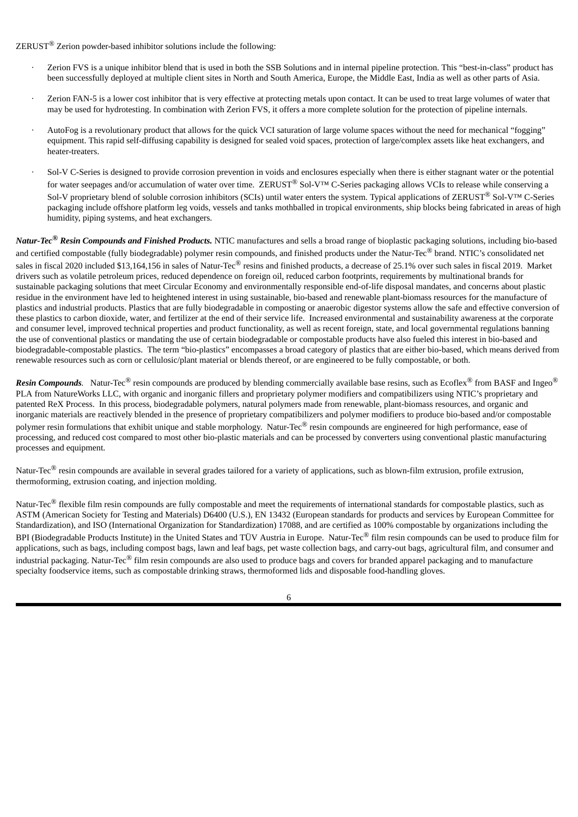$\text{ZERUST}^{\textcircled{\tiny{\textregistered}}}$  Zerion powder-based inhibitor solutions include the following:

- Zerion FVS is a unique inhibitor blend that is used in both the SSB Solutions and in internal pipeline protection. This "best-in-class" product has been successfully deployed at multiple client sites in North and South America, Europe, the Middle East, India as well as other parts of Asia.
- Zerion FAN-5 is a lower cost inhibitor that is very effective at protecting metals upon contact. It can be used to treat large volumes of water that may be used for hydrotesting. In combination with Zerion FVS, it offers a more complete solution for the protection of pipeline internals.
- · AutoFog is a revolutionary product that allows for the quick VCI saturation of large volume spaces without the need for mechanical "fogging" equipment. This rapid self-diffusing capability is designed for sealed void spaces, protection of large/complex assets like heat exchangers, and heater-treaters.
- Sol-V C-Series is designed to provide corrosion prevention in voids and enclosures especially when there is either stagnant water or the potential for water seepages and/or accumulation of water over time. ZERUST® Sol-V™ C-Series packaging allows VCIs to release while conserving a Sol-V proprietary blend of soluble corrosion inhibitors (SCIs) until water enters the system. Typical applications of ZERUST<sup>®</sup> Sol-V™ C-Series packaging include offshore platform leg voids, vessels and tanks mothballed in tropical environments, ship blocks being fabricated in areas of high humidity, piping systems, and heat exchangers.

*Natur-Tec® Resin Compounds and Finished Products.* NTIC manufactures and sells a broad range of bioplastic packaging solutions, including bio-based and certified compostable (fully biodegradable) polymer resin compounds, and finished products under the Natur-Tec® brand. NTIC's consolidated net sales in fiscal 2020 included \$13,164,156 in sales of Natur-Tec® resins and finished products, a decrease of 25.1% over such sales in fiscal 2019. Market drivers such as volatile petroleum prices, reduced dependence on foreign oil, reduced carbon footprints, requirements by multinational brands for sustainable packaging solutions that meet Circular Economy and environmentally responsible end-of-life disposal mandates, and concerns about plastic residue in the environment have led to heightened interest in using sustainable, bio-based and renewable plant-biomass resources for the manufacture of plastics and industrial products. Plastics that are fully biodegradable in composting or anaerobic digestor systems allow the safe and effective conversion of these plastics to carbon dioxide, water, and fertilizer at the end of their service life. Increased environmental and sustainability awareness at the corporate and consumer level, improved technical properties and product functionality, as well as recent foreign, state, and local governmental regulations banning the use of conventional plastics or mandating the use of certain biodegradable or compostable products have also fueled this interest in bio-based and biodegradable-compostable plastics. The term "bio-plastics" encompasses a broad category of plastics that are either bio-based, which means derived from renewable resources such as corn or cellulosic/plant material or blends thereof, or are engineered to be fully compostable, or both.

*Resin Compounds.* Natur-Tec® resin compounds are produced by blending commercially available base resins, such as Ecoflex® from BASF and Ingeo® PLA from NatureWorks LLC, with organic and inorganic fillers and proprietary polymer modifiers and compatibilizers using NTIC's proprietary and patented ReX Process. In this process, biodegradable polymers, natural polymers made from renewable, plant-biomass resources, and organic and inorganic materials are reactively blended in the presence of proprietary compatibilizers and polymer modifiers to produce bio-based and/or compostable polymer resin formulations that exhibit unique and stable morphology. Natur-Tec® resin compounds are engineered for high performance, ease of processing, and reduced cost compared to most other bio-plastic materials and can be processed by converters using conventional plastic manufacturing processes and equipment.

Natur-Tec<sup>®</sup> resin compounds are available in several grades tailored for a variety of applications, such as blown-film extrusion, profile extrusion, thermoforming, extrusion coating, and injection molding.

Natur-Tec<sup>®</sup> flexible film resin compounds are fully compostable and meet the requirements of international standards for compostable plastics, such as ASTM (American Society for Testing and Materials) D6400 (U.S.), EN 13432 (European standards for products and services by European Committee for Standardization), and ISO (International Organization for Standardization) 17088, and are certified as 100% compostable by organizations including the BPI (Biodegradable Products Institute) in the United States and TÜV Austria in Europe. Natur-Tec® film resin compounds can be used to produce film for applications, such as bags, including compost bags, lawn and leaf bags, pet waste collection bags, and carry-out bags, agricultural film, and consumer and industrial packaging. Natur-Tec<sup>®</sup> film resin compounds are also used to produce bags and covers for branded apparel packaging and to manufacture specialty foodservice items, such as compostable drinking straws, thermoformed lids and disposable food-handling gloves.

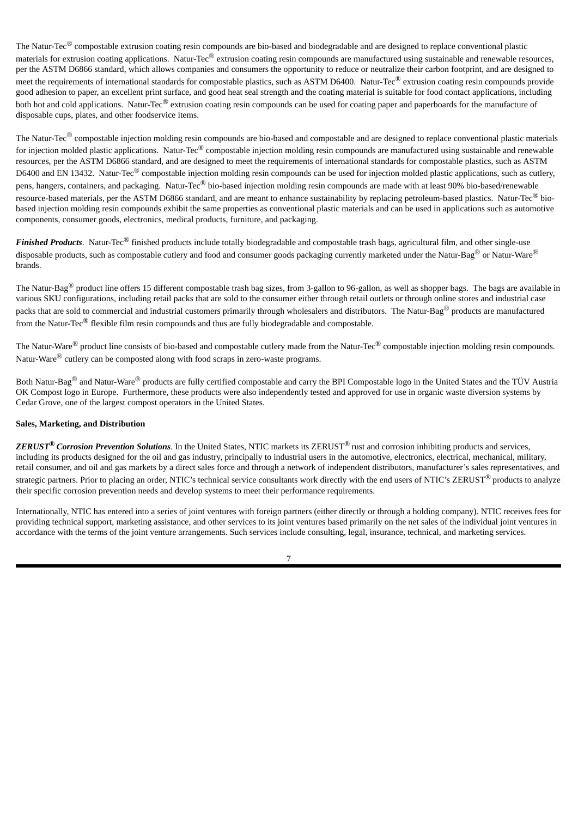The Natur-Tec<sup>®</sup> compostable extrusion coating resin compounds are bio-based and biodegradable and are designed to replace conventional plastic materials for extrusion coating applications. Natur-Tec® extrusion coating resin compounds are manufactured using sustainable and renewable resources, per the ASTM D6866 standard, which allows companies and consumers the opportunity to reduce or neutralize their carbon footprint, and are designed to meet the requirements of international standards for compostable plastics, such as ASTM D6400. Natur-Tec<sup>®</sup> extrusion coating resin compounds provide good adhesion to paper, an excellent print surface, and good heat seal strength and the coating material is suitable for food contact applications, including both hot and cold applications. Natur-Tec<sup>®</sup> extrusion coating resin compounds can be used for coating paper and paperboards for the manufacture of disposable cups, plates, and other foodservice items.

The Natur-Tec<sup>®</sup> compostable injection molding resin compounds are bio-based and compostable and are designed to replace conventional plastic materials for injection molded plastic applications. Natur-Tec® compostable injection molding resin compounds are manufactured using sustainable and renewable resources, per the ASTM D6866 standard, and are designed to meet the requirements of international standards for compostable plastics, such as ASTM D6400 and EN 13432. Natur-Tec<sup>®</sup> compostable injection molding resin compounds can be used for injection molded plastic applications, such as cutlery, pens, hangers, containers, and packaging. Natur-Tec® bio-based injection molding resin compounds are made with at least 90% bio-based/renewable resource-based materials, per the ASTM D6866 standard, and are meant to enhance sustainability by replacing petroleum-based plastics. Natur-Tec<sup>®</sup> biobased injection molding resin compounds exhibit the same properties as conventional plastic materials and can be used in applications such as automotive components, consumer goods, electronics, medical products, furniture, and packaging.

*Finished Products*. Natur-Tec® finished products include totally biodegradable and compostable trash bags, agricultural film, and other single-use disposable products, such as compostable cutlery and food and consumer goods packaging currently marketed under the Natur-Bag<sup>®</sup> or Natur-Ware<sup>®</sup> brands.

The Natur-Bag<sup>®</sup> product line offers 15 different compostable trash bag sizes, from 3-gallon to 96-gallon, as well as shopper bags. The bags are available in various SKU configurations, including retail packs that are sold to the consumer either through retail outlets or through online stores and industrial case packs that are sold to commercial and industrial customers primarily through wholesalers and distributors. The Natur-Bag® products are manufactured from the Natur-Tec® flexible film resin compounds and thus are fully biodegradable and compostable.

The Natur-Ware<sup>®</sup> product line consists of bio-based and compostable cutlery made from the Natur-Tec<sup>®</sup> compostable injection molding resin compounds. Natur-Ware® cutlery can be composted along with food scraps in zero-waste programs.

Both Natur-Bag<sup>®</sup> and Natur-Ware<sup>®</sup> products are fully certified compostable and carry the BPI Compostable logo in the United States and the TÜV Austria OK Compost logo in Europe. Furthermore, these products were also independently tested and approved for use in organic waste diversion systems by Cedar Grove, one of the largest compost operators in the United States.

### **Sales, Marketing, and Distribution**

*ZERUST® Corrosion Prevention Solutions*. In the United States, NTIC markets its ZERUST® rust and corrosion inhibiting products and services, including its products designed for the oil and gas industry, principally to industrial users in the automotive, electronics, electrical, mechanical, military, retail consumer, and oil and gas markets by a direct sales force and through a network of independent distributors, manufacturer's sales representatives, and strategic partners. Prior to placing an order, NTIC's technical service consultants work directly with the end users of NTIC's ZERUST<sup>®</sup> products to analyze their specific corrosion prevention needs and develop systems to meet their performance requirements.

Internationally, NTIC has entered into a series of joint ventures with foreign partners (either directly or through a holding company). NTIC receives fees for providing technical support, marketing assistance, and other services to its joint ventures based primarily on the net sales of the individual joint ventures in accordance with the terms of the joint venture arrangements. Such services include consulting, legal, insurance, technical, and marketing services.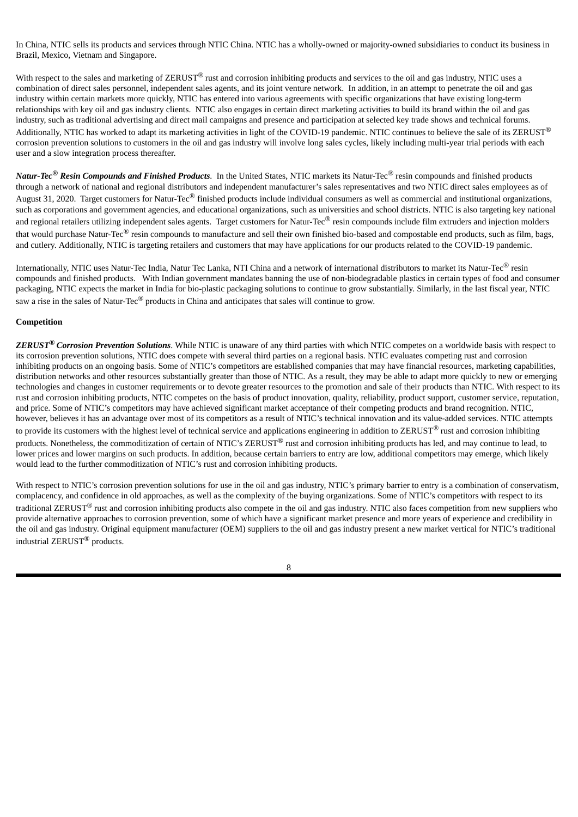In China, NTIC sells its products and services through NTIC China. NTIC has a wholly-owned or majority-owned subsidiaries to conduct its business in Brazil, Mexico, Vietnam and Singapore.

With respect to the sales and marketing of ZERUST® rust and corrosion inhibiting products and services to the oil and gas industry, NTIC uses a combination of direct sales personnel, independent sales agents, and its joint venture network. In addition, in an attempt to penetrate the oil and gas industry within certain markets more quickly, NTIC has entered into various agreements with specific organizations that have existing long-term relationships with key oil and gas industry clients. NTIC also engages in certain direct marketing activities to build its brand within the oil and gas industry, such as traditional advertising and direct mail campaigns and presence and participation at selected key trade shows and technical forums. Additionally, NTIC has worked to adapt its marketing activities in light of the COVID-19 pandemic. NTIC continues to believe the sale of its ZERUST<sup>®</sup> corrosion prevention solutions to customers in the oil and gas industry will involve long sales cycles, likely including multi-year trial periods with each user and a slow integration process thereafter.

*Natur-Tec® Resin Compounds and Finished Products*. In the United States, NTIC markets its Natur-Tec® resin compounds and finished products through a network of national and regional distributors and independent manufacturer's sales representatives and two NTIC direct sales employees as of August 31, 2020. Target customers for Natur-Tec<sup>®</sup> finished products include individual consumers as well as commercial and institutional organizations, such as corporations and government agencies, and educational organizations, such as universities and school districts. NTIC is also targeting key national and regional retailers utilizing independent sales agents. Target customers for Natur-Tec® resin compounds include film extruders and injection molders that would purchase Natur-Tec® resin compounds to manufacture and sell their own finished bio-based and compostable end products, such as film, bags, and cutlery. Additionally, NTIC is targeting retailers and customers that may have applications for our products related to the COVID-19 pandemic.

Internationally, NTIC uses Natur-Tec India, Natur Tec Lanka, NTI China and a network of international distributors to market its Natur-Tec® resin compounds and finished products. With Indian government mandates banning the use of non-biodegradable plastics in certain types of food and consumer packaging, NTIC expects the market in India for bio-plastic packaging solutions to continue to grow substantially. Similarly, in the last fiscal year, NTIC saw a rise in the sales of Natur-Tec<sup>®</sup> products in China and anticipates that sales will continue to grow.

#### **Competition**

*ZERUST® Corrosion Prevention Solutions*. While NTIC is unaware of any third parties with which NTIC competes on a worldwide basis with respect to its corrosion prevention solutions, NTIC does compete with several third parties on a regional basis. NTIC evaluates competing rust and corrosion inhibiting products on an ongoing basis. Some of NTIC's competitors are established companies that may have financial resources, marketing capabilities, distribution networks and other resources substantially greater than those of NTIC. As a result, they may be able to adapt more quickly to new or emerging technologies and changes in customer requirements or to devote greater resources to the promotion and sale of their products than NTIC. With respect to its rust and corrosion inhibiting products, NTIC competes on the basis of product innovation, quality, reliability, product support, customer service, reputation, and price. Some of NTIC's competitors may have achieved significant market acceptance of their competing products and brand recognition. NTIC, however, believes it has an advantage over most of its competitors as a result of NTIC's technical innovation and its value-added services. NTIC attempts to provide its customers with the highest level of technical service and applications engineering in addition to ZERUST® rust and corrosion inhibiting products. Nonetheless, the commoditization of certain of NTIC's ZERUST® rust and corrosion inhibiting products has led, and may continue to lead, to lower prices and lower margins on such products. In addition, because certain barriers to entry are low, additional competitors may emerge, which likely would lead to the further commoditization of NTIC's rust and corrosion inhibiting products.

With respect to NTIC's corrosion prevention solutions for use in the oil and gas industry, NTIC's primary barrier to entry is a combination of conservatism, complacency, and confidence in old approaches, as well as the complexity of the buying organizations. Some of NTIC's competitors with respect to its traditional ZERUST<sup>®</sup> rust and corrosion inhibiting products also compete in the oil and gas industry. NTIC also faces competition from new suppliers who provide alternative approaches to corrosion prevention, some of which have a significant market presence and more years of experience and credibility in the oil and gas industry. Original equipment manufacturer (OEM) suppliers to the oil and gas industry present a new market vertical for NTIC's traditional industrial ZERUST® products.

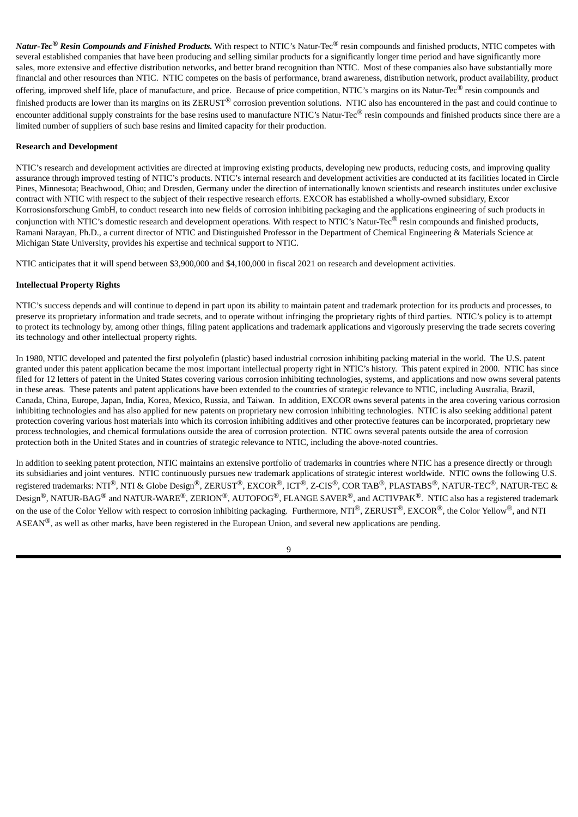*Natur-Tec® Resin Compounds and Finished Products.* With respect to NTIC's Natur-Tec® resin compounds and finished products, NTIC competes with several established companies that have been producing and selling similar products for a significantly longer time period and have significantly more sales, more extensive and effective distribution networks, and better brand recognition than NTIC. Most of these companies also have substantially more financial and other resources than NTIC. NTIC competes on the basis of performance, brand awareness, distribution network, product availability, product offering, improved shelf life, place of manufacture, and price. Because of price competition, NTIC's margins on its Natur-Tec<sup>®</sup> resin compounds and finished products are lower than its margins on its ZERUST<sup>®</sup> corrosion prevention solutions. NTIC also has encountered in the past and could continue to encounter additional supply constraints for the base resins used to manufacture NTIC's Natur-Tec $^{\circledR}$  resin compounds and finished products since there are a limited number of suppliers of such base resins and limited capacity for their production.

## **Research and Development**

NTIC's research and development activities are directed at improving existing products, developing new products, reducing costs, and improving quality assurance through improved testing of NTIC's products. NTIC's internal research and development activities are conducted at its facilities located in Circle Pines, Minnesota; Beachwood, Ohio; and Dresden, Germany under the direction of internationally known scientists and research institutes under exclusive contract with NTIC with respect to the subject of their respective research efforts. EXCOR has established a wholly-owned subsidiary, Excor Korrosionsforschung GmbH, to conduct research into new fields of corrosion inhibiting packaging and the applications engineering of such products in conjunction with NTIC's domestic research and development operations. With respect to NTIC's Natur-Tec® resin compounds and finished products, Ramani Narayan, Ph.D., a current director of NTIC and Distinguished Professor in the Department of Chemical Engineering & Materials Science at Michigan State University, provides his expertise and technical support to NTIC.

NTIC anticipates that it will spend between \$3,900,000 and \$4,100,000 in fiscal 2021 on research and development activities.

## **Intellectual Property Rights**

NTIC's success depends and will continue to depend in part upon its ability to maintain patent and trademark protection for its products and processes, to preserve its proprietary information and trade secrets, and to operate without infringing the proprietary rights of third parties. NTIC's policy is to attempt to protect its technology by, among other things, filing patent applications and trademark applications and vigorously preserving the trade secrets covering its technology and other intellectual property rights.

In 1980, NTIC developed and patented the first polyolefin (plastic) based industrial corrosion inhibiting packing material in the world. The U.S. patent granted under this patent application became the most important intellectual property right in NTIC's history. This patent expired in 2000. NTIC has since filed for 12 letters of patent in the United States covering various corrosion inhibiting technologies, systems, and applications and now owns several patents in these areas. These patents and patent applications have been extended to the countries of strategic relevance to NTIC, including Australia, Brazil, Canada, China, Europe, Japan, India, Korea, Mexico, Russia, and Taiwan. In addition, EXCOR owns several patents in the area covering various corrosion inhibiting technologies and has also applied for new patents on proprietary new corrosion inhibiting technologies. NTIC is also seeking additional patent protection covering various host materials into which its corrosion inhibiting additives and other protective features can be incorporated, proprietary new process technologies, and chemical formulations outside the area of corrosion protection. NTIC owns several patents outside the area of corrosion protection both in the United States and in countries of strategic relevance to NTIC, including the above-noted countries.

In addition to seeking patent protection, NTIC maintains an extensive portfolio of trademarks in countries where NTIC has a presence directly or through its subsidiaries and joint ventures. NTIC continuously pursues new trademark applications of strategic interest worldwide. NTIC owns the following U.S. registered trademarks: NTI®, NTI & Globe Design®, ZERUST®, EXCOR®, ICT®, Z-CIS®, COR TAB®, PLASTABS®, NATUR-TEC®, NATUR-TEC & Design $^{\circledR}$ , NATUR-BAG $^{\circledR}$  and NATUR-WARE $^{\circledR}$ , ZERION $^{\circledR}$ , AUTOFOG $^{\circledR}$ , FLANGE SAVER $^{\circledR}$ , and ACTIVPAK $^{\circledR}$ . NTIC also has a registered trademark on the use of the Color Yellow with respect to corrosion inhibiting packaging. Furthermore, NTI®, ZERUST®, EXCOR®, the Color Yellow®, and NTI  $\text{ASEAN}^{\circledR}$ , as well as other marks, have been registered in the European Union, and several new applications are pending.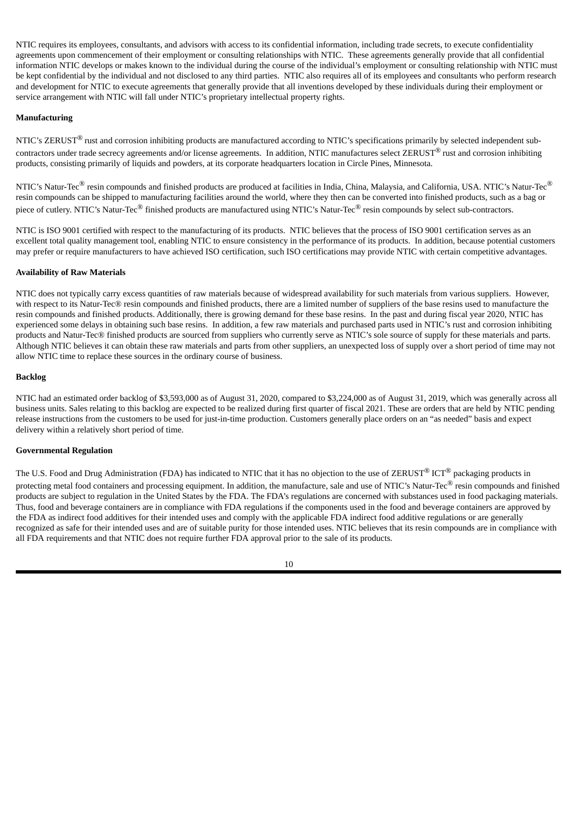NTIC requires its employees, consultants, and advisors with access to its confidential information, including trade secrets, to execute confidentiality agreements upon commencement of their employment or consulting relationships with NTIC. These agreements generally provide that all confidential information NTIC develops or makes known to the individual during the course of the individual's employment or consulting relationship with NTIC must be kept confidential by the individual and not disclosed to any third parties. NTIC also requires all of its employees and consultants who perform research and development for NTIC to execute agreements that generally provide that all inventions developed by these individuals during their employment or service arrangement with NTIC will fall under NTIC's proprietary intellectual property rights.

## **Manufacturing**

NTIC's ZERUST<sup>®</sup> rust and corrosion inhibiting products are manufactured according to NTIC's specifications primarily by selected independent subcontractors under trade secrecy agreements and/or license agreements. In addition, NTIC manufactures select ZERUST<sup>®</sup> rust and corrosion inhibiting products, consisting primarily of liquids and powders, at its corporate headquarters location in Circle Pines, Minnesota.

NTIC's Natur-Tec<sup>®</sup> resin compounds and finished products are produced at facilities in India, China, Malaysia, and California, USA. NTIC's Natur-Tec<sup>®</sup> resin compounds can be shipped to manufacturing facilities around the world, where they then can be converted into finished products, such as a bag or piece of cutlery. NTIC's Natur-Tec<sup>®</sup> finished products are manufactured using NTIC's Natur-Tec<sup>®</sup> resin compounds by select sub-contractors.

NTIC is ISO 9001 certified with respect to the manufacturing of its products. NTIC believes that the process of ISO 9001 certification serves as an excellent total quality management tool, enabling NTIC to ensure consistency in the performance of its products. In addition, because potential customers may prefer or require manufacturers to have achieved ISO certification, such ISO certifications may provide NTIC with certain competitive advantages.

### **Availability of Raw Materials**

NTIC does not typically carry excess quantities of raw materials because of widespread availability for such materials from various suppliers. However, with respect to its Natur-Tec® resin compounds and finished products, there are a limited number of suppliers of the base resins used to manufacture the resin compounds and finished products. Additionally, there is growing demand for these base resins. In the past and during fiscal year 2020, NTIC has experienced some delays in obtaining such base resins. In addition, a few raw materials and purchased parts used in NTIC's rust and corrosion inhibiting products and Natur-Tec® finished products are sourced from suppliers who currently serve as NTIC's sole source of supply for these materials and parts. Although NTIC believes it can obtain these raw materials and parts from other suppliers, an unexpected loss of supply over a short period of time may not allow NTIC time to replace these sources in the ordinary course of business.

## **Backlog**

NTIC had an estimated order backlog of \$3,593,000 as of August 31, 2020, compared to \$3,224,000 as of August 31, 2019, which was generally across all business units. Sales relating to this backlog are expected to be realized during first quarter of fiscal 2021. These are orders that are held by NTIC pending release instructions from the customers to be used for just-in-time production. Customers generally place orders on an "as needed" basis and expect delivery within a relatively short period of time.

### **Governmental Regulation**

The U.S. Food and Drug Administration (FDA) has indicated to NTIC that it has no objection to the use of ZERUST<sup>®</sup> ICT<sup>®</sup> packaging products in protecting metal food containers and processing equipment. In addition, the manufacture, sale and use of NTIC's Natur-Tec® resin compounds and finished products are subject to regulation in the United States by the FDA. The FDA's regulations are concerned with substances used in food packaging materials. Thus, food and beverage containers are in compliance with FDA regulations if the components used in the food and beverage containers are approved by the FDA as indirect food additives for their intended uses and comply with the applicable FDA indirect food additive regulations or are generally recognized as safe for their intended uses and are of suitable purity for those intended uses. NTIC believes that its resin compounds are in compliance with all FDA requirements and that NTIC does not require further FDA approval prior to the sale of its products.

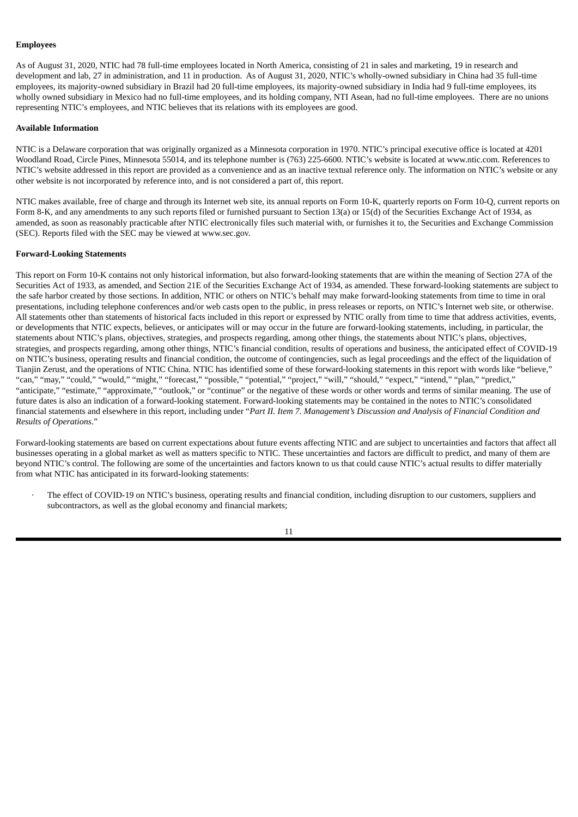## **Employees**

As of August 31, 2020, NTIC had 78 full-time employees located in North America, consisting of 21 in sales and marketing, 19 in research and development and lab, 27 in administration, and 11 in production. As of August 31, 2020, NTIC's wholly-owned subsidiary in China had 35 full-time employees, its majority-owned subsidiary in Brazil had 20 full-time employees, its majority-owned subsidiary in India had 9 full-time employees, its wholly owned subsidiary in Mexico had no full-time employees, and its holding company, NTI Asean, had no full-time employees. There are no unions representing NTIC's employees, and NTIC believes that its relations with its employees are good.

#### **Available Information**

NTIC is a Delaware corporation that was originally organized as a Minnesota corporation in 1970. NTIC's principal executive office is located at 4201 Woodland Road, Circle Pines, Minnesota 55014, and its telephone number is (763) 225-6600. NTIC's website is located at www.ntic.com. References to NTIC's website addressed in this report are provided as a convenience and as an inactive textual reference only. The information on NTIC's website or any other website is not incorporated by reference into, and is not considered a part of, this report.

NTIC makes available, free of charge and through its Internet web site, its annual reports on Form 10-K, quarterly reports on Form 10-Q, current reports on Form 8-K, and any amendments to any such reports filed or furnished pursuant to Section 13(a) or 15(d) of the Securities Exchange Act of 1934, as amended, as soon as reasonably practicable after NTIC electronically files such material with, or furnishes it to, the Securities and Exchange Commission (SEC). Reports filed with the SEC may be viewed at www.sec.gov.

#### **Forward-Looking Statements**

This report on Form 10-K contains not only historical information, but also forward-looking statements that are within the meaning of Section 27A of the Securities Act of 1933, as amended, and Section 21E of the Securities Exchange Act of 1934, as amended. These forward-looking statements are subject to the safe harbor created by those sections. In addition, NTIC or others on NTIC's behalf may make forward-looking statements from time to time in oral presentations, including telephone conferences and/or web casts open to the public, in press releases or reports, on NTIC's Internet web site, or otherwise. All statements other than statements of historical facts included in this report or expressed by NTIC orally from time to time that address activities, events, or developments that NTIC expects, believes, or anticipates will or may occur in the future are forward-looking statements, including, in particular, the statements about NTIC's plans, objectives, strategies, and prospects regarding, among other things, the statements about NTIC's plans, objectives, strategies, and prospects regarding, among other things, NTIC's financial condition, results of operations and business, the anticipated effect of COVID-19 on NTIC's business, operating results and financial condition, the outcome of contingencies, such as legal proceedings and the effect of the liquidation of Tianjin Zerust, and the operations of NTIC China. NTIC has identified some of these forward-looking statements in this report with words like "believe," "can," "may," "could," "would," "might," "forecast," "possible," "potential," "project," "will," "should," "expect," "intend," "plan," "predict," "anticipate," "estimate," "approximate," "outlook," or "continue" or the negative of these words or other words and terms of similar meaning. The use of future dates is also an indication of a forward-looking statement. Forward-looking statements may be contained in the notes to NTIC's consolidated financial statements and elsewhere in this report, including under "Part II, Item 7. Management's Discussion and Analysis of Financial Condition and *Results of Operations*."

Forward-looking statements are based on current expectations about future events affecting NTIC and are subject to uncertainties and factors that affect all businesses operating in a global market as well as matters specific to NTIC. These uncertainties and factors are difficult to predict, and many of them are beyond NTIC's control. The following are some of the uncertainties and factors known to us that could cause NTIC's actual results to differ materially from what NTIC has anticipated in its forward-looking statements:

· The effect of COVID-19 on NTIC's business, operating results and financial condition, including disruption to our customers, suppliers and subcontractors, as well as the global economy and financial markets;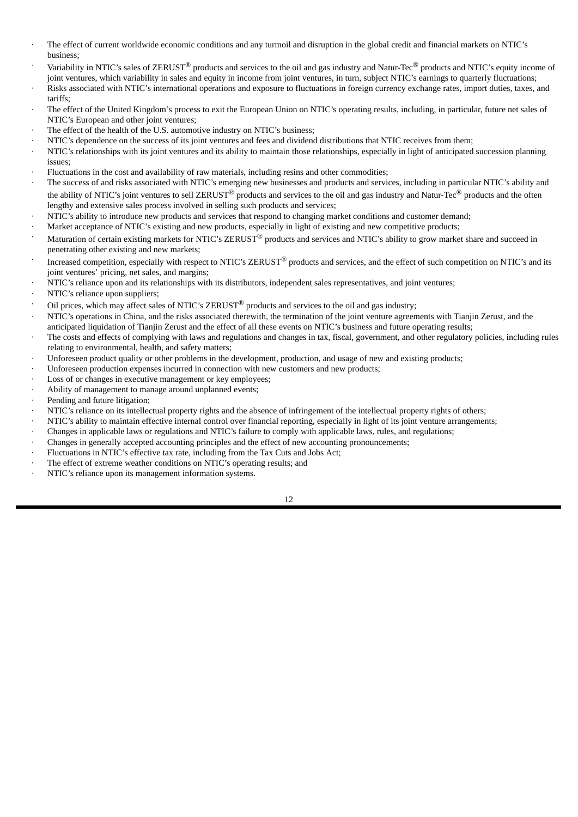- The effect of current worldwide economic conditions and any turmoil and disruption in the global credit and financial markets on NTIC's business;
- Variability in NTIC's sales of ZERUST<sup>®</sup> products and services to the oil and gas industry and Natur-Tec<sup>®</sup> products and NTIC's equity income of joint ventures, which variability in sales and equity in income from joint ventures, in turn, subject NTIC's earnings to quarterly fluctuations;
- · Risks associated with NTIC's international operations and exposure to fluctuations in foreign currency exchange rates, import duties, taxes, and tariffs;
- · The effect of the United Kingdom's process to exit the European Union on NTIC's operating results, including, in particular, future net sales of NTIC's European and other joint ventures;
- The effect of the health of the U.S. automotive industry on NTIC's business;
- NTIC's dependence on the success of its joint ventures and fees and dividend distributions that NTIC receives from them;
- · NTIC's relationships with its joint ventures and its ability to maintain those relationships, especially in light of anticipated succession planning issues;
- Fluctuations in the cost and availability of raw materials, including resins and other commodities;
- The success of and risks associated with NTIC's emerging new businesses and products and services, including in particular NTIC's ability and the ability of NTIC's joint ventures to sell ZERUST<sup>®</sup> products and services to the oil and gas industry and Natur-Tec<sup>®</sup> products and the often lengthy and extensive sales process involved in selling such products and services;
- · NTIC's ability to introduce new products and services that respond to changing market conditions and customer demand;
- Market acceptance of NTIC's existing and new products, especially in light of existing and new competitive products;
- Maturation of certain existing markets for NTIC's ZERUST® products and services and NTIC's ability to grow market share and succeed in penetrating other existing and new markets;
- Increased competition, especially with respect to NTIC's ZERUST<sup>®</sup> products and services, and the effect of such competition on NTIC's and its joint ventures' pricing, net sales, and margins;
- · NTIC's reliance upon and its relationships with its distributors, independent sales representatives, and joint ventures;
- · NTIC's reliance upon suppliers;
- Oil prices, which may affect sales of NTIC's ZERUST<sup>®</sup> products and services to the oil and gas industry;
- · NTIC's operations in China, and the risks associated therewith, the termination of the joint venture agreements with Tianjin Zerust, and the anticipated liquidation of Tianjin Zerust and the effect of all these events on NTIC's business and future operating results;
- · The costs and effects of complying with laws and regulations and changes in tax, fiscal, government, and other regulatory policies, including rules relating to environmental, health, and safety matters;
- Unforeseen product quality or other problems in the development, production, and usage of new and existing products;
- Unforeseen production expenses incurred in connection with new customers and new products;
- Loss of or changes in executive management or key employees;
- Ability of management to manage around unplanned events:
- Pending and future litigation;
- · NTIC's reliance on its intellectual property rights and the absence of infringement of the intellectual property rights of others;
- · NTIC's ability to maintain effective internal control over financial reporting, especially in light of its joint venture arrangements;
- · Changes in applicable laws or regulations and NTIC's failure to comply with applicable laws, rules, and regulations;
- · Changes in generally accepted accounting principles and the effect of new accounting pronouncements;
- Fluctuations in NTIC's effective tax rate, including from the Tax Cuts and Jobs Act;
- · The effect of extreme weather conditions on NTIC's operating results; and
- NTIC's reliance upon its management information systems.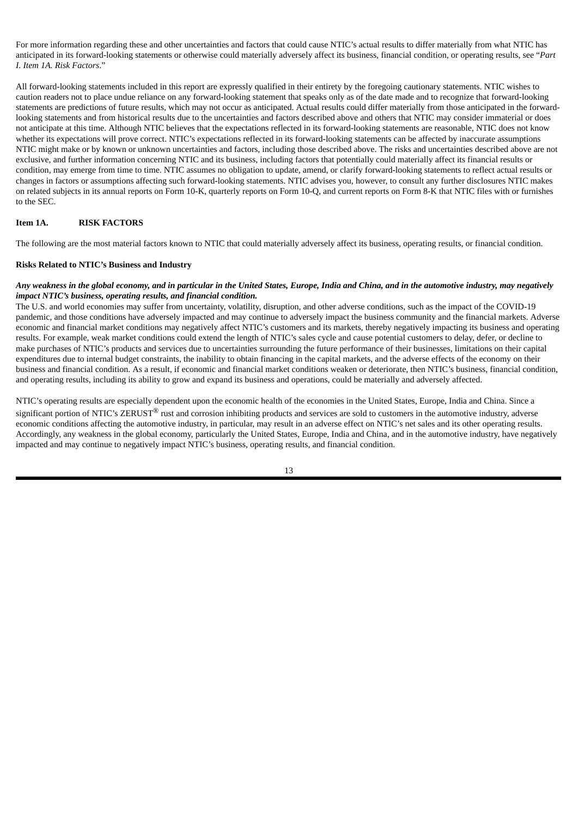For more information regarding these and other uncertainties and factors that could cause NTIC's actual results to differ materially from what NTIC has anticipated in its forward-looking statements or otherwise could materially adversely affect its business, financial condition, or operating results, see "*Part I. Item 1A. Risk Factors*."

All forward-looking statements included in this report are expressly qualified in their entirety by the foregoing cautionary statements. NTIC wishes to caution readers not to place undue reliance on any forward-looking statement that speaks only as of the date made and to recognize that forward-looking statements are predictions of future results, which may not occur as anticipated. Actual results could differ materially from those anticipated in the forwardlooking statements and from historical results due to the uncertainties and factors described above and others that NTIC may consider immaterial or does not anticipate at this time. Although NTIC believes that the expectations reflected in its forward-looking statements are reasonable, NTIC does not know whether its expectations will prove correct. NTIC's expectations reflected in its forward-looking statements can be affected by inaccurate assumptions NTIC might make or by known or unknown uncertainties and factors, including those described above. The risks and uncertainties described above are not exclusive, and further information concerning NTIC and its business, including factors that potentially could materially affect its financial results or condition, may emerge from time to time. NTIC assumes no obligation to update, amend, or clarify forward-looking statements to reflect actual results or changes in factors or assumptions affecting such forward-looking statements. NTIC advises you, however, to consult any further disclosures NTIC makes on related subjects in its annual reports on Form 10-K, quarterly reports on Form 10-Q, and current reports on Form 8-K that NTIC files with or furnishes to the SEC.

#### <span id="page-16-0"></span>**Item 1A. RISK FACTORS**

The following are the most material factors known to NTIC that could materially adversely affect its business, operating results, or financial condition.

#### **Risks Related to NTIC's Business and Industry**

## Any weakness in the global economy, and in particular in the United States, Europe, India and China, and in the automotive industry, may negatively *impact NTIC's business, operating results, and financial condition.*

The U.S. and world economies may suffer from uncertainty, volatility, disruption, and other adverse conditions, such as the impact of the COVID-19 pandemic, and those conditions have adversely impacted and may continue to adversely impact the business community and the financial markets. Adverse economic and financial market conditions may negatively affect NTIC's customers and its markets, thereby negatively impacting its business and operating results. For example, weak market conditions could extend the length of NTIC's sales cycle and cause potential customers to delay, defer, or decline to make purchases of NTIC's products and services due to uncertainties surrounding the future performance of their businesses, limitations on their capital expenditures due to internal budget constraints, the inability to obtain financing in the capital markets, and the adverse effects of the economy on their business and financial condition. As a result, if economic and financial market conditions weaken or deteriorate, then NTIC's business, financial condition, and operating results, including its ability to grow and expand its business and operations, could be materially and adversely affected.

NTIC's operating results are especially dependent upon the economic health of the economies in the United States, Europe, India and China. Since a significant portion of NTIC's ZERUST<sup>®</sup> rust and corrosion inhibiting products and services are sold to customers in the automotive industry, adverse economic conditions affecting the automotive industry, in particular, may result in an adverse effect on NTIC's net sales and its other operating results. Accordingly, any weakness in the global economy, particularly the United States, Europe, India and China, and in the automotive industry, have negatively impacted and may continue to negatively impact NTIC's business, operating results, and financial condition.

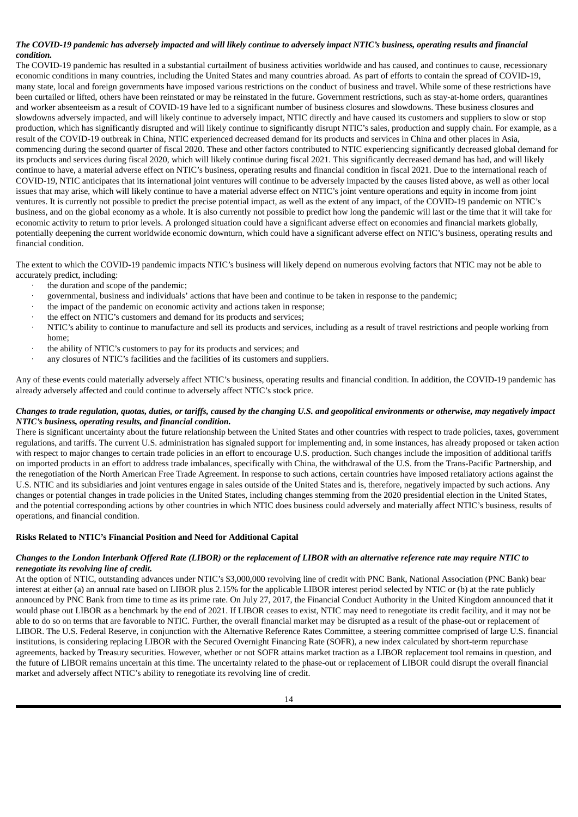## The COVID-19 pandemic has adversely impacted and will likely continue to adversely impact NTIC's business, operating results and financial *condition.*

The COVID-19 pandemic has resulted in a substantial curtailment of business activities worldwide and has caused, and continues to cause, recessionary economic conditions in many countries, including the United States and many countries abroad. As part of efforts to contain the spread of COVID-19, many state, local and foreign governments have imposed various restrictions on the conduct of business and travel. While some of these restrictions have been curtailed or lifted, others have been reinstated or may be reinstated in the future. Government restrictions, such as stay-at-home orders, quarantines and worker absenteeism as a result of COVID-19 have led to a significant number of business closures and slowdowns. These business closures and slowdowns adversely impacted, and will likely continue to adversely impact, NTIC directly and have caused its customers and suppliers to slow or stop production, which has significantly disrupted and will likely continue to significantly disrupt NTIC's sales, production and supply chain. For example, as a result of the COVID-19 outbreak in China, NTIC experienced decreased demand for its products and services in China and other places in Asia, commencing during the second quarter of fiscal 2020. These and other factors contributed to NTIC experiencing significantly decreased global demand for its products and services during fiscal 2020, which will likely continue during fiscal 2021. This significantly decreased demand has had, and will likely continue to have, a material adverse effect on NTIC's business, operating results and financial condition in fiscal 2021. Due to the international reach of COVID-19, NTIC anticipates that its international joint ventures will continue to be adversely impacted by the causes listed above, as well as other local issues that may arise, which will likely continue to have a material adverse effect on NTIC's joint venture operations and equity in income from joint ventures. It is currently not possible to predict the precise potential impact, as well as the extent of any impact, of the COVID-19 pandemic on NTIC's business, and on the global economy as a whole. It is also currently not possible to predict how long the pandemic will last or the time that it will take for economic activity to return to prior levels. A prolonged situation could have a significant adverse effect on economies and financial markets globally, potentially deepening the current worldwide economic downturn, which could have a significant adverse effect on NTIC's business, operating results and financial condition.

The extent to which the COVID-19 pandemic impacts NTIC's business will likely depend on numerous evolving factors that NTIC may not be able to accurately predict, including:

- the duration and scope of the pandemic:
- · governmental, business and individuals' actions that have been and continue to be taken in response to the pandemic;
- the impact of the pandemic on economic activity and actions taken in response;
- the effect on NTIC's customers and demand for its products and services;
- · NTIC's ability to continue to manufacture and sell its products and services, including as a result of travel restrictions and people working from home;
- · the ability of NTIC's customers to pay for its products and services; and
- any closures of NTIC's facilities and the facilities of its customers and suppliers.

Any of these events could materially adversely affect NTIC's business, operating results and financial condition. In addition, the COVID-19 pandemic has already adversely affected and could continue to adversely affect NTIC's stock price.

### Changes to trade regulation, quotas, duties, or tariffs, caused by the changing U.S. and geopolitical environments or otherwise, may negatively impact *NTIC's business, operating results, and financial condition.*

There is significant uncertainty about the future relationship between the United States and other countries with respect to trade policies, taxes, government regulations, and tariffs. The current U.S. administration has signaled support for implementing and, in some instances, has already proposed or taken action with respect to major changes to certain trade policies in an effort to encourage U.S. production. Such changes include the imposition of additional tariffs on imported products in an effort to address trade imbalances, specifically with China, the withdrawal of the U.S. from the Trans-Pacific Partnership, and the renegotiation of the North American Free Trade Agreement. In response to such actions, certain countries have imposed retaliatory actions against the U.S. NTIC and its subsidiaries and joint ventures engage in sales outside of the United States and is, therefore, negatively impacted by such actions. Any changes or potential changes in trade policies in the United States, including changes stemming from the 2020 presidential election in the United States, and the potential corresponding actions by other countries in which NTIC does business could adversely and materially affect NTIC's business, results of operations, and financial condition.

### **Risks Related to NTIC's Financial Position and Need for Additional Capital**

### Changes to the London Interbank Offered Rate (LIBOR) or the replacement of LIBOR with an alternative reference rate may require NTIC to *renegotiate its revolving line of credit.*

At the option of NTIC, outstanding advances under NTIC's \$3,000,000 revolving line of credit with PNC Bank, National Association (PNC Bank) bear interest at either (a) an annual rate based on LIBOR plus 2.15% for the applicable LIBOR interest period selected by NTIC or (b) at the rate publicly announced by PNC Bank from time to time as its prime rate. On July 27, 2017, the Financial Conduct Authority in the United Kingdom announced that it would phase out LIBOR as a benchmark by the end of 2021. If LIBOR ceases to exist, NTIC may need to renegotiate its credit facility, and it may not be able to do so on terms that are favorable to NTIC. Further, the overall financial market may be disrupted as a result of the phase-out or replacement of LIBOR. The U.S. Federal Reserve, in conjunction with the Alternative Reference Rates Committee, a steering committee comprised of large U.S. financial institutions, is considering replacing LIBOR with the Secured Overnight Financing Rate (SOFR), a new index calculated by short-term repurchase agreements, backed by Treasury securities. However, whether or not SOFR attains market traction as a LIBOR replacement tool remains in question, and the future of LIBOR remains uncertain at this time. The uncertainty related to the phase-out or replacement of LIBOR could disrupt the overall financial market and adversely affect NTIC's ability to renegotiate its revolving line of credit.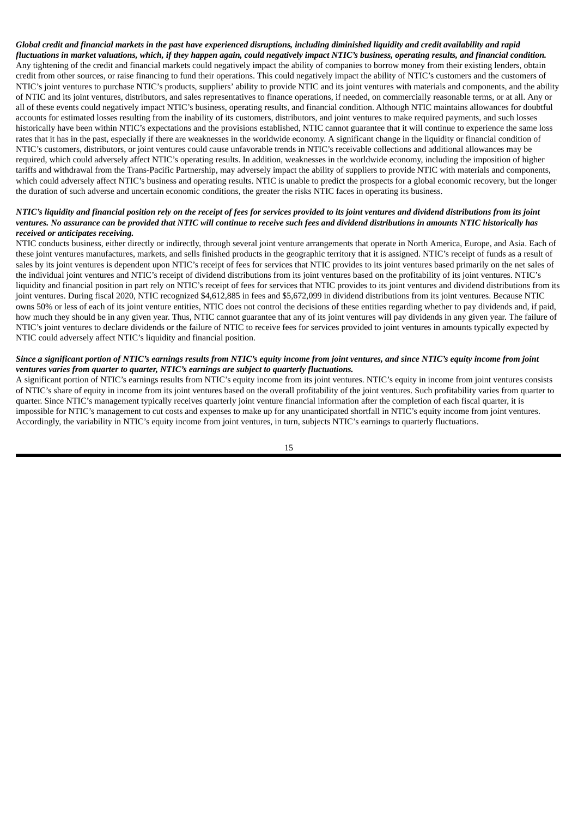Global credit and financial markets in the past have experienced disruptions, including diminished liquidity and credit availability and rapid fluctuations in market valuations, which, if they happen again, could negatively impact NTIC's business, operating results, and financial condition. Any tightening of the credit and financial markets could negatively impact the ability of companies to borrow money from their existing lenders, obtain credit from other sources, or raise financing to fund their operations. This could negatively impact the ability of NTIC's customers and the customers of NTIC's joint ventures to purchase NTIC's products, suppliers' ability to provide NTIC and its joint ventures with materials and components, and the ability of NTIC and its joint ventures, distributors, and sales representatives to finance operations, if needed, on commercially reasonable terms, or at all. Any or all of these events could negatively impact NTIC's business, operating results, and financial condition. Although NTIC maintains allowances for doubtful accounts for estimated losses resulting from the inability of its customers, distributors, and joint ventures to make required payments, and such losses historically have been within NTIC's expectations and the provisions established, NTIC cannot guarantee that it will continue to experience the same loss rates that it has in the past, especially if there are weaknesses in the worldwide economy. A significant change in the liquidity or financial condition of NTIC's customers, distributors, or joint ventures could cause unfavorable trends in NTIC's receivable collections and additional allowances may be required, which could adversely affect NTIC's operating results. In addition, weaknesses in the worldwide economy, including the imposition of higher tariffs and withdrawal from the Trans-Pacific Partnership, may adversely impact the ability of suppliers to provide NTIC with materials and components, which could adversely affect NTIC's business and operating results. NTIC is unable to predict the prospects for a global economic recovery, but the longer the duration of such adverse and uncertain economic conditions, the greater the risks NTIC faces in operating its business.

#### NTIC's liquidity and financial position rely on the receipt of fees for services provided to its joint ventures and dividend distributions from its joint ventures. No assurance can be provided that NTIC will continue to receive such fees and dividend distributions in amounts NTIC historically has *received or anticipates receiving.*

NTIC conducts business, either directly or indirectly, through several joint venture arrangements that operate in North America, Europe, and Asia. Each of these joint ventures manufactures, markets, and sells finished products in the geographic territory that it is assigned. NTIC's receipt of funds as a result of sales by its joint ventures is dependent upon NTIC's receipt of fees for services that NTIC provides to its joint ventures based primarily on the net sales of the individual joint ventures and NTIC's receipt of dividend distributions from its joint ventures based on the profitability of its joint ventures. NTIC's liquidity and financial position in part rely on NTIC's receipt of fees for services that NTIC provides to its joint ventures and dividend distributions from its joint ventures. During fiscal 2020, NTIC recognized \$4,612,885 in fees and \$5,672,099 in dividend distributions from its joint ventures. Because NTIC owns 50% or less of each of its joint venture entities, NTIC does not control the decisions of these entities regarding whether to pay dividends and, if paid, how much they should be in any given year. Thus, NTIC cannot guarantee that any of its joint ventures will pay dividends in any given year. The failure of NTIC's joint ventures to declare dividends or the failure of NTIC to receive fees for services provided to joint ventures in amounts typically expected by NTIC could adversely affect NTIC's liquidity and financial position.

### Since a significant portion of NTIC's earnings results from NTIC's equity income from joint ventures, and since NTIC's equity income from joint *ventures varies from quarter to quarter, NTIC's earnings are subject to quarterly fluctuations.*

A significant portion of NTIC's earnings results from NTIC's equity income from its joint ventures. NTIC's equity in income from joint ventures consists of NTIC's share of equity in income from its joint ventures based on the overall profitability of the joint ventures. Such profitability varies from quarter to quarter. Since NTIC's management typically receives quarterly joint venture financial information after the completion of each fiscal quarter, it is impossible for NTIC's management to cut costs and expenses to make up for any unanticipated shortfall in NTIC's equity income from joint ventures. Accordingly, the variability in NTIC's equity income from joint ventures, in turn, subjects NTIC's earnings to quarterly fluctuations.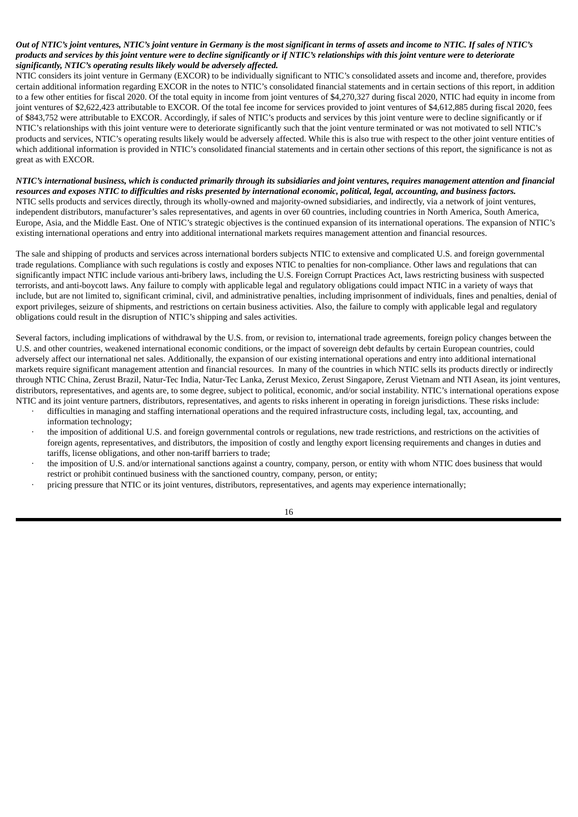## Out of NTIC's joint ventures, NTIC's joint venture in Germany is the most significant in terms of assets and income to NTIC. If sales of NTIC's products and services by this joint venture were to decline significantly or if NTIC's relationships with this joint venture were to deteriorate *significantly, NTIC's operating results likely would be adversely affected.*

NTIC considers its joint venture in Germany (EXCOR) to be individually significant to NTIC's consolidated assets and income and, therefore, provides certain additional information regarding EXCOR in the notes to NTIC's consolidated financial statements and in certain sections of this report, in addition to a few other entities for fiscal 2020. Of the total equity in income from joint ventures of \$4,270,327 during fiscal 2020, NTIC had equity in income from joint ventures of \$2,622,423 attributable to EXCOR. Of the total fee income for services provided to joint ventures of \$4,612,885 during fiscal 2020, fees of \$843,752 were attributable to EXCOR. Accordingly, if sales of NTIC's products and services by this joint venture were to decline significantly or if NTIC's relationships with this joint venture were to deteriorate significantly such that the joint venture terminated or was not motivated to sell NTIC's products and services, NTIC's operating results likely would be adversely affected. While this is also true with respect to the other joint venture entities of which additional information is provided in NTIC's consolidated financial statements and in certain other sections of this report, the significance is not as great as with EXCOR.

NTIC's international business, which is conducted primarily through its subsidiaries and joint ventures, requires management attention and financial resources and exposes NTIC to difficulties and risks presented by international economic, political, legal, accounting, and business factors. NTIC sells products and services directly, through its wholly-owned and majority-owned subsidiaries, and indirectly, via a network of joint ventures, independent distributors, manufacturer's sales representatives, and agents in over 60 countries, including countries in North America, South America, Europe, Asia, and the Middle East. One of NTIC's strategic objectives is the continued expansion of its international operations. The expansion of NTIC's existing international operations and entry into additional international markets requires management attention and financial resources.

The sale and shipping of products and services across international borders subjects NTIC to extensive and complicated U.S. and foreign governmental trade regulations. Compliance with such regulations is costly and exposes NTIC to penalties for non-compliance. Other laws and regulations that can significantly impact NTIC include various anti-bribery laws, including the U.S. Foreign Corrupt Practices Act, laws restricting business with suspected terrorists, and anti-boycott laws. Any failure to comply with applicable legal and regulatory obligations could impact NTIC in a variety of ways that include, but are not limited to, significant criminal, civil, and administrative penalties, including imprisonment of individuals, fines and penalties, denial of export privileges, seizure of shipments, and restrictions on certain business activities. Also, the failure to comply with applicable legal and regulatory obligations could result in the disruption of NTIC's shipping and sales activities.

Several factors, including implications of withdrawal by the U.S. from, or revision to, international trade agreements, foreign policy changes between the U.S. and other countries, weakened international economic conditions, or the impact of sovereign debt defaults by certain European countries, could adversely affect our international net sales. Additionally, the expansion of our existing international operations and entry into additional international markets require significant management attention and financial resources. In many of the countries in which NTIC sells its products directly or indirectly through NTIC China, Zerust Brazil, Natur-Tec India, Natur-Tec Lanka, Zerust Mexico, Zerust Singapore, Zerust Vietnam and NTI Asean, its joint ventures, distributors, representatives, and agents are, to some degree, subject to political, economic, and/or social instability. NTIC's international operations expose NTIC and its joint venture partners, distributors, representatives, and agents to risks inherent in operating in foreign jurisdictions. These risks include:

- difficulties in managing and staffing international operations and the required infrastructure costs, including legal, tax, accounting, and information technology;
- · the imposition of additional U.S. and foreign governmental controls or regulations, new trade restrictions, and restrictions on the activities of foreign agents, representatives, and distributors, the imposition of costly and lengthy export licensing requirements and changes in duties and tariffs, license obligations, and other non-tariff barriers to trade;
- · the imposition of U.S. and/or international sanctions against a country, company, person, or entity with whom NTIC does business that would restrict or prohibit continued business with the sanctioned country, company, person, or entity;
- · pricing pressure that NTIC or its joint ventures, distributors, representatives, and agents may experience internationally;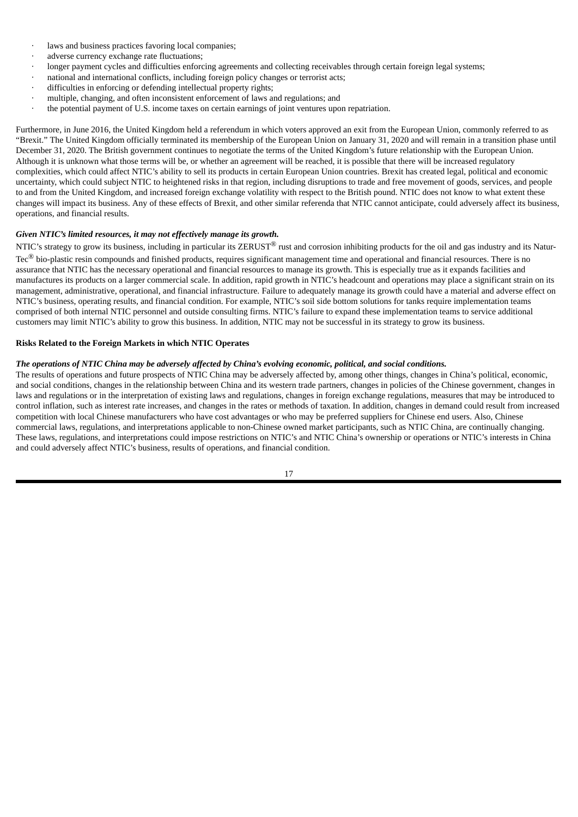- laws and business practices favoring local companies;
- adverse currency exchange rate fluctuations;
- longer payment cycles and difficulties enforcing agreements and collecting receivables through certain foreign legal systems;
- national and international conflicts, including foreign policy changes or terrorist acts;
- difficulties in enforcing or defending intellectual property rights;
- multiple, changing, and often inconsistent enforcement of laws and regulations; and
- the potential payment of U.S. income taxes on certain earnings of joint ventures upon repatriation.

Furthermore, in June 2016, the United Kingdom held a referendum in which voters approved an exit from the European Union, commonly referred to as "Brexit." The United Kingdom officially terminated its membership of the European Union on January 31, 2020 and will remain in a transition phase until December 31, 2020. The British government continues to negotiate the terms of the United Kingdom's future relationship with the European Union. Although it is unknown what those terms will be, or whether an agreement will be reached, it is possible that there will be increased regulatory complexities, which could affect NTIC's ability to sell its products in certain European Union countries. Brexit has created legal, political and economic uncertainty, which could subject NTIC to heightened risks in that region, including disruptions to trade and free movement of goods, services, and people to and from the United Kingdom, and increased foreign exchange volatility with respect to the British pound. NTIC does not know to what extent these changes will impact its business. Any of these effects of Brexit, and other similar referenda that NTIC cannot anticipate, could adversely affect its business, operations, and financial results.

### *Given NTIC's limited resources, it may not effectively manage its growth.*

NTIC's strategy to grow its business, including in particular its ZERUST<sup>®</sup> rust and corrosion inhibiting products for the oil and gas industry and its Natur- $\text{Tec}^{\textcircled{}}$  bio-plastic resin compounds and finished products, requires significant management time and operational and financial resources. There is no assurance that NTIC has the necessary operational and financial resources to manage its growth. This is especially true as it expands facilities and manufactures its products on a larger commercial scale. In addition, rapid growth in NTIC's headcount and operations may place a significant strain on its management, administrative, operational, and financial infrastructure. Failure to adequately manage its growth could have a material and adverse effect on NTIC's business, operating results, and financial condition. For example, NTIC's soil side bottom solutions for tanks require implementation teams comprised of both internal NTIC personnel and outside consulting firms. NTIC's failure to expand these implementation teams to service additional customers may limit NTIC's ability to grow this business. In addition, NTIC may not be successful in its strategy to grow its business.

#### **Risks Related to the Foreign Markets in which NTIC Operates**

#### The operations of NTIC China may be adversely affected by China's evolving economic, political, and social conditions.

The results of operations and future prospects of NTIC China may be adversely affected by, among other things, changes in China's political, economic, and social conditions, changes in the relationship between China and its western trade partners, changes in policies of the Chinese government, changes in laws and regulations or in the interpretation of existing laws and regulations, changes in foreign exchange regulations, measures that may be introduced to control inflation, such as interest rate increases, and changes in the rates or methods of taxation. In addition, changes in demand could result from increased competition with local Chinese manufacturers who have cost advantages or who may be preferred suppliers for Chinese end users. Also, Chinese commercial laws, regulations, and interpretations applicable to non-Chinese owned market participants, such as NTIC China, are continually changing. These laws, regulations, and interpretations could impose restrictions on NTIC's and NTIC China's ownership or operations or NTIC's interests in China and could adversely affect NTIC's business, results of operations, and financial condition.

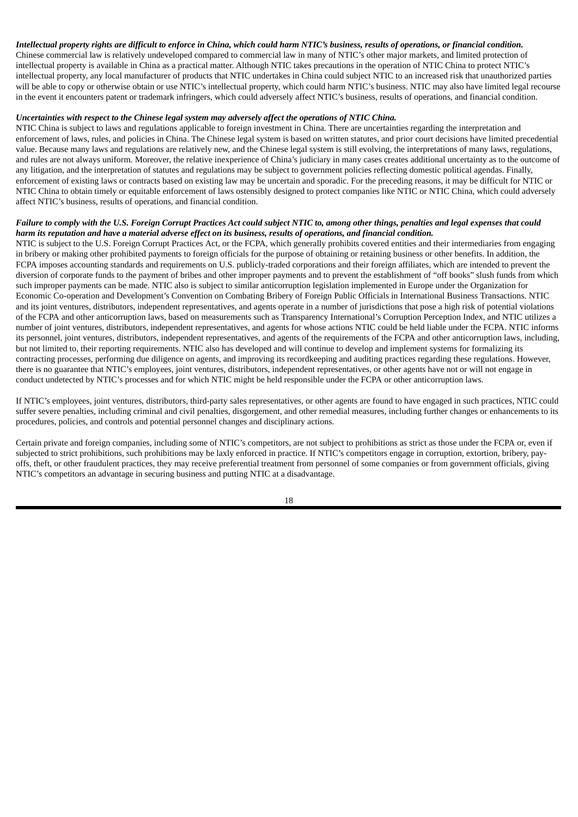#### Intellectual property rights are difficult to enforce in China, which could harm NTIC's business, results of operations, or financial condition.

Chinese commercial law is relatively undeveloped compared to commercial law in many of NTIC's other major markets, and limited protection of intellectual property is available in China as a practical matter. Although NTIC takes precautions in the operation of NTIC China to protect NTIC's intellectual property, any local manufacturer of products that NTIC undertakes in China could subject NTIC to an increased risk that unauthorized parties will be able to copy or otherwise obtain or use NTIC's intellectual property, which could harm NTIC's business. NTIC may also have limited legal recourse in the event it encounters patent or trademark infringers, which could adversely affect NTIC's business, results of operations, and financial condition.

#### *Uncertainties with respect to the Chinese legal system may adversely affect the operations of NTIC China.*

NTIC China is subject to laws and regulations applicable to foreign investment in China. There are uncertainties regarding the interpretation and enforcement of laws, rules, and policies in China. The Chinese legal system is based on written statutes, and prior court decisions have limited precedential value. Because many laws and regulations are relatively new, and the Chinese legal system is still evolving, the interpretations of many laws, regulations, and rules are not always uniform. Moreover, the relative inexperience of China's judiciary in many cases creates additional uncertainty as to the outcome of any litigation, and the interpretation of statutes and regulations may be subject to government policies reflecting domestic political agendas. Finally, enforcement of existing laws or contracts based on existing law may be uncertain and sporadic. For the preceding reasons, it may be difficult for NTIC or NTIC China to obtain timely or equitable enforcement of laws ostensibly designed to protect companies like NTIC or NTIC China, which could adversely affect NTIC's business, results of operations, and financial condition.

#### Failure to comply with the U.S. Foreign Corrupt Practices Act could subject NTIC to, among other things, penalties and legal expenses that could harm its reputation and have a material adverse effect on its business, results of operations, and financial condition.

NTIC is subject to the U.S. Foreign Corrupt Practices Act, or the FCPA, which generally prohibits covered entities and their intermediaries from engaging in bribery or making other prohibited payments to foreign officials for the purpose of obtaining or retaining business or other benefits. In addition, the FCPA imposes accounting standards and requirements on U.S. publicly-traded corporations and their foreign affiliates, which are intended to prevent the diversion of corporate funds to the payment of bribes and other improper payments and to prevent the establishment of "off books" slush funds from which such improper payments can be made. NTIC also is subject to similar anticorruption legislation implemented in Europe under the Organization for Economic Co-operation and Development's Convention on Combating Bribery of Foreign Public Officials in International Business Transactions. NTIC and its joint ventures, distributors, independent representatives, and agents operate in a number of jurisdictions that pose a high risk of potential violations of the FCPA and other anticorruption laws, based on measurements such as Transparency International's Corruption Perception Index, and NTIC utilizes a number of joint ventures, distributors, independent representatives, and agents for whose actions NTIC could be held liable under the FCPA. NTIC informs its personnel, joint ventures, distributors, independent representatives, and agents of the requirements of the FCPA and other anticorruption laws, including, but not limited to, their reporting requirements. NTIC also has developed and will continue to develop and implement systems for formalizing its contracting processes, performing due diligence on agents, and improving its recordkeeping and auditing practices regarding these regulations. However, there is no guarantee that NTIC's employees, joint ventures, distributors, independent representatives, or other agents have not or will not engage in conduct undetected by NTIC's processes and for which NTIC might be held responsible under the FCPA or other anticorruption laws.

If NTIC's employees, joint ventures, distributors, third-party sales representatives, or other agents are found to have engaged in such practices, NTIC could suffer severe penalties, including criminal and civil penalties, disgorgement, and other remedial measures, including further changes or enhancements to its procedures, policies, and controls and potential personnel changes and disciplinary actions.

Certain private and foreign companies, including some of NTIC's competitors, are not subject to prohibitions as strict as those under the FCPA or, even if subjected to strict prohibitions, such prohibitions may be laxly enforced in practice. If NTIC's competitors engage in corruption, extortion, bribery, payoffs, theft, or other fraudulent practices, they may receive preferential treatment from personnel of some companies or from government officials, giving NTIC's competitors an advantage in securing business and putting NTIC at a disadvantage.

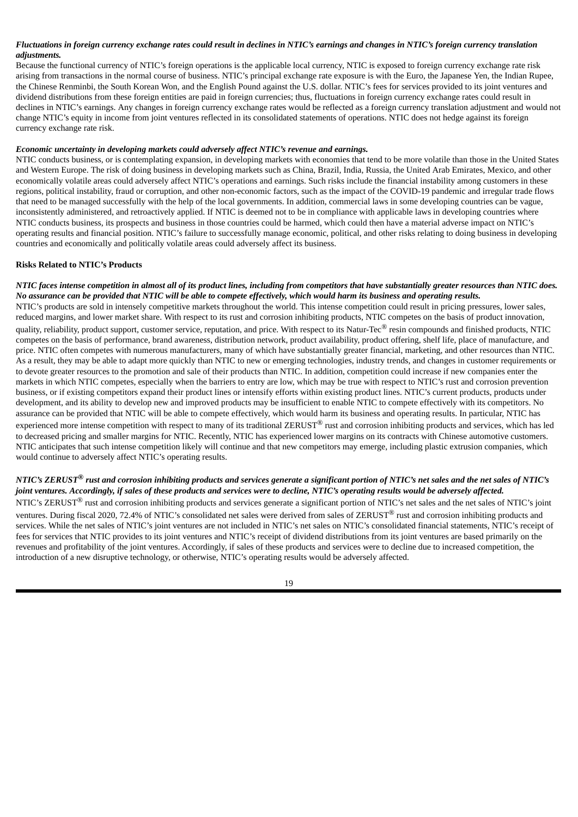## Fluctuations in foreign currency exchange rates could result in declines in NTIC's earnings and changes in NTIC's foreign currency translation *adjustments.*

Because the functional currency of NTIC's foreign operations is the applicable local currency, NTIC is exposed to foreign currency exchange rate risk arising from transactions in the normal course of business. NTIC's principal exchange rate exposure is with the Euro, the Japanese Yen, the Indian Rupee, the Chinese Renminbi, the South Korean Won, and the English Pound against the U.S. dollar. NTIC's fees for services provided to its joint ventures and dividend distributions from these foreign entities are paid in foreign currencies; thus, fluctuations in foreign currency exchange rates could result in declines in NTIC's earnings. Any changes in foreign currency exchange rates would be reflected as a foreign currency translation adjustment and would not change NTIC's equity in income from joint ventures reflected in its consolidated statements of operations. NTIC does not hedge against its foreign currency exchange rate risk.

#### *Economic uncertainty in developing markets could adversely affect NTIC's revenue and earnings.*

NTIC conducts business, or is contemplating expansion, in developing markets with economies that tend to be more volatile than those in the United States and Western Europe. The risk of doing business in developing markets such as China, Brazil, India, Russia, the United Arab Emirates, Mexico, and other economically volatile areas could adversely affect NTIC's operations and earnings. Such risks include the financial instability among customers in these regions, political instability, fraud or corruption, and other non-economic factors, such as the impact of the COVID-19 pandemic and irregular trade flows that need to be managed successfully with the help of the local governments. In addition, commercial laws in some developing countries can be vague, inconsistently administered, and retroactively applied. If NTIC is deemed not to be in compliance with applicable laws in developing countries where NTIC conducts business, its prospects and business in those countries could be harmed, which could then have a material adverse impact on NTIC's operating results and financial position. NTIC's failure to successfully manage economic, political, and other risks relating to doing business in developing countries and economically and politically volatile areas could adversely affect its business.

### **Risks Related to NTIC's Products**

## NTIC faces intense competition in almost all of its product lines, including from competitors that have substantially greater resources than NTIC does. No assurance can be provided that NTIC will be able to compete effectively, which would harm its business and operating results.

NTIC's products are sold in intensely competitive markets throughout the world. This intense competition could result in pricing pressures, lower sales, reduced margins, and lower market share. With respect to its rust and corrosion inhibiting products, NTIC competes on the basis of product innovation, quality, reliability, product support, customer service, reputation, and price. With respect to its Natur-Tec® resin compounds and finished products, NTIC competes on the basis of performance, brand awareness, distribution network, product availability, product offering, shelf life, place of manufacture, and price. NTIC often competes with numerous manufacturers, many of which have substantially greater financial, marketing, and other resources than NTIC. As a result, they may be able to adapt more quickly than NTIC to new or emerging technologies, industry trends, and changes in customer requirements or to devote greater resources to the promotion and sale of their products than NTIC. In addition, competition could increase if new companies enter the markets in which NTIC competes, especially when the barriers to entry are low, which may be true with respect to NTIC's rust and corrosion prevention business, or if existing competitors expand their product lines or intensify efforts within existing product lines. NTIC's current products, products under development, and its ability to develop new and improved products may be insufficient to enable NTIC to compete effectively with its competitors. No assurance can be provided that NTIC will be able to compete effectively, which would harm its business and operating results. In particular, NTIC has experienced more intense competition with respect to many of its traditional ZERUST<sup>®</sup> rust and corrosion inhibiting products and services, which has led to decreased pricing and smaller margins for NTIC. Recently, NTIC has experienced lower margins on its contracts with Chinese automotive customers. NTIC anticipates that such intense competition likely will continue and that new competitors may emerge, including plastic extrusion companies, which would continue to adversely affect NTIC's operating results.

## NTIC's ZERUST<sup>®</sup> rust and corrosion inhibiting products and services generate a significant portion of NTIC's net sales and the net sales of NTIC's joint ventures. Accordingly, if sales of these products and services were to decline, NTIC's operating results would be adversely affected.

NTIC's ZERUST<sup>®</sup> rust and corrosion inhibiting products and services generate a significant portion of NTIC's net sales and the net sales of NTIC's joint ventures. During fiscal 2020, 72.4% of NTIC's consolidated net sales were derived from sales of ZERUST<sup>®</sup> rust and corrosion inhibiting products and services. While the net sales of NTIC's joint ventures are not included in NTIC's net sales on NTIC's consolidated financial statements, NTIC's receipt of fees for services that NTIC provides to its joint ventures and NTIC's receipt of dividend distributions from its joint ventures are based primarily on the revenues and profitability of the joint ventures. Accordingly, if sales of these products and services were to decline due to increased competition, the introduction of a new disruptive technology, or otherwise, NTIC's operating results would be adversely affected.

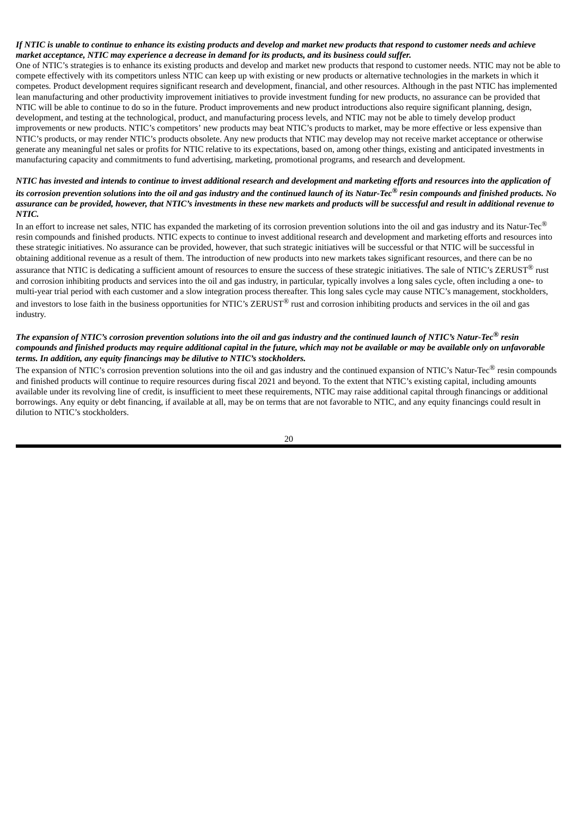#### If NTIC is unable to continue to enhance its existing products and develop and market new products that respond to customer needs and achieve market acceptance, NTIC may experience a decrease in demand for its products, and its business could suffer.

One of NTIC's strategies is to enhance its existing products and develop and market new products that respond to customer needs. NTIC may not be able to compete effectively with its competitors unless NTIC can keep up with existing or new products or alternative technologies in the markets in which it competes. Product development requires significant research and development, financial, and other resources. Although in the past NTIC has implemented lean manufacturing and other productivity improvement initiatives to provide investment funding for new products, no assurance can be provided that NTIC will be able to continue to do so in the future. Product improvements and new product introductions also require significant planning, design, development, and testing at the technological, product, and manufacturing process levels, and NTIC may not be able to timely develop product improvements or new products. NTIC's competitors' new products may beat NTIC's products to market, may be more effective or less expensive than NTIC's products, or may render NTIC's products obsolete. Any new products that NTIC may develop may not receive market acceptance or otherwise generate any meaningful net sales or profits for NTIC relative to its expectations, based on, among other things, existing and anticipated investments in manufacturing capacity and commitments to fund advertising, marketing, promotional programs, and research and development.

## NTIC has invested and intends to continue to invest additional research and development and marketing efforts and resources into the application of its corrosion prevention solutions into the oil and gas industry and the continued launch of its Natur-Tec $^{\circledR}$  resin compounds and finished products. No assurance can be provided, however, that NTIC's investments in these new markets and products will be successful and result in additional revenue to *NTIC.*

In an effort to increase net sales, NTIC has expanded the marketing of its corrosion prevention solutions into the oil and gas industry and its Natur-Tec $^{\circledR}$ resin compounds and finished products. NTIC expects to continue to invest additional research and development and marketing efforts and resources into these strategic initiatives. No assurance can be provided, however, that such strategic initiatives will be successful or that NTIC will be successful in obtaining additional revenue as a result of them. The introduction of new products into new markets takes significant resources, and there can be no assurance that NTIC is dedicating a sufficient amount of resources to ensure the success of these strategic initiatives. The sale of NTIC's  $ZERUST^{\circledR}$  rust and corrosion inhibiting products and services into the oil and gas industry, in particular, typically involves a long sales cycle, often including a one- to multi-year trial period with each customer and a slow integration process thereafter. This long sales cycle may cause NTIC's management, stockholders, and investors to lose faith in the business opportunities for NTIC's ZERUST<sup>®</sup> rust and corrosion inhibiting products and services in the oil and gas industry.

### The expansion of NTIC's corrosion prevention solutions into the oil and gas industry and the continued launch of NTIC's Natur-Tec $^{\circledR}$  resin compounds and finished products may require additional capital in the future, which may not be available or may be available only on unfavorable *terms. In addition, any equity financings may be dilutive to NTIC's stockholders.*

The expansion of NTIC's corrosion prevention solutions into the oil and gas industry and the continued expansion of NTIC's Natur-Tec $^{\circ}$  resin compounds and finished products will continue to require resources during fiscal 2021 and beyond. To the extent that NTIC's existing capital, including amounts available under its revolving line of credit, is insufficient to meet these requirements, NTIC may raise additional capital through financings or additional borrowings. Any equity or debt financing, if available at all, may be on terms that are not favorable to NTIC, and any equity financings could result in dilution to NTIC's stockholders.

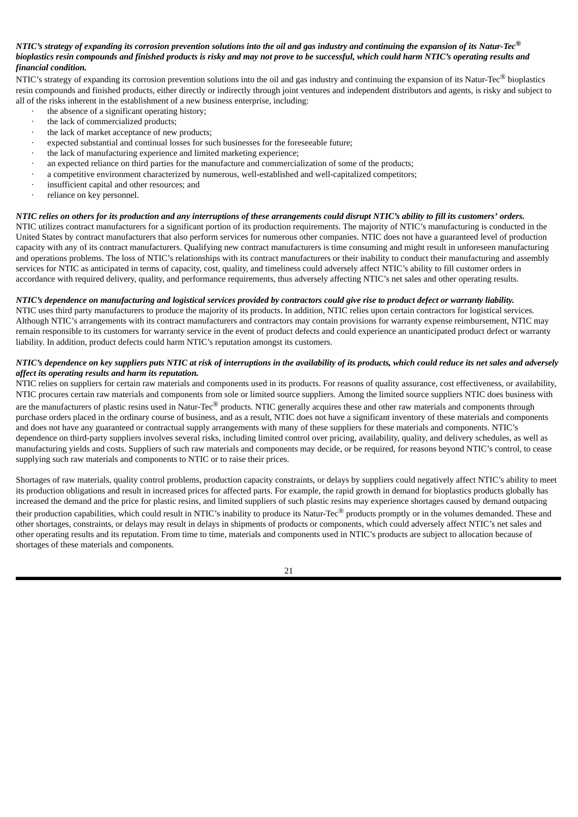## NTIC's strategy of expanding its corrosion prevention solutions into the oil and gas industry and continuing the expansion of its Natur-Tec<sup>®</sup> bioplastics resin compounds and finished products is risky and may not prove to be successful, which could harm NTIC's operating results and *financial condition.*

NTIC's strategy of expanding its corrosion prevention solutions into the oil and gas industry and continuing the expansion of its Natur-Tec<sup>®</sup> bioplastics resin compounds and finished products, either directly or indirectly through joint ventures and independent distributors and agents, is risky and subject to all of the risks inherent in the establishment of a new business enterprise, including:

- the absence of a significant operating history;<br>the lack of commercialized products:
	- the lack of commercialized products;
	- the lack of market acceptance of new products;
	- expected substantial and continual losses for such businesses for the foreseeable future;
	- the lack of manufacturing experience and limited marketing experience;
	- · an expected reliance on third parties for the manufacture and commercialization of some of the products;
	- · a competitive environment characterized by numerous, well-established and well-capitalized competitors;
- · insufficient capital and other resources; and
- reliance on key personnel.

### NTIC relies on others for its production and any interruptions of these arrangements could disrupt NTIC's ability to fill its customers' orders.

NTIC utilizes contract manufacturers for a significant portion of its production requirements. The majority of NTIC's manufacturing is conducted in the United States by contract manufacturers that also perform services for numerous other companies. NTIC does not have a guaranteed level of production capacity with any of its contract manufacturers. Qualifying new contract manufacturers is time consuming and might result in unforeseen manufacturing and operations problems. The loss of NTIC's relationships with its contract manufacturers or their inability to conduct their manufacturing and assembly services for NTIC as anticipated in terms of capacity, cost, quality, and timeliness could adversely affect NTIC's ability to fill customer orders in accordance with required delivery, quality, and performance requirements, thus adversely affecting NTIC's net sales and other operating results.

### NTIC's dependence on manufacturing and logistical services provided by contractors could give rise to product defect or warranty liability.

NTIC uses third party manufacturers to produce the majority of its products. In addition, NTIC relies upon certain contractors for logistical services. Although NTIC's arrangements with its contract manufacturers and contractors may contain provisions for warranty expense reimbursement, NTIC may remain responsible to its customers for warranty service in the event of product defects and could experience an unanticipated product defect or warranty liability. In addition, product defects could harm NTIC's reputation amongst its customers.

## NTIC's dependence on key suppliers puts NTIC at risk of interruptions in the availability of its products, which could reduce its net sales and adversely *affect its operating results and harm its reputation.*

NTIC relies on suppliers for certain raw materials and components used in its products. For reasons of quality assurance, cost effectiveness, or availability, NTIC procures certain raw materials and components from sole or limited source suppliers. Among the limited source suppliers NTIC does business with are the manufacturers of plastic resins used in Natur-Tec $^{\circledR}$  products. NTIC generally acquires these and other raw materials and components through purchase orders placed in the ordinary course of business, and as a result, NTIC does not have a significant inventory of these materials and components and does not have any guaranteed or contractual supply arrangements with many of these suppliers for these materials and components. NTIC's dependence on third-party suppliers involves several risks, including limited control over pricing, availability, quality, and delivery schedules, as well as manufacturing yields and costs. Suppliers of such raw materials and components may decide, or be required, for reasons beyond NTIC's control, to cease supplying such raw materials and components to NTIC or to raise their prices.

Shortages of raw materials, quality control problems, production capacity constraints, or delays by suppliers could negatively affect NTIC's ability to meet its production obligations and result in increased prices for affected parts. For example, the rapid growth in demand for bioplastics products globally has increased the demand and the price for plastic resins, and limited suppliers of such plastic resins may experience shortages caused by demand outpacing their production capabilities, which could result in NTIC's inability to produce its Natur-Tec® products promptly or in the volumes demanded. These and other shortages, constraints, or delays may result in delays in shipments of products or components, which could adversely affect NTIC's net sales and other operating results and its reputation. From time to time, materials and components used in NTIC's products are subject to allocation because of shortages of these materials and components.

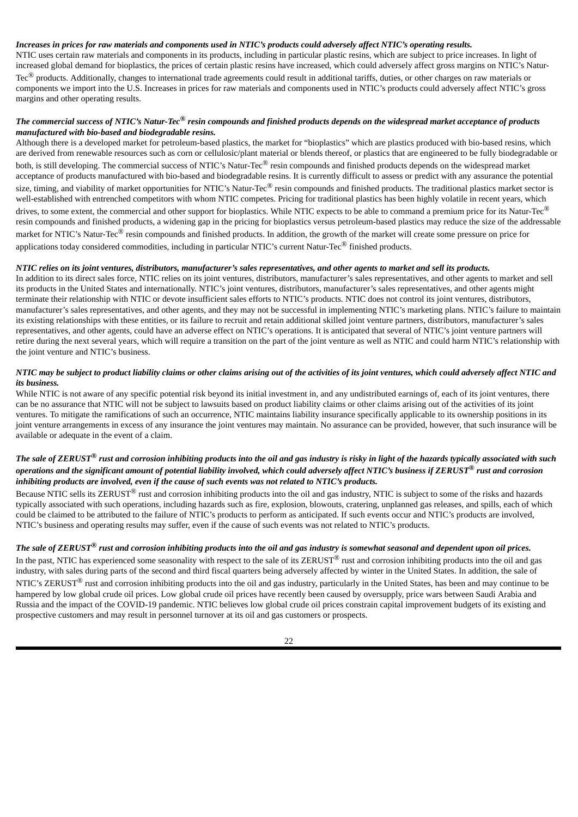#### Increases in prices for raw materials and components used in NTIC's products could adversely affect NTIC's operating results.

NTIC uses certain raw materials and components in its products, including in particular plastic resins, which are subject to price increases. In light of increased global demand for bioplastics, the prices of certain plastic resins have increased, which could adversely affect gross margins on NTIC's Natur-Tec $^{\circledR}$  products. Additionally, changes to international trade agreements could result in additional tariffs, duties, or other charges on raw materials or components we import into the U.S. Increases in prices for raw materials and components used in NTIC's products could adversely affect NTIC's gross margins and other operating results.

## The commercial success of NTIC's Natur-Tec® resin compounds and finished products depends on the widespread market acceptance of products *manufactured with bio-based and biodegradable resins.*

Although there is a developed market for petroleum-based plastics, the market for "bioplastics" which are plastics produced with bio-based resins, which are derived from renewable resources such as corn or cellulosic/plant material or blends thereof, or plastics that are engineered to be fully biodegradable or both, is still developing. The commercial success of NTIC's Natur-Tec® resin compounds and finished products depends on the widespread market acceptance of products manufactured with bio-based and biodegradable resins. It is currently difficult to assess or predict with any assurance the potential size, timing, and viability of market opportunities for NTIC's Natur-Tec® resin compounds and finished products. The traditional plastics market sector is well-established with entrenched competitors with whom NTIC competes. Pricing for traditional plastics has been highly volatile in recent years, which drives, to some extent, the commercial and other support for bioplastics. While NTIC expects to be able to command a premium price for its Natur-Tec® resin compounds and finished products, a widening gap in the pricing for bioplastics versus petroleum-based plastics may reduce the size of the addressable market for NTIC's Natur-Tec<sup>®</sup> resin compounds and finished products. In addition, the growth of the market will create some pressure on price for applications today considered commodities, including in particular NTIC's current Natur-Tec® finished products.

#### NTIC relies on its joint ventures, distributors, manufacturer's sales representatives, and other agents to market and sell its products.

In addition to its direct sales force, NTIC relies on its joint ventures, distributors, manufacturer's sales representatives, and other agents to market and sell its products in the United States and internationally. NTIC's joint ventures, distributors, manufacturer's sales representatives, and other agents might terminate their relationship with NTIC or devote insufficient sales efforts to NTIC's products. NTIC does not control its joint ventures, distributors, manufacturer's sales representatives, and other agents, and they may not be successful in implementing NTIC's marketing plans. NTIC's failure to maintain its existing relationships with these entities, or its failure to recruit and retain additional skilled joint venture partners, distributors, manufacturer's sales representatives, and other agents, could have an adverse effect on NTIC's operations. It is anticipated that several of NTIC's joint venture partners will retire during the next several years, which will require a transition on the part of the joint venture as well as NTIC and could harm NTIC's relationship with the joint venture and NTIC's business.

## NTIC may be subject to product liability claims or other claims arising out of the activities of its joint ventures, which could adversely affect NTIC and *its business.*

While NTIC is not aware of any specific potential risk beyond its initial investment in, and any undistributed earnings of, each of its joint ventures, there can be no assurance that NTIC will not be subject to lawsuits based on product liability claims or other claims arising out of the activities of its joint ventures. To mitigate the ramifications of such an occurrence, NTIC maintains liability insurance specifically applicable to its ownership positions in its joint venture arrangements in excess of any insurance the joint ventures may maintain. No assurance can be provided, however, that such insurance will be available or adequate in the event of a claim.

## The sale of ZERUST<sup>®</sup> rust and corrosion inhibiting products into the oil and gas industry is risky in light of the hazards typically associated with such operations and the significant amount of potential liability involved, which could adversely affect NTIC's business if  $\text{ZERUST}^{\circledast}$  rust and corrosion *inhibiting products are involved, even if the cause of such events was not related to NTIC's products.*

Because NTIC sells its ZERUST<sup>®</sup> rust and corrosion inhibiting products into the oil and gas industry, NTIC is subject to some of the risks and hazards typically associated with such operations, including hazards such as fire, explosion, blowouts, cratering, unplanned gas releases, and spills, each of which could be claimed to be attributed to the failure of NTIC's products to perform as anticipated. If such events occur and NTIC's products are involved, NTIC's business and operating results may suffer, even if the cause of such events was not related to NTIC's products.

## The sale of  $\text{ZERUST}^{\circledast}$  rust and corrosion inhibiting products into the oil and gas industry is somewhat seasonal and dependent upon oil prices.

In the past, NTIC has experienced some seasonality with respect to the sale of its ZERUST<sup>®</sup> rust and corrosion inhibiting products into the oil and gas industry, with sales during parts of the second and third fiscal quarters being adversely affected by winter in the United States. In addition, the sale of NTIC's ZERUST<sup>®</sup> rust and corrosion inhibiting products into the oil and gas industry, particularly in the United States, has been and may continue to be hampered by low global crude oil prices. Low global crude oil prices have recently been caused by oversupply, price wars between Saudi Arabia and Russia and the impact of the COVID-19 pandemic. NTIC believes low global crude oil prices constrain capital improvement budgets of its existing and prospective customers and may result in personnel turnover at its oil and gas customers or prospects.

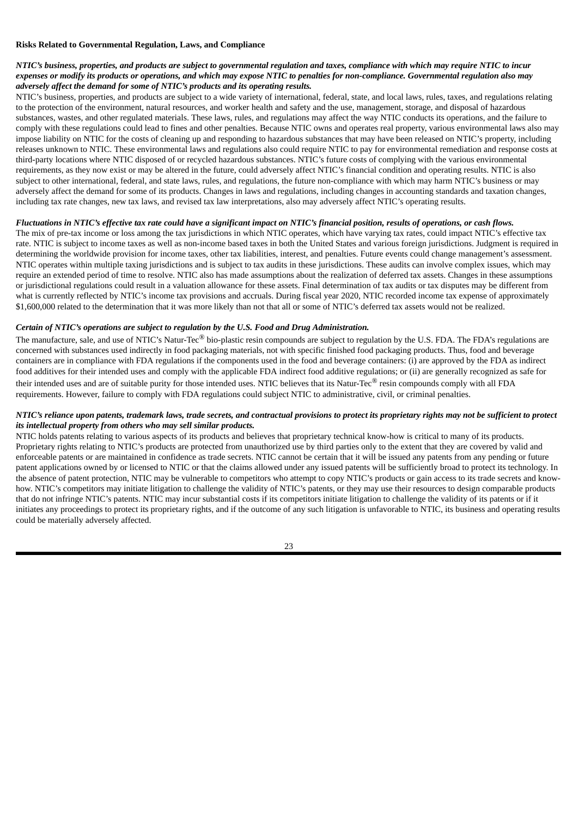#### **Risks Related to Governmental Regulation, Laws, and Compliance**

#### NTIC's business, properties, and products are subject to governmental regulation and taxes, compliance with which may require NTIC to incur expenses or modify its products or operations, and which may expose NTIC to penalties for non-compliance. Governmental regulation also may *adversely affect the demand for some of NTIC's products and its operating results.*

NTIC's business, properties, and products are subject to a wide variety of international, federal, state, and local laws, rules, taxes, and regulations relating to the protection of the environment, natural resources, and worker health and safety and the use, management, storage, and disposal of hazardous substances, wastes, and other regulated materials. These laws, rules, and regulations may affect the way NTIC conducts its operations, and the failure to comply with these regulations could lead to fines and other penalties. Because NTIC owns and operates real property, various environmental laws also may impose liability on NTIC for the costs of cleaning up and responding to hazardous substances that may have been released on NTIC's property, including releases unknown to NTIC. These environmental laws and regulations also could require NTIC to pay for environmental remediation and response costs at third-party locations where NTIC disposed of or recycled hazardous substances. NTIC's future costs of complying with the various environmental requirements, as they now exist or may be altered in the future, could adversely affect NTIC's financial condition and operating results. NTIC is also subject to other international, federal, and state laws, rules, and regulations, the future non-compliance with which may harm NTIC's business or may adversely affect the demand for some of its products. Changes in laws and regulations, including changes in accounting standards and taxation changes, including tax rate changes, new tax laws, and revised tax law interpretations, also may adversely affect NTIC's operating results.

## Fluctuations in NTIC's effective tax rate could have a significant impact on NTIC's financial position, results of operations, or cash flows.

The mix of pre-tax income or loss among the tax jurisdictions in which NTIC operates, which have varying tax rates, could impact NTIC's effective tax rate. NTIC is subject to income taxes as well as non-income based taxes in both the United States and various foreign jurisdictions. Judgment is required in determining the worldwide provision for income taxes, other tax liabilities, interest, and penalties. Future events could change management's assessment. NTIC operates within multiple taxing jurisdictions and is subject to tax audits in these jurisdictions. These audits can involve complex issues, which may require an extended period of time to resolve. NTIC also has made assumptions about the realization of deferred tax assets. Changes in these assumptions or jurisdictional regulations could result in a valuation allowance for these assets. Final determination of tax audits or tax disputes may be different from what is currently reflected by NTIC's income tax provisions and accruals. During fiscal year 2020, NTIC recorded income tax expense of approximately \$1,600,000 related to the determination that it was more likely than not that all or some of NTIC's deferred tax assets would not be realized.

## *Certain of NTIC's operations are subject to regulation by the U.S. Food and Drug Administration.*

The manufacture, sale, and use of NTIC's Natur-Tec<sup>®</sup> bio-plastic resin compounds are subject to regulation by the U.S. FDA. The FDA's regulations are concerned with substances used indirectly in food packaging materials, not with specific finished food packaging products. Thus, food and beverage containers are in compliance with FDA regulations if the components used in the food and beverage containers: (i) are approved by the FDA as indirect food additives for their intended uses and comply with the applicable FDA indirect food additive regulations; or (ii) are generally recognized as safe for

their intended uses and are of suitable purity for those intended uses. NTIC believes that its Natur-Tec® resin compounds comply with all FDA requirements. However, failure to comply with FDA regulations could subject NTIC to administrative, civil, or criminal penalties.

### NTIC's reliance upon patents, trademark laws, trade secrets, and contractual provisions to protect its proprietary rights may not be sufficient to protect *its intellectual property from others who may sell similar products.*

NTIC holds patents relating to various aspects of its products and believes that proprietary technical know-how is critical to many of its products. Proprietary rights relating to NTIC's products are protected from unauthorized use by third parties only to the extent that they are covered by valid and enforceable patents or are maintained in confidence as trade secrets. NTIC cannot be certain that it will be issued any patents from any pending or future patent applications owned by or licensed to NTIC or that the claims allowed under any issued patents will be sufficiently broad to protect its technology. In the absence of patent protection, NTIC may be vulnerable to competitors who attempt to copy NTIC's products or gain access to its trade secrets and knowhow. NTIC's competitors may initiate litigation to challenge the validity of NTIC's patents, or they may use their resources to design comparable products that do not infringe NTIC's patents. NTIC may incur substantial costs if its competitors initiate litigation to challenge the validity of its patents or if it initiates any proceedings to protect its proprietary rights, and if the outcome of any such litigation is unfavorable to NTIC, its business and operating results could be materially adversely affected.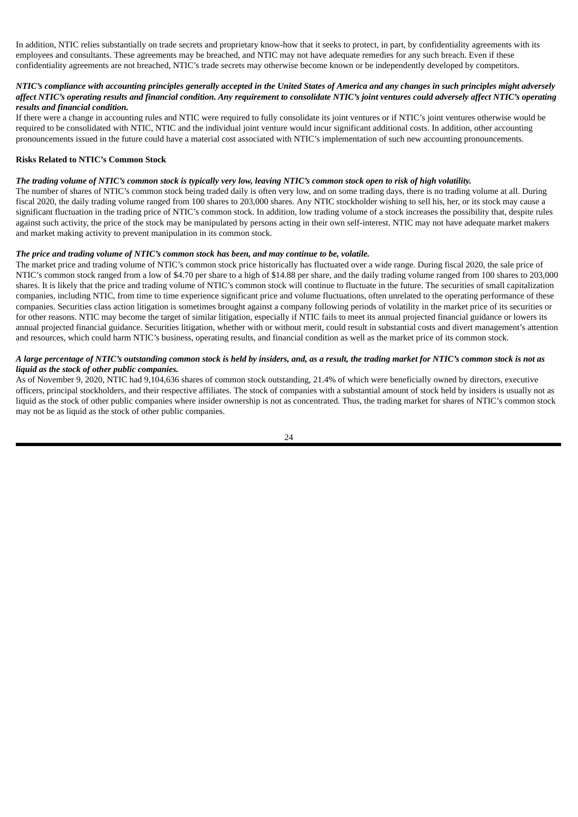In addition, NTIC relies substantially on trade secrets and proprietary know-how that it seeks to protect, in part, by confidentiality agreements with its employees and consultants. These agreements may be breached, and NTIC may not have adequate remedies for any such breach. Even if these confidentiality agreements are not breached, NTIC's trade secrets may otherwise become known or be independently developed by competitors.

#### NTIC's compliance with accounting principles generally accepted in the United States of America and any changes in such principles might adversely affect NTIC's operating results and financial condition. Any requirement to consolidate NTIC's joint ventures could adversely affect NTIC's operating *results and financial condition.*

If there were a change in accounting rules and NTIC were required to fully consolidate its joint ventures or if NTIC's joint ventures otherwise would be required to be consolidated with NTIC, NTIC and the individual joint venture would incur significant additional costs. In addition, other accounting pronouncements issued in the future could have a material cost associated with NTIC's implementation of such new accounting pronouncements.

#### **Risks Related to NTIC's Common Stock**

#### The tradina volume of NTIC's common stock is typically very low, leavina NTIC's common stock open to risk of high volatility.

The number of shares of NTIC's common stock being traded daily is often very low, and on some trading days, there is no trading volume at all. During fiscal 2020, the daily trading volume ranged from 100 shares to 203,000 shares. Any NTIC stockholder wishing to sell his, her, or its stock may cause a significant fluctuation in the trading price of NTIC's common stock. In addition, low trading volume of a stock increases the possibility that, despite rules against such activity, the price of the stock may be manipulated by persons acting in their own self-interest. NTIC may not have adequate market makers and market making activity to prevent manipulation in its common stock.

#### *The price and trading volume of NTIC's common stock has been, and may continue to be, volatile.*

The market price and trading volume of NTIC's common stock price historically has fluctuated over a wide range. During fiscal 2020, the sale price of NTIC's common stock ranged from a low of \$4.70 per share to a high of \$14.88 per share, and the daily trading volume ranged from 100 shares to 203,000 shares. It is likely that the price and trading volume of NTIC's common stock will continue to fluctuate in the future. The securities of small capitalization companies, including NTIC, from time to time experience significant price and volume fluctuations, often unrelated to the operating performance of these companies. Securities class action litigation is sometimes brought against a company following periods of volatility in the market price of its securities or for other reasons. NTIC may become the target of similar litigation, especially if NTIC fails to meet its annual projected financial guidance or lowers its annual projected financial guidance. Securities litigation, whether with or without merit, could result in substantial costs and divert management's attention and resources, which could harm NTIC's business, operating results, and financial condition as well as the market price of its common stock.

## A large percentage of NTIC's outstanding common stock is held by insiders, and, as a result, the trading market for NTIC's common stock is not as *liquid as the stock of other public companies.*

As of November 9, 2020, NTIC had 9,104,636 shares of common stock outstanding, 21.4% of which were beneficially owned by directors, executive officers, principal stockholders, and their respective affiliates. The stock of companies with a substantial amount of stock held by insiders is usually not as liquid as the stock of other public companies where insider ownership is not as concentrated. Thus, the trading market for shares of NTIC's common stock may not be as liquid as the stock of other public companies.

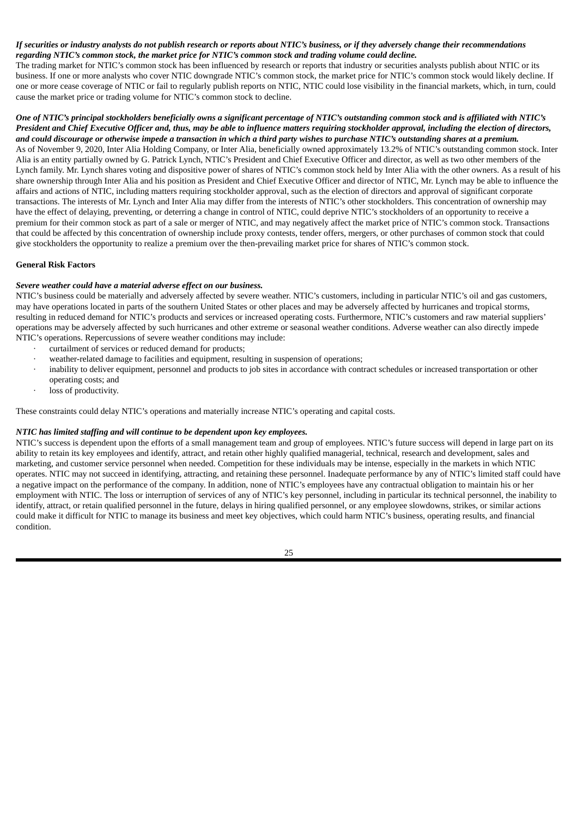#### If securities or industry analysts do not publish research or reports about NTIC's business, or if they adversely change their recommendations *regarding NTIC's common stock, the market price for NTIC's common stock and trading volume could decline.*

The trading market for NTIC's common stock has been influenced by research or reports that industry or securities analysts publish about NTIC or its business. If one or more analysts who cover NTIC downgrade NTIC's common stock, the market price for NTIC's common stock would likely decline. If one or more cease coverage of NTIC or fail to regularly publish reports on NTIC, NTIC could lose visibility in the financial markets, which, in turn, could cause the market price or trading volume for NTIC's common stock to decline.

One of NTIC's principal stockholders beneficially owns a significant percentage of NTIC's outstanding common stock and is affiliated with NTIC's President and Chief Executive Officer and, thus, may be able to influence matters requiring stockholder approval, including the election of directors, and could discourage or otherwise impede a transaction in which a third party wishes to purchase NTIC's outstanding shares at a premium. As of November 9, 2020, Inter Alia Holding Company, or Inter Alia, beneficially owned approximately 13.2% of NTIC's outstanding common stock. Inter Alia is an entity partially owned by G. Patrick Lynch, NTIC's President and Chief Executive Officer and director, as well as two other members of the Lynch family. Mr. Lynch shares voting and dispositive power of shares of NTIC's common stock held by Inter Alia with the other owners. As a result of his share ownership through Inter Alia and his position as President and Chief Executive Officer and director of NTIC, Mr. Lynch may be able to influence the affairs and actions of NTIC, including matters requiring stockholder approval, such as the election of directors and approval of significant corporate transactions. The interests of Mr. Lynch and Inter Alia may differ from the interests of NTIC's other stockholders. This concentration of ownership may have the effect of delaying, preventing, or deterring a change in control of NTIC, could deprive NTIC's stockholders of an opportunity to receive a premium for their common stock as part of a sale or merger of NTIC, and may negatively affect the market price of NTIC's common stock. Transactions that could be affected by this concentration of ownership include proxy contests, tender offers, mergers, or other purchases of common stock that could give stockholders the opportunity to realize a premium over the then-prevailing market price for shares of NTIC's common stock.

## **General Risk Factors**

### *Severe weather could have a material adverse effect on our business.*

NTIC's business could be materially and adversely affected by severe weather. NTIC's customers, including in particular NTIC's oil and gas customers, may have operations located in parts of the southern United States or other places and may be adversely affected by hurricanes and tropical storms, resulting in reduced demand for NTIC's products and services or increased operating costs. Furthermore, NTIC's customers and raw material suppliers' operations may be adversely affected by such hurricanes and other extreme or seasonal weather conditions. Adverse weather can also directly impede NTIC's operations. Repercussions of severe weather conditions may include:

- curtailment of services or reduced demand for products;
- weather-related damage to facilities and equipment, resulting in suspension of operations;
- inability to deliver equipment, personnel and products to job sites in accordance with contract schedules or increased transportation or other operating costs; and
- loss of productivity.

These constraints could delay NTIC's operations and materially increase NTIC's operating and capital costs.

### *NTIC has limited staffing and will continue to be dependent upon key employees.*

NTIC's success is dependent upon the efforts of a small management team and group of employees. NTIC's future success will depend in large part on its ability to retain its key employees and identify, attract, and retain other highly qualified managerial, technical, research and development, sales and marketing, and customer service personnel when needed. Competition for these individuals may be intense, especially in the markets in which NTIC operates. NTIC may not succeed in identifying, attracting, and retaining these personnel. Inadequate performance by any of NTIC's limited staff could have a negative impact on the performance of the company. In addition, none of NTIC's employees have any contractual obligation to maintain his or her employment with NTIC. The loss or interruption of services of any of NTIC's key personnel, including in particular its technical personnel, the inability to identify, attract, or retain qualified personnel in the future, delays in hiring qualified personnel, or any employee slowdowns, strikes, or similar actions could make it difficult for NTIC to manage its business and meet key objectives, which could harm NTIC's business, operating results, and financial condition.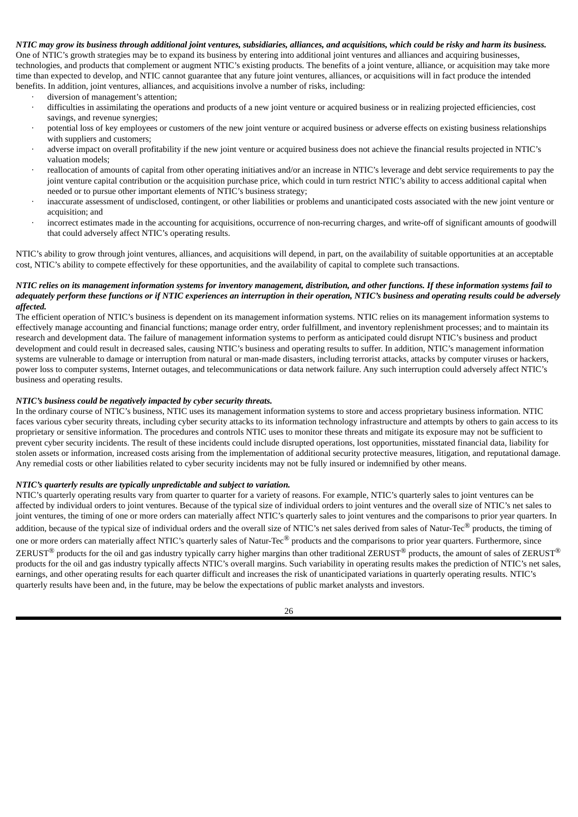#### NTIC may grow its business through additional joint ventures, subsidiaries, alliances, and acquisitions, which could be risky and harm its business.

One of NTIC's growth strategies may be to expand its business by entering into additional joint ventures and alliances and acquiring businesses, technologies, and products that complement or augment NTIC's existing products. The benefits of a joint venture, alliance, or acquisition may take more time than expected to develop, and NTIC cannot guarantee that any future joint ventures, alliances, or acquisitions will in fact produce the intended benefits. In addition, joint ventures, alliances, and acquisitions involve a number of risks, including:

- diversion of management's attention;
- · difficulties in assimilating the operations and products of a new joint venture or acquired business or in realizing projected efficiencies, cost savings, and revenue synergies;
- · potential loss of key employees or customers of the new joint venture or acquired business or adverse effects on existing business relationships with suppliers and customers;
- · adverse impact on overall profitability if the new joint venture or acquired business does not achieve the financial results projected in NTIC's valuation models;
- · reallocation of amounts of capital from other operating initiatives and/or an increase in NTIC's leverage and debt service requirements to pay the joint venture capital contribution or the acquisition purchase price, which could in turn restrict NTIC's ability to access additional capital when needed or to pursue other important elements of NTIC's business strategy;
- inaccurate assessment of undisclosed, contingent, or other liabilities or problems and unanticipated costs associated with the new joint venture or acquisition; and
- incorrect estimates made in the accounting for acquisitions, occurrence of non-recurring charges, and write-off of significant amounts of goodwill that could adversely affect NTIC's operating results.

NTIC's ability to grow through joint ventures, alliances, and acquisitions will depend, in part, on the availability of suitable opportunities at an acceptable cost, NTIC's ability to compete effectively for these opportunities, and the availability of capital to complete such transactions.

#### NTIC relies on its management information systems for inventory management, distribution, and other functions. If these information systems fail to adequately perform these functions or if NTIC experiences an interruption in their operation, NTIC's business and operating results could be adversely *affected.*

The efficient operation of NTIC's business is dependent on its management information systems. NTIC relies on its management information systems to effectively manage accounting and financial functions; manage order entry, order fulfillment, and inventory replenishment processes; and to maintain its research and development data. The failure of management information systems to perform as anticipated could disrupt NTIC's business and product development and could result in decreased sales, causing NTIC's business and operating results to suffer. In addition, NTIC's management information systems are vulnerable to damage or interruption from natural or man-made disasters, including terrorist attacks, attacks by computer viruses or hackers, power loss to computer systems, Internet outages, and telecommunications or data network failure. Any such interruption could adversely affect NTIC's business and operating results.

## *NTIC's business could be negatively impacted by cyber security threats.*

In the ordinary course of NTIC's business, NTIC uses its management information systems to store and access proprietary business information. NTIC faces various cyber security threats, including cyber security attacks to its information technology infrastructure and attempts by others to gain access to its proprietary or sensitive information. The procedures and controls NTIC uses to monitor these threats and mitigate its exposure may not be sufficient to prevent cyber security incidents. The result of these incidents could include disrupted operations, lost opportunities, misstated financial data, liability for stolen assets or information, increased costs arising from the implementation of additional security protective measures, litigation, and reputational damage. Any remedial costs or other liabilities related to cyber security incidents may not be fully insured or indemnified by other means.

### *NTIC's quarterly results are typically unpredictable and subject to variation.*

NTIC's quarterly operating results vary from quarter to quarter for a variety of reasons. For example, NTIC's quarterly sales to joint ventures can be affected by individual orders to joint ventures. Because of the typical size of individual orders to joint ventures and the overall size of NTIC's net sales to joint ventures, the timing of one or more orders can materially affect NTIC's quarterly sales to joint ventures and the comparisons to prior year quarters. In addition, because of the typical size of individual orders and the overall size of NTIC's net sales derived from sales of Natur-Tec $^{\circledR}$  products, the timing of one or more orders can materially affect NTIC's quarterly sales of Natur-Tec® products and the comparisons to prior year quarters. Furthermore, since ZERUST<sup>®</sup> products for the oil and gas industry typically carry higher margins than other traditional ZERUST<sup>®</sup> products, the amount of sales of ZERUST<sup>®</sup> products for the oil and gas industry typically affects NTIC's overall margins. Such variability in operating results makes the prediction of NTIC's net sales, earnings, and other operating results for each quarter difficult and increases the risk of unanticipated variations in quarterly operating results. NTIC's quarterly results have been and, in the future, may be below the expectations of public market analysts and investors.

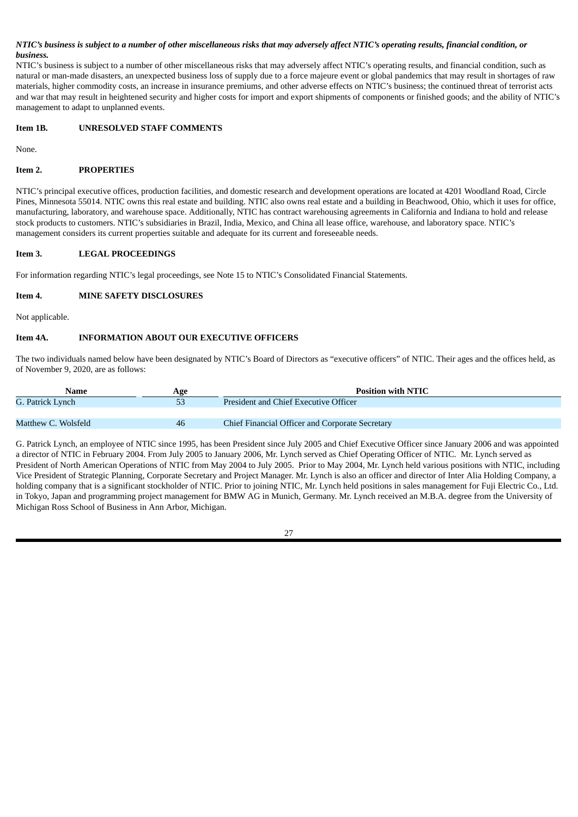## NTIC's business is subject to a number of other miscellaneous risks that may adversely affect NTIC's operating results, financial condition, or *business.*

NTIC's business is subject to a number of other miscellaneous risks that may adversely affect NTIC's operating results, and financial condition, such as natural or man-made disasters, an unexpected business loss of supply due to a force majeure event or global pandemics that may result in shortages of raw materials, higher commodity costs, an increase in insurance premiums, and other adverse effects on NTIC's business; the continued threat of terrorist acts and war that may result in heightened security and higher costs for import and export shipments of components or finished goods; and the ability of NTIC's management to adapt to unplanned events.

#### <span id="page-30-0"></span>**Item 1B. UNRESOLVED STAFF COMMENTS**

None.

#### <span id="page-30-1"></span>**Item 2. PROPERTIES**

NTIC's principal executive offices, production facilities, and domestic research and development operations are located at 4201 Woodland Road, Circle Pines, Minnesota 55014. NTIC owns this real estate and building. NTIC also owns real estate and a building in Beachwood, Ohio, which it uses for office, manufacturing, laboratory, and warehouse space. Additionally, NTIC has contract warehousing agreements in California and Indiana to hold and release stock products to customers. NTIC's subsidiaries in Brazil, India, Mexico, and China all lease office, warehouse, and laboratory space. NTIC's management considers its current properties suitable and adequate for its current and foreseeable needs.

#### <span id="page-30-2"></span>**Item 3. LEGAL PROCEEDINGS**

For information regarding NTIC's legal proceedings, see Note 15 to NTIC's Consolidated Financial Statements.

#### <span id="page-30-3"></span>**Item 4. MINE SAFETY DISCLOSURES**

Not applicable.

## <span id="page-30-4"></span>**Item 4A. INFORMATION ABOUT OUR EXECUTIVE OFFICERS**

The two individuals named below have been designated by NTIC's Board of Directors as "executive officers" of NTIC. Their ages and the offices held, as of November 9, 2020, are as follows:

| <b>Name</b>         | Age | <b>Position with NTIC</b>                       |
|---------------------|-----|-------------------------------------------------|
| G. Patrick Lynch    |     | President and Chief Executive Officer           |
|                     |     |                                                 |
| Matthew C. Wolsfeld | 46  | Chief Financial Officer and Corporate Secretary |

G. Patrick Lynch, an employee of NTIC since 1995, has been President since July 2005 and Chief Executive Officer since January 2006 and was appointed a director of NTIC in February 2004. From July 2005 to January 2006, Mr. Lynch served as Chief Operating Officer of NTIC. Mr. Lynch served as President of North American Operations of NTIC from May 2004 to July 2005. Prior to May 2004, Mr. Lynch held various positions with NTIC, including Vice President of Strategic Planning, Corporate Secretary and Project Manager. Mr. Lynch is also an officer and director of Inter Alia Holding Company, a holding company that is a significant stockholder of NTIC. Prior to joining NTIC, Mr. Lynch held positions in sales management for Fuji Electric Co., Ltd. in Tokyo, Japan and programming project management for BMW AG in Munich, Germany. Mr. Lynch received an M.B.A. degree from the University of Michigan Ross School of Business in Ann Arbor, Michigan.

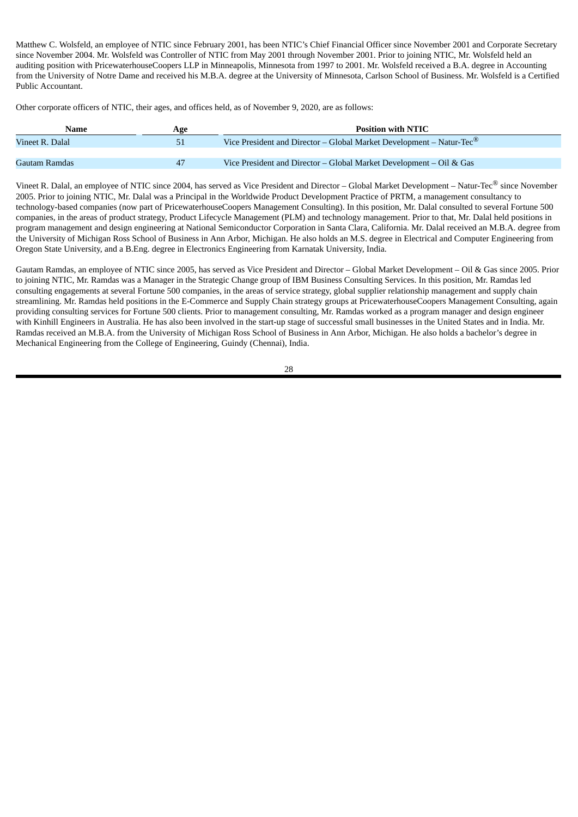Matthew C. Wolsfeld, an employee of NTIC since February 2001, has been NTIC's Chief Financial Officer since November 2001 and Corporate Secretary since November 2004. Mr. Wolsfeld was Controller of NTIC from May 2001 through November 2001. Prior to joining NTIC, Mr. Wolsfeld held an auditing position with PricewaterhouseCoopers LLP in Minneapolis, Minnesota from 1997 to 2001. Mr. Wolsfeld received a B.A. degree in Accounting from the University of Notre Dame and received his M.B.A. degree at the University of Minnesota, Carlson School of Business. Mr. Wolsfeld is a Certified Public Accountant.

Other corporate officers of NTIC, their ages, and offices held, as of November 9, 2020, are as follows:

| Name            | Age | <b>Position with NTIC</b>                                                        |
|-----------------|-----|----------------------------------------------------------------------------------|
| Vineet R. Dalal | 51  | Vice President and Director – Global Market Development – Natur-Tec <sup>®</sup> |
|                 |     |                                                                                  |
| Gautam Ramdas   | 47  | Vice President and Director – Global Market Development – Oil & Gas              |

Vineet R. Dalal, an employee of NTIC since 2004, has served as Vice President and Director – Global Market Development – Natur-Tec® since November 2005. Prior to joining NTIC, Mr. Dalal was a Principal in the Worldwide Product Development Practice of PRTM, a management consultancy to technology-based companies (now part of PricewaterhouseCoopers Management Consulting). In this position, Mr. Dalal consulted to several Fortune 500 companies, in the areas of product strategy, Product Lifecycle Management (PLM) and technology management. Prior to that, Mr. Dalal held positions in program management and design engineering at National Semiconductor Corporation in Santa Clara, California. Mr. Dalal received an M.B.A. degree from the University of Michigan Ross School of Business in Ann Arbor, Michigan. He also holds an M.S. degree in Electrical and Computer Engineering from Oregon State University, and a B.Eng. degree in Electronics Engineering from Karnatak University, India.

Gautam Ramdas, an employee of NTIC since 2005, has served as Vice President and Director – Global Market Development – Oil & Gas since 2005. Prior to joining NTIC, Mr. Ramdas was a Manager in the Strategic Change group of IBM Business Consulting Services. In this position, Mr. Ramdas led consulting engagements at several Fortune 500 companies, in the areas of service strategy, global supplier relationship management and supply chain streamlining. Mr. Ramdas held positions in the E-Commerce and Supply Chain strategy groups at PricewaterhouseCoopers Management Consulting, again providing consulting services for Fortune 500 clients. Prior to management consulting, Mr. Ramdas worked as a program manager and design engineer with Kinhill Engineers in Australia. He has also been involved in the start-up stage of successful small businesses in the United States and in India. Mr. Ramdas received an M.B.A. from the University of Michigan Ross School of Business in Ann Arbor, Michigan. He also holds a bachelor's degree in Mechanical Engineering from the College of Engineering, Guindy (Chennai), India.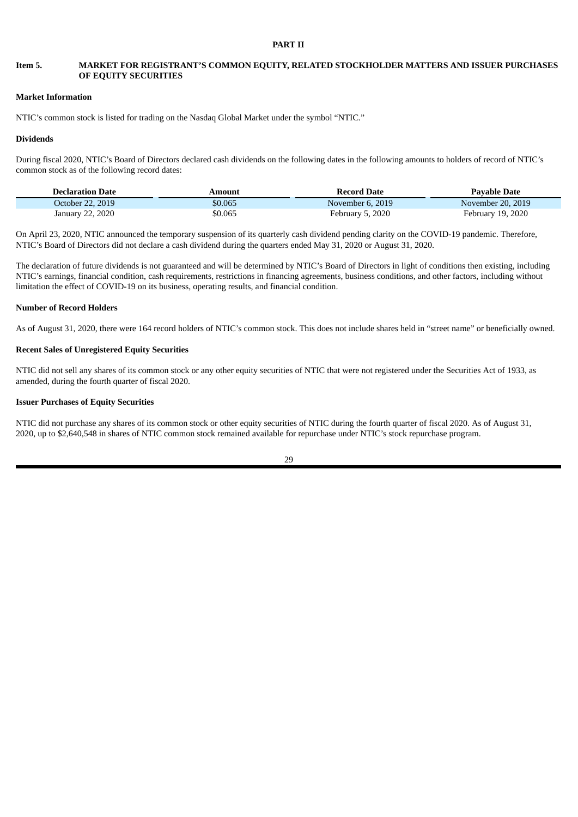#### **PART II**

#### <span id="page-32-1"></span><span id="page-32-0"></span>**Item 5. MARKET FOR REGISTRANT'S COMMON EQUITY, RELATED STOCKHOLDER MATTERS AND ISSUER PURCHASES OF EQUITY SECURITIES**

#### **Market Information**

NTIC's common stock is listed for trading on the Nasdaq Global Market under the symbol "NTIC."

#### **Dividends**

During fiscal 2020, NTIC's Board of Directors declared cash dividends on the following dates in the following amounts to holders of record of NTIC's common stock as of the following record dates:

| <b>Declaration Date</b> | Amount  | <b>Record Date</b> | <b>Pavable Date</b> |
|-------------------------|---------|--------------------|---------------------|
| October 22, 2019        | \$0.065 | November 6, 2019   | November 20, 2019   |
| January 22, 2020        | \$0.065 | February 5, 2020   | February 19, 2020   |

On April 23, 2020, NTIC announced the temporary suspension of its quarterly cash dividend pending clarity on the COVID-19 pandemic. Therefore, NTIC's Board of Directors did not declare a cash dividend during the quarters ended May 31, 2020 or August 31, 2020.

The declaration of future dividends is not guaranteed and will be determined by NTIC's Board of Directors in light of conditions then existing, including NTIC's earnings, financial condition, cash requirements, restrictions in financing agreements, business conditions, and other factors, including without limitation the effect of COVID-19 on its business, operating results, and financial condition.

#### **Number of Record Holders**

As of August 31, 2020, there were 164 record holders of NTIC's common stock. This does not include shares held in "street name" or beneficially owned.

#### **Recent Sales of Unregistered Equity Securities**

NTIC did not sell any shares of its common stock or any other equity securities of NTIC that were not registered under the Securities Act of 1933, as amended, during the fourth quarter of fiscal 2020.

#### **Issuer Purchases of Equity Securities**

NTIC did not purchase any shares of its common stock or other equity securities of NTIC during the fourth quarter of fiscal 2020. As of August 31, 2020, up to \$2,640,548 in shares of NTIC common stock remained available for repurchase under NTIC's stock repurchase program.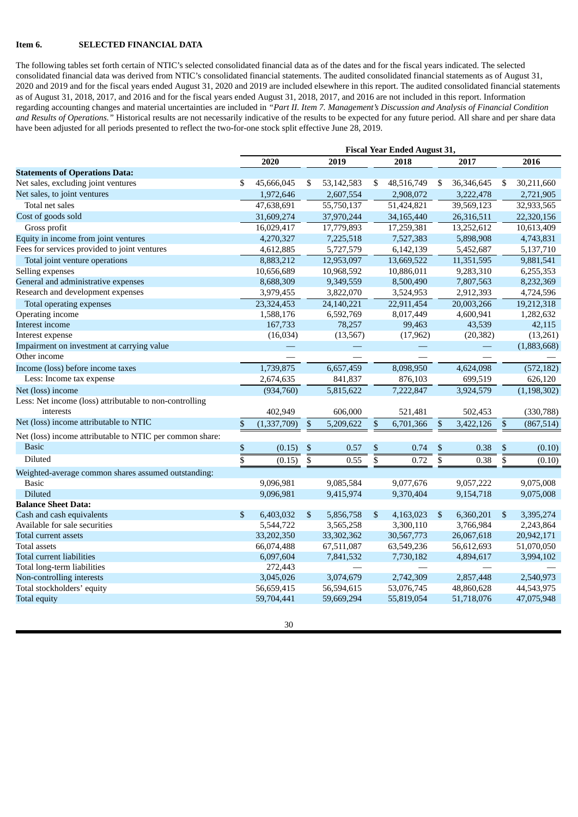## <span id="page-33-0"></span>**Item 6. SELECTED FINANCIAL DATA**

The following tables set forth certain of NTIC's selected consolidated financial data as of the dates and for the fiscal years indicated. The selected consolidated financial data was derived from NTIC's consolidated financial statements. The audited consolidated financial statements as of August 31, 2020 and 2019 and for the fiscal years ended August 31, 2020 and 2019 are included elsewhere in this report. The audited consolidated financial statements as of August 31, 2018, 2017, and 2016 and for the fiscal years ended August 31, 2018, 2017, and 2016 are not included in this report. Information regarding accounting changes and material uncertainties are included in "Part II. Item 7. Management's Discussion and Analysis of Financial Condition *and Results of Operations."* Historical results are not necessarily indicative of the results to be expected for any future period. All share and per share data have been adjusted for all periods presented to reflect the two-for-one stock split effective June 28, 2019.

|                                                          | <b>Fiscal Year Ended August 31,</b> |               |    |            |    |            |    |                          |                |               |
|----------------------------------------------------------|-------------------------------------|---------------|----|------------|----|------------|----|--------------------------|----------------|---------------|
|                                                          |                                     | 2020          |    | 2019       |    | 2018       |    | 2017                     |                | 2016          |
| <b>Statements of Operations Data:</b>                    |                                     |               |    |            |    |            |    |                          |                |               |
| Net sales, excluding joint ventures                      | \$                                  | 45,666,045    | \$ | 53,142,583 | \$ | 48,516,749 | S  | 36,346,645               | \$             | 30,211,660    |
| Net sales, to joint ventures                             |                                     | 1,972,646     |    | 2,607,554  |    | 2,908,072  |    | 3,222,478                |                | 2,721,905     |
| Total net sales                                          |                                     | 47,638,691    |    | 55,750,137 |    | 51,424,821 |    | 39,569,123               |                | 32,933,565    |
| Cost of goods sold                                       |                                     | 31,609,274    |    | 37,970,244 |    | 34,165,440 |    | 26,316,511               |                | 22,320,156    |
| Gross profit                                             |                                     | 16,029,417    |    | 17,779,893 |    | 17,259,381 |    | 13,252,612               |                | 10,613,409    |
| Equity in income from joint ventures                     |                                     | 4,270,327     |    | 7,225,518  |    | 7,527,383  |    | 5,898,908                |                | 4,743,831     |
| Fees for services provided to joint ventures             |                                     | 4,612,885     |    | 5,727,579  |    | 6,142,139  |    | 5,452,687                |                | 5,137,710     |
| Total joint venture operations                           |                                     | 8,883,212     |    | 12,953,097 |    | 13,669,522 |    | 11,351,595               |                | 9,881,541     |
| Selling expenses                                         |                                     | 10,656,689    |    | 10,968,592 |    | 10,886,011 |    | 9,283,310                |                | 6,255,353     |
| General and administrative expenses                      |                                     | 8,688,309     |    | 9,349,559  |    | 8,500,490  |    | 7,807,563                |                | 8,232,369     |
| Research and development expenses                        |                                     | 3,979,455     |    | 3,822,070  |    | 3,524,953  |    | 2,912,393                |                | 4,724,596     |
| Total operating expenses                                 |                                     | 23,324,453    |    | 24,140,221 |    | 22,911,454 |    | 20,003,266               |                | 19,212,318    |
| Operating income                                         |                                     | 1,588,176     |    | 6,592,769  |    | 8,017,449  |    | 4,600,941                |                | 1,282,632     |
| Interest income                                          |                                     | 167,733       |    | 78,257     |    | 99,463     |    | 43,539                   |                | 42,115        |
| Interest expense                                         |                                     | (16, 034)     |    | (13, 567)  |    | (17, 962)  |    | (20, 382)                |                | (13,261)      |
| Impairment on investment at carrying value               |                                     |               |    |            |    |            |    | $\overline{\phantom{0}}$ |                | (1,883,668)   |
| Other income                                             |                                     |               |    |            |    |            |    |                          |                |               |
| Income (loss) before income taxes                        |                                     | 1,739,875     |    | 6,657,459  |    | 8,098,950  |    | 4,624,098                |                | (572, 182)    |
| Less: Income tax expense                                 |                                     | 2,674,635     |    | 841,837    |    | 876,103    |    | 699,519                  |                | 626,120       |
| Net (loss) income                                        |                                     | (934,760)     |    | 5,815,622  |    | 7,222,847  |    | 3,924,579                |                | (1, 198, 302) |
| Less: Net income (loss) attributable to non-controlling  |                                     |               |    |            |    |            |    |                          |                |               |
| interests                                                |                                     | 402,949       |    | 606,000    |    | 521,481    |    | 502,453                  |                | (330, 788)    |
| Net (loss) income attributable to NTIC                   | \$                                  | (1, 337, 709) | \$ | 5,209,622  | \$ | 6,701,366  | \$ | 3,422,126                | \$             | (867, 514)    |
| Net (loss) income attributable to NTIC per common share: |                                     |               |    |            |    |            |    |                          |                |               |
| <b>Basic</b>                                             | \$                                  | (0.15)        | \$ | 0.57       | \$ | 0.74       | \$ | 0.38                     | \$             | (0.10)        |
| <b>Diluted</b>                                           | $\overline{s}$                      | (0.15)        | \$ | 0.55       |    | 0.72       | \$ | 0.38                     |                | (0.10)        |
| Weighted-average common shares assumed outstanding:      |                                     |               |    |            |    |            |    |                          |                |               |
| <b>Basic</b>                                             |                                     | 9,096,981     |    | 9,085,584  |    | 9,077,676  |    | 9,057,222                |                | 9,075,008     |
| <b>Diluted</b>                                           |                                     | 9,096,981     |    | 9,415,974  |    | 9,370,404  |    | 9,154,718                |                | 9,075,008     |
| <b>Balance Sheet Data:</b>                               |                                     |               |    |            |    |            |    |                          |                |               |
| Cash and cash equivalents                                | \$                                  | 6,403,032     | \$ | 5,856,758  | \$ | 4,163,023  | \$ | 6,360,201                | $\mathfrak{s}$ | 3,395,274     |
| Available for sale securities                            |                                     | 5,544,722     |    | 3,565,258  |    | 3,300,110  |    | 3,766,984                |                | 2,243,864     |
| <b>Total current assets</b>                              |                                     | 33,202,350    |    | 33,302,362 |    | 30,567,773 |    | 26,067,618               |                | 20,942,171    |
| <b>Total assets</b>                                      |                                     | 66,074,488    |    | 67,511,087 |    | 63,549,236 |    | 56,612,693               |                | 51,070,050    |
| <b>Total current liabilities</b>                         |                                     | 6,097,604     |    | 7,841,532  |    | 7,730,182  |    | 4,894,617                |                | 3,994,102     |
| Total long-term liabilities                              |                                     | 272,443       |    |            |    |            |    |                          |                |               |
| Non-controlling interests                                |                                     | 3,045,026     |    | 3,074,679  |    | 2,742,309  |    | 2,857,448                |                | 2,540,973     |
| Total stockholders' equity                               |                                     | 56,659,415    |    | 56,594,615 |    | 53,076,745 |    | 48,860,628               |                | 44,543,975    |
| <b>Total equity</b>                                      |                                     | 59,704,441    |    | 59,669,294 |    | 55,819,054 |    | 51,718,076               |                | 47,075,948    |
|                                                          |                                     |               |    |            |    |            |    |                          |                |               |

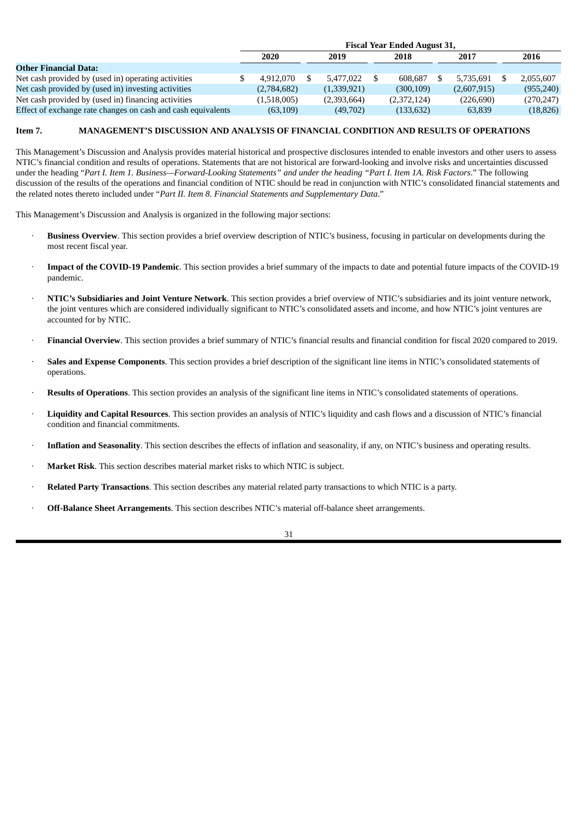|                                                              | <b>Fiscal Year Ended August 31,</b> |             |  |             |  |             |  |             |  |            |
|--------------------------------------------------------------|-------------------------------------|-------------|--|-------------|--|-------------|--|-------------|--|------------|
|                                                              |                                     | 2020        |  | 2019        |  | 2018        |  | 2017        |  | 2016       |
| <b>Other Financial Data:</b>                                 |                                     |             |  |             |  |             |  |             |  |            |
| Net cash provided by (used in) operating activities          |                                     | 4.912.070   |  | 5.477.022   |  | 608.687     |  | 5.735.691   |  | 2,055,607  |
| Net cash provided by (used in) investing activities          |                                     | (2,784,682) |  | (1,339,921) |  | (300, 109)  |  | (2,607,915) |  | (955, 240) |
| Net cash provided by (used in) financing activities          |                                     | (1,518,005) |  | (2,393,664) |  | (2,372,124) |  | (226, 690)  |  | (270, 247) |
| Effect of exchange rate changes on cash and cash equivalents |                                     | (63, 109)   |  | (49,702)    |  | (133, 632)  |  | 63,839      |  | (18, 826)  |

## <span id="page-34-0"></span>**Item 7. MANAGEMENT'S DISCUSSION AND ANALYSIS OF FINANCIAL CONDITION AND RESULTS OF OPERATIONS**

This Management's Discussion and Analysis provides material historical and prospective disclosures intended to enable investors and other users to assess NTIC's financial condition and results of operations. Statements that are not historical are forward-looking and involve risks and uncertainties discussed under the heading "Part I. Item 1. Business-Forward-Looking Statements" and under the heading "Part I. Item 1A. Risk Factors." The following discussion of the results of the operations and financial condition of NTIC should be read in conjunction with NTIC's consolidated financial statements and the related notes thereto included under "*Part II. Item 8. Financial Statements and Supplementary Data*."

This Management's Discussion and Analysis is organized in the following major sections:

- · **Business Overview**. This section provides a brief overview description of NTIC's business, focusing in particular on developments during the most recent fiscal year.
- · **Impact of the COVID-19 Pandemic**. This section provides a brief summary of the impacts to date and potential future impacts of the COVID-19 pandemic.
- · **NTIC's Subsidiaries and Joint Venture Network**. This section provides a brief overview of NTIC's subsidiaries and its joint venture network, the joint ventures which are considered individually significant to NTIC's consolidated assets and income, and how NTIC's joint ventures are accounted for by NTIC.
- · **Financial Overview**. This section provides a brief summary of NTIC's financial results and financial condition for fiscal 2020 compared to 2019.
- · **Sales and Expense Components**. This section provides a brief description of the significant line items in NTIC's consolidated statements of operations.
- · **Results of Operations**. This section provides an analysis of the significant line items in NTIC's consolidated statements of operations.
- · **Liquidity and Capital Resources**. This section provides an analysis of NTIC's liquidity and cash flows and a discussion of NTIC's financial condition and financial commitments.
- · **Inflation and Seasonality**. This section describes the effects of inflation and seasonality, if any, on NTIC's business and operating results.
- · **Market Risk**. This section describes material market risks to which NTIC is subject.
- · **Related Party Transactions**. This section describes any material related party transactions to which NTIC is a party.
- · **Off-Balance Sheet Arrangements**. This section describes NTIC's material off-balance sheet arrangements.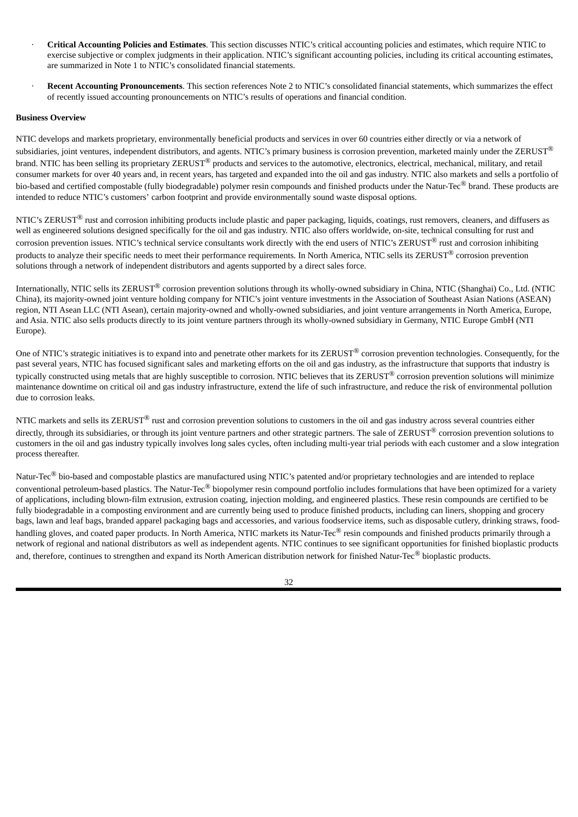- · **Critical Accounting Policies and Estimates**. This section discusses NTIC's critical accounting policies and estimates, which require NTIC to exercise subjective or complex judgments in their application. NTIC's significant accounting policies, including its critical accounting estimates, are summarized in Note 1 to NTIC's consolidated financial statements.
- · **Recent Accounting Pronouncements**. This section references Note 2 to NTIC's consolidated financial statements, which summarizes the effect of recently issued accounting pronouncements on NTIC's results of operations and financial condition.

#### **Business Overview**

NTIC develops and markets proprietary, environmentally beneficial products and services in over 60 countries either directly or via a network of subsidiaries, joint ventures, independent distributors, and agents. NTIC's primary business is corrosion prevention, marketed mainly under the ZERUST $\mathbb{P}$ brand. NTIC has been selling its proprietary ZERUST<sup>®</sup> products and services to the automotive, electronics, electrical, mechanical, military, and retail consumer markets for over 40 years and, in recent years, has targeted and expanded into the oil and gas industry. NTIC also markets and sells a portfolio of bio-based and certified compostable (fully biodegradable) polymer resin compounds and finished products under the Natur-Tec® brand. These products are intended to reduce NTIC's customers' carbon footprint and provide environmentally sound waste disposal options.

NTIC's ZERUST<sup>®</sup> rust and corrosion inhibiting products include plastic and paper packaging, liquids, coatings, rust removers, cleaners, and diffusers as well as engineered solutions designed specifically for the oil and gas industry. NTIC also offers worldwide, on-site, technical consulting for rust and corrosion prevention issues. NTIC's technical service consultants work directly with the end users of NTIC's ZERUST® rust and corrosion inhibiting products to analyze their specific needs to meet their performance requirements. In North America, NTIC sells its ZERUST<sup>®</sup> corrosion prevention solutions through a network of independent distributors and agents supported by a direct sales force.

Internationally, NTIC sells its ZERUST<sup>®</sup> corrosion prevention solutions through its wholly-owned subsidiary in China, NTIC (Shanghai) Co., Ltd. (NTIC China), its majority-owned joint venture holding company for NTIC's joint venture investments in the Association of Southeast Asian Nations (ASEAN) region, NTI Asean LLC (NTI Asean), certain majority-owned and wholly-owned subsidiaries, and joint venture arrangements in North America, Europe, and Asia. NTIC also sells products directly to its joint venture partners through its wholly-owned subsidiary in Germany, NTIC Europe GmbH (NTI Europe).

One of NTIC's strategic initiatives is to expand into and penetrate other markets for its ZERUST<sup>®</sup> corrosion prevention technologies. Consequently, for the past several years, NTIC has focused significant sales and marketing efforts on the oil and gas industry, as the infrastructure that supports that industry is typically constructed using metals that are highly susceptible to corrosion. NTIC believes that its  $\text{ZERUST}^{\circledR}$  corrosion prevention solutions will minimize maintenance downtime on critical oil and gas industry infrastructure, extend the life of such infrastructure, and reduce the risk of environmental pollution due to corrosion leaks.

NTIC markets and sells its ZERUST<sup>®</sup> rust and corrosion prevention solutions to customers in the oil and gas industry across several countries either directly, through its subsidiaries, or through its joint venture partners and other strategic partners. The sale of  $\text{ZERUST}^{\circledR}$  corrosion prevention solutions to customers in the oil and gas industry typically involves long sales cycles, often including multi-year trial periods with each customer and a slow integration process thereafter.

Natur-Tec<sup>®</sup> bio-based and compostable plastics are manufactured using NTIC's patented and/or proprietary technologies and are intended to replace conventional petroleum-based plastics. The Natur-Tec® biopolymer resin compound portfolio includes formulations that have been optimized for a variety of applications, including blown-film extrusion, extrusion coating, injection molding, and engineered plastics. These resin compounds are certified to be fully biodegradable in a composting environment and are currently being used to produce finished products, including can liners, shopping and grocery bags, lawn and leaf bags, branded apparel packaging bags and accessories, and various foodservice items, such as disposable cutlery, drinking straws, foodhandling gloves, and coated paper products. In North America, NTIC markets its Natur-Tec<sup>®</sup> resin compounds and finished products primarily through a network of regional and national distributors as well as independent agents. NTIC continues to see significant opportunities for finished bioplastic products and, therefore, continues to strengthen and expand its North American distribution network for finished Natur-Tec® bioplastic products.

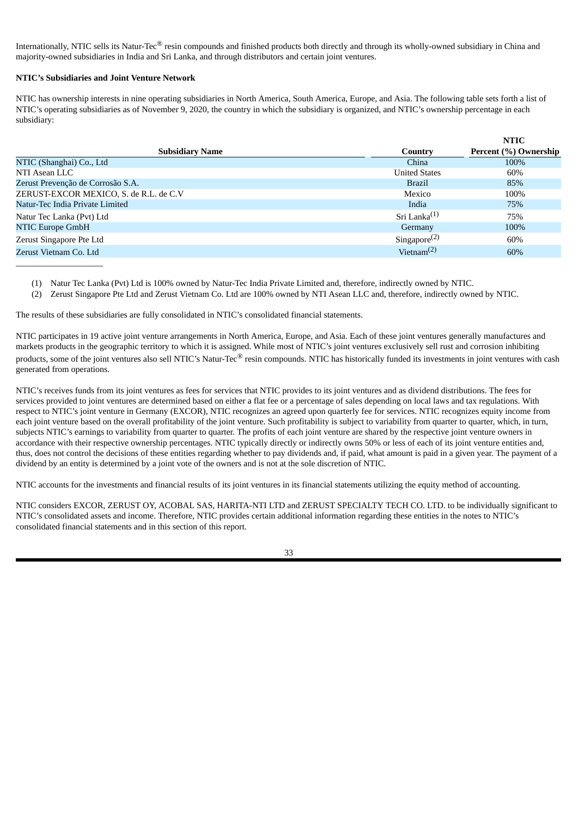Internationally, NTIC sells its Natur-Tec® resin compounds and finished products both directly and through its wholly-owned subsidiary in China and majority-owned subsidiaries in India and Sri Lanka, and through distributors and certain joint ventures.

# **NTIC's Subsidiaries and Joint Venture Network**

 $\_$ 

NTIC has ownership interests in nine operating subsidiaries in North America, South America, Europe, and Asia. The following table sets forth a list of NTIC's operating subsidiaries as of November 9, 2020, the country in which the subsidiary is organized, and NTIC's ownership percentage in each subsidiary:

|                                        |                                     | <b>NTIC</b>           |
|----------------------------------------|-------------------------------------|-----------------------|
| <b>Subsidiary Name</b>                 | Country                             | Percent (%) Ownership |
| NTIC (Shanghai) Co., Ltd               | China                               | 100%                  |
| NTI Asean LLC                          | <b>United States</b>                | 60%                   |
| Zerust Prevenção de Corrosão S.A.      | Brazil                              | 85%                   |
| ZERUST-EXCOR MEXICO, S. de R.L. de C.V | Mexico                              | 100%                  |
| Natur-Tec India Private Limited        | India                               | 75%                   |
| Natur Tec Lanka (Pvt) Ltd              | Sri Lanka <sup>(1)</sup>            | 75%                   |
| <b>NTIC Europe GmbH</b>                | Germany                             | 100%                  |
| Zerust Singapore Pte Ltd               | Singapore <sup>(2)</sup>            | 60%                   |
| Zerust Vietnam Co. Ltd                 | Vietnam <sup><math>(2)</math></sup> | 60%                   |

(1) Natur Tec Lanka (Pvt) Ltd is 100% owned by Natur-Tec India Private Limited and, therefore, indirectly owned by NTIC.

(2) Zerust Singapore Pte Ltd and Zerust Vietnam Co. Ltd are 100% owned by NTI Asean LLC and, therefore, indirectly owned by NTIC.

The results of these subsidiaries are fully consolidated in NTIC's consolidated financial statements.

NTIC participates in 19 active joint venture arrangements in North America, Europe, and Asia. Each of these joint ventures generally manufactures and markets products in the geographic territory to which it is assigned. While most of NTIC's joint ventures exclusively sell rust and corrosion inhibiting products, some of the joint ventures also sell NTIC's Natur-Tec<sup>®</sup> resin compounds. NTIC has historically funded its investments in joint ventures with cash generated from operations.

NTIC's receives funds from its joint ventures as fees for services that NTIC provides to its joint ventures and as dividend distributions. The fees for services provided to joint ventures are determined based on either a flat fee or a percentage of sales depending on local laws and tax regulations. With respect to NTIC's joint venture in Germany (EXCOR), NTIC recognizes an agreed upon quarterly fee for services. NTIC recognizes equity income from each joint venture based on the overall profitability of the joint venture. Such profitability is subject to variability from quarter to quarter, which, in turn, subjects NTIC's earnings to variability from quarter to quarter. The profits of each joint venture are shared by the respective joint venture owners in accordance with their respective ownership percentages. NTIC typically directly or indirectly owns 50% or less of each of its joint venture entities and, thus, does not control the decisions of these entities regarding whether to pay dividends and, if paid, what amount is paid in a given year. The payment of a dividend by an entity is determined by a joint vote of the owners and is not at the sole discretion of NTIC.

NTIC accounts for the investments and financial results of its joint ventures in its financial statements utilizing the equity method of accounting.

NTIC considers EXCOR, ZERUST OY, ACOBAL SAS, HARITA-NTI LTD and ZERUST SPECIALTY TECH CO. LTD. to be individually significant to NTIC's consolidated assets and income. Therefore, NTIC provides certain additional information regarding these entities in the notes to NTIC's consolidated financial statements and in this section of this report.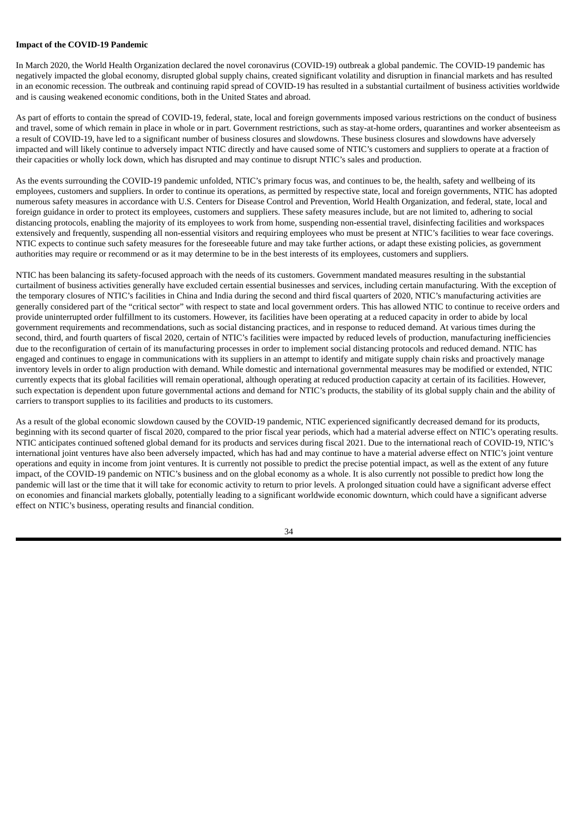### **Impact of the COVID-19 Pandemic**

In March 2020, the World Health Organization declared the novel coronavirus (COVID-19) outbreak a global pandemic. The COVID-19 pandemic has negatively impacted the global economy, disrupted global supply chains, created significant volatility and disruption in financial markets and has resulted in an economic recession. The outbreak and continuing rapid spread of COVID-19 has resulted in a substantial curtailment of business activities worldwide and is causing weakened economic conditions, both in the United States and abroad.

As part of efforts to contain the spread of COVID-19, federal, state, local and foreign governments imposed various restrictions on the conduct of business and travel, some of which remain in place in whole or in part. Government restrictions, such as stay-at-home orders, quarantines and worker absenteeism as a result of COVID-19, have led to a significant number of business closures and slowdowns. These business closures and slowdowns have adversely impacted and will likely continue to adversely impact NTIC directly and have caused some of NTIC's customers and suppliers to operate at a fraction of their capacities or wholly lock down, which has disrupted and may continue to disrupt NTIC's sales and production.

As the events surrounding the COVID-19 pandemic unfolded, NTIC's primary focus was, and continues to be, the health, safety and wellbeing of its employees, customers and suppliers. In order to continue its operations, as permitted by respective state, local and foreign governments, NTIC has adopted numerous safety measures in accordance with U.S. Centers for Disease Control and Prevention, World Health Organization, and federal, state, local and foreign guidance in order to protect its employees, customers and suppliers. These safety measures include, but are not limited to, adhering to social distancing protocols, enabling the majority of its employees to work from home, suspending non-essential travel, disinfecting facilities and workspaces extensively and frequently, suspending all non-essential visitors and requiring employees who must be present at NTIC's facilities to wear face coverings. NTIC expects to continue such safety measures for the foreseeable future and may take further actions, or adapt these existing policies, as government authorities may require or recommend or as it may determine to be in the best interests of its employees, customers and suppliers.

NTIC has been balancing its safety-focused approach with the needs of its customers. Government mandated measures resulting in the substantial curtailment of business activities generally have excluded certain essential businesses and services, including certain manufacturing. With the exception of the temporary closures of NTIC's facilities in China and India during the second and third fiscal quarters of 2020, NTIC's manufacturing activities are generally considered part of the "critical sector" with respect to state and local government orders. This has allowed NTIC to continue to receive orders and provide uninterrupted order fulfillment to its customers. However, its facilities have been operating at a reduced capacity in order to abide by local government requirements and recommendations, such as social distancing practices, and in response to reduced demand. At various times during the second, third, and fourth quarters of fiscal 2020, certain of NTIC's facilities were impacted by reduced levels of production, manufacturing inefficiencies due to the reconfiguration of certain of its manufacturing processes in order to implement social distancing protocols and reduced demand. NTIC has engaged and continues to engage in communications with its suppliers in an attempt to identify and mitigate supply chain risks and proactively manage inventory levels in order to align production with demand. While domestic and international governmental measures may be modified or extended, NTIC currently expects that its global facilities will remain operational, although operating at reduced production capacity at certain of its facilities. However, such expectation is dependent upon future governmental actions and demand for NTIC's products, the stability of its global supply chain and the ability of carriers to transport supplies to its facilities and products to its customers.

As a result of the global economic slowdown caused by the COVID-19 pandemic, NTIC experienced significantly decreased demand for its products, beginning with its second quarter of fiscal 2020, compared to the prior fiscal year periods, which had a material adverse effect on NTIC's operating results. NTIC anticipates continued softened global demand for its products and services during fiscal 2021. Due to the international reach of COVID-19, NTIC's international joint ventures have also been adversely impacted, which has had and may continue to have a material adverse effect on NTIC's joint venture operations and equity in income from joint ventures. It is currently not possible to predict the precise potential impact, as well as the extent of any future impact, of the COVID-19 pandemic on NTIC's business and on the global economy as a whole. It is also currently not possible to predict how long the pandemic will last or the time that it will take for economic activity to return to prior levels. A prolonged situation could have a significant adverse effect on economies and financial markets globally, potentially leading to a significant worldwide economic downturn, which could have a significant adverse effect on NTIC's business, operating results and financial condition.

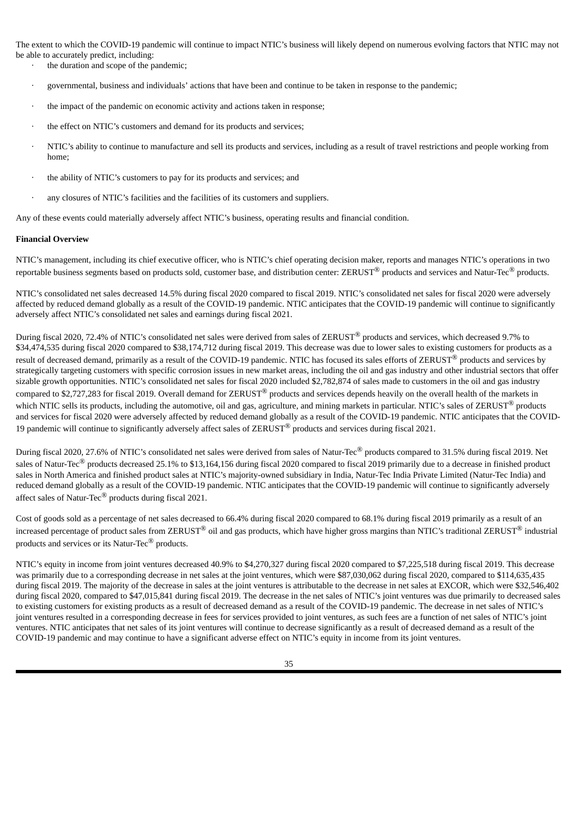The extent to which the COVID-19 pandemic will continue to impact NTIC's business will likely depend on numerous evolving factors that NTIC may not be able to accurately predict, including:

- the duration and scope of the pandemic;
- · governmental, business and individuals' actions that have been and continue to be taken in response to the pandemic;
- · the impact of the pandemic on economic activity and actions taken in response;
- the effect on NTIC's customers and demand for its products and services;
- · NTIC's ability to continue to manufacture and sell its products and services, including as a result of travel restrictions and people working from home;
- the ability of NTIC's customers to pay for its products and services; and
- any closures of NTIC's facilities and the facilities of its customers and suppliers.

Any of these events could materially adversely affect NTIC's business, operating results and financial condition.

# **Financial Overview**

NTIC's management, including its chief executive officer, who is NTIC's chief operating decision maker, reports and manages NTIC's operations in two reportable business segments based on products sold, customer base, and distribution center: ZERUST® products and services and Natur-Tec® products.

NTIC's consolidated net sales decreased 14.5% during fiscal 2020 compared to fiscal 2019. NTIC's consolidated net sales for fiscal 2020 were adversely affected by reduced demand globally as a result of the COVID-19 pandemic. NTIC anticipates that the COVID-19 pandemic will continue to significantly adversely affect NTIC's consolidated net sales and earnings during fiscal 2021.

During fiscal 2020, 72.4% of NTIC's consolidated net sales were derived from sales of ZERUST<sup>®</sup> products and services, which decreased 9.7% to \$34,474,535 during fiscal 2020 compared to \$38,174,712 during fiscal 2019. This decrease was due to lower sales to existing customers for products as a result of decreased demand, primarily as a result of the COVID-19 pandemic. NTIC has focused its sales efforts of ZERUST<sup>®</sup> products and services by strategically targeting customers with specific corrosion issues in new market areas, including the oil and gas industry and other industrial sectors that offer sizable growth opportunities. NTIC's consolidated net sales for fiscal 2020 included \$2,782,874 of sales made to customers in the oil and gas industry compared to \$2,727,283 for fiscal 2019. Overall demand for ZERUST® products and services depends heavily on the overall health of the markets in which NTIC sells its products, including the automotive, oil and gas, agriculture, and mining markets in particular. NTIC's sales of ZERUST<sup>®</sup> products and services for fiscal 2020 were adversely affected by reduced demand globally as a result of the COVID-19 pandemic. NTIC anticipates that the COVID-19 pandemic will continue to significantly adversely affect sales of ZERUST<sup>®</sup> products and services during fiscal 2021.

During fiscal 2020, 27.6% of NTIC's consolidated net sales were derived from sales of Natur-Tec® products compared to 31.5% during fiscal 2019. Net sales of Natur-Tec<sup>®</sup> products decreased 25.1% to \$13,164,156 during fiscal 2020 compared to fiscal 2019 primarily due to a decrease in finished product sales in North America and finished product sales at NTIC's majority-owned subsidiary in India, Natur-Tec India Private Limited (Natur-Tec India) and reduced demand globally as a result of the COVID-19 pandemic. NTIC anticipates that the COVID-19 pandemic will continue to significantly adversely affect sales of Natur-Tec® products during fiscal 2021.

Cost of goods sold as a percentage of net sales decreased to 66.4% during fiscal 2020 compared to 68.1% during fiscal 2019 primarily as a result of an increased percentage of product sales from  $\text{ZERUST}^{\circledR}$  oil and gas products, which have higher gross margins than NTIC's traditional  $\text{ZERUST}^{\circledR}$  industrial products and services or its Natur-Tec® products.

NTIC's equity in income from joint ventures decreased 40.9% to \$4,270,327 during fiscal 2020 compared to \$7,225,518 during fiscal 2019. This decrease was primarily due to a corresponding decrease in net sales at the joint ventures, which were \$87,030,062 during fiscal 2020, compared to \$114,635,435 during fiscal 2019. The majority of the decrease in sales at the joint ventures is attributable to the decrease in net sales at EXCOR, which were \$32,546,402 during fiscal 2020, compared to \$47,015,841 during fiscal 2019. The decrease in the net sales of NTIC's joint ventures was due primarily to decreased sales to existing customers for existing products as a result of decreased demand as a result of the COVID-19 pandemic. The decrease in net sales of NTIC's joint ventures resulted in a corresponding decrease in fees for services provided to joint ventures, as such fees are a function of net sales of NTIC's joint ventures. NTIC anticipates that net sales of its joint ventures will continue to decrease significantly as a result of decreased demand as a result of the COVID-19 pandemic and may continue to have a significant adverse effect on NTIC's equity in income from its joint ventures.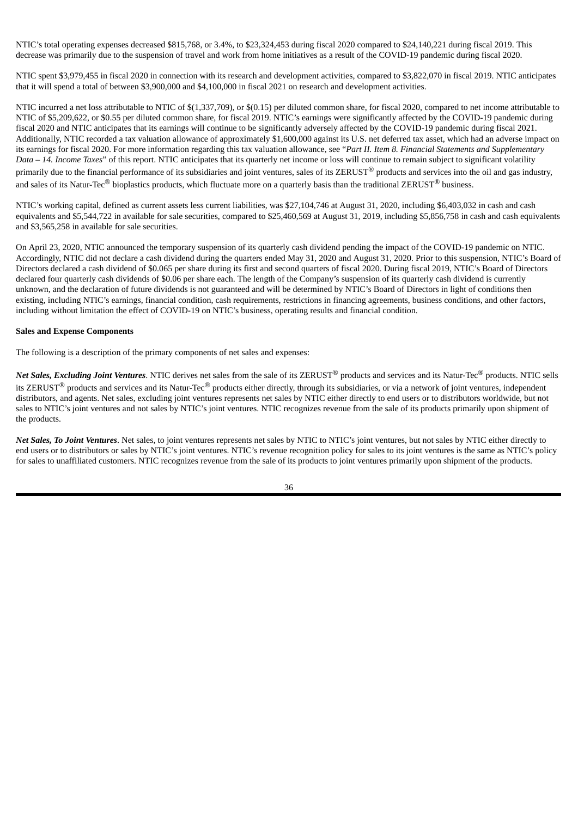NTIC's total operating expenses decreased \$815,768, or 3.4%, to \$23,324,453 during fiscal 2020 compared to \$24,140,221 during fiscal 2019. This decrease was primarily due to the suspension of travel and work from home initiatives as a result of the COVID-19 pandemic during fiscal 2020.

NTIC spent \$3,979,455 in fiscal 2020 in connection with its research and development activities, compared to \$3,822,070 in fiscal 2019. NTIC anticipates that it will spend a total of between \$3,900,000 and \$4,100,000 in fiscal 2021 on research and development activities.

NTIC incurred a net loss attributable to NTIC of \$(1,337,709), or \$(0.15) per diluted common share, for fiscal 2020, compared to net income attributable to NTIC of \$5,209,622, or \$0.55 per diluted common share, for fiscal 2019. NTIC's earnings were significantly affected by the COVID-19 pandemic during fiscal 2020 and NTIC anticipates that its earnings will continue to be significantly adversely affected by the COVID-19 pandemic during fiscal 2021. Additionally, NTIC recorded a tax valuation allowance of approximately \$1,600,000 against its U.S. net deferred tax asset, which had an adverse impact on its earnings for fiscal 2020. For more information regarding this tax valuation allowance, see "*Part II. Item 8. Financial Statements and Supplementary Data – 14. Income Taxes*" of this report. NTIC anticipates that its quarterly net income or loss will continue to remain subject to significant volatility primarily due to the financial performance of its subsidiaries and joint ventures, sales of its ZERUST<sup>®</sup> products and services into the oil and gas industry, and sales of its Natur-Tec<sup>®</sup> bioplastics products, which fluctuate more on a quarterly basis than the traditional ZERUST<sup>®</sup> business.

NTIC's working capital, defined as current assets less current liabilities, was \$27,104,746 at August 31, 2020, including \$6,403,032 in cash and cash equivalents and \$5,544,722 in available for sale securities, compared to \$25,460,569 at August 31, 2019, including \$5,856,758 in cash and cash equivalents and \$3,565,258 in available for sale securities.

On April 23, 2020, NTIC announced the temporary suspension of its quarterly cash dividend pending the impact of the COVID-19 pandemic on NTIC. Accordingly, NTIC did not declare a cash dividend during the quarters ended May 31, 2020 and August 31, 2020. Prior to this suspension, NTIC's Board of Directors declared a cash dividend of \$0.065 per share during its first and second quarters of fiscal 2020. During fiscal 2019, NTIC's Board of Directors declared four quarterly cash dividends of \$0.06 per share each. The length of the Company's suspension of its quarterly cash dividend is currently unknown, and the declaration of future dividends is not guaranteed and will be determined by NTIC's Board of Directors in light of conditions then existing, including NTIC's earnings, financial condition, cash requirements, restrictions in financing agreements, business conditions, and other factors, including without limitation the effect of COVID-19 on NTIC's business, operating results and financial condition.

### **Sales and Expense Components**

The following is a description of the primary components of net sales and expenses:

*Net Sales, Excluding Joint Ventures*. NTIC derives net sales from the sale of its ZERUST® products and services and its Natur-Tec® products. NTIC sells its ZERUST® products and services and its Natur-Tec® products either directly, through its subsidiaries, or via a network of joint ventures, independent distributors, and agents. Net sales, excluding joint ventures represents net sales by NTIC either directly to end users or to distributors worldwide, but not sales to NTIC's joint ventures and not sales by NTIC's joint ventures. NTIC recognizes revenue from the sale of its products primarily upon shipment of the products.

*Net Sales, To Joint Ventures*. Net sales, to joint ventures represents net sales by NTIC to NTIC's joint ventures, but not sales by NTIC either directly to end users or to distributors or sales by NTIC's joint ventures. NTIC's revenue recognition policy for sales to its joint ventures is the same as NTIC's policy for sales to unaffiliated customers. NTIC recognizes revenue from the sale of its products to joint ventures primarily upon shipment of the products.

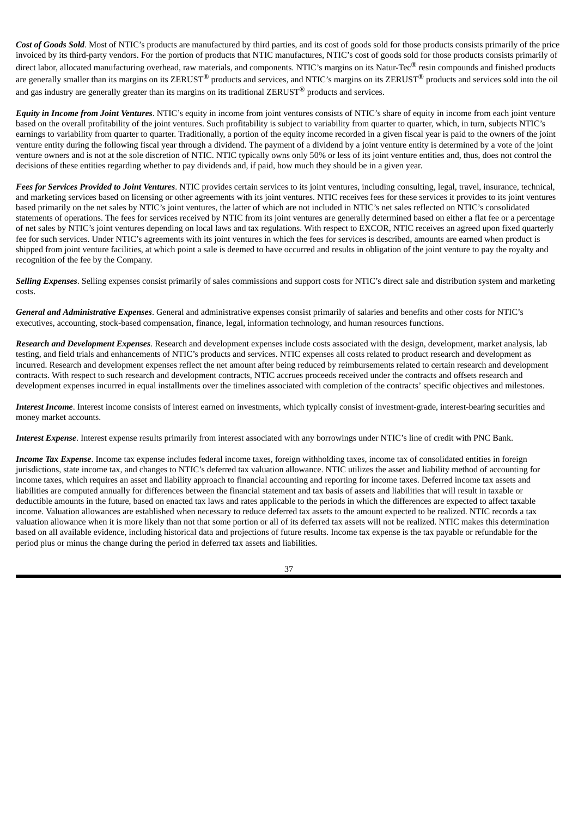*Cost of Goods Sold*. Most of NTIC's products are manufactured by third parties, and its cost of goods sold for those products consists primarily of the price invoiced by its third-party vendors. For the portion of products that NTIC manufactures, NTIC's cost of goods sold for those products consists primarily of direct labor, allocated manufacturing overhead, raw materials, and components. NTIC's margins on its Natur-Tec® resin compounds and finished products are generally smaller than its margins on its ZERUST<sup>®</sup> products and services, and NTIC's margins on its ZERUST<sup>®</sup> products and services sold into the oil and gas industry are generally greater than its margins on its traditional ZERUST<sup>®</sup> products and services.

*Equity in Income from Joint Ventures*. NTIC's equity in income from joint ventures consists of NTIC's share of equity in income from each joint venture based on the overall profitability of the joint ventures. Such profitability is subject to variability from quarter to quarter, which, in turn, subjects NTIC's earnings to variability from quarter to quarter. Traditionally, a portion of the equity income recorded in a given fiscal year is paid to the owners of the joint venture entity during the following fiscal year through a dividend. The payment of a dividend by a joint venture entity is determined by a vote of the joint venture owners and is not at the sole discretion of NTIC. NTIC typically owns only 50% or less of its joint venture entities and, thus, does not control the decisions of these entities regarding whether to pay dividends and, if paid, how much they should be in a given year.

*Fees for Services Provided to Joint Ventures*. NTIC provides certain services to its joint ventures, including consulting, legal, travel, insurance, technical, and marketing services based on licensing or other agreements with its joint ventures. NTIC receives fees for these services it provides to its joint ventures based primarily on the net sales by NTIC's joint ventures, the latter of which are not included in NTIC's net sales reflected on NTIC's consolidated statements of operations. The fees for services received by NTIC from its joint ventures are generally determined based on either a flat fee or a percentage of net sales by NTIC's joint ventures depending on local laws and tax regulations. With respect to EXCOR, NTIC receives an agreed upon fixed quarterly fee for such services. Under NTIC's agreements with its joint ventures in which the fees for services is described, amounts are earned when product is shipped from joint venture facilities, at which point a sale is deemed to have occurred and results in obligation of the joint venture to pay the royalty and recognition of the fee by the Company.

*Selling Expenses*. Selling expenses consist primarily of sales commissions and support costs for NTIC's direct sale and distribution system and marketing costs.

*General and Administrative Expenses*. General and administrative expenses consist primarily of salaries and benefits and other costs for NTIC's executives, accounting, stock-based compensation, finance, legal, information technology, and human resources functions.

*Research and Development Expenses*. Research and development expenses include costs associated with the design, development, market analysis, lab testing, and field trials and enhancements of NTIC's products and services. NTIC expenses all costs related to product research and development as incurred. Research and development expenses reflect the net amount after being reduced by reimbursements related to certain research and development contracts. With respect to such research and development contracts, NTIC accrues proceeds received under the contracts and offsets research and development expenses incurred in equal installments over the timelines associated with completion of the contracts' specific objectives and milestones.

*Interest Income*. Interest income consists of interest earned on investments, which typically consist of investment-grade, interest-bearing securities and money market accounts.

*Interest Expense*. Interest expense results primarily from interest associated with any borrowings under NTIC's line of credit with PNC Bank.

*Income Tax Expense*. Income tax expense includes federal income taxes, foreign withholding taxes, income tax of consolidated entities in foreign jurisdictions, state income tax, and changes to NTIC's deferred tax valuation allowance. NTIC utilizes the asset and liability method of accounting for income taxes, which requires an asset and liability approach to financial accounting and reporting for income taxes. Deferred income tax assets and liabilities are computed annually for differences between the financial statement and tax basis of assets and liabilities that will result in taxable or deductible amounts in the future, based on enacted tax laws and rates applicable to the periods in which the differences are expected to affect taxable income. Valuation allowances are established when necessary to reduce deferred tax assets to the amount expected to be realized. NTIC records a tax valuation allowance when it is more likely than not that some portion or all of its deferred tax assets will not be realized. NTIC makes this determination based on all available evidence, including historical data and projections of future results. Income tax expense is the tax payable or refundable for the period plus or minus the change during the period in deferred tax assets and liabilities.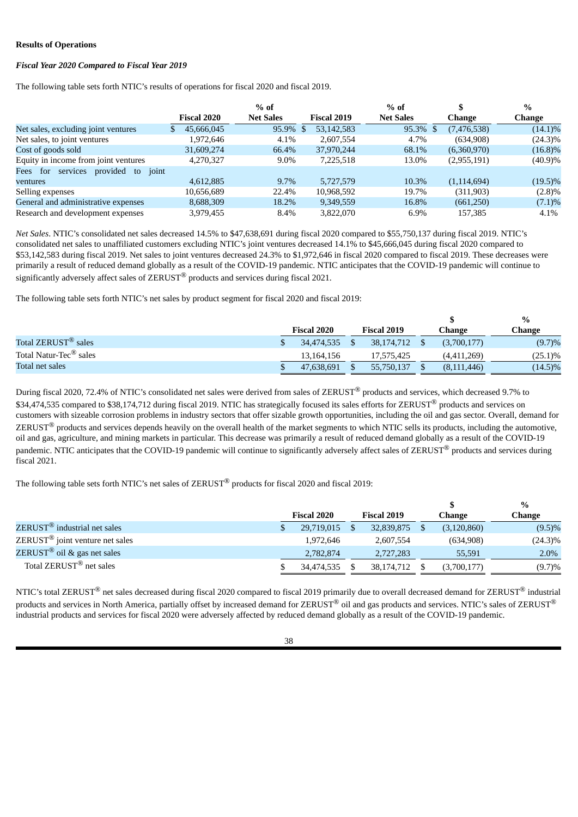# **Results of Operations**

### *Fiscal Year 2020 Compared to Fiscal Year 2019*

The following table sets forth NTIC's results of operations for fiscal 2020 and fiscal 2019.

|                                              |                    | $%$ of           |                    | $%$ of           |               | $\%$       |
|----------------------------------------------|--------------------|------------------|--------------------|------------------|---------------|------------|
|                                              | <b>Fiscal 2020</b> | <b>Net Sales</b> | <b>Fiscal 2019</b> | <b>Net Sales</b> | <b>Change</b> | Change     |
| Net sales, excluding joint ventures          | 45,666,045         | 95.9% \$         | 53,142,583         | 95.3% \$         | (7,476,538)   | $(14.1)\%$ |
| Net sales, to joint ventures                 | 1,972,646          | 4.1%             | 2,607,554          | 4.7%             | (634,908)     | $(24.3)\%$ |
| Cost of goods sold                           | 31,609,274         | 66.4%            | 37,970,244         | 68.1%            | (6,360,970)   | $(16.8)\%$ |
| Equity in income from joint ventures         | 4,270,327          | $9.0\%$          | 7,225,518          | 13.0%            | (2,955,191)   | $(40.9)\%$ |
| services<br>provided to<br>joint<br>Fees for |                    |                  |                    |                  |               |            |
| ventures                                     | 4,612,885          | 9.7%             | 5.727.579          | 10.3%            | (1, 114, 694) | $(19.5)\%$ |
| Selling expenses                             | 10,656,689         | 22.4%            | 10,968,592         | 19.7%            | (311,903)     | $(2.8)\%$  |
| General and administrative expenses          | 8,688,309          | 18.2%            | 9,349,559          | 16.8%            | (661,250)     | $(7.1)\%$  |
| Research and development expenses            | 3,979,455          | 8.4%             | 3.822,070          | 6.9%             | 157.385       | 4.1%       |

*Net Sales*. NTIC's consolidated net sales decreased 14.5% to \$47,638,691 during fiscal 2020 compared to \$55,750,137 during fiscal 2019. NTIC's consolidated net sales to unaffiliated customers excluding NTIC's joint ventures decreased 14.1% to \$45,666,045 during fiscal 2020 compared to \$53,142,583 during fiscal 2019. Net sales to joint ventures decreased 24.3% to \$1,972,646 in fiscal 2020 compared to fiscal 2019. These decreases were primarily a result of reduced demand globally as a result of the COVID-19 pandemic. NTIC anticipates that the COVID-19 pandemic will continue to significantly adversely affect sales of ZERUST<sup>®</sup> products and services during fiscal 2021.

The following table sets forth NTIC's net sales by product segment for fiscal 2020 and fiscal 2019:

|                                         |                    |             |               | $\%$          |
|-----------------------------------------|--------------------|-------------|---------------|---------------|
|                                         | <b>Fiscal 2020</b> | Fiscal 2019 | Change        | <b>Change</b> |
| Total $\text{ZERUST}^{\circledR}$ sales | 34,474,535         | 38,174,712  | (3,700,177)   | $(9.7)\%$     |
| Total Natur-Tec <sup>®</sup> sales      | 13.164.156         | 17,575,425  | (4,411,269)   | (25.1)%       |
| Total net sales                         | 47,638,691         | 55,750,137  | (8, 111, 446) | $(14.5)\%$    |

During fiscal 2020, 72.4% of NTIC's consolidated net sales were derived from sales of ZERUST<sup>®</sup> products and services, which decreased 9.7% to \$34,474,535 compared to \$38,174,712 during fiscal 2019. NTIC has strategically focused its sales efforts for ZERUST<sup>®</sup> products and services on customers with sizeable corrosion problems in industry sectors that offer sizable growth opportunities, including the oil and gas sector. Overall, demand for  $\text{ZERUST}^{\circledR}$  products and services depends heavily on the overall health of the market segments to which NTIC sells its products, including the automotive, oil and gas, agriculture, and mining markets in particular. This decrease was primarily a result of reduced demand globally as a result of the COVID-19 pandemic. NTIC anticipates that the COVID-19 pandemic will continue to significantly adversely affect sales of ZERUST<sup>®</sup> products and services during fiscal 2021.

The following table sets forth NTIC's net sales of ZERUST<sup>®</sup> products for fiscal 2020 and fiscal 2019:

|                                                 |                    |                    |               | $\%$       |
|-------------------------------------------------|--------------------|--------------------|---------------|------------|
|                                                 | <b>Fiscal 2020</b> | <b>Fiscal 2019</b> | Change        | Change     |
| $ZERUST^{\circledR}$ industrial net sales       | 29,719,015         | 32,839,875         | (3, 120, 860) | $(9.5)\%$  |
| $ZERUST^{\circledR}$ joint venture net sales    | 1.972.646          | 2,607,554          | (634,908)     | $(24.3)\%$ |
| $\text{ZERUST}^{\circledR}$ oil & gas net sales | 2,782,874          | 2,727,283          | 55,591        | 2.0%       |
| Total $\text{ZERUST}^{\circledR}$ net sales     | 34,474,535         | 38,174,712         | (3,700,177)   | $(9.7)\%$  |

NTIC's total ZERUST<sup>®</sup> net sales decreased during fiscal 2020 compared to fiscal 2019 primarily due to overall decreased demand for ZERUST<sup>®</sup> industrial products and services in North America, partially offset by increased demand for ZERUST<sup>®</sup> oil and gas products and services. NTIC's sales of ZERUST<sup>®</sup> industrial products and services for fiscal 2020 were adversely affected by reduced demand globally as a result of the COVID-19 pandemic.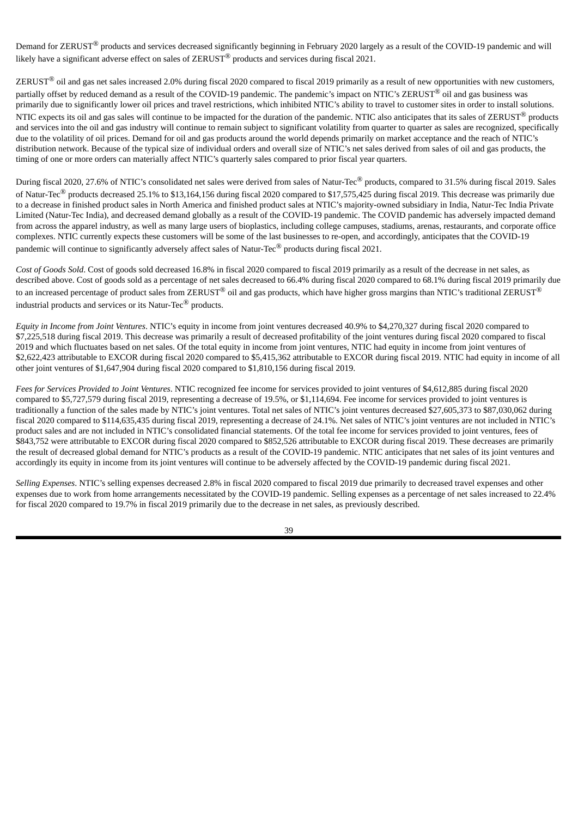Demand for ZERUST<sup>®</sup> products and services decreased significantly beginning in February 2020 largely as a result of the COVID-19 pandemic and will likely have a significant adverse effect on sales of ZERUST<sup>®</sup> products and services during fiscal 2021.

 $\text{ZERUST}^{\circledR}$  oil and gas net sales increased 2.0% during fiscal 2020 compared to fiscal 2019 primarily as a result of new opportunities with new customers, partially offset by reduced demand as a result of the COVID-19 pandemic. The pandemic's impact on NTIC's ZERUST<sup>®</sup> oil and gas business was primarily due to significantly lower oil prices and travel restrictions, which inhibited NTIC's ability to travel to customer sites in order to install solutions. NTIC expects its oil and gas sales will continue to be impacted for the duration of the pandemic. NTIC also anticipates that its sales of ZERUST<sup>®</sup> products and services into the oil and gas industry will continue to remain subject to significant volatility from quarter to quarter as sales are recognized, specifically due to the volatility of oil prices. Demand for oil and gas products around the world depends primarily on market acceptance and the reach of NTIC's distribution network. Because of the typical size of individual orders and overall size of NTIC's net sales derived from sales of oil and gas products, the timing of one or more orders can materially affect NTIC's quarterly sales compared to prior fiscal year quarters.

During fiscal 2020, 27.6% of NTIC's consolidated net sales were derived from sales of Natur-Tec® products, compared to 31.5% during fiscal 2019. Sales of Natur-Tec® products decreased 25.1% to \$13,164,156 during fiscal 2020 compared to \$17,575,425 during fiscal 2019. This decrease was primarily due to a decrease in finished product sales in North America and finished product sales at NTIC's majority-owned subsidiary in India, Natur-Tec India Private Limited (Natur-Tec India), and decreased demand globally as a result of the COVID-19 pandemic. The COVID pandemic has adversely impacted demand from across the apparel industry, as well as many large users of bioplastics, including college campuses, stadiums, arenas, restaurants, and corporate office complexes. NTIC currently expects these customers will be some of the last businesses to re-open, and accordingly, anticipates that the COVID-19 pandemic will continue to significantly adversely affect sales of Natur-Tec® products during fiscal 2021.

*Cost of Goods Sold*. Cost of goods sold decreased 16.8% in fiscal 2020 compared to fiscal 2019 primarily as a result of the decrease in net sales, as described above. Cost of goods sold as a percentage of net sales decreased to 66.4% during fiscal 2020 compared to 68.1% during fiscal 2019 primarily due to an increased percentage of product sales from ZERUST<sup>®</sup> oil and gas products, which have higher gross margins than NTIC's traditional ZERUST<sup>®</sup> industrial products and services or its Natur-Tec® products.

*Equity in Income from Joint Ventures*. NTIC's equity in income from joint ventures decreased 40.9% to \$4,270,327 during fiscal 2020 compared to \$7,225,518 during fiscal 2019. This decrease was primarily a result of decreased profitability of the joint ventures during fiscal 2020 compared to fiscal 2019 and which fluctuates based on net sales. Of the total equity in income from joint ventures, NTIC had equity in income from joint ventures of \$2,622,423 attributable to EXCOR during fiscal 2020 compared to \$5,415,362 attributable to EXCOR during fiscal 2019. NTIC had equity in income of all other joint ventures of \$1,647,904 during fiscal 2020 compared to \$1,810,156 during fiscal 2019.

*Fees for Services Provided to Joint Ventures*. NTIC recognized fee income for services provided to joint ventures of \$4,612,885 during fiscal 2020 compared to \$5,727,579 during fiscal 2019, representing a decrease of 19.5%, or \$1,114,694. Fee income for services provided to joint ventures is traditionally a function of the sales made by NTIC's joint ventures. Total net sales of NTIC's joint ventures decreased \$27,605,373 to \$87,030,062 during fiscal 2020 compared to \$114,635,435 during fiscal 2019, representing a decrease of 24.1%. Net sales of NTIC's joint ventures are not included in NTIC's product sales and are not included in NTIC's consolidated financial statements. Of the total fee income for services provided to joint ventures, fees of \$843,752 were attributable to EXCOR during fiscal 2020 compared to \$852,526 attributable to EXCOR during fiscal 2019. These decreases are primarily the result of decreased global demand for NTIC's products as a result of the COVID-19 pandemic. NTIC anticipates that net sales of its joint ventures and accordingly its equity in income from its joint ventures will continue to be adversely affected by the COVID-19 pandemic during fiscal 2021.

*Selling Expenses*. NTIC's selling expenses decreased 2.8% in fiscal 2020 compared to fiscal 2019 due primarily to decreased travel expenses and other expenses due to work from home arrangements necessitated by the COVID-19 pandemic. Selling expenses as a percentage of net sales increased to 22.4% for fiscal 2020 compared to 19.7% in fiscal 2019 primarily due to the decrease in net sales, as previously described.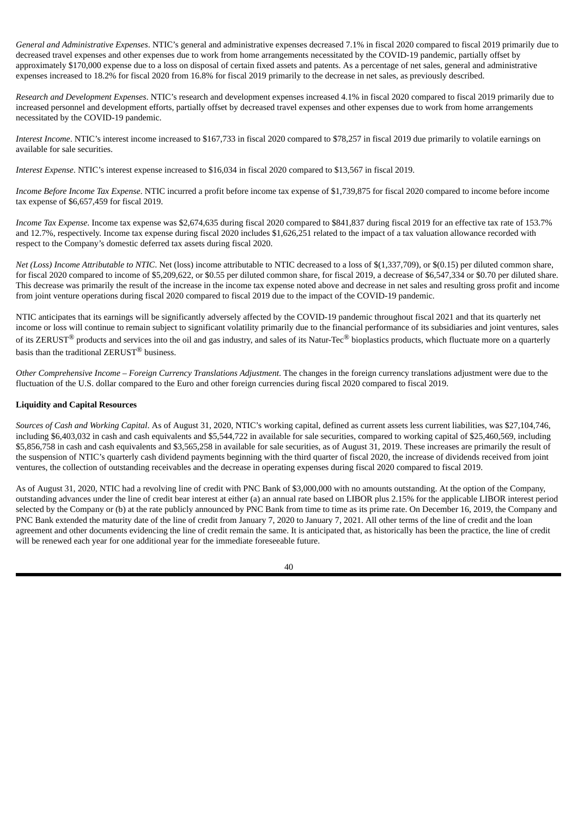*General and Administrative Expenses*. NTIC's general and administrative expenses decreased 7.1% in fiscal 2020 compared to fiscal 2019 primarily due to decreased travel expenses and other expenses due to work from home arrangements necessitated by the COVID-19 pandemic, partially offset by approximately \$170,000 expense due to a loss on disposal of certain fixed assets and patents. As a percentage of net sales, general and administrative expenses increased to 18.2% for fiscal 2020 from 16.8% for fiscal 2019 primarily to the decrease in net sales, as previously described.

*Research and Development Expenses*. NTIC's research and development expenses increased 4.1% in fiscal 2020 compared to fiscal 2019 primarily due to increased personnel and development efforts, partially offset by decreased travel expenses and other expenses due to work from home arrangements necessitated by the COVID-19 pandemic.

*Interest Income*. NTIC's interest income increased to \$167,733 in fiscal 2020 compared to \$78,257 in fiscal 2019 due primarily to volatile earnings on available for sale securities.

*Interest Expense*. NTIC's interest expense increased to \$16,034 in fiscal 2020 compared to \$13,567 in fiscal 2019.

*Income Before Income Tax Expense*. NTIC incurred a profit before income tax expense of \$1,739,875 for fiscal 2020 compared to income before income tax expense of \$6,657,459 for fiscal 2019.

*Income Tax Expense*. Income tax expense was \$2,674,635 during fiscal 2020 compared to \$841,837 during fiscal 2019 for an effective tax rate of 153.7% and 12.7%, respectively. Income tax expense during fiscal 2020 includes \$1,626,251 related to the impact of a tax valuation allowance recorded with respect to the Company's domestic deferred tax assets during fiscal 2020.

*Net (Loss) Income Attributable to NTIC*. Net (loss) income attributable to NTIC decreased to a loss of \$(1,337,709), or \$(0.15) per diluted common share, for fiscal 2020 compared to income of \$5,209,622, or \$0.55 per diluted common share, for fiscal 2019, a decrease of \$6,547,334 or \$0.70 per diluted share. This decrease was primarily the result of the increase in the income tax expense noted above and decrease in net sales and resulting gross profit and income from joint venture operations during fiscal 2020 compared to fiscal 2019 due to the impact of the COVID-19 pandemic.

NTIC anticipates that its earnings will be significantly adversely affected by the COVID-19 pandemic throughout fiscal 2021 and that its quarterly net income or loss will continue to remain subject to significant volatility primarily due to the financial performance of its subsidiaries and joint ventures, sales of its ZERUST<sup>®</sup> products and services into the oil and gas industry, and sales of its Natur-Tec<sup>®</sup> bioplastics products, which fluctuate more on a quarterly basis than the traditional ZERUST® business.

*Other Comprehensive Income – Foreign Currency Translations Adjustment*. The changes in the foreign currency translations adjustment were due to the fluctuation of the U.S. dollar compared to the Euro and other foreign currencies during fiscal 2020 compared to fiscal 2019.

# **Liquidity and Capital Resources**

*Sources of Cash and Working Capital*. As of August 31, 2020, NTIC's working capital, defined as current assets less current liabilities, was \$27,104,746, including \$6,403,032 in cash and cash equivalents and \$5,544,722 in available for sale securities, compared to working capital of \$25,460,569, including \$5,856,758 in cash and cash equivalents and \$3,565,258 in available for sale securities, as of August 31, 2019. These increases are primarily the result of the suspension of NTIC's quarterly cash dividend payments beginning with the third quarter of fiscal 2020, the increase of dividends received from joint ventures, the collection of outstanding receivables and the decrease in operating expenses during fiscal 2020 compared to fiscal 2019.

As of August 31, 2020, NTIC had a revolving line of credit with PNC Bank of \$3,000,000 with no amounts outstanding. At the option of the Company, outstanding advances under the line of credit bear interest at either (a) an annual rate based on LIBOR plus 2.15% for the applicable LIBOR interest period selected by the Company or (b) at the rate publicly announced by PNC Bank from time to time as its prime rate. On December 16, 2019, the Company and PNC Bank extended the maturity date of the line of credit from January 7, 2020 to January 7, 2021. All other terms of the line of credit and the loan agreement and other documents evidencing the line of credit remain the same. It is anticipated that, as historically has been the practice, the line of credit will be renewed each year for one additional year for the immediate foreseeable future.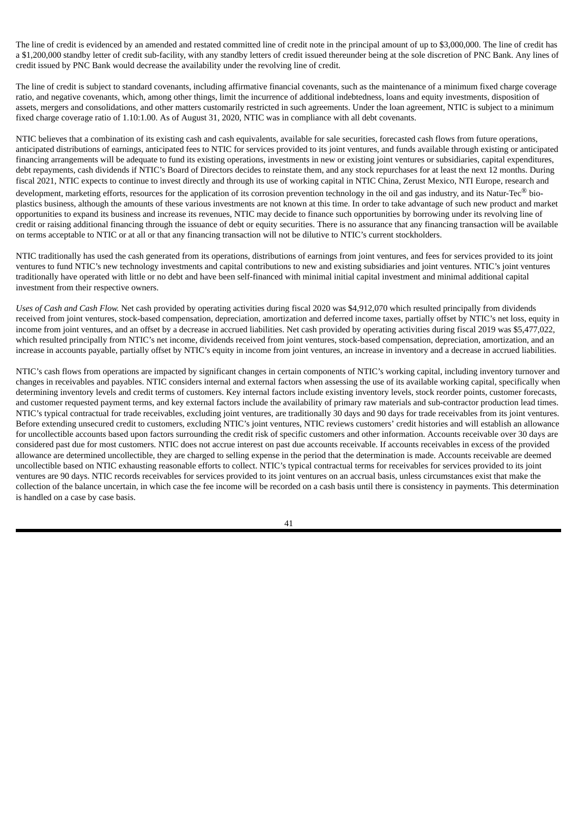The line of credit is evidenced by an amended and restated committed line of credit note in the principal amount of up to \$3,000,000. The line of credit has a \$1,200,000 standby letter of credit sub-facility, with any standby letters of credit issued thereunder being at the sole discretion of PNC Bank. Any lines of credit issued by PNC Bank would decrease the availability under the revolving line of credit.

The line of credit is subject to standard covenants, including affirmative financial covenants, such as the maintenance of a minimum fixed charge coverage ratio, and negative covenants, which, among other things, limit the incurrence of additional indebtedness, loans and equity investments, disposition of assets, mergers and consolidations, and other matters customarily restricted in such agreements. Under the loan agreement, NTIC is subject to a minimum fixed charge coverage ratio of 1.10:1.00. As of August 31, 2020, NTIC was in compliance with all debt covenants.

NTIC believes that a combination of its existing cash and cash equivalents, available for sale securities, forecasted cash flows from future operations, anticipated distributions of earnings, anticipated fees to NTIC for services provided to its joint ventures, and funds available through existing or anticipated financing arrangements will be adequate to fund its existing operations, investments in new or existing joint ventures or subsidiaries, capital expenditures, debt repayments, cash dividends if NTIC's Board of Directors decides to reinstate them, and any stock repurchases for at least the next 12 months. During fiscal 2021, NTIC expects to continue to invest directly and through its use of working capital in NTIC China, Zerust Mexico, NTI Europe, research and

development, marketing efforts, resources for the application of its corrosion prevention technology in the oil and gas industry, and its Natur-Tec® bioplastics business, although the amounts of these various investments are not known at this time. In order to take advantage of such new product and market opportunities to expand its business and increase its revenues, NTIC may decide to finance such opportunities by borrowing under its revolving line of credit or raising additional financing through the issuance of debt or equity securities. There is no assurance that any financing transaction will be available on terms acceptable to NTIC or at all or that any financing transaction will not be dilutive to NTIC's current stockholders.

NTIC traditionally has used the cash generated from its operations, distributions of earnings from joint ventures, and fees for services provided to its joint ventures to fund NTIC's new technology investments and capital contributions to new and existing subsidiaries and joint ventures. NTIC's joint ventures traditionally have operated with little or no debt and have been self-financed with minimal initial capital investment and minimal additional capital investment from their respective owners.

*Uses of Cash and Cash Flow.* Net cash provided by operating activities during fiscal 2020 was \$4,912,070 which resulted principally from dividends received from joint ventures, stock-based compensation, depreciation, amortization and deferred income taxes, partially offset by NTIC's net loss, equity in income from joint ventures, and an offset by a decrease in accrued liabilities. Net cash provided by operating activities during fiscal 2019 was \$5,477,022, which resulted principally from NTIC's net income, dividends received from joint ventures, stock-based compensation, depreciation, amortization, and an increase in accounts payable, partially offset by NTIC's equity in income from joint ventures, an increase in inventory and a decrease in accrued liabilities.

NTIC's cash flows from operations are impacted by significant changes in certain components of NTIC's working capital, including inventory turnover and changes in receivables and payables. NTIC considers internal and external factors when assessing the use of its available working capital, specifically when determining inventory levels and credit terms of customers. Key internal factors include existing inventory levels, stock reorder points, customer forecasts, and customer requested payment terms, and key external factors include the availability of primary raw materials and sub-contractor production lead times. NTIC's typical contractual for trade receivables, excluding joint ventures, are traditionally 30 days and 90 days for trade receivables from its joint ventures. Before extending unsecured credit to customers, excluding NTIC's joint ventures, NTIC reviews customers' credit histories and will establish an allowance for uncollectible accounts based upon factors surrounding the credit risk of specific customers and other information. Accounts receivable over 30 days are considered past due for most customers. NTIC does not accrue interest on past due accounts receivable. If accounts receivables in excess of the provided allowance are determined uncollectible, they are charged to selling expense in the period that the determination is made. Accounts receivable are deemed uncollectible based on NTIC exhausting reasonable efforts to collect. NTIC's typical contractual terms for receivables for services provided to its joint ventures are 90 days. NTIC records receivables for services provided to its joint ventures on an accrual basis, unless circumstances exist that make the collection of the balance uncertain, in which case the fee income will be recorded on a cash basis until there is consistency in payments. This determination is handled on a case by case basis.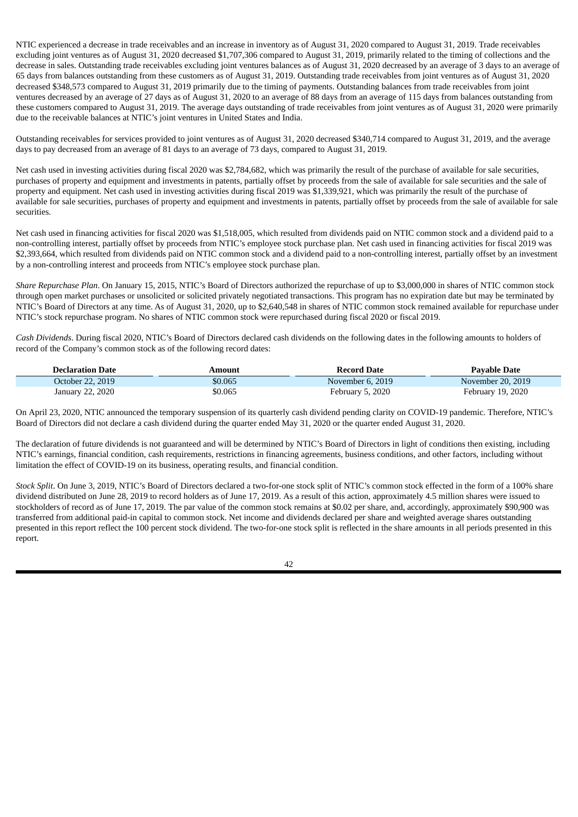NTIC experienced a decrease in trade receivables and an increase in inventory as of August 31, 2020 compared to August 31, 2019. Trade receivables excluding joint ventures as of August 31, 2020 decreased \$1,707,306 compared to August 31, 2019, primarily related to the timing of collections and the decrease in sales. Outstanding trade receivables excluding joint ventures balances as of August 31, 2020 decreased by an average of 3 days to an average of 65 days from balances outstanding from these customers as of August 31, 2019. Outstanding trade receivables from joint ventures as of August 31, 2020 decreased \$348,573 compared to August 31, 2019 primarily due to the timing of payments. Outstanding balances from trade receivables from joint ventures decreased by an average of 27 days as of August 31, 2020 to an average of 88 days from an average of 115 days from balances outstanding from these customers compared to August 31, 2019. The average days outstanding of trade receivables from joint ventures as of August 31, 2020 were primarily due to the receivable balances at NTIC's joint ventures in United States and India.

Outstanding receivables for services provided to joint ventures as of August 31, 2020 decreased \$340,714 compared to August 31, 2019, and the average days to pay decreased from an average of 81 days to an average of 73 days, compared to August 31, 2019.

Net cash used in investing activities during fiscal 2020 was \$2,784,682, which was primarily the result of the purchase of available for sale securities, purchases of property and equipment and investments in patents, partially offset by proceeds from the sale of available for sale securities and the sale of property and equipment. Net cash used in investing activities during fiscal 2019 was \$1,339,921, which was primarily the result of the purchase of available for sale securities, purchases of property and equipment and investments in patents, partially offset by proceeds from the sale of available for sale securities.

Net cash used in financing activities for fiscal 2020 was \$1,518,005, which resulted from dividends paid on NTIC common stock and a dividend paid to a non-controlling interest, partially offset by proceeds from NTIC's employee stock purchase plan. Net cash used in financing activities for fiscal 2019 was \$2,393,664, which resulted from dividends paid on NTIC common stock and a dividend paid to a non-controlling interest, partially offset by an investment by a non-controlling interest and proceeds from NTIC's employee stock purchase plan.

*Share Repurchase Plan*. On January 15, 2015, NTIC's Board of Directors authorized the repurchase of up to \$3,000,000 in shares of NTIC common stock through open market purchases or unsolicited or solicited privately negotiated transactions. This program has no expiration date but may be terminated by NTIC's Board of Directors at any time. As of August 31, 2020, up to \$2,640,548 in shares of NTIC common stock remained available for repurchase under NTIC's stock repurchase program. No shares of NTIC common stock were repurchased during fiscal 2020 or fiscal 2019.

*Cash Dividends*. During fiscal 2020, NTIC's Board of Directors declared cash dividends on the following dates in the following amounts to holders of record of the Company's common stock as of the following record dates:

en de la posta de la posta de la posta de la posta de la posta de la posta de la posta de la posta de la posta <br>La posta de la posta de la posta de la posta de la posta de la posta de la posta de la posta de la posta de la

| <b>Declaration Date</b> | Amount  | <b>Record Date</b> | <b>Pavable Date</b> |
|-------------------------|---------|--------------------|---------------------|
| October 22, 2019        | \$0.065 | November 6, 2019   | November 20, 2019   |
| January 22, 2020        | \$0.065 | February 5, 2020   | February 19, 2020   |

On April 23, 2020, NTIC announced the temporary suspension of its quarterly cash dividend pending clarity on COVID-19 pandemic. Therefore, NTIC's Board of Directors did not declare a cash dividend during the quarter ended May 31, 2020 or the quarter ended August 31, 2020.

The declaration of future dividends is not guaranteed and will be determined by NTIC's Board of Directors in light of conditions then existing, including NTIC's earnings, financial condition, cash requirements, restrictions in financing agreements, business conditions, and other factors, including without limitation the effect of COVID-19 on its business, operating results, and financial condition.

*Stock Split*. On June 3, 2019, NTIC's Board of Directors declared a two-for-one stock split of NTIC's common stock effected in the form of a 100% share dividend distributed on June 28, 2019 to record holders as of June 17, 2019. As a result of this action, approximately 4.5 million shares were issued to stockholders of record as of June 17, 2019. The par value of the common stock remains at \$0.02 per share, and, accordingly, approximately \$90,900 was transferred from additional paid-in capital to common stock. Net income and dividends declared per share and weighted average shares outstanding presented in this report reflect the 100 percent stock dividend. The two-for-one stock split is reflected in the share amounts in all periods presented in this report.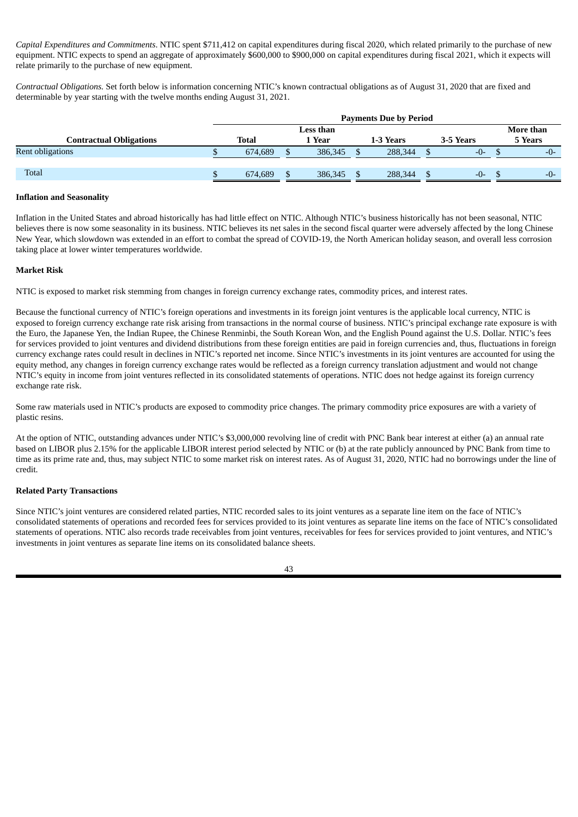*Capital Expenditures and Commitments*. NTIC spent \$711,412 on capital expenditures during fiscal 2020, which related primarily to the purchase of new equipment. NTIC expects to spend an aggregate of approximately \$600,000 to \$900,000 on capital expenditures during fiscal 2021, which it expects will relate primarily to the purchase of new equipment.

*Contractual Obligations.* Set forth below is information concerning NTIC's known contractual obligations as of August 31, 2020 that are fixed and determinable by year starting with the twelve months ending August 31, 2021.

|                                | <b>Payments Due by Period</b> |                 |  |           |  |           |           |       |  |         |  |
|--------------------------------|-------------------------------|-----------------|--|-----------|--|-----------|-----------|-------|--|---------|--|
|                                |                               |                 |  | More than |  |           |           |       |  |         |  |
| <b>Contractual Obligations</b> |                               | Total<br>1 Year |  |           |  | 1-3 Years | 3-5 Years |       |  | 5 Years |  |
| Rent obligations               |                               | 674.689         |  | 386,345   |  | 288,344   |           | $-0-$ |  | $-0-$   |  |
|                                |                               |                 |  |           |  |           |           |       |  |         |  |
| <b>Total</b>                   |                               | 674,689         |  | 386,345   |  | 288,344   |           | $-0-$ |  | $-0-$   |  |

### **Inflation and Seasonality**

Inflation in the United States and abroad historically has had little effect on NTIC. Although NTIC's business historically has not been seasonal, NTIC believes there is now some seasonality in its business. NTIC believes its net sales in the second fiscal quarter were adversely affected by the long Chinese New Year, which slowdown was extended in an effort to combat the spread of COVID-19, the North American holiday season, and overall less corrosion taking place at lower winter temperatures worldwide.

# **Market Risk**

NTIC is exposed to market risk stemming from changes in foreign currency exchange rates, commodity prices, and interest rates.

Because the functional currency of NTIC's foreign operations and investments in its foreign joint ventures is the applicable local currency, NTIC is exposed to foreign currency exchange rate risk arising from transactions in the normal course of business. NTIC's principal exchange rate exposure is with the Euro, the Japanese Yen, the Indian Rupee, the Chinese Renminbi, the South Korean Won, and the English Pound against the U.S. Dollar. NTIC's fees for services provided to joint ventures and dividend distributions from these foreign entities are paid in foreign currencies and, thus, fluctuations in foreign currency exchange rates could result in declines in NTIC's reported net income. Since NTIC's investments in its joint ventures are accounted for using the equity method, any changes in foreign currency exchange rates would be reflected as a foreign currency translation adjustment and would not change NTIC's equity in income from joint ventures reflected in its consolidated statements of operations. NTIC does not hedge against its foreign currency exchange rate risk.

Some raw materials used in NTIC's products are exposed to commodity price changes. The primary commodity price exposures are with a variety of plastic resins.

At the option of NTIC, outstanding advances under NTIC's \$3,000,000 revolving line of credit with PNC Bank bear interest at either (a) an annual rate based on LIBOR plus 2.15% for the applicable LIBOR interest period selected by NTIC or (b) at the rate publicly announced by PNC Bank from time to time as its prime rate and, thus, may subject NTIC to some market risk on interest rates. As of August 31, 2020, NTIC had no borrowings under the line of credit.

# **Related Party Transactions**

Since NTIC's joint ventures are considered related parties, NTIC recorded sales to its joint ventures as a separate line item on the face of NTIC's consolidated statements of operations and recorded fees for services provided to its joint ventures as separate line items on the face of NTIC's consolidated statements of operations. NTIC also records trade receivables from joint ventures, receivables for fees for services provided to joint ventures, and NTIC's investments in joint ventures as separate line items on its consolidated balance sheets.

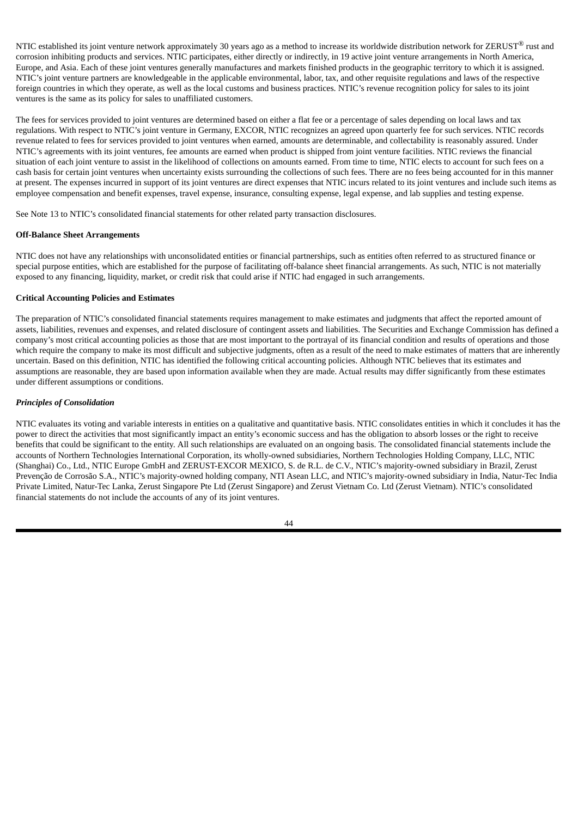NTIC established its joint venture network approximately 30 years ago as a method to increase its worldwide distribution network for ZERUST<sup>®</sup> rust and corrosion inhibiting products and services. NTIC participates, either directly or indirectly, in 19 active joint venture arrangements in North America, Europe, and Asia. Each of these joint ventures generally manufactures and markets finished products in the geographic territory to which it is assigned. NTIC's joint venture partners are knowledgeable in the applicable environmental, labor, tax, and other requisite regulations and laws of the respective foreign countries in which they operate, as well as the local customs and business practices. NTIC's revenue recognition policy for sales to its joint ventures is the same as its policy for sales to unaffiliated customers.

The fees for services provided to joint ventures are determined based on either a flat fee or a percentage of sales depending on local laws and tax regulations. With respect to NTIC's joint venture in Germany, EXCOR, NTIC recognizes an agreed upon quarterly fee for such services. NTIC records revenue related to fees for services provided to joint ventures when earned, amounts are determinable, and collectability is reasonably assured. Under NTIC's agreements with its joint ventures, fee amounts are earned when product is shipped from joint venture facilities. NTIC reviews the financial situation of each joint venture to assist in the likelihood of collections on amounts earned. From time to time, NTIC elects to account for such fees on a cash basis for certain joint ventures when uncertainty exists surrounding the collections of such fees. There are no fees being accounted for in this manner at present. The expenses incurred in support of its joint ventures are direct expenses that NTIC incurs related to its joint ventures and include such items as employee compensation and benefit expenses, travel expense, insurance, consulting expense, legal expense, and lab supplies and testing expense.

See Note 13 to NTIC's consolidated financial statements for other related party transaction disclosures.

# **Off-Balance Sheet Arrangements**

NTIC does not have any relationships with unconsolidated entities or financial partnerships, such as entities often referred to as structured finance or special purpose entities, which are established for the purpose of facilitating off-balance sheet financial arrangements. As such, NTIC is not materially exposed to any financing, liquidity, market, or credit risk that could arise if NTIC had engaged in such arrangements.

### **Critical Accounting Policies and Estimates**

The preparation of NTIC's consolidated financial statements requires management to make estimates and judgments that affect the reported amount of assets, liabilities, revenues and expenses, and related disclosure of contingent assets and liabilities. The Securities and Exchange Commission has defined a company's most critical accounting policies as those that are most important to the portrayal of its financial condition and results of operations and those which require the company to make its most difficult and subjective judgments, often as a result of the need to make estimates of matters that are inherently uncertain. Based on this definition, NTIC has identified the following critical accounting policies. Although NTIC believes that its estimates and assumptions are reasonable, they are based upon information available when they are made. Actual results may differ significantly from these estimates under different assumptions or conditions.

### *Principles of Consolidation*

NTIC evaluates its voting and variable interests in entities on a qualitative and quantitative basis. NTIC consolidates entities in which it concludes it has the power to direct the activities that most significantly impact an entity's economic success and has the obligation to absorb losses or the right to receive benefits that could be significant to the entity. All such relationships are evaluated on an ongoing basis. The consolidated financial statements include the accounts of Northern Technologies International Corporation, its wholly-owned subsidiaries, Northern Technologies Holding Company, LLC, NTIC (Shanghai) Co., Ltd., NTIC Europe GmbH and ZERUST-EXCOR MEXICO, S. de R.L. de C.V., NTIC's majority-owned subsidiary in Brazil, Zerust Prevenção de Corrosão S.A., NTIC's majority-owned holding company, NTI Asean LLC, and NTIC's majority-owned subsidiary in India, Natur-Tec India Private Limited, Natur-Tec Lanka, Zerust Singapore Pte Ltd (Zerust Singapore) and Zerust Vietnam Co. Ltd (Zerust Vietnam). NTIC's consolidated financial statements do not include the accounts of any of its joint ventures.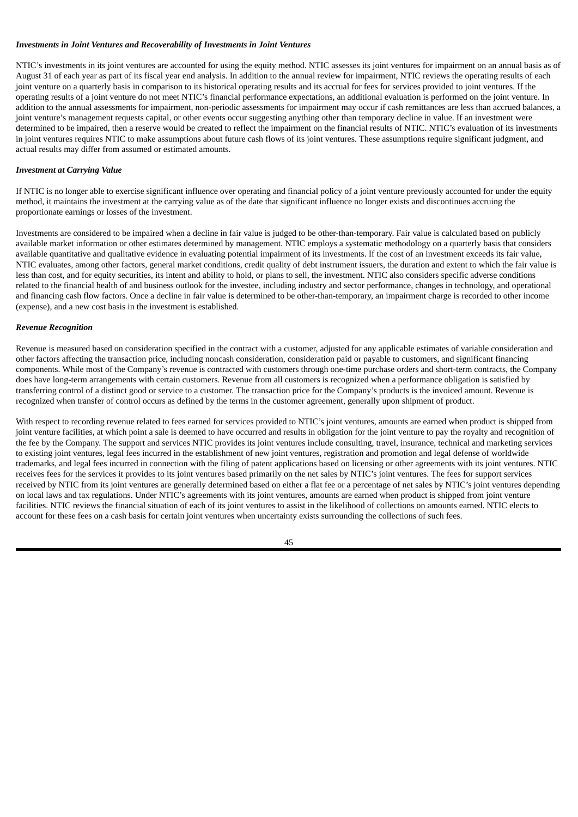### *Investments in Joint Ventures and Recoverability of Investments in Joint Ventures*

NTIC's investments in its joint ventures are accounted for using the equity method. NTIC assesses its joint ventures for impairment on an annual basis as of August 31 of each year as part of its fiscal year end analysis. In addition to the annual review for impairment, NTIC reviews the operating results of each joint venture on a quarterly basis in comparison to its historical operating results and its accrual for fees for services provided to joint ventures. If the operating results of a joint venture do not meet NTIC's financial performance expectations, an additional evaluation is performed on the joint venture. In addition to the annual assessments for impairment, non-periodic assessments for impairment may occur if cash remittances are less than accrued balances, a joint venture's management requests capital, or other events occur suggesting anything other than temporary decline in value. If an investment were determined to be impaired, then a reserve would be created to reflect the impairment on the financial results of NTIC. NTIC's evaluation of its investments in joint ventures requires NTIC to make assumptions about future cash flows of its joint ventures. These assumptions require significant judgment, and actual results may differ from assumed or estimated amounts.

### *Investment at Carrying Value*

If NTIC is no longer able to exercise significant influence over operating and financial policy of a joint venture previously accounted for under the equity method, it maintains the investment at the carrying value as of the date that significant influence no longer exists and discontinues accruing the proportionate earnings or losses of the investment.

Investments are considered to be impaired when a decline in fair value is judged to be other-than-temporary. Fair value is calculated based on publicly available market information or other estimates determined by management. NTIC employs a systematic methodology on a quarterly basis that considers available quantitative and qualitative evidence in evaluating potential impairment of its investments. If the cost of an investment exceeds its fair value, NTIC evaluates, among other factors, general market conditions, credit quality of debt instrument issuers, the duration and extent to which the fair value is less than cost, and for equity securities, its intent and ability to hold, or plans to sell, the investment. NTIC also considers specific adverse conditions related to the financial health of and business outlook for the investee, including industry and sector performance, changes in technology, and operational and financing cash flow factors. Once a decline in fair value is determined to be other-than-temporary, an impairment charge is recorded to other income (expense), and a new cost basis in the investment is established.

### *Revenue Recognition*

Revenue is measured based on consideration specified in the contract with a customer, adjusted for any applicable estimates of variable consideration and other factors affecting the transaction price, including noncash consideration, consideration paid or payable to customers, and significant financing components. While most of the Company's revenue is contracted with customers through one-time purchase orders and short-term contracts, the Company does have long-term arrangements with certain customers. Revenue from all customers is recognized when a performance obligation is satisfied by transferring control of a distinct good or service to a customer. The transaction price for the Company's products is the invoiced amount. Revenue is recognized when transfer of control occurs as defined by the terms in the customer agreement, generally upon shipment of product.

With respect to recording revenue related to fees earned for services provided to NTIC's joint ventures, amounts are earned when product is shipped from joint venture facilities, at which point a sale is deemed to have occurred and results in obligation for the joint venture to pay the royalty and recognition of the fee by the Company. The support and services NTIC provides its joint ventures include consulting, travel, insurance, technical and marketing services to existing joint ventures, legal fees incurred in the establishment of new joint ventures, registration and promotion and legal defense of worldwide trademarks, and legal fees incurred in connection with the filing of patent applications based on licensing or other agreements with its joint ventures. NTIC receives fees for the services it provides to its joint ventures based primarily on the net sales by NTIC's joint ventures. The fees for support services received by NTIC from its joint ventures are generally determined based on either a flat fee or a percentage of net sales by NTIC's joint ventures depending on local laws and tax regulations. Under NTIC's agreements with its joint ventures, amounts are earned when product is shipped from joint venture facilities. NTIC reviews the financial situation of each of its joint ventures to assist in the likelihood of collections on amounts earned. NTIC elects to account for these fees on a cash basis for certain joint ventures when uncertainty exists surrounding the collections of such fees.

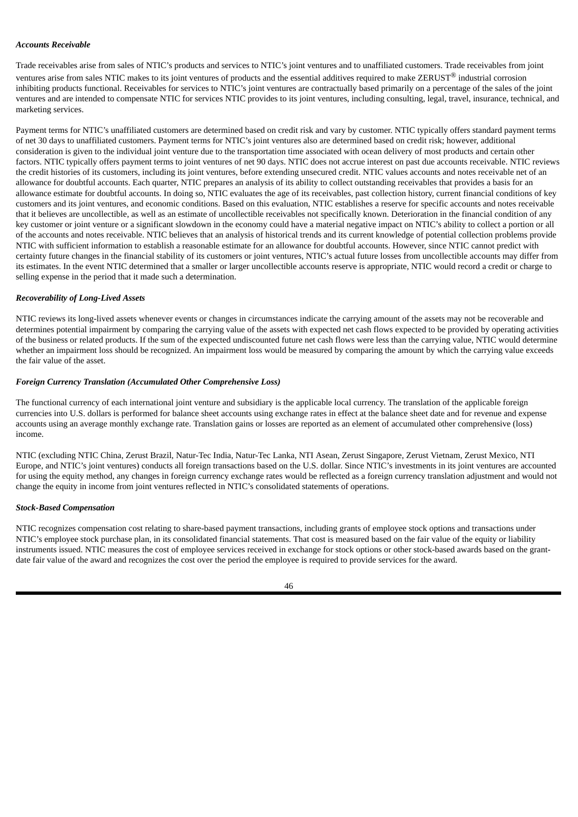# *Accounts Receivable*

Trade receivables arise from sales of NTIC's products and services to NTIC's joint ventures and to unaffiliated customers. Trade receivables from joint ventures arise from sales NTIC makes to its joint ventures of products and the essential additives required to make ZERUST® industrial corrosion inhibiting products functional. Receivables for services to NTIC's joint ventures are contractually based primarily on a percentage of the sales of the joint ventures and are intended to compensate NTIC for services NTIC provides to its joint ventures, including consulting, legal, travel, insurance, technical, and marketing services.

Payment terms for NTIC's unaffiliated customers are determined based on credit risk and vary by customer. NTIC typically offers standard payment terms of net 30 days to unaffiliated customers. Payment terms for NTIC's joint ventures also are determined based on credit risk; however, additional consideration is given to the individual joint venture due to the transportation time associated with ocean delivery of most products and certain other factors. NTIC typically offers payment terms to joint ventures of net 90 days. NTIC does not accrue interest on past due accounts receivable. NTIC reviews the credit histories of its customers, including its joint ventures, before extending unsecured credit. NTIC values accounts and notes receivable net of an allowance for doubtful accounts. Each quarter, NTIC prepares an analysis of its ability to collect outstanding receivables that provides a basis for an allowance estimate for doubtful accounts. In doing so, NTIC evaluates the age of its receivables, past collection history, current financial conditions of key customers and its joint ventures, and economic conditions. Based on this evaluation, NTIC establishes a reserve for specific accounts and notes receivable that it believes are uncollectible, as well as an estimate of uncollectible receivables not specifically known. Deterioration in the financial condition of any key customer or joint venture or a significant slowdown in the economy could have a material negative impact on NTIC's ability to collect a portion or all of the accounts and notes receivable. NTIC believes that an analysis of historical trends and its current knowledge of potential collection problems provide NTIC with sufficient information to establish a reasonable estimate for an allowance for doubtful accounts. However, since NTIC cannot predict with certainty future changes in the financial stability of its customers or joint ventures, NTIC's actual future losses from uncollectible accounts may differ from its estimates. In the event NTIC determined that a smaller or larger uncollectible accounts reserve is appropriate, NTIC would record a credit or charge to selling expense in the period that it made such a determination.

### *Recoverability of Long-Lived Assets*

NTIC reviews its long-lived assets whenever events or changes in circumstances indicate the carrying amount of the assets may not be recoverable and determines potential impairment by comparing the carrying value of the assets with expected net cash flows expected to be provided by operating activities of the business or related products. If the sum of the expected undiscounted future net cash flows were less than the carrying value, NTIC would determine whether an impairment loss should be recognized. An impairment loss would be measured by comparing the amount by which the carrying value exceeds the fair value of the asset.

### *Foreign Currency Translation (Accumulated Other Comprehensive Loss)*

The functional currency of each international joint venture and subsidiary is the applicable local currency. The translation of the applicable foreign currencies into U.S. dollars is performed for balance sheet accounts using exchange rates in effect at the balance sheet date and for revenue and expense accounts using an average monthly exchange rate. Translation gains or losses are reported as an element of accumulated other comprehensive (loss) income.

NTIC (excluding NTIC China, Zerust Brazil, Natur-Tec India, Natur-Tec Lanka, NTI Asean, Zerust Singapore, Zerust Vietnam, Zerust Mexico, NTI Europe, and NTIC's joint ventures) conducts all foreign transactions based on the U.S. dollar. Since NTIC's investments in its joint ventures are accounted for using the equity method, any changes in foreign currency exchange rates would be reflected as a foreign currency translation adjustment and would not change the equity in income from joint ventures reflected in NTIC's consolidated statements of operations.

### *Stock-Based Compensation*

NTIC recognizes compensation cost relating to share-based payment transactions, including grants of employee stock options and transactions under NTIC's employee stock purchase plan, in its consolidated financial statements. That cost is measured based on the fair value of the equity or liability instruments issued. NTIC measures the cost of employee services received in exchange for stock options or other stock-based awards based on the grantdate fair value of the award and recognizes the cost over the period the employee is required to provide services for the award.

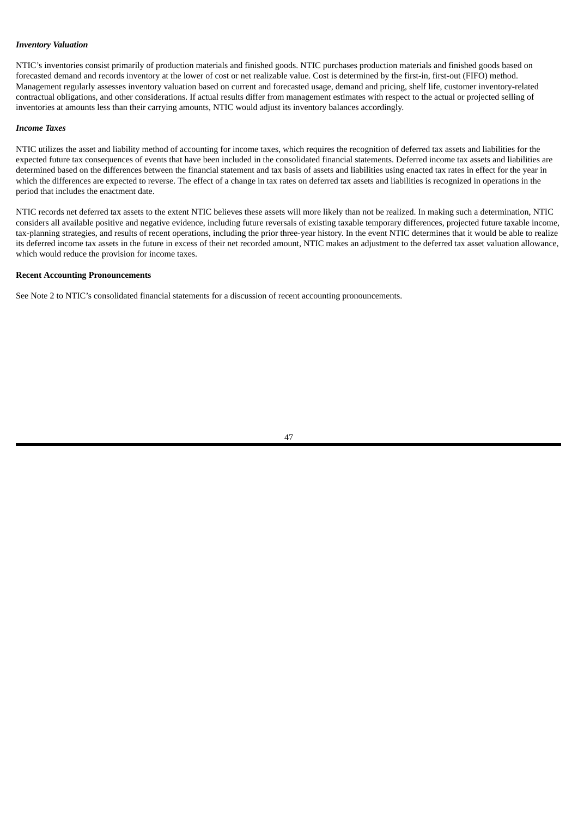### *Inventory Valuation*

NTIC's inventories consist primarily of production materials and finished goods. NTIC purchases production materials and finished goods based on forecasted demand and records inventory at the lower of cost or net realizable value. Cost is determined by the first-in, first-out (FIFO) method. Management regularly assesses inventory valuation based on current and forecasted usage, demand and pricing, shelf life, customer inventory-related contractual obligations, and other considerations. If actual results differ from management estimates with respect to the actual or projected selling of inventories at amounts less than their carrying amounts, NTIC would adjust its inventory balances accordingly.

#### *Income Taxes*

NTIC utilizes the asset and liability method of accounting for income taxes, which requires the recognition of deferred tax assets and liabilities for the expected future tax consequences of events that have been included in the consolidated financial statements. Deferred income tax assets and liabilities are determined based on the differences between the financial statement and tax basis of assets and liabilities using enacted tax rates in effect for the year in which the differences are expected to reverse. The effect of a change in tax rates on deferred tax assets and liabilities is recognized in operations in the period that includes the enactment date.

NTIC records net deferred tax assets to the extent NTIC believes these assets will more likely than not be realized. In making such a determination, NTIC considers all available positive and negative evidence, including future reversals of existing taxable temporary differences, projected future taxable income, tax-planning strategies, and results of recent operations, including the prior three-year history. In the event NTIC determines that it would be able to realize its deferred income tax assets in the future in excess of their net recorded amount, NTIC makes an adjustment to the deferred tax asset valuation allowance, which would reduce the provision for income taxes.

### **Recent Accounting Pronouncements**

See Note 2 to NTIC's consolidated financial statements for a discussion of recent accounting pronouncements.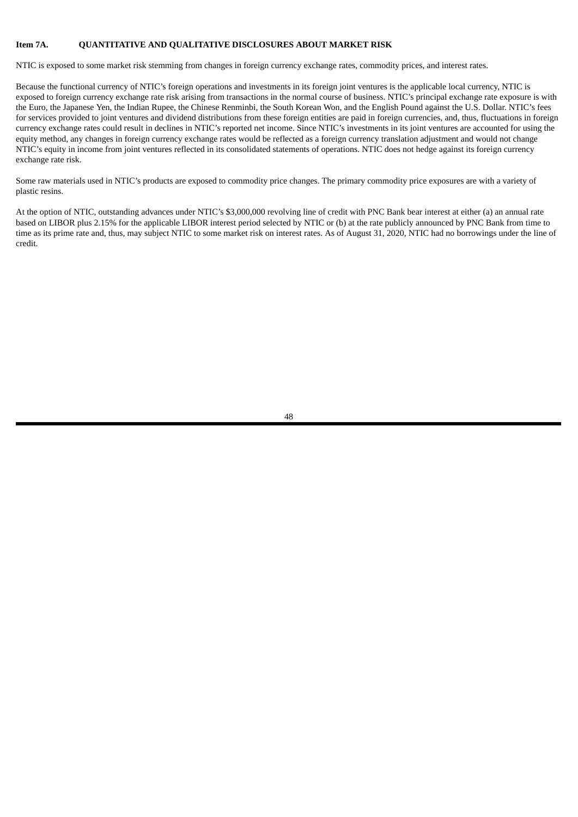### **Item 7A. QUANTITATIVE AND QUALITATIVE DISCLOSURES ABOUT MARKET RISK**

NTIC is exposed to some market risk stemming from changes in foreign currency exchange rates, commodity prices, and interest rates.

Because the functional currency of NTIC's foreign operations and investments in its foreign joint ventures is the applicable local currency, NTIC is exposed to foreign currency exchange rate risk arising from transactions in the normal course of business. NTIC's principal exchange rate exposure is with the Euro, the Japanese Yen, the Indian Rupee, the Chinese Renminbi, the South Korean Won, and the English Pound against the U.S. Dollar. NTIC's fees for services provided to joint ventures and dividend distributions from these foreign entities are paid in foreign currencies, and, thus, fluctuations in foreign currency exchange rates could result in declines in NTIC's reported net income. Since NTIC's investments in its joint ventures are accounted for using the equity method, any changes in foreign currency exchange rates would be reflected as a foreign currency translation adjustment and would not change NTIC's equity in income from joint ventures reflected in its consolidated statements of operations. NTIC does not hedge against its foreign currency exchange rate risk.

Some raw materials used in NTIC's products are exposed to commodity price changes. The primary commodity price exposures are with a variety of plastic resins.

At the option of NTIC, outstanding advances under NTIC's \$3,000,000 revolving line of credit with PNC Bank bear interest at either (a) an annual rate based on LIBOR plus 2.15% for the applicable LIBOR interest period selected by NTIC or (b) at the rate publicly announced by PNC Bank from time to time as its prime rate and, thus, may subject NTIC to some market risk on interest rates. As of August 31, 2020, NTIC had no borrowings under the line of credit.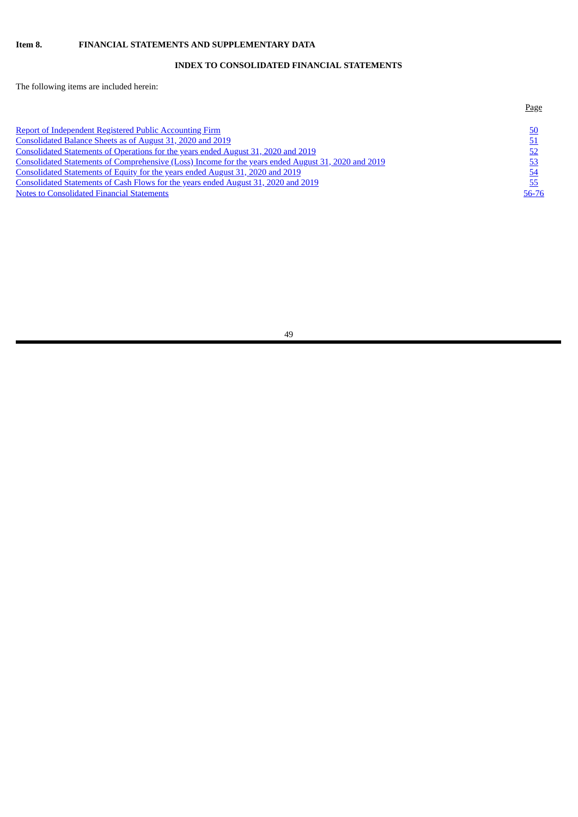# **INDEX TO CONSOLIDATED FINANCIAL STATEMENTS**

The following items are included herein:

|                                                                                                            | Page  |
|------------------------------------------------------------------------------------------------------------|-------|
|                                                                                                            |       |
| <b>Report of Independent Registered Public Accounting Firm</b>                                             |       |
| Consolidated Balance Sheets as of August 31, 2020 and 2019                                                 | 51    |
| Consolidated Statements of Operations for the years ended August 31, 2020 and 2019                         |       |
| <u>Consolidated Statements of Comprehensive (Loss) Income for the years ended August 31, 2020 and 2019</u> |       |
| Consolidated Statements of Equity for the years ended August 31, 2020 and 2019                             | 54    |
| Consolidated Statements of Cash Flows for the years ended August 31, 2020 and 2019                         |       |
| <b>Notes to Consolidated Financial Statements</b>                                                          | 56-76 |
|                                                                                                            |       |

```
49
```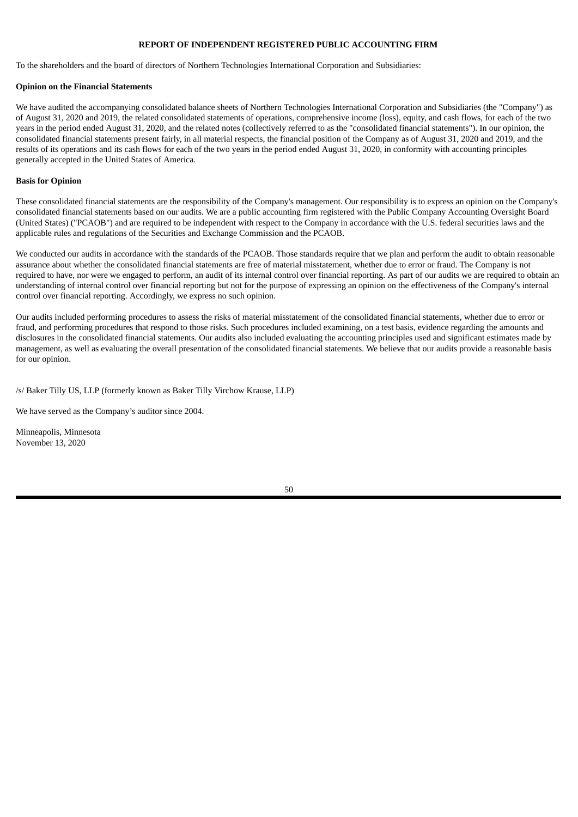### **REPORT OF INDEPENDENT REGISTERED PUBLIC ACCOUNTING FIRM**

<span id="page-53-0"></span>To the shareholders and the board of directors of Northern Technologies International Corporation and Subsidiaries:

#### **Opinion on the Financial Statements**

We have audited the accompanying consolidated balance sheets of Northern Technologies International Corporation and Subsidiaries (the "Company") as of August 31, 2020 and 2019, the related consolidated statements of operations, comprehensive income (loss), equity, and cash flows, for each of the two years in the period ended August 31, 2020, and the related notes (collectively referred to as the "consolidated financial statements"). In our opinion, the consolidated financial statements present fairly, in all material respects, the financial position of the Company as of August 31, 2020 and 2019, and the results of its operations and its cash flows for each of the two years in the period ended August 31, 2020, in conformity with accounting principles generally accepted in the United States of America.

### **Basis for Opinion**

These consolidated financial statements are the responsibility of the Company's management. Our responsibility is to express an opinion on the Company's consolidated financial statements based on our audits. We are a public accounting firm registered with the Public Company Accounting Oversight Board (United States) ("PCAOB") and are required to be independent with respect to the Company in accordance with the U.S. federal securities laws and the applicable rules and regulations of the Securities and Exchange Commission and the PCAOB.

We conducted our audits in accordance with the standards of the PCAOB. Those standards require that we plan and perform the audit to obtain reasonable assurance about whether the consolidated financial statements are free of material misstatement, whether due to error or fraud. The Company is not required to have, nor were we engaged to perform, an audit of its internal control over financial reporting. As part of our audits we are required to obtain an understanding of internal control over financial reporting but not for the purpose of expressing an opinion on the effectiveness of the Company's internal control over financial reporting. Accordingly, we express no such opinion.

Our audits included performing procedures to assess the risks of material misstatement of the consolidated financial statements, whether due to error or fraud, and performing procedures that respond to those risks. Such procedures included examining, on a test basis, evidence regarding the amounts and disclosures in the consolidated financial statements. Our audits also included evaluating the accounting principles used and significant estimates made by management, as well as evaluating the overall presentation of the consolidated financial statements. We believe that our audits provide a reasonable basis for our opinion.

/s/ Baker Tilly US, LLP (formerly known as Baker Tilly Virchow Krause, LLP)

We have served as the Company's auditor since 2004.

Minneapolis, Minnesota November 13, 2020

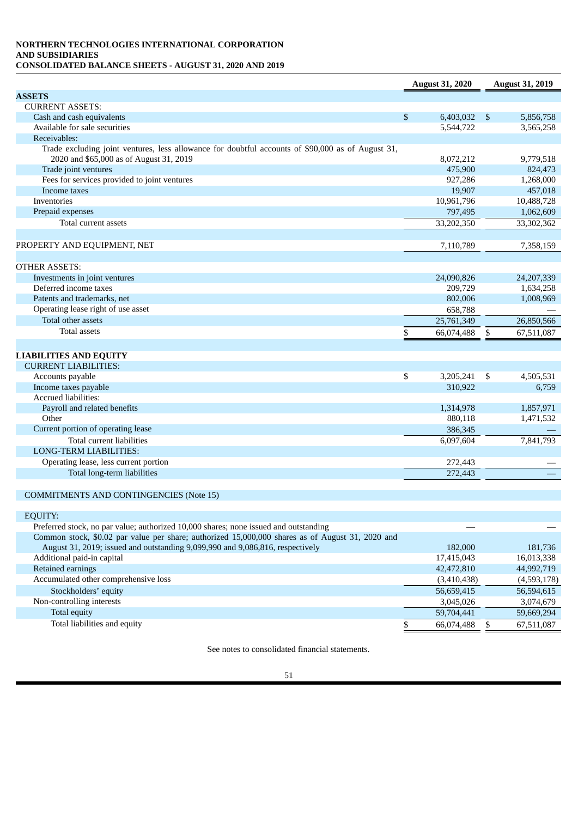# <span id="page-54-0"></span>**NORTHERN TECHNOLOGIES INTERNATIONAL CORPORATION AND SUBSIDIARIES CONSOLIDATED BALANCE SHEETS - AUGUST 31, 2020 AND 2019**

|                                                                                                   |                | <b>August 31, 2020</b> |      | <b>August 31, 2019</b> |
|---------------------------------------------------------------------------------------------------|----------------|------------------------|------|------------------------|
| <b>ASSETS</b>                                                                                     |                |                        |      |                        |
| <b>CURRENT ASSETS:</b>                                                                            |                |                        |      |                        |
| Cash and cash equivalents                                                                         | $\mathfrak{s}$ | 6,403,032              | - \$ | 5,856,758              |
| Available for sale securities                                                                     |                | 5,544,722              |      | 3,565,258              |
| Receivables:                                                                                      |                |                        |      |                        |
| Trade excluding joint ventures, less allowance for doubtful accounts of \$90,000 as of August 31, |                |                        |      |                        |
| 2020 and \$65,000 as of August 31, 2019                                                           |                | 8,072,212              |      | 9,779,518              |
| Trade joint ventures                                                                              |                | 475,900                |      | 824,473                |
| Fees for services provided to joint ventures                                                      |                | 927,286                |      | 1,268,000              |
| Income taxes                                                                                      |                | 19,907                 |      | 457,018                |
| Inventories                                                                                       |                | 10,961,796             |      | 10,488,728             |
| Prepaid expenses                                                                                  |                | 797,495                |      | 1,062,609              |
| Total current assets                                                                              |                | 33,202,350             |      | 33,302,362             |
|                                                                                                   |                |                        |      |                        |
| PROPERTY AND EQUIPMENT, NET                                                                       |                | 7,110,789              |      | 7,358,159              |
|                                                                                                   |                |                        |      |                        |
| <b>OTHER ASSETS:</b>                                                                              |                |                        |      |                        |
| Investments in joint ventures                                                                     |                | 24,090,826             |      | 24,207,339             |
| Deferred income taxes                                                                             |                | 209,729                |      | 1,634,258              |
| Patents and trademarks, net                                                                       |                | 802,006                |      | 1,008,969              |
| Operating lease right of use asset                                                                |                | 658,788                |      |                        |
| Total other assets                                                                                |                | 25,761,349             |      | 26,850,566             |
| <b>Total assets</b>                                                                               | \$             | 66,074,488             | \$   | 67,511,087             |
|                                                                                                   |                |                        |      |                        |
| <b>LIABILITIES AND EQUITY</b>                                                                     |                |                        |      |                        |
| <b>CURRENT LIABILITIES:</b>                                                                       |                |                        |      |                        |
| Accounts payable                                                                                  | \$             | 3,205,241              | \$   | 4,505,531              |
| Income taxes payable                                                                              |                | 310,922                |      | 6,759                  |
| Accrued liabilities:                                                                              |                |                        |      |                        |
| Payroll and related benefits                                                                      |                | 1,314,978              |      | 1,857,971              |
| Other                                                                                             |                | 880,118                |      | 1,471,532              |
| Current portion of operating lease                                                                |                | 386,345                |      |                        |
| Total current liabilities                                                                         |                | 6,097,604              |      | 7,841,793              |
| <b>LONG-TERM LIABILITIES:</b>                                                                     |                |                        |      |                        |
| Operating lease, less current portion                                                             |                | 272,443                |      |                        |
| Total long-term liabilities                                                                       |                | 272,443                |      |                        |
|                                                                                                   |                |                        |      |                        |

# COMMITMENTS AND CONTINGENCIES (Note 15)

EQUITY:

| Preferred stock, no par value; authorized 10,000 shares; none issued and outstanding             |             |             |
|--------------------------------------------------------------------------------------------------|-------------|-------------|
| Common stock, \$0.02 par value per share; authorized 15,000,000 shares as of August 31, 2020 and |             |             |
| August 31, 2019; issued and outstanding 9,099,990 and 9,086,816, respectively                    | 182,000     | 181,736     |
| Additional paid-in capital                                                                       | 17,415,043  | 16,013,338  |
| Retained earnings                                                                                | 42,472,810  | 44,992,719  |
| Accumulated other comprehensive loss                                                             | (3,410,438) | (4,593,178) |
| Stockholders' equity                                                                             | 56,659,415  | 56,594,615  |
| Non-controlling interests                                                                        | 3,045,026   | 3,074,679   |
| Total equity                                                                                     | 59,704,441  | 59,669,294  |
| Total liabilities and equity                                                                     | 66.074.488  | 67,511,087  |

See notes to consolidated financial statements.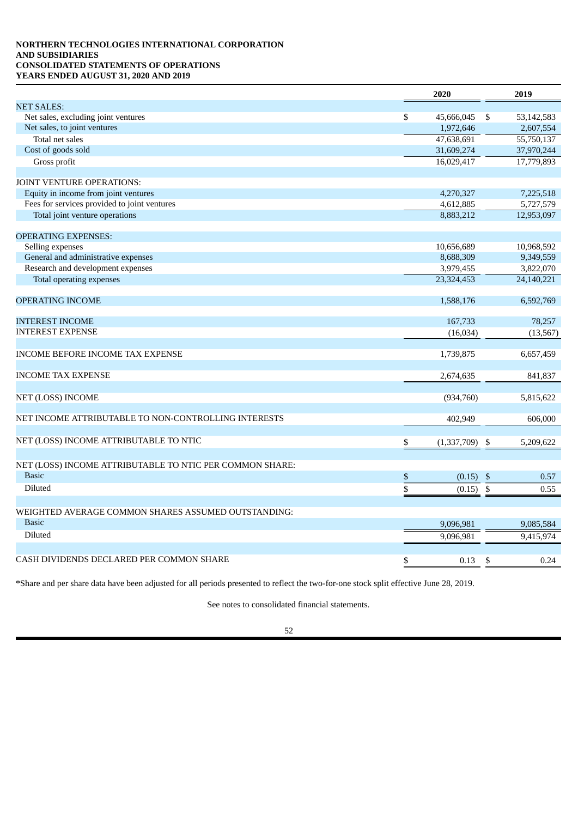# <span id="page-55-0"></span>**NORTHERN TECHNOLOGIES INTERNATIONAL CORPORATION AND SUBSIDIARIES CONSOLIDATED STATEMENTS OF OPERATIONS YEARS ENDED AUGUST 31, 2020 AND 2019**

|                                                                     |               | 2020                   | 2019             |
|---------------------------------------------------------------------|---------------|------------------------|------------------|
| <b>NET SALES:</b>                                                   |               |                        |                  |
| Net sales, excluding joint ventures                                 | \$            | 45,666,045             | \$<br>53,142,583 |
| Net sales, to joint ventures                                        |               | 1,972,646              | 2,607,554        |
| Total net sales                                                     |               | 47,638,691             | 55,750,137       |
| Cost of goods sold                                                  |               | 31,609,274             | 37,970,244       |
| Gross profit                                                        |               | 16,029,417             | 17,779,893       |
| <b>JOINT VENTURE OPERATIONS:</b>                                    |               |                        |                  |
| Equity in income from joint ventures                                |               | 4,270,327              | 7,225,518        |
| Fees for services provided to joint ventures                        |               | 4,612,885              | 5,727,579        |
| Total joint venture operations                                      |               | 8,883,212              | 12,953,097       |
| <b>OPERATING EXPENSES:</b>                                          |               |                        |                  |
| Selling expenses                                                    |               | 10,656,689             | 10,968,592       |
| General and administrative expenses                                 |               | 8,688,309              | 9,349,559        |
| Research and development expenses                                   |               | 3,979,455              | 3,822,070        |
| Total operating expenses                                            |               | 23,324,453             | 24,140,221       |
| <b>OPERATING INCOME</b>                                             |               | 1,588,176              | 6,592,769        |
| <b>INTEREST INCOME</b>                                              |               | 167,733                | 78,257           |
| <b>INTEREST EXPENSE</b>                                             |               | (16, 034)              | (13, 567)        |
| <b>INCOME BEFORE INCOME TAX EXPENSE</b>                             |               | 1,739,875              | 6,657,459        |
| <b>INCOME TAX EXPENSE</b>                                           |               | 2,674,635              | 841,837          |
| NET (LOSS) INCOME                                                   |               | (934,760)              | 5,815,622        |
| NET INCOME ATTRIBUTABLE TO NON-CONTROLLING INTERESTS                |               | 402,949                | 606,000          |
|                                                                     |               |                        |                  |
| NET (LOSS) INCOME ATTRIBUTABLE TO NTIC                              | \$            | (1,337,709)            | \$<br>5,209,622  |
| NET (LOSS) INCOME ATTRIBUTABLE TO NTIC PER COMMON SHARE:            |               |                        |                  |
| <b>Basic</b>                                                        | $\frac{3}{5}$ | $(0.15)$ \$            | 0.57             |
| Diluted                                                             | \$            | $\overline{(0.15)}$ \$ | 0.55             |
|                                                                     |               |                        |                  |
| WEIGHTED AVERAGE COMMON SHARES ASSUMED OUTSTANDING:<br><b>Basic</b> |               |                        |                  |
|                                                                     |               | 9,096,981              | 9,085,584        |
| <b>Diluted</b>                                                      |               | 9,096,981              | 9,415,974        |
| CASH DIVIDENDS DECLARED PER COMMON SHARE                            | \$            | 0.13                   | \$<br>0.24       |
|                                                                     |               |                        |                  |

\*Share and per share data have been adjusted for all periods presented to reflect the two-for-one stock split effective June 28, 2019.

See notes to consolidated financial statements.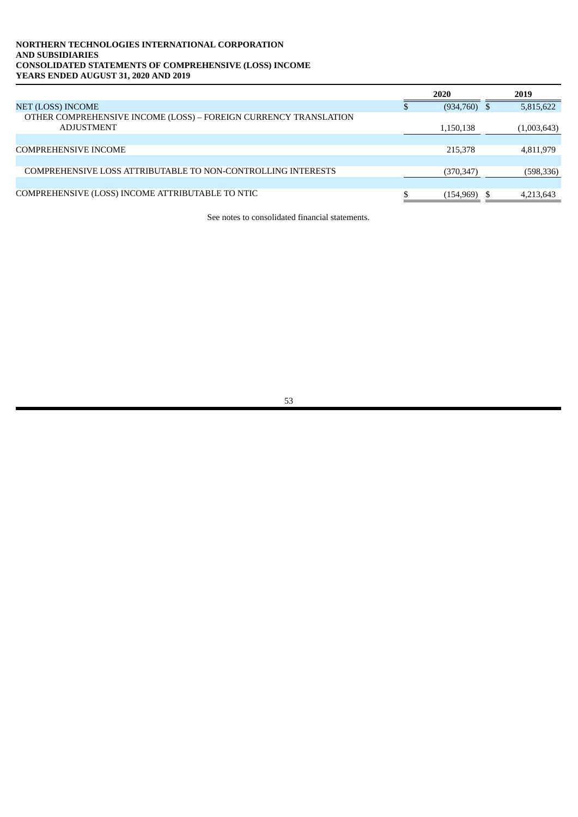# <span id="page-56-0"></span>**NORTHERN TECHNOLOGIES INTERNATIONAL CORPORATION AND SUBSIDIARIES CONSOLIDATED STATEMENTS OF COMPREHENSIVE (LOSS) INCOME YEARS ENDED AUGUST 31, 2020 AND 2019**

|                                                                  | 2020           | 2019        |
|------------------------------------------------------------------|----------------|-------------|
| NET (LOSS) INCOME                                                | $(934,760)$ \$ | 5,815,622   |
| OTHER COMPREHENSIVE INCOME (LOSS) - FOREIGN CURRENCY TRANSLATION |                |             |
| <b>ADJUSTMENT</b>                                                | 1,150,138      | (1,003,643) |
|                                                                  |                |             |
| <b>COMPREHENSIVE INCOME</b>                                      | 215,378        | 4,811,979   |
|                                                                  |                |             |
| COMPREHENSIVE LOSS ATTRIBUTABLE TO NON-CONTROLLING INTERESTS     | (370, 347)     | (598,336)   |
|                                                                  |                |             |
| COMPREHENSIVE (LOSS) INCOME ATTRIBUTABLE TO NTIC                 | (154, 969)     | 4,213,643   |

See notes to consolidated financial statements.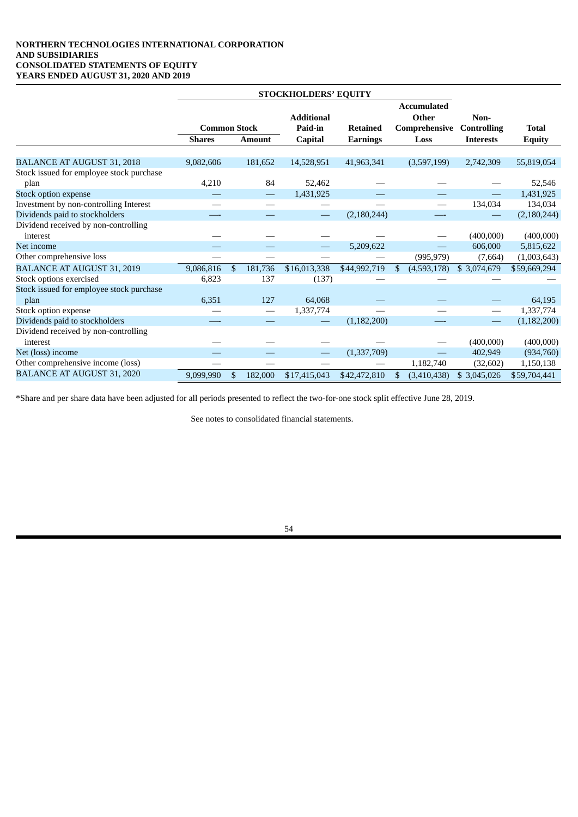# <span id="page-57-0"></span>**NORTHERN TECHNOLOGIES INTERNATIONAL CORPORATION AND SUBSIDIARIES CONSOLIDATED STATEMENTS OF EQUITY YEARS ENDED AUGUST 31, 2020 AND 2019**

|                                                  |                                      |              |               | <b>STOCKHOLDERS' EQUITY</b>                                                          |              |                                                      |                                                |                               |               |
|--------------------------------------------------|--------------------------------------|--------------|---------------|--------------------------------------------------------------------------------------|--------------|------------------------------------------------------|------------------------------------------------|-------------------------------|---------------|
|                                                  | <b>Common Stock</b><br><b>Shares</b> |              | <b>Amount</b> | <b>Additional</b><br>Paid-in<br><b>Retained</b><br><b>Capital</b><br><b>Earnings</b> |              | <b>Accumulated</b><br>Other<br>Comprehensive<br>Loss | Non-<br><b>Controlling</b><br><b>Interests</b> | <b>Total</b><br><b>Equity</b> |               |
|                                                  |                                      |              |               |                                                                                      |              |                                                      |                                                |                               |               |
| <b>BALANCE AT AUGUST 31, 2018</b>                | 9,082,606                            |              | 181,652       | 14,528,951                                                                           | 41,963,341   |                                                      | (3,597,199)                                    | 2,742,309                     | 55,819,054    |
| Stock issued for employee stock purchase         |                                      |              |               |                                                                                      |              |                                                      |                                                |                               |               |
| plan                                             | 4,210                                |              | 84            | 52,462                                                                               |              |                                                      |                                                |                               | 52,546        |
| Stock option expense                             |                                      |              |               | 1,431,925                                                                            |              |                                                      |                                                |                               | 1,431,925     |
| Investment by non-controlling Interest           |                                      |              |               |                                                                                      |              |                                                      | $\qquad \qquad$                                | 134,034                       | 134,034       |
| Dividends paid to stockholders                   |                                      |              |               | $\qquad \qquad -$                                                                    | (2,180,244)  |                                                      |                                                |                               | (2, 180, 244) |
| Dividend received by non-controlling<br>interest |                                      |              |               |                                                                                      |              |                                                      |                                                | (400,000)                     | (400,000)     |
| Net income                                       |                                      |              |               | $\qquad \qquad -$                                                                    | 5,209,622    |                                                      |                                                | 606,000                       | 5,815,622     |
| Other comprehensive loss                         |                                      |              |               |                                                                                      |              |                                                      | (995, 979)                                     | (7,664)                       | (1,003,643)   |
| <b>BALANCE AT AUGUST 31, 2019</b>                | 9,086,816                            | $\mathbf{s}$ | 181,736       | \$16,013,338                                                                         | \$44,992,719 | $\mathbb{S}$                                         | (4,593,178)                                    | \$3,074,679                   | \$59,669,294  |
| Stock options exercised                          | 6,823                                |              | 137           | (137)                                                                                |              |                                                      |                                                |                               |               |
| Stock issued for employee stock purchase         |                                      |              |               |                                                                                      |              |                                                      |                                                |                               |               |
| plan                                             | 6,351                                |              | 127           | 64,068                                                                               |              |                                                      |                                                |                               | 64,195        |
| Stock option expense                             |                                      |              |               | 1,337,774                                                                            |              |                                                      |                                                |                               | 1,337,774     |
| Dividends paid to stockholders                   |                                      |              |               |                                                                                      | (1,182,200)  |                                                      |                                                |                               | (1, 182, 200) |
| Dividend received by non-controlling<br>interest |                                      |              |               |                                                                                      |              |                                                      |                                                | (400,000)                     | (400,000)     |
| Net (loss) income                                |                                      |              |               | $\overline{\phantom{m}}$                                                             | (1,337,709)  |                                                      |                                                | 402,949                       | (934,760)     |
| Other comprehensive income (loss)                |                                      |              |               |                                                                                      |              |                                                      | 1,182,740                                      | (32,602)                      | 1,150,138     |
| <b>BALANCE AT AUGUST 31, 2020</b>                | 9,099,990                            |              | 182,000       | \$17,415,043                                                                         | \$42,472,810 | \$                                                   | (3,410,438)                                    | \$3,045,026                   | \$59,704,441  |

\*Share and per share data have been adjusted for all periods presented to reflect the two-for-one stock split effective June 28, 2019.

See notes to consolidated financial statements.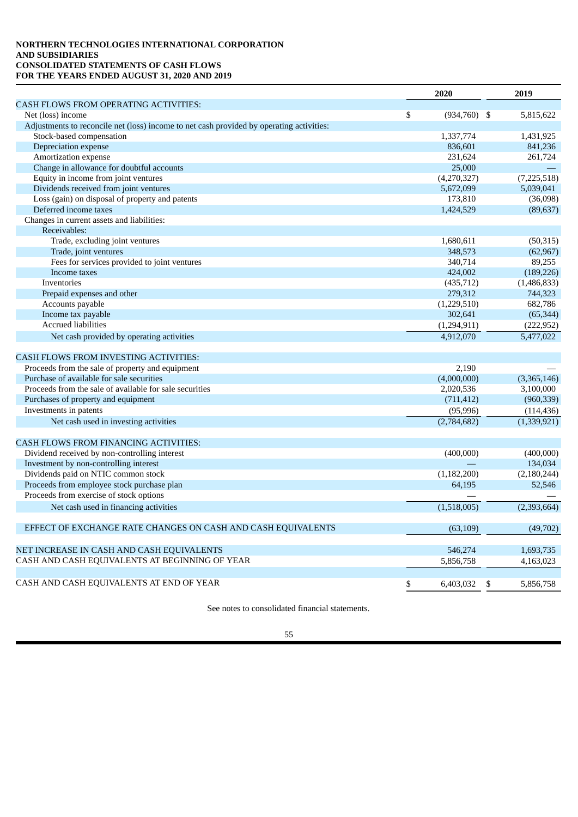# <span id="page-58-0"></span>**NORTHERN TECHNOLOGIES INTERNATIONAL CORPORATION AND SUBSIDIARIES CONSOLIDATED STATEMENTS OF CASH FLOWS FOR THE YEARS ENDED AUGUST 31, 2020 AND 2019**

|                                                                                          | 2020                 | 2019            |
|------------------------------------------------------------------------------------------|----------------------|-----------------|
| <b>CASH FLOWS FROM OPERATING ACTIVITIES:</b>                                             |                      |                 |
| Net (loss) income                                                                        | \$<br>$(934,760)$ \$ | 5,815,622       |
| Adjustments to reconcile net (loss) income to net cash provided by operating activities: |                      |                 |
| Stock-based compensation                                                                 | 1,337,774            | 1,431,925       |
| Depreciation expense                                                                     | 836,601              | 841,236         |
| Amortization expense                                                                     | 231,624              | 261,724         |
| Change in allowance for doubtful accounts                                                | 25,000               |                 |
| Equity in income from joint ventures                                                     | (4,270,327)          | (7, 225, 518)   |
| Dividends received from joint ventures                                                   | 5,672,099            | 5,039,041       |
| Loss (gain) on disposal of property and patents                                          | 173,810              | (36,098)        |
| Deferred income taxes                                                                    | 1,424,529            | (89, 637)       |
| Changes in current assets and liabilities:                                               |                      |                 |
| Receivables:                                                                             |                      |                 |
| Trade, excluding joint ventures                                                          | 1,680,611            | (50, 315)       |
| Trade, joint ventures                                                                    | 348,573              | (62, 967)       |
| Fees for services provided to joint ventures                                             | 340,714              | 89,255          |
| Income taxes                                                                             | 424,002              | (189, 226)      |
| <b>Inventories</b>                                                                       | (435, 712)           | (1,486,833)     |
| Prepaid expenses and other                                                               | 279,312              | 744,323         |
| Accounts payable                                                                         | (1,229,510)          | 682,786         |
| Income tax payable                                                                       | 302,641              | (65, 344)       |
| <b>Accrued liabilities</b>                                                               | (1,294,911)          | (222, 952)      |
| Net cash provided by operating activities                                                | 4.912.070            | 5,477,022       |
|                                                                                          |                      |                 |
| <b>CASH FLOWS FROM INVESTING ACTIVITIES:</b>                                             |                      |                 |
| Proceeds from the sale of property and equipment                                         | 2,190                |                 |
| Purchase of available for sale securities                                                | (4,000,000)          | (3,365,146)     |
| Proceeds from the sale of available for sale securities                                  | 2,020,536            | 3,100,000       |
| Purchases of property and equipment                                                      | (711, 412)           | (960, 339)      |
| Investments in patents                                                                   | (95, 996)            | (114, 436)      |
| Net cash used in investing activities                                                    | (2,784,682)          | (1,339,921)     |
|                                                                                          |                      |                 |
| CASH FLOWS FROM FINANCING ACTIVITIES:                                                    |                      |                 |
| Dividend received by non-controlling interest                                            | (400,000)            | (400,000)       |
| Investment by non-controlling interest                                                   |                      | 134,034         |
| Dividends paid on NTIC common stock                                                      | (1, 182, 200)        | (2, 180, 244)   |
| Proceeds from employee stock purchase plan                                               | 64,195               | 52,546          |
| Proceeds from exercise of stock options                                                  |                      |                 |
| Net cash used in financing activities                                                    | (1,518,005)          | (2,393,664)     |
|                                                                                          |                      |                 |
| EFFECT OF EXCHANGE RATE CHANGES ON CASH AND CASH EQUIVALENTS                             | (63, 109)            | (49,702)        |
|                                                                                          |                      |                 |
| NET INCREASE IN CASH AND CASH EQUIVALENTS                                                | 546,274              | 1,693,735       |
| CASH AND CASH EQUIVALENTS AT BEGINNING OF YEAR                                           | 5,856,758            | 4,163,023       |
|                                                                                          |                      |                 |
| CASH AND CASH EQUIVALENTS AT END OF YEAR                                                 |                      |                 |
|                                                                                          | \$<br>6,403,032      | \$<br>5,856,758 |
|                                                                                          |                      |                 |

See notes to consolidated financial statements.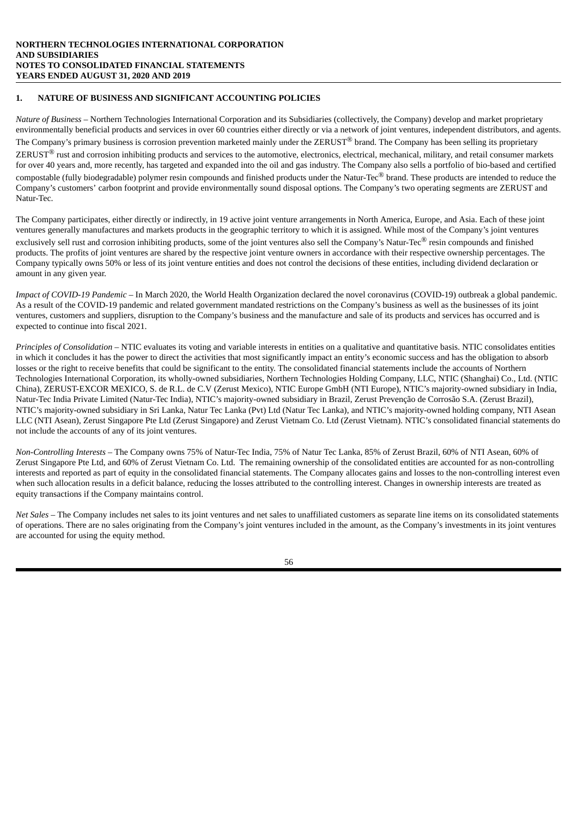# <span id="page-59-0"></span>**1. NATURE OF BUSINESS AND SIGNIFICANT ACCOUNTING POLICIES**

*Nature of Business* – Northern Technologies International Corporation and its Subsidiaries (collectively, the Company) develop and market proprietary environmentally beneficial products and services in over 60 countries either directly or via a network of joint ventures, independent distributors, and agents. The Company's primary business is corrosion prevention marketed mainly under the ZERUST<sup>®</sup> brand. The Company has been selling its proprietary  $\text{ZERUST}^{\circledR}$  rust and corrosion inhibiting products and services to the automotive, electronics, electrical, mechanical, military, and retail consumer markets for over 40 years and, more recently, has targeted and expanded into the oil and gas industry. The Company also sells a portfolio of bio-based and certified compostable (fully biodegradable) polymer resin compounds and finished products under the Natur-Tec® brand. These products are intended to reduce the Company's customers' carbon footprint and provide environmentally sound disposal options. The Company's two operating segments are ZERUST and Natur-Tec.

The Company participates, either directly or indirectly, in 19 active joint venture arrangements in North America, Europe, and Asia. Each of these joint ventures generally manufactures and markets products in the geographic territory to which it is assigned. While most of the Company's joint ventures exclusively sell rust and corrosion inhibiting products, some of the joint ventures also sell the Company's Natur-Tec<sup>®</sup> resin compounds and finished products. The profits of joint ventures are shared by the respective joint venture owners in accordance with their respective ownership percentages. The Company typically owns 50% or less of its joint venture entities and does not control the decisions of these entities, including dividend declaration or amount in any given year.

*Impact of COVID-19 Pandemic* – In March 2020, the World Health Organization declared the novel coronavirus (COVID-19) outbreak a global pandemic. As a result of the COVID-19 pandemic and related government mandated restrictions on the Company's business as well as the businesses of its joint ventures, customers and suppliers, disruption to the Company's business and the manufacture and sale of its products and services has occurred and is expected to continue into fiscal 2021.

*Principles of Consolidation* – NTIC evaluates its voting and variable interests in entities on a qualitative and quantitative basis. NTIC consolidates entities in which it concludes it has the power to direct the activities that most significantly impact an entity's economic success and has the obligation to absorb losses or the right to receive benefits that could be significant to the entity. The consolidated financial statements include the accounts of Northern Technologies International Corporation, its wholly-owned subsidiaries, Northern Technologies Holding Company, LLC, NTIC (Shanghai) Co., Ltd. (NTIC China), ZERUST-EXCOR MEXICO, S. de R.L. de C.V (Zerust Mexico), NTIC Europe GmbH (NTI Europe), NTIC's majority-owned subsidiary in India, Natur-Tec India Private Limited (Natur-Tec India), NTIC's majority-owned subsidiary in Brazil, Zerust Prevenção de Corrosão S.A. (Zerust Brazil), NTIC's majority-owned subsidiary in Sri Lanka, Natur Tec Lanka (Pvt) Ltd (Natur Tec Lanka), and NTIC's majority-owned holding company, NTI Asean LLC (NTI Asean), Zerust Singapore Pte Ltd (Zerust Singapore) and Zerust Vietnam Co. Ltd (Zerust Vietnam). NTIC's consolidated financial statements do not include the accounts of any of its joint ventures.

*Non-Controlling Interests* – The Company owns 75% of Natur-Tec India, 75% of Natur Tec Lanka, 85% of Zerust Brazil, 60% of NTI Asean, 60% of Zerust Singapore Pte Ltd, and 60% of Zerust Vietnam Co. Ltd. The remaining ownership of the consolidated entities are accounted for as non-controlling interests and reported as part of equity in the consolidated financial statements. The Company allocates gains and losses to the non-controlling interest even when such allocation results in a deficit balance, reducing the losses attributed to the controlling interest. Changes in ownership interests are treated as equity transactions if the Company maintains control.

*Net Sales* – The Company includes net sales to its joint ventures and net sales to unaffiliated customers as separate line items on its consolidated statements of operations. There are no sales originating from the Company's joint ventures included in the amount, as the Company's investments in its joint ventures are accounted for using the equity method.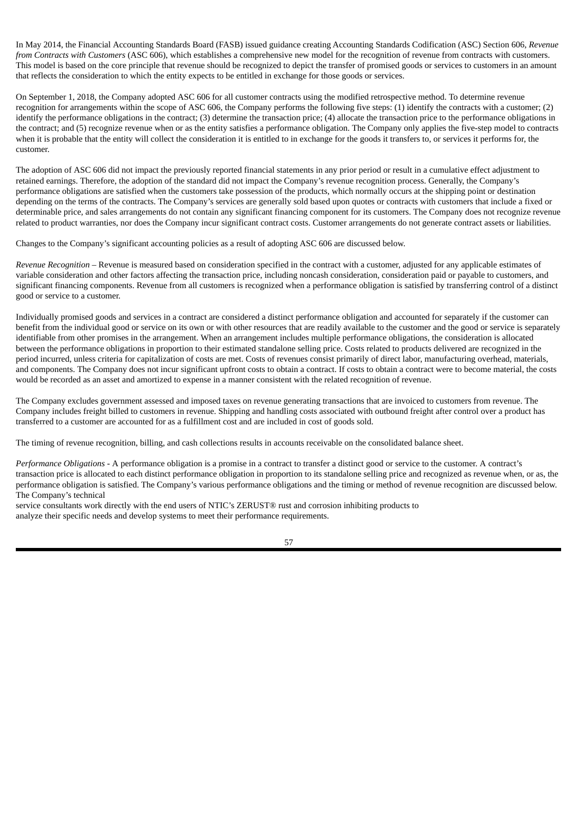In May 2014, the Financial Accounting Standards Board (FASB) issued guidance creating Accounting Standards Codification (ASC) Section 606, *Revenue from Contracts with Customers* (ASC 606), which establishes a comprehensive new model for the recognition of revenue from contracts with customers. This model is based on the core principle that revenue should be recognized to depict the transfer of promised goods or services to customers in an amount that reflects the consideration to which the entity expects to be entitled in exchange for those goods or services.

On September 1, 2018, the Company adopted ASC 606 for all customer contracts using the modified retrospective method. To determine revenue recognition for arrangements within the scope of ASC 606, the Company performs the following five steps: (1) identify the contracts with a customer; (2) identify the performance obligations in the contract; (3) determine the transaction price; (4) allocate the transaction price to the performance obligations in the contract; and (5) recognize revenue when or as the entity satisfies a performance obligation. The Company only applies the five-step model to contracts when it is probable that the entity will collect the consideration it is entitled to in exchange for the goods it transfers to, or services it performs for, the customer.

The adoption of ASC 606 did not impact the previously reported financial statements in any prior period or result in a cumulative effect adjustment to retained earnings. Therefore, the adoption of the standard did not impact the Company's revenue recognition process. Generally, the Company's performance obligations are satisfied when the customers take possession of the products, which normally occurs at the shipping point or destination depending on the terms of the contracts. The Company's services are generally sold based upon quotes or contracts with customers that include a fixed or determinable price, and sales arrangements do not contain any significant financing component for its customers. The Company does not recognize revenue related to product warranties, nor does the Company incur significant contract costs. Customer arrangements do not generate contract assets or liabilities.

Changes to the Company's significant accounting policies as a result of adopting ASC 606 are discussed below.

*Revenue Recognition* – Revenue is measured based on consideration specified in the contract with a customer, adjusted for any applicable estimates of variable consideration and other factors affecting the transaction price, including noncash consideration, consideration paid or payable to customers, and significant financing components. Revenue from all customers is recognized when a performance obligation is satisfied by transferring control of a distinct good or service to a customer.

Individually promised goods and services in a contract are considered a distinct performance obligation and accounted for separately if the customer can benefit from the individual good or service on its own or with other resources that are readily available to the customer and the good or service is separately identifiable from other promises in the arrangement. When an arrangement includes multiple performance obligations, the consideration is allocated between the performance obligations in proportion to their estimated standalone selling price. Costs related to products delivered are recognized in the period incurred, unless criteria for capitalization of costs are met. Costs of revenues consist primarily of direct labor, manufacturing overhead, materials, and components. The Company does not incur significant upfront costs to obtain a contract. If costs to obtain a contract were to become material, the costs would be recorded as an asset and amortized to expense in a manner consistent with the related recognition of revenue.

The Company excludes government assessed and imposed taxes on revenue generating transactions that are invoiced to customers from revenue. The Company includes freight billed to customers in revenue. Shipping and handling costs associated with outbound freight after control over a product has transferred to a customer are accounted for as a fulfillment cost and are included in cost of goods sold.

The timing of revenue recognition, billing, and cash collections results in accounts receivable on the consolidated balance sheet.

*Performance Obligations* - A performance obligation is a promise in a contract to transfer a distinct good or service to the customer. A contract's transaction price is allocated to each distinct performance obligation in proportion to its standalone selling price and recognized as revenue when, or as, the performance obligation is satisfied. The Company's various performance obligations and the timing or method of revenue recognition are discussed below. The Company's technical

service consultants work directly with the end users of NTIC's ZERUST® rust and corrosion inhibiting products to analyze their specific needs and develop systems to meet their performance requirements.

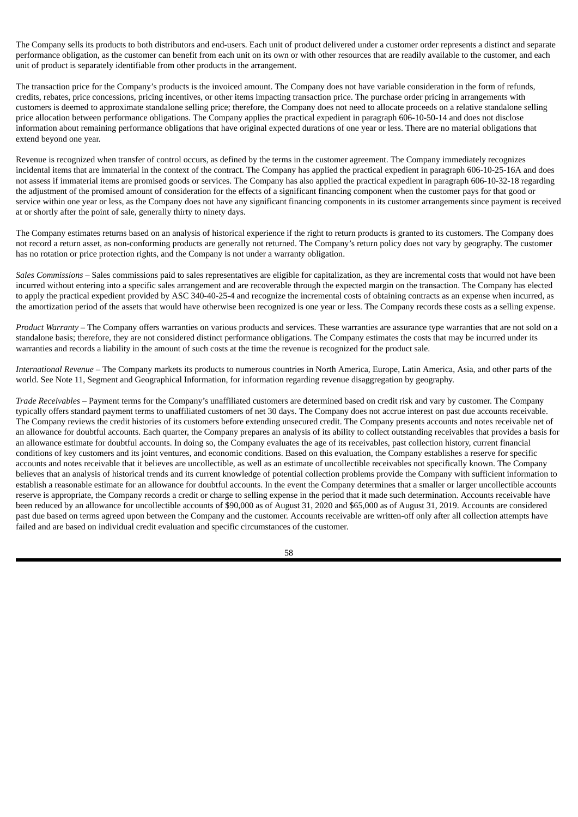The Company sells its products to both distributors and end-users. Each unit of product delivered under a customer order represents a distinct and separate performance obligation, as the customer can benefit from each unit on its own or with other resources that are readily available to the customer, and each unit of product is separately identifiable from other products in the arrangement.

The transaction price for the Company's products is the invoiced amount. The Company does not have variable consideration in the form of refunds, credits, rebates, price concessions, pricing incentives, or other items impacting transaction price. The purchase order pricing in arrangements with customers is deemed to approximate standalone selling price; therefore, the Company does not need to allocate proceeds on a relative standalone selling price allocation between performance obligations. The Company applies the practical expedient in paragraph 606-10-50-14 and does not disclose information about remaining performance obligations that have original expected durations of one year or less. There are no material obligations that extend beyond one year.

Revenue is recognized when transfer of control occurs, as defined by the terms in the customer agreement. The Company immediately recognizes incidental items that are immaterial in the context of the contract. The Company has applied the practical expedient in paragraph 606-10-25-16A and does not assess if immaterial items are promised goods or services. The Company has also applied the practical expedient in paragraph 606-10-32-18 regarding the adjustment of the promised amount of consideration for the effects of a significant financing component when the customer pays for that good or service within one year or less, as the Company does not have any significant financing components in its customer arrangements since payment is received at or shortly after the point of sale, generally thirty to ninety days.

The Company estimates returns based on an analysis of historical experience if the right to return products is granted to its customers. The Company does not record a return asset, as non-conforming products are generally not returned. The Company's return policy does not vary by geography. The customer has no rotation or price protection rights, and the Company is not under a warranty obligation.

*Sales Commissions* – Sales commissions paid to sales representatives are eligible for capitalization, as they are incremental costs that would not have been incurred without entering into a specific sales arrangement and are recoverable through the expected margin on the transaction. The Company has elected to apply the practical expedient provided by ASC 340-40-25-4 and recognize the incremental costs of obtaining contracts as an expense when incurred, as the amortization period of the assets that would have otherwise been recognized is one year or less. The Company records these costs as a selling expense.

*Product Warranty* – The Company offers warranties on various products and services. These warranties are assurance type warranties that are not sold on a standalone basis; therefore, they are not considered distinct performance obligations. The Company estimates the costs that may be incurred under its warranties and records a liability in the amount of such costs at the time the revenue is recognized for the product sale.

*International Revenue* – The Company markets its products to numerous countries in North America, Europe, Latin America, Asia, and other parts of the world. See Note 11, Segment and Geographical Information, for information regarding revenue disaggregation by geography.

*Trade Receivables* – Payment terms for the Company's unaffiliated customers are determined based on credit risk and vary by customer. The Company typically offers standard payment terms to unaffiliated customers of net 30 days. The Company does not accrue interest on past due accounts receivable. The Company reviews the credit histories of its customers before extending unsecured credit. The Company presents accounts and notes receivable net of an allowance for doubtful accounts. Each quarter, the Company prepares an analysis of its ability to collect outstanding receivables that provides a basis for an allowance estimate for doubtful accounts. In doing so, the Company evaluates the age of its receivables, past collection history, current financial conditions of key customers and its joint ventures, and economic conditions. Based on this evaluation, the Company establishes a reserve for specific accounts and notes receivable that it believes are uncollectible, as well as an estimate of uncollectible receivables not specifically known. The Company believes that an analysis of historical trends and its current knowledge of potential collection problems provide the Company with sufficient information to establish a reasonable estimate for an allowance for doubtful accounts. In the event the Company determines that a smaller or larger uncollectible accounts reserve is appropriate, the Company records a credit or charge to selling expense in the period that it made such determination. Accounts receivable have been reduced by an allowance for uncollectible accounts of \$90,000 as of August 31, 2020 and \$65,000 as of August 31, 2019. Accounts are considered past due based on terms agreed upon between the Company and the customer. Accounts receivable are written-off only after all collection attempts have failed and are based on individual credit evaluation and specific circumstances of the customer.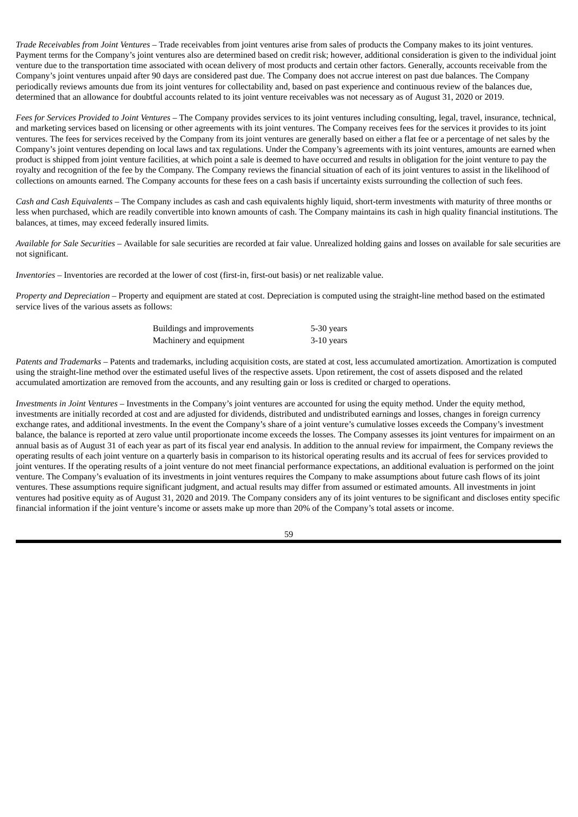*Trade Receivables from Joint Ventures* – Trade receivables from joint ventures arise from sales of products the Company makes to its joint ventures. Payment terms for the Company's joint ventures also are determined based on credit risk; however, additional consideration is given to the individual joint venture due to the transportation time associated with ocean delivery of most products and certain other factors. Generally, accounts receivable from the Company's joint ventures unpaid after 90 days are considered past due. The Company does not accrue interest on past due balances. The Company periodically reviews amounts due from its joint ventures for collectability and, based on past experience and continuous review of the balances due, determined that an allowance for doubtful accounts related to its joint venture receivables was not necessary as of August 31, 2020 or 2019.

*Fees for Services Provided to Joint Ventures –* The Company provides services to its joint ventures including consulting, legal, travel, insurance, technical, and marketing services based on licensing or other agreements with its joint ventures. The Company receives fees for the services it provides to its joint ventures. The fees for services received by the Company from its joint ventures are generally based on either a flat fee or a percentage of net sales by the Company's joint ventures depending on local laws and tax regulations. Under the Company's agreements with its joint ventures, amounts are earned when product is shipped from joint venture facilities, at which point a sale is deemed to have occurred and results in obligation for the joint venture to pay the royalty and recognition of the fee by the Company. The Company reviews the financial situation of each of its joint ventures to assist in the likelihood of collections on amounts earned. The Company accounts for these fees on a cash basis if uncertainty exists surrounding the collection of such fees.

*Cash and Cash Equivalents* – The Company includes as cash and cash equivalents highly liquid, short-term investments with maturity of three months or less when purchased, which are readily convertible into known amounts of cash. The Company maintains its cash in high quality financial institutions. The balances, at times, may exceed federally insured limits.

*Available for Sale Securities* – Available for sale securities are recorded at fair value. Unrealized holding gains and losses on available for sale securities are not significant.

*Inventories* – Inventories are recorded at the lower of cost (first-in, first-out basis) or net realizable value.

*Property and Depreciation* – Property and equipment are stated at cost. Depreciation is computed using the straight-line method based on the estimated service lives of the various assets as follows:

| Buildings and improvements | 5-30 years |
|----------------------------|------------|
| Machinery and equipment    | 3-10 years |

*Patents and Trademarks* – Patents and trademarks, including acquisition costs, are stated at cost, less accumulated amortization. Amortization is computed using the straight-line method over the estimated useful lives of the respective assets. Upon retirement, the cost of assets disposed and the related accumulated amortization are removed from the accounts, and any resulting gain or loss is credited or charged to operations.

*Investments in Joint Ventures* – Investments in the Company's joint ventures are accounted for using the equity method. Under the equity method, investments are initially recorded at cost and are adjusted for dividends, distributed and undistributed earnings and losses, changes in foreign currency exchange rates, and additional investments. In the event the Company's share of a joint venture's cumulative losses exceeds the Company's investment balance, the balance is reported at zero value until proportionate income exceeds the losses. The Company assesses its joint ventures for impairment on an annual basis as of August 31 of each year as part of its fiscal year end analysis. In addition to the annual review for impairment, the Company reviews the operating results of each joint venture on a quarterly basis in comparison to its historical operating results and its accrual of fees for services provided to joint ventures. If the operating results of a joint venture do not meet financial performance expectations, an additional evaluation is performed on the joint venture. The Company's evaluation of its investments in joint ventures requires the Company to make assumptions about future cash flows of its joint ventures. These assumptions require significant judgment, and actual results may differ from assumed or estimated amounts. All investments in joint ventures had positive equity as of August 31, 2020 and 2019. The Company considers any of its joint ventures to be significant and discloses entity specific financial information if the joint venture's income or assets make up more than 20% of the Company's total assets or income.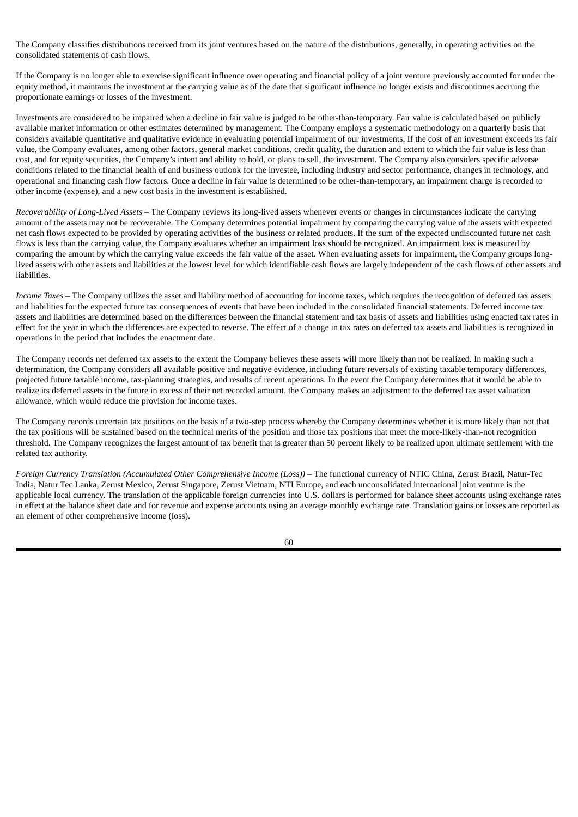The Company classifies distributions received from its joint ventures based on the nature of the distributions, generally, in operating activities on the consolidated statements of cash flows.

If the Company is no longer able to exercise significant influence over operating and financial policy of a joint venture previously accounted for under the equity method, it maintains the investment at the carrying value as of the date that significant influence no longer exists and discontinues accruing the proportionate earnings or losses of the investment.

Investments are considered to be impaired when a decline in fair value is judged to be other-than-temporary. Fair value is calculated based on publicly available market information or other estimates determined by management. The Company employs a systematic methodology on a quarterly basis that considers available quantitative and qualitative evidence in evaluating potential impairment of our investments. If the cost of an investment exceeds its fair value, the Company evaluates, among other factors, general market conditions, credit quality, the duration and extent to which the fair value is less than cost, and for equity securities, the Company's intent and ability to hold, or plans to sell, the investment. The Company also considers specific adverse conditions related to the financial health of and business outlook for the investee, including industry and sector performance, changes in technology, and operational and financing cash flow factors. Once a decline in fair value is determined to be other-than-temporary, an impairment charge is recorded to other income (expense), and a new cost basis in the investment is established.

*Recoverability of Long-Lived Assets* – The Company reviews its long-lived assets whenever events or changes in circumstances indicate the carrying amount of the assets may not be recoverable. The Company determines potential impairment by comparing the carrying value of the assets with expected net cash flows expected to be provided by operating activities of the business or related products. If the sum of the expected undiscounted future net cash flows is less than the carrying value, the Company evaluates whether an impairment loss should be recognized. An impairment loss is measured by comparing the amount by which the carrying value exceeds the fair value of the asset. When evaluating assets for impairment, the Company groups longlived assets with other assets and liabilities at the lowest level for which identifiable cash flows are largely independent of the cash flows of other assets and liabilities.

*Income Taxes* – The Company utilizes the asset and liability method of accounting for income taxes, which requires the recognition of deferred tax assets and liabilities for the expected future tax consequences of events that have been included in the consolidated financial statements. Deferred income tax assets and liabilities are determined based on the differences between the financial statement and tax basis of assets and liabilities using enacted tax rates in effect for the year in which the differences are expected to reverse. The effect of a change in tax rates on deferred tax assets and liabilities is recognized in operations in the period that includes the enactment date.

The Company records net deferred tax assets to the extent the Company believes these assets will more likely than not be realized. In making such a determination, the Company considers all available positive and negative evidence, including future reversals of existing taxable temporary differences, projected future taxable income, tax-planning strategies, and results of recent operations. In the event the Company determines that it would be able to realize its deferred assets in the future in excess of their net recorded amount, the Company makes an adjustment to the deferred tax asset valuation allowance, which would reduce the provision for income taxes.

The Company records uncertain tax positions on the basis of a two-step process whereby the Company determines whether it is more likely than not that the tax positions will be sustained based on the technical merits of the position and those tax positions that meet the more-likely-than-not recognition threshold. The Company recognizes the largest amount of tax benefit that is greater than 50 percent likely to be realized upon ultimate settlement with the related tax authority.

*Foreign Currency Translation (Accumulated Other Comprehensive Income (Loss))* – The functional currency of NTIC China, Zerust Brazil, Natur-Tec India, Natur Tec Lanka, Zerust Mexico, Zerust Singapore, Zerust Vietnam, NTI Europe, and each unconsolidated international joint venture is the applicable local currency. The translation of the applicable foreign currencies into U.S. dollars is performed for balance sheet accounts using exchange rates in effect at the balance sheet date and for revenue and expense accounts using an average monthly exchange rate. Translation gains or losses are reported as an element of other comprehensive income (loss).

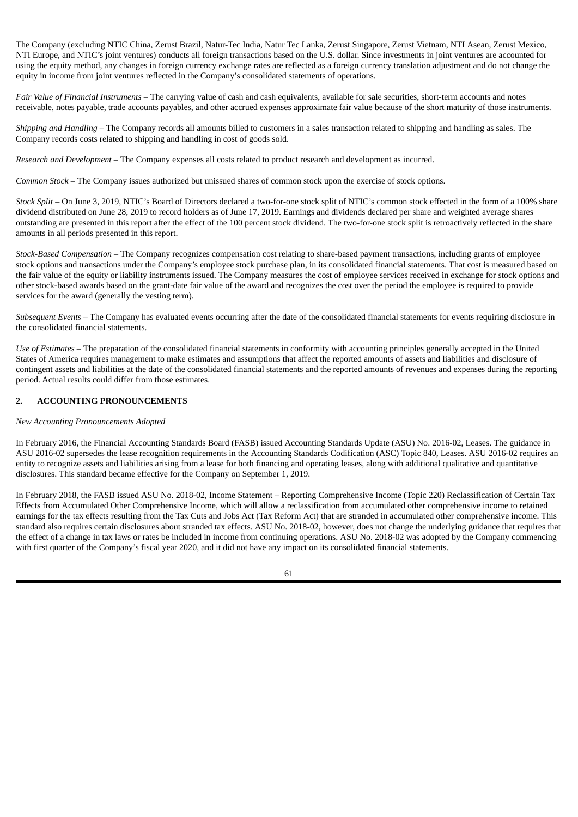The Company (excluding NTIC China, Zerust Brazil, Natur-Tec India, Natur Tec Lanka, Zerust Singapore, Zerust Vietnam, NTI Asean, Zerust Mexico, NTI Europe, and NTIC's joint ventures) conducts all foreign transactions based on the U.S. dollar. Since investments in joint ventures are accounted for using the equity method, any changes in foreign currency exchange rates are reflected as a foreign currency translation adjustment and do not change the equity in income from joint ventures reflected in the Company's consolidated statements of operations.

*Fair Value of Financial Instruments* – The carrying value of cash and cash equivalents, available for sale securities, short-term accounts and notes receivable, notes payable, trade accounts payables, and other accrued expenses approximate fair value because of the short maturity of those instruments.

*Shipping and Handling* – The Company records all amounts billed to customers in a sales transaction related to shipping and handling as sales. The Company records costs related to shipping and handling in cost of goods sold.

*Research and Development* – The Company expenses all costs related to product research and development as incurred.

*Common Stock* – The Company issues authorized but unissued shares of common stock upon the exercise of stock options.

*Stock Split* – On June 3, 2019, NTIC's Board of Directors declared a two-for-one stock split of NTIC's common stock effected in the form of a 100% share dividend distributed on June 28, 2019 to record holders as of June 17, 2019. Earnings and dividends declared per share and weighted average shares outstanding are presented in this report after the effect of the 100 percent stock dividend. The two-for-one stock split is retroactively reflected in the share amounts in all periods presented in this report.

*Stock-Based Compensation* – The Company recognizes compensation cost relating to share-based payment transactions, including grants of employee stock options and transactions under the Company's employee stock purchase plan, in its consolidated financial statements. That cost is measured based on the fair value of the equity or liability instruments issued. The Company measures the cost of employee services received in exchange for stock options and other stock-based awards based on the grant-date fair value of the award and recognizes the cost over the period the employee is required to provide services for the award (generally the vesting term).

*Subsequent Events* – The Company has evaluated events occurring after the date of the consolidated financial statements for events requiring disclosure in the consolidated financial statements.

*Use of Estimates* – The preparation of the consolidated financial statements in conformity with accounting principles generally accepted in the United States of America requires management to make estimates and assumptions that affect the reported amounts of assets and liabilities and disclosure of contingent assets and liabilities at the date of the consolidated financial statements and the reported amounts of revenues and expenses during the reporting period. Actual results could differ from those estimates.

# **2. ACCOUNTING PRONOUNCEMENTS**

# *New Accounting Pronouncements Adopted*

In February 2016, the Financial Accounting Standards Board (FASB) issued Accounting Standards Update (ASU) No. 2016-02, Leases. The guidance in ASU 2016-02 supersedes the lease recognition requirements in the Accounting Standards Codification (ASC) Topic 840, Leases. ASU 2016-02 requires an entity to recognize assets and liabilities arising from a lease for both financing and operating leases, along with additional qualitative and quantitative disclosures. This standard became effective for the Company on September 1, 2019.

In February 2018, the FASB issued ASU No. 2018-02, Income Statement – Reporting Comprehensive Income (Topic 220) Reclassification of Certain Tax Effects from Accumulated Other Comprehensive Income, which will allow a reclassification from accumulated other comprehensive income to retained earnings for the tax effects resulting from the Tax Cuts and Jobs Act (Tax Reform Act) that are stranded in accumulated other comprehensive income. This standard also requires certain disclosures about stranded tax effects. ASU No. 2018-02, however, does not change the underlying guidance that requires that the effect of a change in tax laws or rates be included in income from continuing operations. ASU No. 2018-02 was adopted by the Company commencing with first quarter of the Company's fiscal year 2020, and it did not have any impact on its consolidated financial statements.

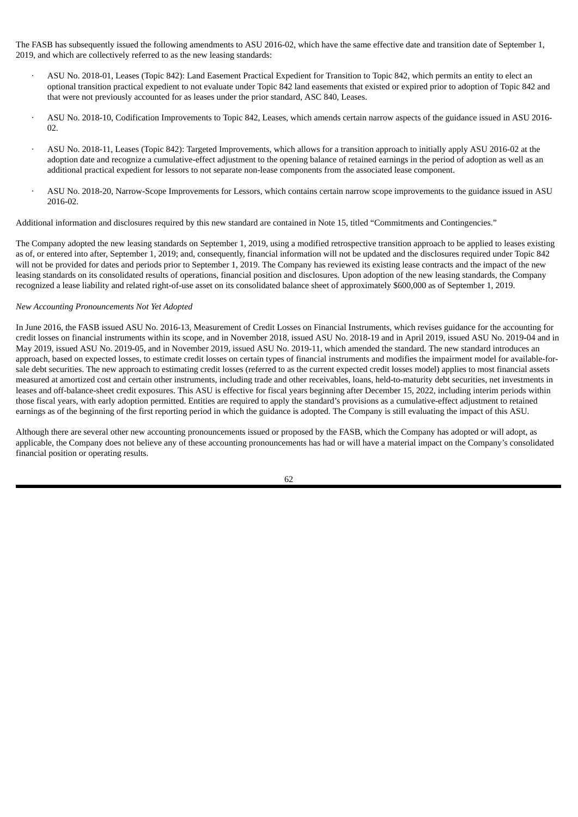The FASB has subsequently issued the following amendments to ASU 2016-02, which have the same effective date and transition date of September 1, 2019, and which are collectively referred to as the new leasing standards:

- ASU No. 2018-01, Leases (Topic 842): Land Easement Practical Expedient for Transition to Topic 842, which permits an entity to elect an optional transition practical expedient to not evaluate under Topic 842 land easements that existed or expired prior to adoption of Topic 842 and that were not previously accounted for as leases under the prior standard, ASC 840, Leases.
- · ASU No. 2018-10, Codification Improvements to Topic 842, Leases, which amends certain narrow aspects of the guidance issued in ASU 2016-  $02<sub>2</sub>$
- · ASU No. 2018-11, Leases (Topic 842): Targeted Improvements, which allows for a transition approach to initially apply ASU 2016-02 at the adoption date and recognize a cumulative-effect adjustment to the opening balance of retained earnings in the period of adoption as well as an additional practical expedient for lessors to not separate non-lease components from the associated lease component.
- ASU No. 2018-20, Narrow-Scope Improvements for Lessors, which contains certain narrow scope improvements to the guidance issued in ASU 2016-02.

Additional information and disclosures required by this new standard are contained in Note 15, titled "Commitments and Contingencies."

The Company adopted the new leasing standards on September 1, 2019, using a modified retrospective transition approach to be applied to leases existing as of, or entered into after, September 1, 2019; and, consequently, financial information will not be updated and the disclosures required under Topic 842 will not be provided for dates and periods prior to September 1, 2019. The Company has reviewed its existing lease contracts and the impact of the new leasing standards on its consolidated results of operations, financial position and disclosures. Upon adoption of the new leasing standards, the Company recognized a lease liability and related right-of-use asset on its consolidated balance sheet of approximately \$600,000 as of September 1, 2019.

### *New Accounting Pronouncements Not Yet Adopted*

In June 2016, the FASB issued ASU No. 2016-13, Measurement of Credit Losses on Financial Instruments, which revises guidance for the accounting for credit losses on financial instruments within its scope, and in November 2018, issued ASU No. 2018-19 and in April 2019, issued ASU No. 2019-04 and in May 2019, issued ASU No. 2019-05, and in November 2019, issued ASU No. 2019-11, which amended the standard. The new standard introduces an approach, based on expected losses, to estimate credit losses on certain types of financial instruments and modifies the impairment model for available-forsale debt securities. The new approach to estimating credit losses (referred to as the current expected credit losses model) applies to most financial assets measured at amortized cost and certain other instruments, including trade and other receivables, loans, held-to-maturity debt securities, net investments in leases and off-balance-sheet credit exposures. This ASU is effective for fiscal years beginning after December 15, 2022, including interim periods within those fiscal years, with early adoption permitted. Entities are required to apply the standard's provisions as a cumulative-effect adjustment to retained earnings as of the beginning of the first reporting period in which the guidance is adopted. The Company is still evaluating the impact of this ASU.

Although there are several other new accounting pronouncements issued or proposed by the FASB, which the Company has adopted or will adopt, as applicable, the Company does not believe any of these accounting pronouncements has had or will have a material impact on the Company's consolidated financial position or operating results.

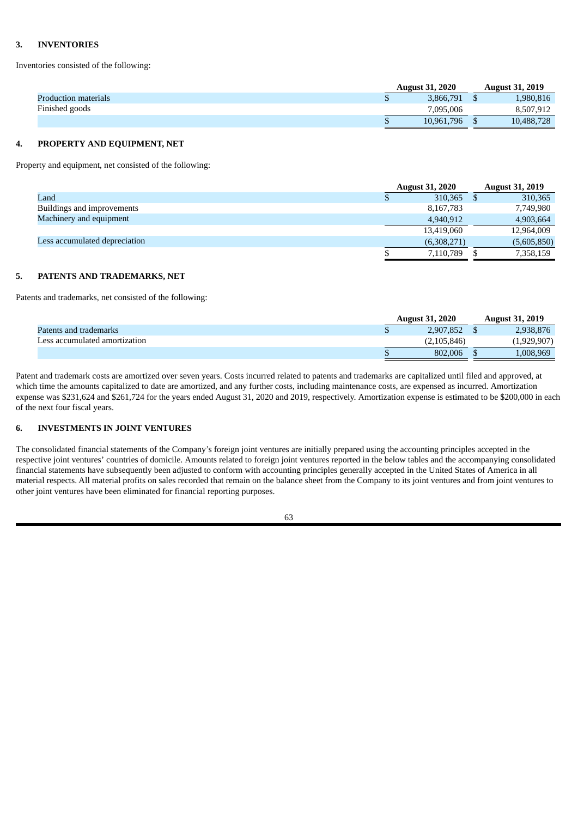# **3. INVENTORIES**

Inventories consisted of the following:

|                      |   | <b>August 31, 2020</b> | <b>August 31, 2019</b> |
|----------------------|---|------------------------|------------------------|
| Production materials | J | 3,866,791              | 1,980,816              |
| Finished goods       |   | 7.095.006              | 8,507,912              |
|                      | Φ | 10,961,796             | 10,488,728             |

# **4. PROPERTY AND EQUIPMENT, NET**

Property and equipment, net consisted of the following:

|                               |   | <b>August 31, 2020</b> | <b>August 31, 2019</b> |
|-------------------------------|---|------------------------|------------------------|
| Land                          | Φ | 310,365                | 310,365                |
| Buildings and improvements    |   | 8,167,783              | 7,749,980              |
| Machinery and equipment       |   | 4.940.912              | 4,903,664              |
|                               |   | 13,419,060             | 12,964,009             |
| Less accumulated depreciation |   | (6,308,271)            | (5,605,850)            |
|                               |   | 7,110,789              | 7,358,159              |

# **5. PATENTS AND TRADEMARKS, NET**

Patents and trademarks, net consisted of the following:

|                               | <b>August 31, 2020</b> | <b>August 31, 2019</b> |
|-------------------------------|------------------------|------------------------|
| Patents and trademarks        | 2.907.852              | 2.938.876              |
| Less accumulated amortization | (2,105,846)            | (1,929,907)            |
|                               | 802,006                | 1,008,969              |

Patent and trademark costs are amortized over seven years. Costs incurred related to patents and trademarks are capitalized until filed and approved, at which time the amounts capitalized to date are amortized, and any further costs, including maintenance costs, are expensed as incurred. Amortization expense was \$231,624 and \$261,724 for the years ended August 31, 2020 and 2019, respectively. Amortization expense is estimated to be \$200,000 in each of the next four fiscal years.

# **6. INVESTMENTS IN JOINT VENTURES**

The consolidated financial statements of the Company's foreign joint ventures are initially prepared using the accounting principles accepted in the respective joint ventures' countries of domicile. Amounts related to foreign joint ventures reported in the below tables and the accompanying consolidated financial statements have subsequently been adjusted to conform with accounting principles generally accepted in the United States of America in all material respects. All material profits on sales recorded that remain on the balance sheet from the Company to its joint ventures and from joint ventures to other joint ventures have been eliminated for financial reporting purposes.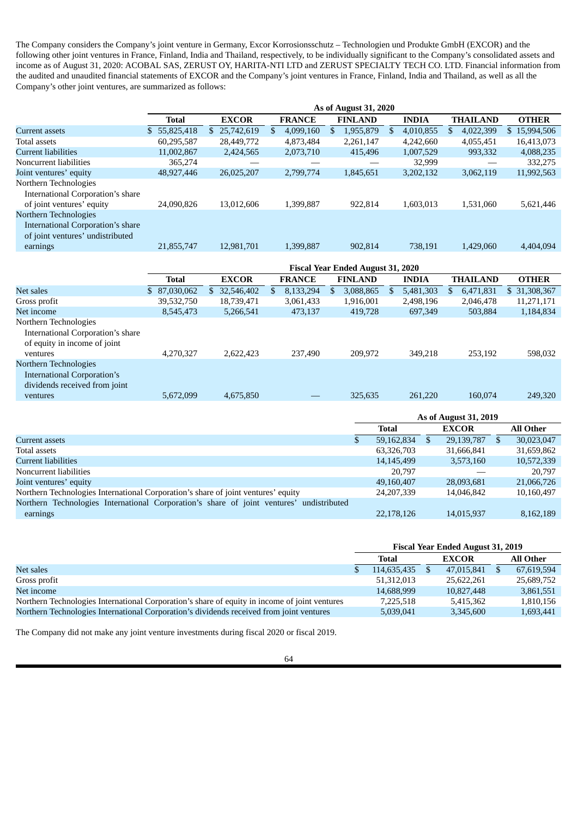The Company considers the Company's joint venture in Germany, Excor Korrosionsschutz – Technologien und Produkte GmbH (EXCOR) and the following other joint ventures in France, Finland, India and Thailand, respectively, to be individually significant to the Company's consolidated assets and income as of August 31, 2020: ACOBAL SAS, ZERUST OY, HARITA-NTI LTD and ZERUST SPECIALTY TECH CO. LTD. Financial information from the audited and unaudited financial statements of EXCOR and the Company's joint ventures in France, Finland, India and Thailand, as well as all the Company's other joint ventures, are summarized as follows:

|                                   | As of August 31, 2020 |              |   |               |   |                |    |              |   |                 |              |           |
|-----------------------------------|-----------------------|--------------|---|---------------|---|----------------|----|--------------|---|-----------------|--------------|-----------|
|                                   | <b>Total</b>          | <b>EXCOR</b> |   | <b>FRANCE</b> |   | <b>FINLAND</b> |    | <b>INDIA</b> |   | <b>THAILAND</b> | <b>OTHER</b> |           |
| Current assets                    | \$5,825,418           | \$25,742,619 | S | 4,099,160     | S | 1,955,879      | \$ | 4,010,855    | S | 4,022,399       | \$15,994,506 |           |
| Total assets                      | 60,295,587            | 28,449,772   |   | 4,873,484     |   | 2,261,147      |    | 4,242,660    |   | 4,055,451       | 16,413,073   |           |
| <b>Current liabilities</b>        | 11,002,867            | 2.424,565    |   | 2.073.710     |   | 415.496        |    | 1,007,529    |   | 993,332         |              | 4,088,235 |
| Noncurrent liabilities            | 365,274               |              |   |               |   |                |    | 32,999       |   |                 |              | 332,275   |
| Joint ventures' equity            | 48,927,446            | 26,025,207   |   | 2,799,774     |   | 1,845,651      |    | 3,202,132    |   | 3,062,119       | 11,992,563   |           |
| Northern Technologies             |                       |              |   |               |   |                |    |              |   |                 |              |           |
| International Corporation's share |                       |              |   |               |   |                |    |              |   |                 |              |           |
| of joint ventures' equity         | 24,090,826            | 13,012,606   |   | 1,399,887     |   | 922,814        |    | 1,603,013    |   | 1,531,060       |              | 5,621,446 |
| Northern Technologies             |                       |              |   |               |   |                |    |              |   |                 |              |           |
| International Corporation's share |                       |              |   |               |   |                |    |              |   |                 |              |           |
| of joint ventures' undistributed  |                       |              |   |               |   |                |    |              |   |                 |              |           |
| earnings                          | 21,855,747            | 12,981,701   |   | 1.399.887     |   | 902.814        |    | 738.191      |   | 1.429.060       |              | 4.404.094 |

|                                                                                                          | <b>Fiscal Year Ended August 31, 2020</b> |                   |    |               |     |                |  |              |     |                 |               |  |
|----------------------------------------------------------------------------------------------------------|------------------------------------------|-------------------|----|---------------|-----|----------------|--|--------------|-----|-----------------|---------------|--|
|                                                                                                          | <b>Total</b>                             | <b>EXCOR</b>      |    | <b>FRANCE</b> |     | <b>FINLAND</b> |  | <b>INDIA</b> |     | <b>THAILAND</b> | <b>OTHER</b>  |  |
| Net sales                                                                                                | \$ 87,030,062                            | 32,546,402<br>SS. | S. | 8,133,294     | \$. | 3,088,865      |  | 5,481,303    | \$. | 6,471,831       | \$ 31,308,367 |  |
| Gross profit                                                                                             | 39,532,750                               | 18,739,471        |    | 3,061,433     |     | 1,916,001      |  | 2,498,196    |     | 2,046,478       | 11,271,171    |  |
| Net income                                                                                               | 8,545,473                                | 5,266,541         |    | 473,137       |     | 419,728        |  | 697.349      |     | 503,884         | 1,184,834     |  |
| Northern Technologies<br>International Corporation's share<br>of equity in income of joint<br>ventures   | 4,270,327                                | 2,622,423         |    | 237,490       |     | 209,972        |  | 349.218      |     | 253,192         | 598,032       |  |
| Northern Technologies<br><b>International Corporation's</b><br>dividends received from joint<br>ventures | 5,672,099                                | 4,675,850         |    |               |     | 325,635        |  | 261,220      |     | 160.074         | 249,320       |  |

|                                                                                          | As of August 31, 2019 |              |     |              |               |                  |
|------------------------------------------------------------------------------------------|-----------------------|--------------|-----|--------------|---------------|------------------|
|                                                                                          |                       | Total        |     | <b>EXCOR</b> |               | <b>All Other</b> |
| Current assets                                                                           | -S                    | 59,162,834   | -85 | 29,139,787   | <sup>\$</sup> | 30,023,047       |
| Total assets                                                                             |                       | 63,326,703   |     | 31,666,841   |               | 31,659,862       |
| <b>Current liabilities</b>                                                               |                       | 14,145,499   |     | 3,573,160    |               | 10,572,339       |
| Noncurrent liabilities                                                                   |                       | 20,797       |     |              |               | 20,797           |
| Joint ventures' equity                                                                   |                       | 49,160,407   |     | 28,093,681   |               | 21,066,726       |
| Northern Technologies International Corporation's share of joint ventures' equity        |                       | 24, 207, 339 |     | 14,046,842   |               | 10,160,497       |
| Northern Technologies International Corporation's share of joint ventures' undistributed |                       |              |     |              |               |                  |
| earnings                                                                                 |                       | 22,178,126   |     | 14,015,937   |               | 8,162,189        |

|                                                                                               | Fiscal Year Ended August 31, 2019 |              |  |              |  |                  |
|-----------------------------------------------------------------------------------------------|-----------------------------------|--------------|--|--------------|--|------------------|
|                                                                                               |                                   | <b>Total</b> |  | <b>EXCOR</b> |  | <b>All Other</b> |
| Net sales                                                                                     |                                   | 114,635,435  |  | 47.015.841   |  | 67.619.594       |
| Gross profit                                                                                  |                                   | 51,312,013   |  | 25.622.261   |  | 25,689,752       |
| Net income                                                                                    |                                   | 14,688,999   |  | 10,827,448   |  | 3,861,551        |
| Northern Technologies International Corporation's share of equity in income of joint ventures |                                   | 7.225.518    |  | 5.415.362    |  | 1,810,156        |
| Northern Technologies International Corporation's dividends received from joint ventures      |                                   | 5,039,041    |  | 3,345,600    |  | 1,693,441        |

The Company did not make any joint venture investments during fiscal 2020 or fiscal 2019.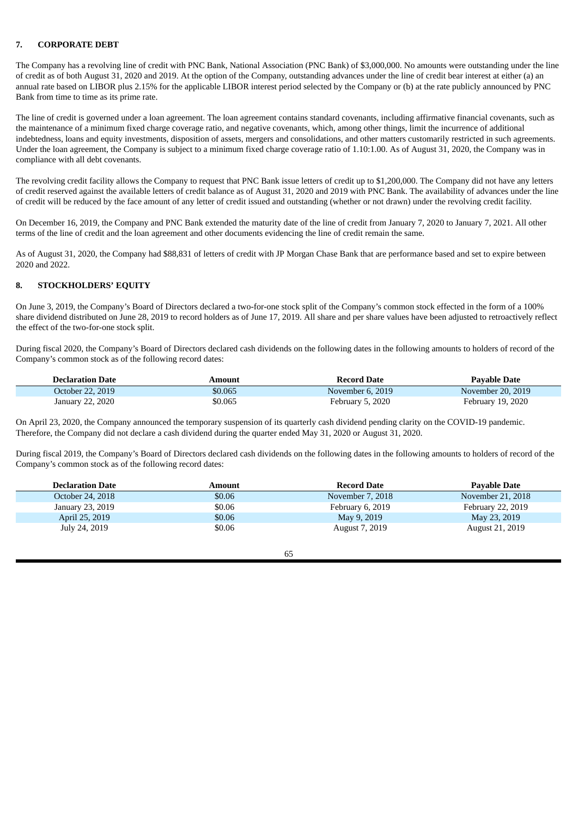# **7. CORPORATE DEBT**

The Company has a revolving line of credit with PNC Bank, National Association (PNC Bank) of \$3,000,000. No amounts were outstanding under the line of credit as of both August 31, 2020 and 2019. At the option of the Company, outstanding advances under the line of credit bear interest at either (a) an annual rate based on LIBOR plus 2.15% for the applicable LIBOR interest period selected by the Company or (b) at the rate publicly announced by PNC Bank from time to time as its prime rate.

The line of credit is governed under a loan agreement. The loan agreement contains standard covenants, including affirmative financial covenants, such as the maintenance of a minimum fixed charge coverage ratio, and negative covenants, which, among other things, limit the incurrence of additional indebtedness, loans and equity investments, disposition of assets, mergers and consolidations, and other matters customarily restricted in such agreements. Under the loan agreement, the Company is subject to a minimum fixed charge coverage ratio of 1.10:1.00. As of August 31, 2020, the Company was in compliance with all debt covenants.

The revolving credit facility allows the Company to request that PNC Bank issue letters of credit up to \$1,200,000. The Company did not have any letters of credit reserved against the available letters of credit balance as of August 31, 2020 and 2019 with PNC Bank. The availability of advances under the line of credit will be reduced by the face amount of any letter of credit issued and outstanding (whether or not drawn) under the revolving credit facility.

On December 16, 2019, the Company and PNC Bank extended the maturity date of the line of credit from January 7, 2020 to January 7, 2021. All other terms of the line of credit and the loan agreement and other documents evidencing the line of credit remain the same.

As of August 31, 2020, the Company had \$88,831 of letters of credit with JP Morgan Chase Bank that are performance based and set to expire between 2020 and 2022.

# **8. STOCKHOLDERS' EQUITY**

On June 3, 2019, the Company's Board of Directors declared a two-for-one stock split of the Company's common stock effected in the form of a 100% share dividend distributed on June 28, 2019 to record holders as of June 17, 2019. All share and per share values have been adjusted to retroactively reflect the effect of the two-for-one stock split.

During fiscal 2020, the Company's Board of Directors declared cash dividends on the following dates in the following amounts to holders of record of the Company's common stock as of the following record dates:

| <b>Declaration Date</b> | Amount  | <b>Record Date</b> | <b>Pavable Date</b> |
|-------------------------|---------|--------------------|---------------------|
| October 22, 2019        | \$0.065 | November 6, 2019   | November 20, 2019   |
| January 22, 2020        | \$0.065 | February 5, 2020   | February 19, 2020   |

On April 23, 2020, the Company announced the temporary suspension of its quarterly cash dividend pending clarity on the COVID-19 pandemic. Therefore, the Company did not declare a cash dividend during the quarter ended May 31, 2020 or August 31, 2020.

During fiscal 2019, the Company's Board of Directors declared cash dividends on the following dates in the following amounts to holders of record of the Company's common stock as of the following record dates:

| <b>Declaration Date</b> | Amount | <b>Record Date</b> | <b>Payable Date</b> |
|-------------------------|--------|--------------------|---------------------|
| October 24, 2018        | \$0.06 | November 7, 2018   | November 21, 2018   |
| January 23, 2019        | \$0.06 | February 6, 2019   | February 22, 2019   |
| April 25, 2019          | \$0.06 | May 9, 2019        | May 23, 2019        |
| July 24, 2019           | \$0.06 | August 7, 2019     | August 21, 2019     |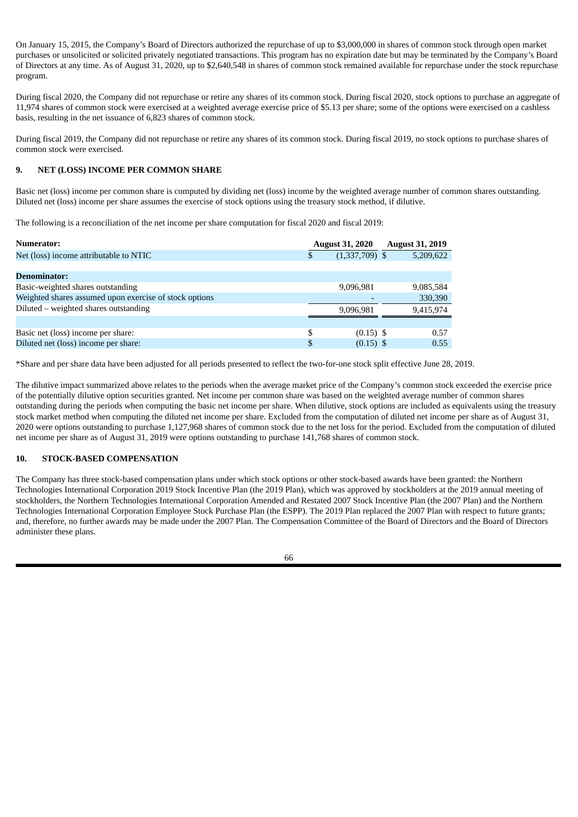On January 15, 2015, the Company's Board of Directors authorized the repurchase of up to \$3,000,000 in shares of common stock through open market purchases or unsolicited or solicited privately negotiated transactions. This program has no expiration date but may be terminated by the Company's Board of Directors at any time. As of August 31, 2020, up to \$2,640,548 in shares of common stock remained available for repurchase under the stock repurchase program.

During fiscal 2020, the Company did not repurchase or retire any shares of its common stock. During fiscal 2020, stock options to purchase an aggregate of 11,974 shares of common stock were exercised at a weighted average exercise price of \$5.13 per share; some of the options were exercised on a cashless basis, resulting in the net issuance of 6,823 shares of common stock.

During fiscal 2019, the Company did not repurchase or retire any shares of its common stock. During fiscal 2019, no stock options to purchase shares of common stock were exercised.

# **9. NET (LOSS) INCOME PER COMMON SHARE**

Basic net (loss) income per common share is computed by dividing net (loss) income by the weighted average number of common shares outstanding. Diluted net (loss) income per share assumes the exercise of stock options using the treasury stock method, if dilutive.

The following is a reconciliation of the net income per share computation for fiscal 2020 and fiscal 2019:

| Numerator:                                             | <b>August 31, 2020</b> | <b>August 31, 2019</b> |
|--------------------------------------------------------|------------------------|------------------------|
| Net (loss) income attributable to NTIC                 | $(1,337,709)$ \$       | 5,209,622              |
|                                                        |                        |                        |
| <b>Denominator:</b>                                    |                        |                        |
| Basic-weighted shares outstanding                      | 9,096,981              | 9,085,584              |
| Weighted shares assumed upon exercise of stock options |                        | 330,390                |
| Diluted - weighted shares outstanding                  | 9,096,981              | 9,415,974              |
|                                                        |                        |                        |
| Basic net (loss) income per share:                     | \$<br>$(0.15)$ \$      | 0.57                   |
| Diluted net (loss) income per share:                   | \$<br>$(0.15)$ \$      | 0.55                   |

\*Share and per share data have been adjusted for all periods presented to reflect the two-for-one stock split effective June 28, 2019.

The dilutive impact summarized above relates to the periods when the average market price of the Company's common stock exceeded the exercise price of the potentially dilutive option securities granted. Net income per common share was based on the weighted average number of common shares outstanding during the periods when computing the basic net income per share. When dilutive, stock options are included as equivalents using the treasury stock market method when computing the diluted net income per share. Excluded from the computation of diluted net income per share as of August 31, 2020 were options outstanding to purchase 1,127,968 shares of common stock due to the net loss for the period. Excluded from the computation of diluted net income per share as of August 31, 2019 were options outstanding to purchase 141,768 shares of common stock.

# **10. STOCK-BASED COMPENSATION**

The Company has three stock-based compensation plans under which stock options or other stock-based awards have been granted: the Northern Technologies International Corporation 2019 Stock Incentive Plan (the 2019 Plan), which was approved by stockholders at the 2019 annual meeting of stockholders, the Northern Technologies International Corporation Amended and Restated 2007 Stock Incentive Plan (the 2007 Plan) and the Northern Technologies International Corporation Employee Stock Purchase Plan (the ESPP). The 2019 Plan replaced the 2007 Plan with respect to future grants; and, therefore, no further awards may be made under the 2007 Plan. The Compensation Committee of the Board of Directors and the Board of Directors administer these plans.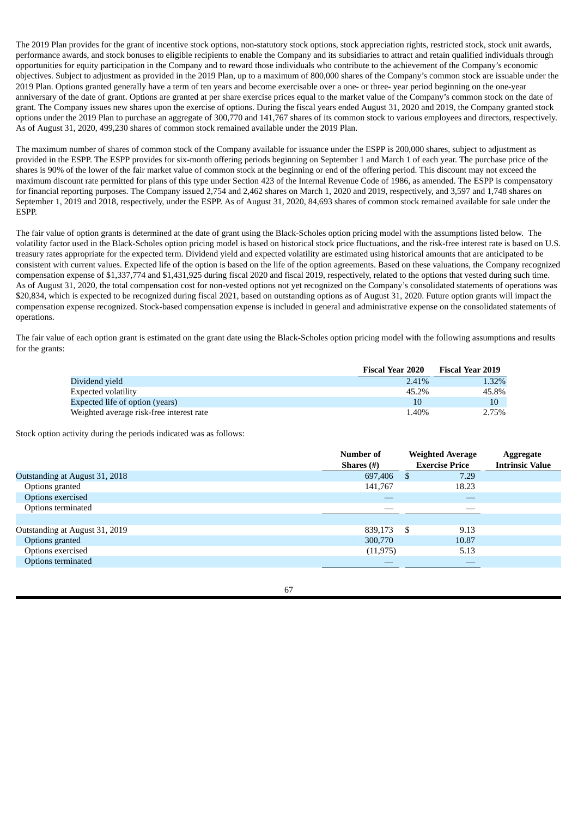The 2019 Plan provides for the grant of incentive stock options, non-statutory stock options, stock appreciation rights, restricted stock, stock unit awards, performance awards, and stock bonuses to eligible recipients to enable the Company and its subsidiaries to attract and retain qualified individuals through opportunities for equity participation in the Company and to reward those individuals who contribute to the achievement of the Company's economic objectives. Subject to adjustment as provided in the 2019 Plan, up to a maximum of 800,000 shares of the Company's common stock are issuable under the 2019 Plan. Options granted generally have a term of ten years and become exercisable over a one- or three- year period beginning on the one-year anniversary of the date of grant. Options are granted at per share exercise prices equal to the market value of the Company's common stock on the date of grant. The Company issues new shares upon the exercise of options. During the fiscal years ended August 31, 2020 and 2019, the Company granted stock options under the 2019 Plan to purchase an aggregate of 300,770 and 141,767 shares of its common stock to various employees and directors, respectively. As of August 31, 2020, 499,230 shares of common stock remained available under the 2019 Plan.

The maximum number of shares of common stock of the Company available for issuance under the ESPP is 200,000 shares, subject to adjustment as provided in the ESPP. The ESPP provides for six-month offering periods beginning on September 1 and March 1 of each year. The purchase price of the shares is 90% of the lower of the fair market value of common stock at the beginning or end of the offering period. This discount may not exceed the maximum discount rate permitted for plans of this type under Section 423 of the Internal Revenue Code of 1986, as amended. The ESPP is compensatory for financial reporting purposes. The Company issued 2,754 and 2,462 shares on March 1, 2020 and 2019, respectively, and 3,597 and 1,748 shares on September 1, 2019 and 2018, respectively, under the ESPP. As of August 31, 2020, 84,693 shares of common stock remained available for sale under the ESPP.

The fair value of option grants is determined at the date of grant using the Black-Scholes option pricing model with the assumptions listed below. The volatility factor used in the Black-Scholes option pricing model is based on historical stock price fluctuations, and the risk-free interest rate is based on U.S. treasury rates appropriate for the expected term. Dividend yield and expected volatility are estimated using historical amounts that are anticipated to be consistent with current values. Expected life of the option is based on the life of the option agreements. Based on these valuations, the Company recognized compensation expense of \$1,337,774 and \$1,431,925 during fiscal 2020 and fiscal 2019, respectively, related to the options that vested during such time. As of August 31, 2020, the total compensation cost for non-vested options not yet recognized on the Company's consolidated statements of operations was \$20,834, which is expected to be recognized during fiscal 2021, based on outstanding options as of August 31, 2020. Future option grants will impact the compensation expense recognized. Stock-based compensation expense is included in general and administrative expense on the consolidated statements of operations.

The fair value of each option grant is estimated on the grant date using the Black-Scholes option pricing model with the following assumptions and results for the grants:

|                                          | <b>Fiscal Year 2020</b> | Fiscal Year 2019 |
|------------------------------------------|-------------------------|------------------|
| Dividend vield                           | 2.41%                   | 1.32%            |
| Expected volatility                      | 45.2%                   | 45.8%            |
| Expected life of option (years)          | 10                      | 10               |
| Weighted average risk-free interest rate | 1.40%                   | 2.75%            |

Stock option activity during the periods indicated was as follows:

|                                | Number of<br>Shares $(\#)$ |               | <b>Weighted Average</b><br><b>Exercise Price</b> | Aggregate<br><b>Intrinsic Value</b> |
|--------------------------------|----------------------------|---------------|--------------------------------------------------|-------------------------------------|
| Outstanding at August 31, 2018 | 697,406                    | <sup>\$</sup> | 7.29                                             |                                     |
| Options granted                | 141,767                    |               | 18.23                                            |                                     |
| Options exercised              |                            |               |                                                  |                                     |
| Options terminated             |                            |               |                                                  |                                     |
|                                |                            |               |                                                  |                                     |
| Outstanding at August 31, 2019 | 839,173                    | - \$          | 9.13                                             |                                     |
| Options granted                | 300,770                    |               | 10.87                                            |                                     |
| Options exercised              | (11, 975)                  |               | 5.13                                             |                                     |
| Options terminated             |                            |               |                                                  |                                     |
|                                |                            |               |                                                  |                                     |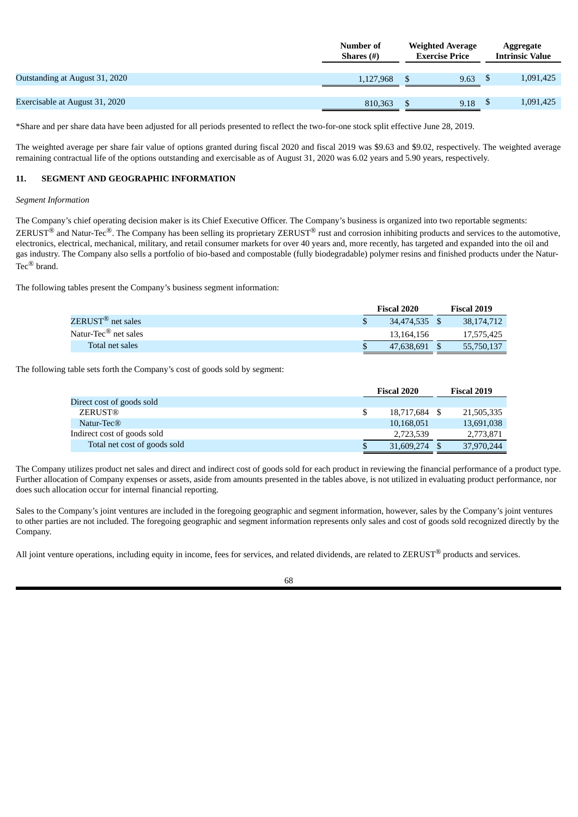|                                | Number of<br>Shares $(\#)$ | <b>Weighted Average</b><br><b>Exercise Price</b> |      | Aggregate<br><b>Intrinsic Value</b> |           |
|--------------------------------|----------------------------|--------------------------------------------------|------|-------------------------------------|-----------|
| Outstanding at August 31, 2020 | 1,127,968                  |                                                  | 9.63 |                                     | 1,091,425 |
| Exercisable at August 31, 2020 | 810,363                    |                                                  | 9.18 |                                     | 1,091,425 |

\*Share and per share data have been adjusted for all periods presented to reflect the two-for-one stock split effective June 28, 2019.

The weighted average per share fair value of options granted during fiscal 2020 and fiscal 2019 was \$9.63 and \$9.02, respectively. The weighted average remaining contractual life of the options outstanding and exercisable as of August 31, 2020 was 6.02 years and 5.90 years, respectively.

# **11. SEGMENT AND GEOGRAPHIC INFORMATION**

### *Segment Information*

The Company's chief operating decision maker is its Chief Executive Officer. The Company's business is organized into two reportable segments:  $\mathsf{ZERUST}^{\circledR}$  and Natur-Tec $^{\circledR}$ . The Company has been selling its proprietary  $\mathsf{ZERUST}^{\circledR}$  rust and corrosion inhibiting products and services to the automotive, electronics, electrical, mechanical, military, and retail consumer markets for over 40 years and, more recently, has targeted and expanded into the oil and gas industry. The Company also sells a portfolio of bio-based and compostable (fully biodegradable) polymer resins and finished products under the Natur-Tec® brand.

The following tables present the Company's business segment information:

|                                          | Fiscal 2020 |               |  | <b>Fiscal 2019</b> |
|------------------------------------------|-------------|---------------|--|--------------------|
| $\mathsf{ZERUST}^{\mathsf{B}}$ net sales |             | 34.474.535 \$ |  | 38.174.712         |
| Natur-Tec <sup>®</sup> net sales         |             | 13.164.156    |  | 17,575,425         |
| Total net sales                          |             | 47.638.691    |  | 55.750.137         |

The following table sets forth the Company's cost of goods sold by segment:

|                              |   | <b>Fiscal 2020</b> | <b>Fiscal 2019</b> |
|------------------------------|---|--------------------|--------------------|
| Direct cost of goods sold    |   |                    |                    |
| ZERUST <sub>®</sub>          | S | 18.717.684         | 21,505,335         |
| Natur-Tec $\mathbb R$        |   | 10,168,051         | 13,691,038         |
| Indirect cost of goods sold  |   | 2,723,539          | 2,773,871          |
| Total net cost of goods sold |   | 31,609,274         | 37,970,244         |

The Company utilizes product net sales and direct and indirect cost of goods sold for each product in reviewing the financial performance of a product type. Further allocation of Company expenses or assets, aside from amounts presented in the tables above, is not utilized in evaluating product performance, nor does such allocation occur for internal financial reporting.

Sales to the Company's joint ventures are included in the foregoing geographic and segment information, however, sales by the Company's joint ventures to other parties are not included. The foregoing geographic and segment information represents only sales and cost of goods sold recognized directly by the Company.

All joint venture operations, including equity in income, fees for services, and related dividends, are related to  $\text{ZERUST}^{\circledR}$  products and services.

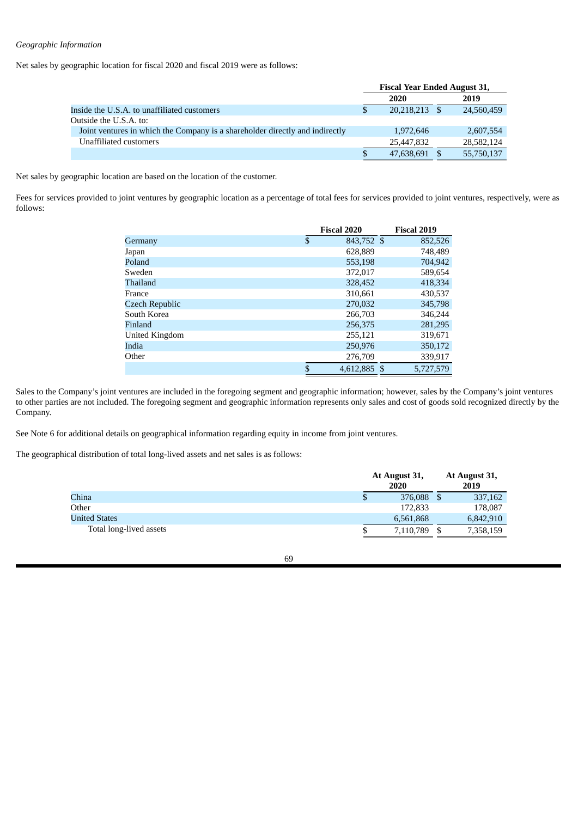# *Geographic Information*

Net sales by geographic location for fiscal 2020 and fiscal 2019 were as follows:

|                                                                              |   | <b>Fiscal Year Ended August 31,</b> |  |            |  |
|------------------------------------------------------------------------------|---|-------------------------------------|--|------------|--|
|                                                                              |   | 2020                                |  | 2019       |  |
| Inside the U.S.A. to unaffiliated customers                                  | S | 20.218.213 \$                       |  | 24,560,459 |  |
| Outside the U.S.A. to:                                                       |   |                                     |  |            |  |
| Joint ventures in which the Company is a shareholder directly and indirectly |   | 1,972,646                           |  | 2,607,554  |  |
| Unaffiliated customers                                                       |   | 25,447,832                          |  | 28,582,124 |  |
|                                                                              | S | 47,638,691 \$                       |  | 55,750,137 |  |

Net sales by geographic location are based on the location of the customer.

Fees for services provided to joint ventures by geographic location as a percentage of total fees for services provided to joint ventures, respectively, were as follows:

|                | <b>Fiscal 2020</b> | <b>Fiscal 2019</b> |
|----------------|--------------------|--------------------|
| Germany        | \$<br>843,752 \$   | 852,526            |
| Japan          | 628,889            | 748,489            |
| Poland         | 553,198            | 704,942            |
| Sweden         | 372,017            | 589,654            |
| Thailand       | 328,452            | 418,334            |
| France         | 310,661            | 430,537            |
| Czech Republic | 270,032            | 345,798            |
| South Korea    | 266,703            | 346.244            |
| Finland        | 256,375            | 281,295            |
| United Kingdom | 255,121            | 319,671            |
| India          | 250,976            | 350,172            |
| Other          | 276,709            | 339,917            |
|                | \$<br>4,612,885 \$ | 5,727,579          |

Sales to the Company's joint ventures are included in the foregoing segment and geographic information; however, sales by the Company's joint ventures to other parties are not included. The foregoing segment and geographic information represents only sales and cost of goods sold recognized directly by the Company.

See Note 6 for additional details on geographical information regarding equity in income from joint ventures.

The geographical distribution of total long-lived assets and net sales is as follows:

|                         | At August 31,<br>2020 | At August 31,<br>2019 |  |
|-------------------------|-----------------------|-----------------------|--|
| China                   | \$<br>376,088         | 337,162               |  |
| Other                   | 172.833               | 178,087               |  |
| <b>United States</b>    | 6,561,868             | 6,842,910             |  |
| Total long-lived assets | \$<br>7,110,789       | 7,358,159             |  |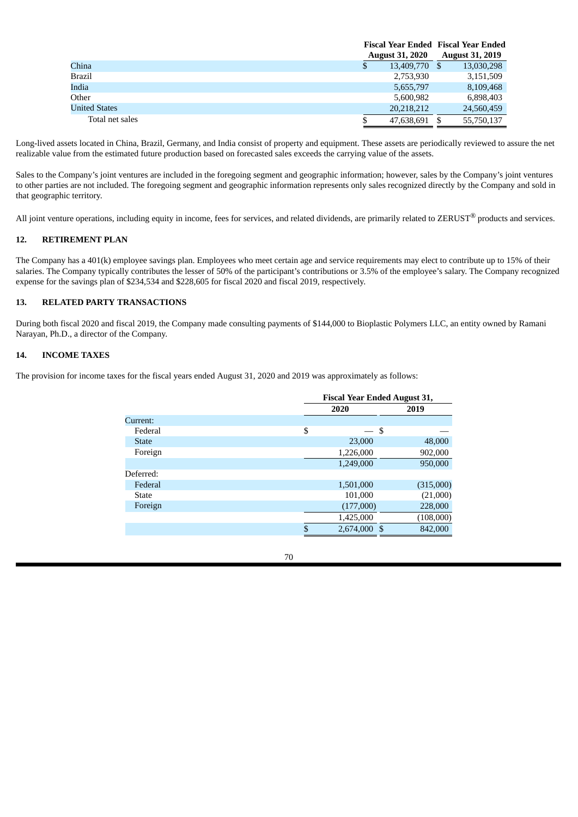|                      |                        |  |  | Fiscal Year Ended Fiscal Year Ended |  |  |
|----------------------|------------------------|--|--|-------------------------------------|--|--|
|                      | <b>August 31, 2020</b> |  |  | <b>August 31, 2019</b>              |  |  |
| China                | \$<br>13,409,770 \$    |  |  | 13,030,298                          |  |  |
| Brazil               | 2,753,930              |  |  | 3,151,509                           |  |  |
| India                | 5,655,797              |  |  | 8,109,468                           |  |  |
| Other                | 5,600,982              |  |  | 6,898,403                           |  |  |
| <b>United States</b> | 20,218,212             |  |  | 24,560,459                          |  |  |
| Total net sales      | 47.638.691 \$          |  |  | 55,750,137                          |  |  |

Long-lived assets located in China, Brazil, Germany, and India consist of property and equipment. These assets are periodically reviewed to assure the net realizable value from the estimated future production based on forecasted sales exceeds the carrying value of the assets.

Sales to the Company's joint ventures are included in the foregoing segment and geographic information; however, sales by the Company's joint ventures to other parties are not included. The foregoing segment and geographic information represents only sales recognized directly by the Company and sold in that geographic territory.

All joint venture operations, including equity in income, fees for services, and related dividends, are primarily related to  $\text{ZERUST}^{\textcircled s}$  products and services.

# **12. RETIREMENT PLAN**

The Company has a 401(k) employee savings plan. Employees who meet certain age and service requirements may elect to contribute up to 15% of their salaries. The Company typically contributes the lesser of 50% of the participant's contributions or 3.5% of the employee's salary. The Company recognized expense for the savings plan of \$234,534 and \$228,605 for fiscal 2020 and fiscal 2019, respectively.

# **13. RELATED PARTY TRANSACTIONS**

During both fiscal 2020 and fiscal 2019, the Company made consulting payments of \$144,000 to Bioplastic Polymers LLC, an entity owned by Ramani Narayan, Ph.D., a director of the Company.

# **14. INCOME TAXES**

The provision for income taxes for the fiscal years ended August 31, 2020 and 2019 was approximately as follows:

|              | <b>Fiscal Year Ended August 31,</b> |           |  |  |
|--------------|-------------------------------------|-----------|--|--|
|              | 2020                                | 2019      |  |  |
| Current:     |                                     |           |  |  |
| Federal      | \$<br>\$                            |           |  |  |
| <b>State</b> | 23,000                              | 48,000    |  |  |
| Foreign      | 1,226,000                           | 902,000   |  |  |
|              | 1,249,000                           | 950,000   |  |  |
| Deferred:    |                                     |           |  |  |
| Federal      | 1,501,000                           | (315,000) |  |  |
| <b>State</b> | 101,000                             | (21,000)  |  |  |
| Foreign      | (177,000)                           | 228,000   |  |  |
|              | 1,425,000                           | (108,000) |  |  |
|              | \$<br>2,674,000<br>- \$             | 842,000   |  |  |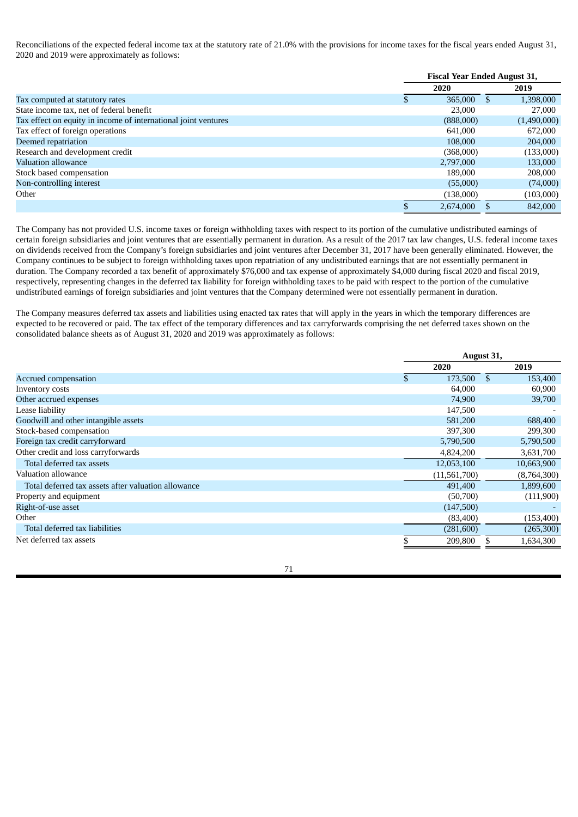Reconciliations of the expected federal income tax at the statutory rate of 21.0% with the provisions for income taxes for the fiscal years ended August 31, 2020 and 2019 were approximately as follows:

|                                                                | <b>Fiscal Year Ended August 31,</b> |           |      |             |
|----------------------------------------------------------------|-------------------------------------|-----------|------|-------------|
|                                                                |                                     | 2020      |      | 2019        |
| Tax computed at statutory rates                                |                                     | 365,000   | - \$ | 1,398,000   |
| State income tax, net of federal benefit                       |                                     | 23,000    |      | 27,000      |
| Tax effect on equity in income of international joint ventures |                                     | (888,000) |      | (1,490,000) |
| Tax effect of foreign operations                               |                                     | 641,000   |      | 672,000     |
| Deemed repatriation                                            |                                     | 108,000   |      | 204,000     |
| Research and development credit                                |                                     | (368,000) |      | (133,000)   |
| Valuation allowance                                            |                                     | 2,797,000 |      | 133,000     |
| Stock based compensation                                       |                                     | 189,000   |      | 208,000     |
| Non-controlling interest                                       |                                     | (55,000)  |      | (74,000)    |
| Other                                                          |                                     | (138,000) |      | (103,000)   |
|                                                                |                                     | 2,674,000 |      | 842,000     |

The Company has not provided U.S. income taxes or foreign withholding taxes with respect to its portion of the cumulative undistributed earnings of certain foreign subsidiaries and joint ventures that are essentially permanent in duration. As a result of the 2017 tax law changes, U.S. federal income taxes on dividends received from the Company's foreign subsidiaries and joint ventures after December 31, 2017 have been generally eliminated. However, the Company continues to be subject to foreign withholding taxes upon repatriation of any undistributed earnings that are not essentially permanent in duration. The Company recorded a tax benefit of approximately \$76,000 and tax expense of approximately \$4,000 during fiscal 2020 and fiscal 2019, respectively, representing changes in the deferred tax liability for foreign withholding taxes to be paid with respect to the portion of the cumulative undistributed earnings of foreign subsidiaries and joint ventures that the Company determined were not essentially permanent in duration.

The Company measures deferred tax assets and liabilities using enacted tax rates that will apply in the years in which the temporary differences are expected to be recovered or paid. The tax effect of the temporary differences and tax carryforwards comprising the net deferred taxes shown on the consolidated balance sheets as of August 31, 2020 and 2019 was approximately as follows:

|                                                     | August 31, |                |      |             |
|-----------------------------------------------------|------------|----------------|------|-------------|
|                                                     |            | 2020           |      | 2019        |
| Accrued compensation                                | \$         | 173,500        | - \$ | 153,400     |
| Inventory costs                                     |            | 64,000         |      | 60,900      |
| Other accrued expenses                              |            | 74,900         |      | 39,700      |
| Lease liability                                     |            | 147,500        |      |             |
| Goodwill and other intangible assets                |            | 581,200        |      | 688,400     |
| Stock-based compensation                            |            | 397,300        |      | 299,300     |
| Foreign tax credit carryforward                     |            | 5,790,500      |      | 5,790,500   |
| Other credit and loss carryforwards                 |            | 4,824,200      |      | 3,631,700   |
| Total deferred tax assets                           |            | 12,053,100     |      | 10,663,900  |
| Valuation allowance                                 |            | (11, 561, 700) |      | (8,764,300) |
| Total deferred tax assets after valuation allowance |            | 491,400        |      | 1,899,600   |
| Property and equipment                              |            | (50,700)       |      | (111,900)   |
| Right-of-use asset                                  |            | (147,500)      |      |             |
| Other                                               |            | (83,400)       |      | (153, 400)  |
| Total deferred tax liabilities                      |            | (281,600)      |      | (265, 300)  |
| Net deferred tax assets                             |            | 209,800        |      | 1,634,300   |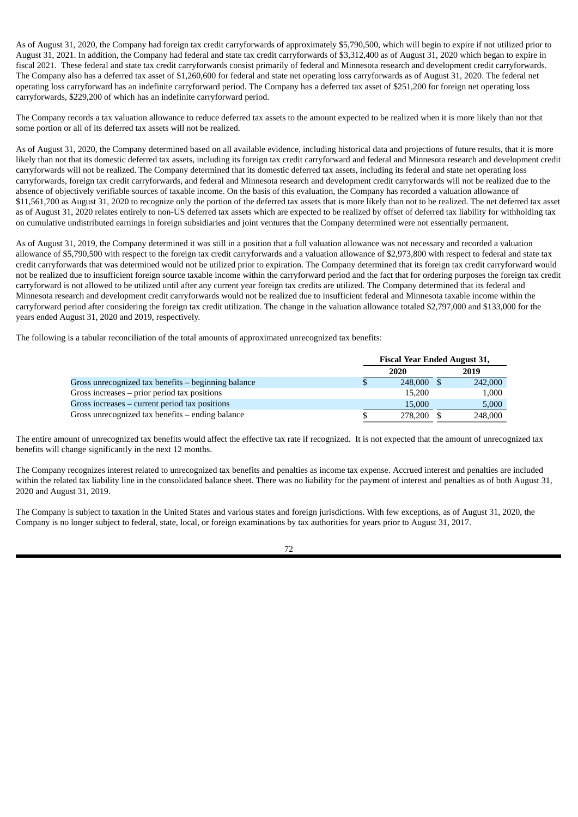As of August 31, 2020, the Company had foreign tax credit carryforwards of approximately \$5,790,500, which will begin to expire if not utilized prior to August 31, 2021. In addition, the Company had federal and state tax credit carryforwards of \$3,312,400 as of August 31, 2020 which began to expire in fiscal 2021. These federal and state tax credit carryforwards consist primarily of federal and Minnesota research and development credit carryforwards. The Company also has a deferred tax asset of \$1,260,600 for federal and state net operating loss carryforwards as of August 31, 2020. The federal net operating loss carryforward has an indefinite carryforward period. The Company has a deferred tax asset of \$251,200 for foreign net operating loss carryforwards, \$229,200 of which has an indefinite carryforward period.

The Company records a tax valuation allowance to reduce deferred tax assets to the amount expected to be realized when it is more likely than not that some portion or all of its deferred tax assets will not be realized.

As of August 31, 2020, the Company determined based on all available evidence, including historical data and projections of future results, that it is more likely than not that its domestic deferred tax assets, including its foreign tax credit carryforward and federal and Minnesota research and development credit carryforwards will not be realized. The Company determined that its domestic deferred tax assets, including its federal and state net operating loss carryforwards, foreign tax credit carryforwards, and federal and Minnesota research and development credit carryforwards will not be realized due to the absence of objectively verifiable sources of taxable income. On the basis of this evaluation, the Company has recorded a valuation allowance of \$11,561,700 as August 31, 2020 to recognize only the portion of the deferred tax assets that is more likely than not to be realized. The net deferred tax asset as of August 31, 2020 relates entirely to non-US deferred tax assets which are expected to be realized by offset of deferred tax liability for withholding tax on cumulative undistributed earnings in foreign subsidiaries and joint ventures that the Company determined were not essentially permanent.

As of August 31, 2019, the Company determined it was still in a position that a full valuation allowance was not necessary and recorded a valuation allowance of \$5,790,500 with respect to the foreign tax credit carryforwards and a valuation allowance of \$2,973,800 with respect to federal and state tax credit carryforwards that was determined would not be utilized prior to expiration. The Company determined that its foreign tax credit carryforward would not be realized due to insufficient foreign source taxable income within the carryforward period and the fact that for ordering purposes the foreign tax credit carryforward is not allowed to be utilized until after any current year foreign tax credits are utilized. The Company determined that its federal and Minnesota research and development credit carryforwards would not be realized due to insufficient federal and Minnesota taxable income within the carryforward period after considering the foreign tax credit utilization. The change in the valuation allowance totaled \$2,797,000 and \$133,000 for the years ended August 31, 2020 and 2019, respectively.

The following is a tabular reconciliation of the total amounts of approximated unrecognized tax benefits:

|                                                     | <b>Fiscal Year Ended August 31,</b> |  |         |  |
|-----------------------------------------------------|-------------------------------------|--|---------|--|
|                                                     | 2020                                |  | 2019    |  |
| Gross unrecognized tax benefits – beginning balance | 248,000 \$                          |  | 242,000 |  |
| Gross increases $-$ prior period tax positions      | 15.200                              |  | 1,000   |  |
| Gross increases – current period tax positions      | 15,000                              |  | 5,000   |  |
| Gross unrecognized tax benefits – ending balance    | 278,200 \$                          |  | 248,000 |  |

The entire amount of unrecognized tax benefits would affect the effective tax rate if recognized. It is not expected that the amount of unrecognized tax benefits will change significantly in the next 12 months.

The Company recognizes interest related to unrecognized tax benefits and penalties as income tax expense. Accrued interest and penalties are included within the related tax liability line in the consolidated balance sheet. There was no liability for the payment of interest and penalties as of both August 31, 2020 and August 31, 2019.

The Company is subject to taxation in the United States and various states and foreign jurisdictions. With few exceptions, as of August 31, 2020, the Company is no longer subject to federal, state, local, or foreign examinations by tax authorities for years prior to August 31, 2017.

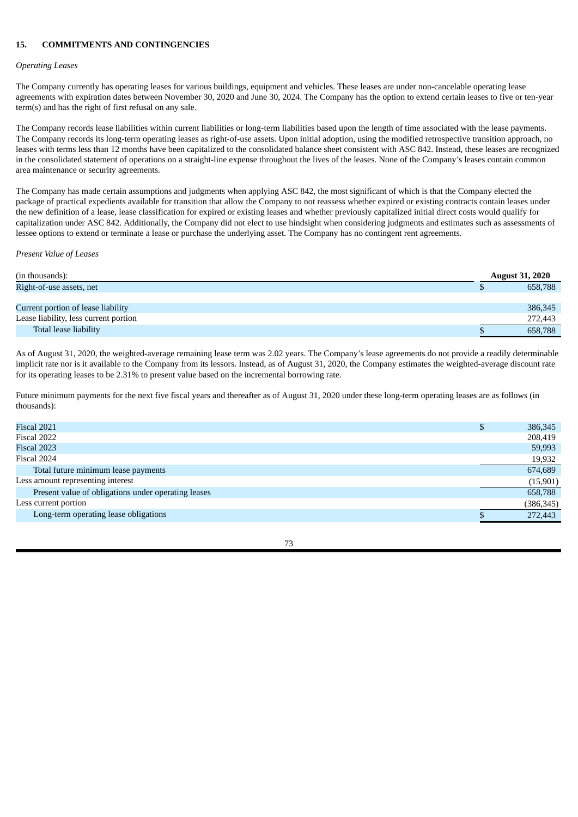## **15. COMMITMENTS AND CONTINGENCIES**

### *Operating Leases*

The Company currently has operating leases for various buildings, equipment and vehicles. These leases are under non-cancelable operating lease agreements with expiration dates between November 30, 2020 and June 30, 2024. The Company has the option to extend certain leases to five or ten-year term(s) and has the right of first refusal on any sale.

The Company records lease liabilities within current liabilities or long-term liabilities based upon the length of time associated with the lease payments. The Company records its long-term operating leases as right-of-use assets. Upon initial adoption, using the modified retrospective transition approach, no leases with terms less than 12 months have been capitalized to the consolidated balance sheet consistent with ASC 842. Instead, these leases are recognized in the consolidated statement of operations on a straight-line expense throughout the lives of the leases. None of the Company's leases contain common area maintenance or security agreements.

The Company has made certain assumptions and judgments when applying ASC 842, the most significant of which is that the Company elected the package of practical expedients available for transition that allow the Company to not reassess whether expired or existing contracts contain leases under the new definition of a lease, lease classification for expired or existing leases and whether previously capitalized initial direct costs would qualify for capitalization under ASC 842. Additionally, the Company did not elect to use hindsight when considering judgments and estimates such as assessments of lessee options to extend or terminate a lease or purchase the underlying asset. The Company has no contingent rent agreements.

*Present Value of Leases*

| (in thousands):                       | <b>August 31, 2020</b> |
|---------------------------------------|------------------------|
| Right-of-use assets, net              | 658,788                |
|                                       |                        |
| Current portion of lease liability    | 386,345                |
| Lease liability, less current portion | 272,443                |
| Total lease liability                 | 658,788                |

As of August 31, 2020, the weighted-average remaining lease term was 2.02 years. The Company's lease agreements do not provide a readily determinable implicit rate nor is it available to the Company from its lessors. Instead, as of August 31, 2020, the Company estimates the weighted-average discount rate for its operating leases to be 2.31% to present value based on the incremental borrowing rate.

Future minimum payments for the next five fiscal years and thereafter as of August 31, 2020 under these long-term operating leases are as follows (in thousands):

| Fiscal 2021                                         | \$<br>386,345 |
|-----------------------------------------------------|---------------|
| Fiscal 2022                                         | 208,419       |
| Fiscal 2023                                         | 59,993        |
| Fiscal 2024                                         | 19,932        |
| Total future minimum lease payments                 | 674,689       |
| Less amount representing interest                   | (15,901)      |
| Present value of obligations under operating leases | 658,788       |
| Less current portion                                | (386, 345)    |
| Long-term operating lease obligations               | 272,443       |
|                                                     |               |

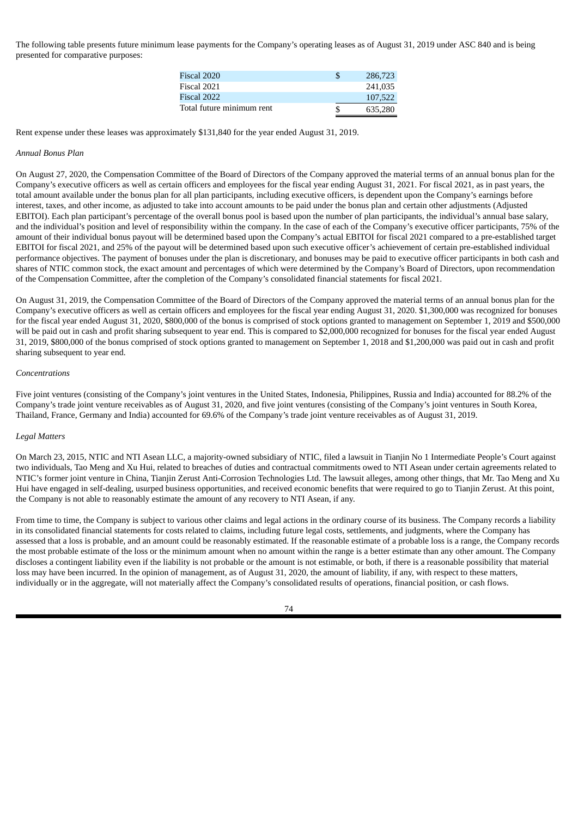The following table presents future minimum lease payments for the Company's operating leases as of August 31, 2019 under ASC 840 and is being presented for comparative purposes:

| Fiscal 2020               |   | 286,723 |
|---------------------------|---|---------|
| Fiscal 2021               |   | 241.035 |
| Fiscal 2022               |   | 107.522 |
| Total future minimum rent | S | 635.280 |

Rent expense under these leases was approximately \$131,840 for the year ended August 31, 2019.

#### *Annual Bonus Plan*

On August 27, 2020, the Compensation Committee of the Board of Directors of the Company approved the material terms of an annual bonus plan for the Company's executive officers as well as certain officers and employees for the fiscal year ending August 31, 2021. For fiscal 2021, as in past years, the total amount available under the bonus plan for all plan participants, including executive officers, is dependent upon the Company's earnings before interest, taxes, and other income, as adjusted to take into account amounts to be paid under the bonus plan and certain other adjustments (Adjusted EBITOI). Each plan participant's percentage of the overall bonus pool is based upon the number of plan participants, the individual's annual base salary, and the individual's position and level of responsibility within the company. In the case of each of the Company's executive officer participants, 75% of the amount of their individual bonus payout will be determined based upon the Company's actual EBITOI for fiscal 2021 compared to a pre-established target EBITOI for fiscal 2021, and 25% of the payout will be determined based upon such executive officer's achievement of certain pre-established individual performance objectives. The payment of bonuses under the plan is discretionary, and bonuses may be paid to executive officer participants in both cash and shares of NTIC common stock, the exact amount and percentages of which were determined by the Company's Board of Directors, upon recommendation of the Compensation Committee, after the completion of the Company's consolidated financial statements for fiscal 2021.

On August 31, 2019, the Compensation Committee of the Board of Directors of the Company approved the material terms of an annual bonus plan for the Company's executive officers as well as certain officers and employees for the fiscal year ending August 31, 2020. \$1,300,000 was recognized for bonuses for the fiscal year ended August 31, 2020, \$800,000 of the bonus is comprised of stock options granted to management on September 1, 2019 and \$500,000 will be paid out in cash and profit sharing subsequent to year end. This is compared to \$2,000,000 recognized for bonuses for the fiscal year ended August 31, 2019, \$800,000 of the bonus comprised of stock options granted to management on September 1, 2018 and \$1,200,000 was paid out in cash and profit sharing subsequent to year end.

#### *Concentrations*

Five joint ventures (consisting of the Company's joint ventures in the United States, Indonesia, Philippines, Russia and India) accounted for 88.2% of the Company's trade joint venture receivables as of August 31, 2020, and five joint ventures (consisting of the Company's joint ventures in South Korea, Thailand, France, Germany and India) accounted for 69.6% of the Company's trade joint venture receivables as of August 31, 2019.

#### *Legal Matters*

On March 23, 2015, NTIC and NTI Asean LLC, a majority-owned subsidiary of NTIC, filed a lawsuit in Tianjin No 1 Intermediate People's Court against two individuals, Tao Meng and Xu Hui, related to breaches of duties and contractual commitments owed to NTI Asean under certain agreements related to NTIC's former joint venture in China, Tianjin Zerust Anti-Corrosion Technologies Ltd. The lawsuit alleges, among other things, that Mr. Tao Meng and Xu Hui have engaged in self-dealing, usurped business opportunities, and received economic benefits that were required to go to Tianjin Zerust. At this point, the Company is not able to reasonably estimate the amount of any recovery to NTI Asean, if any.

From time to time, the Company is subject to various other claims and legal actions in the ordinary course of its business. The Company records a liability in its consolidated financial statements for costs related to claims, including future legal costs, settlements, and judgments, where the Company has assessed that a loss is probable, and an amount could be reasonably estimated. If the reasonable estimate of a probable loss is a range, the Company records the most probable estimate of the loss or the minimum amount when no amount within the range is a better estimate than any other amount. The Company discloses a contingent liability even if the liability is not probable or the amount is not estimable, or both, if there is a reasonable possibility that material loss may have been incurred. In the opinion of management, as of August 31, 2020, the amount of liability, if any, with respect to these matters, individually or in the aggregate, will not materially affect the Company's consolidated results of operations, financial position, or cash flows.

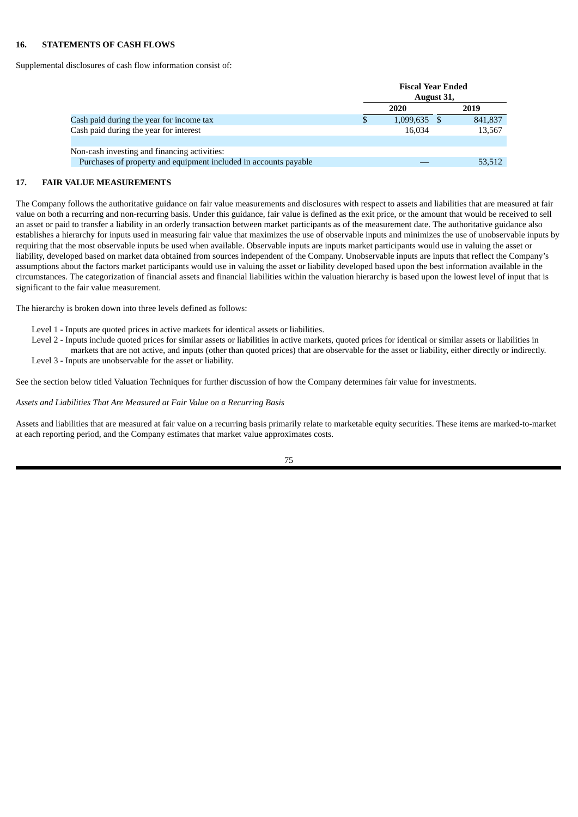### **16. STATEMENTS OF CASH FLOWS**

Supplemental disclosures of cash flow information consist of:

|                                                                  | <b>Fiscal Year Ended</b><br>August 31, |  |         |  |  |
|------------------------------------------------------------------|----------------------------------------|--|---------|--|--|
|                                                                  | 2020                                   |  | 2019    |  |  |
| Cash paid during the year for income tax                         | \$<br>1,099,635 \$                     |  | 841,837 |  |  |
| Cash paid during the year for interest                           | 16.034                                 |  | 13,567  |  |  |
|                                                                  |                                        |  |         |  |  |
| Non-cash investing and financing activities:                     |                                        |  |         |  |  |
| Purchases of property and equipment included in accounts payable |                                        |  | 53,512  |  |  |

### **17. FAIR VALUE MEASUREMENTS**

The Company follows the authoritative guidance on fair value measurements and disclosures with respect to assets and liabilities that are measured at fair value on both a recurring and non-recurring basis. Under this guidance, fair value is defined as the exit price, or the amount that would be received to sell an asset or paid to transfer a liability in an orderly transaction between market participants as of the measurement date. The authoritative guidance also establishes a hierarchy for inputs used in measuring fair value that maximizes the use of observable inputs and minimizes the use of unobservable inputs by requiring that the most observable inputs be used when available. Observable inputs are inputs market participants would use in valuing the asset or liability, developed based on market data obtained from sources independent of the Company. Unobservable inputs are inputs that reflect the Company's assumptions about the factors market participants would use in valuing the asset or liability developed based upon the best information available in the circumstances. The categorization of financial assets and financial liabilities within the valuation hierarchy is based upon the lowest level of input that is significant to the fair value measurement.

The hierarchy is broken down into three levels defined as follows:

- Level 1 Inputs are quoted prices in active markets for identical assets or liabilities.
- Level 2 Inputs include quoted prices for similar assets or liabilities in active markets, quoted prices for identical or similar assets or liabilities in markets that are not active, and inputs (other than quoted prices) that are observable for the asset or liability, either directly or indirectly.
- Level 3 Inputs are unobservable for the asset or liability.

See the section below titled Valuation Techniques for further discussion of how the Company determines fair value for investments.

*Assets and Liabilities That Are Measured at Fair Value on a Recurring Basis*

Assets and liabilities that are measured at fair value on a recurring basis primarily relate to marketable equity securities. These items are marked-to-market at each reporting period, and the Company estimates that market value approximates costs.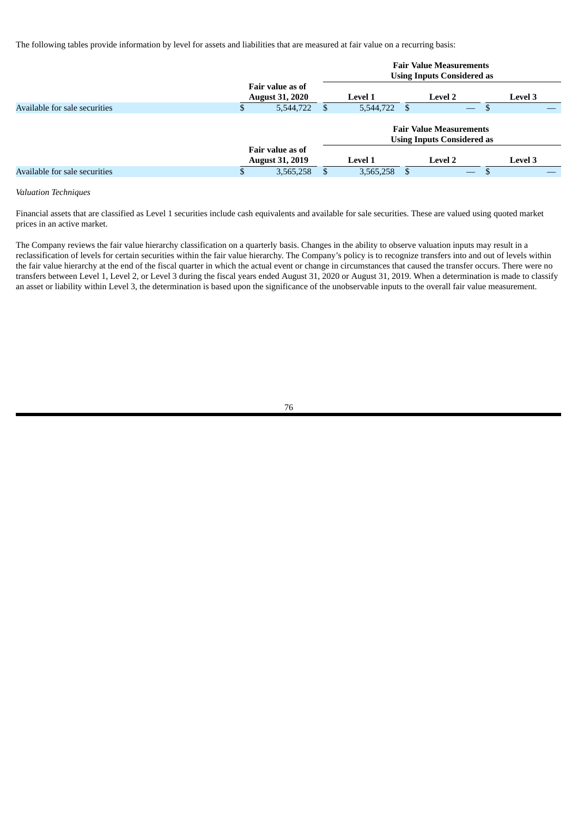The following tables provide information by level for assets and liabilities that are measured at fair value on a recurring basis:

|                               |                                            |                |      | <b>Fair Value Measurements</b><br><b>Using Inputs Considered as</b> |                |
|-------------------------------|--------------------------------------------|----------------|------|---------------------------------------------------------------------|----------------|
|                               | Fair value as of<br><b>August 31, 2020</b> | <b>Level 1</b> |      | <b>Level 2</b>                                                      | <b>Level 3</b> |
| Available for sale securities | 5,544,722                                  | 5,544,722      | - \$ | $\overline{\phantom{0}}$                                            |                |
|                               |                                            |                |      | <b>Fair Value Measurements</b><br><b>Using Inputs Considered as</b> |                |
|                               | Fair value as of                           |                |      |                                                                     |                |
|                               | <b>August 31, 2019</b>                     | <b>Level 1</b> |      | <b>Level 2</b>                                                      | <b>Level 3</b> |
| Available for sale securities | 3,565,258                                  | 3,565,258      |      | $\overbrace{\phantom{12333}}$                                       |                |

### *Valuation Techniques*

Financial assets that are classified as Level 1 securities include cash equivalents and available for sale securities. These are valued using quoted market prices in an active market.

The Company reviews the fair value hierarchy classification on a quarterly basis. Changes in the ability to observe valuation inputs may result in a reclassification of levels for certain securities within the fair value hierarchy. The Company's policy is to recognize transfers into and out of levels within the fair value hierarchy at the end of the fiscal quarter in which the actual event or change in circumstances that caused the transfer occurs. There were no transfers between Level 1, Level 2, or Level 3 during the fiscal years ended August 31, 2020 or August 31, 2019. When a determination is made to classify an asset or liability within Level 3, the determination is based upon the significance of the unobservable inputs to the overall fair value measurement.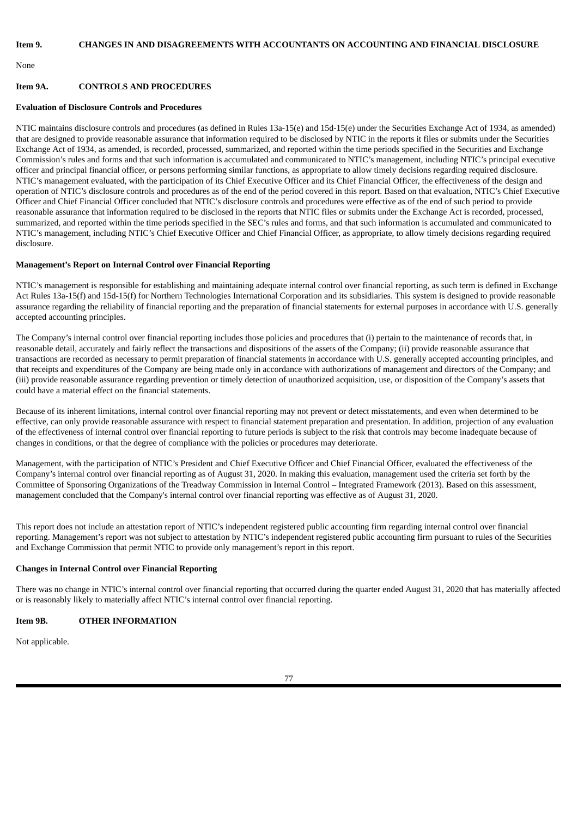None

#### **Item 9A. CONTROLS AND PROCEDURES**

#### **Evaluation of Disclosure Controls and Procedures**

NTIC maintains disclosure controls and procedures (as defined in Rules 13a-15(e) and 15d-15(e) under the Securities Exchange Act of 1934, as amended) that are designed to provide reasonable assurance that information required to be disclosed by NTIC in the reports it files or submits under the Securities Exchange Act of 1934, as amended, is recorded, processed, summarized, and reported within the time periods specified in the Securities and Exchange Commission's rules and forms and that such information is accumulated and communicated to NTIC's management, including NTIC's principal executive officer and principal financial officer, or persons performing similar functions, as appropriate to allow timely decisions regarding required disclosure. NTIC's management evaluated, with the participation of its Chief Executive Officer and its Chief Financial Officer, the effectiveness of the design and operation of NTIC's disclosure controls and procedures as of the end of the period covered in this report. Based on that evaluation, NTIC's Chief Executive Officer and Chief Financial Officer concluded that NTIC's disclosure controls and procedures were effective as of the end of such period to provide reasonable assurance that information required to be disclosed in the reports that NTIC files or submits under the Exchange Act is recorded, processed, summarized, and reported within the time periods specified in the SEC's rules and forms, and that such information is accumulated and communicated to NTIC's management, including NTIC's Chief Executive Officer and Chief Financial Officer, as appropriate, to allow timely decisions regarding required disclosure.

### **Management's Report on Internal Control over Financial Reporting**

NTIC's management is responsible for establishing and maintaining adequate internal control over financial reporting, as such term is defined in Exchange Act Rules 13a-15(f) and 15d-15(f) for Northern Technologies International Corporation and its subsidiaries. This system is designed to provide reasonable assurance regarding the reliability of financial reporting and the preparation of financial statements for external purposes in accordance with U.S. generally accepted accounting principles.

The Company's internal control over financial reporting includes those policies and procedures that (i) pertain to the maintenance of records that, in reasonable detail, accurately and fairly reflect the transactions and dispositions of the assets of the Company; (ii) provide reasonable assurance that transactions are recorded as necessary to permit preparation of financial statements in accordance with U.S. generally accepted accounting principles, and that receipts and expenditures of the Company are being made only in accordance with authorizations of management and directors of the Company; and (iii) provide reasonable assurance regarding prevention or timely detection of unauthorized acquisition, use, or disposition of the Company's assets that could have a material effect on the financial statements.

Because of its inherent limitations, internal control over financial reporting may not prevent or detect misstatements, and even when determined to be effective, can only provide reasonable assurance with respect to financial statement preparation and presentation. In addition, projection of any evaluation of the effectiveness of internal control over financial reporting to future periods is subject to the risk that controls may become inadequate because of changes in conditions, or that the degree of compliance with the policies or procedures may deteriorate.

Management, with the participation of NTIC's President and Chief Executive Officer and Chief Financial Officer, evaluated the effectiveness of the Company's internal control over financial reporting as of August 31, 2020. In making this evaluation, management used the criteria set forth by the Committee of Sponsoring Organizations of the Treadway Commission in Internal Control – Integrated Framework (2013). Based on this assessment, management concluded that the Company's internal control over financial reporting was effective as of August 31, 2020.

This report does not include an attestation report of NTIC's independent registered public accounting firm regarding internal control over financial reporting. Management's report was not subject to attestation by NTIC's independent registered public accounting firm pursuant to rules of the Securities and Exchange Commission that permit NTIC to provide only management's report in this report.

#### **Changes in Internal Control over Financial Reporting**

There was no change in NTIC's internal control over financial reporting that occurred during the quarter ended August 31, 2020 that has materially affected or is reasonably likely to materially affect NTIC's internal control over financial reporting.

## **Item 9B. OTHER INFORMATION**

Not applicable.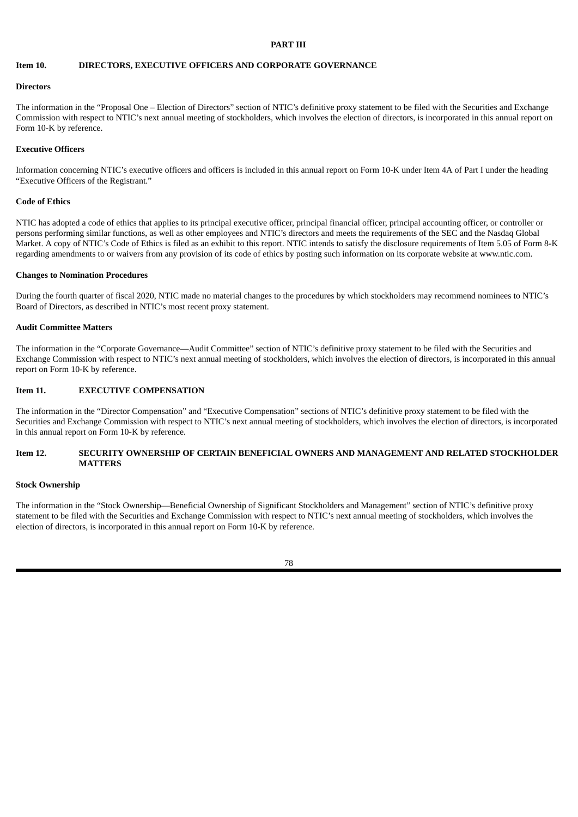### **PART III**

## **Item 10. DIRECTORS, EXECUTIVE OFFICERS AND CORPORATE GOVERNANCE**

### **Directors**

The information in the "Proposal One – Election of Directors" section of NTIC's definitive proxy statement to be filed with the Securities and Exchange Commission with respect to NTIC's next annual meeting of stockholders, which involves the election of directors, is incorporated in this annual report on Form 10-K by reference.

### **Executive Officers**

Information concerning NTIC's executive officers and officers is included in this annual report on Form 10-K under Item 4A of Part I under the heading "Executive Officers of the Registrant."

### **Code of Ethics**

NTIC has adopted a code of ethics that applies to its principal executive officer, principal financial officer, principal accounting officer, or controller or persons performing similar functions, as well as other employees and NTIC's directors and meets the requirements of the SEC and the Nasdaq Global Market. A copy of NTIC's Code of Ethics is filed as an exhibit to this report. NTIC intends to satisfy the disclosure requirements of Item 5.05 of Form 8-K regarding amendments to or waivers from any provision of its code of ethics by posting such information on its corporate website at www.ntic.com.

### **Changes to Nomination Procedures**

During the fourth quarter of fiscal 2020, NTIC made no material changes to the procedures by which stockholders may recommend nominees to NTIC's Board of Directors, as described in NTIC's most recent proxy statement.

### **Audit Committee Matters**

The information in the "Corporate Governance—Audit Committee" section of NTIC's definitive proxy statement to be filed with the Securities and Exchange Commission with respect to NTIC's next annual meeting of stockholders, which involves the election of directors, is incorporated in this annual report on Form 10-K by reference.

## **Item 11. EXECUTIVE COMPENSATION**

The information in the "Director Compensation" and "Executive Compensation" sections of NTIC's definitive proxy statement to be filed with the Securities and Exchange Commission with respect to NTIC's next annual meeting of stockholders, which involves the election of directors, is incorporated in this annual report on Form 10-K by reference.

## **Item 12. SECURITY OWNERSHIP OF CERTAIN BENEFICIAL OWNERS AND MANAGEMENT AND RELATED STOCKHOLDER MATTERS**

### **Stock Ownership**

The information in the "Stock Ownership—Beneficial Ownership of Significant Stockholders and Management" section of NTIC's definitive proxy statement to be filed with the Securities and Exchange Commission with respect to NTIC's next annual meeting of stockholders, which involves the election of directors, is incorporated in this annual report on Form 10-K by reference.

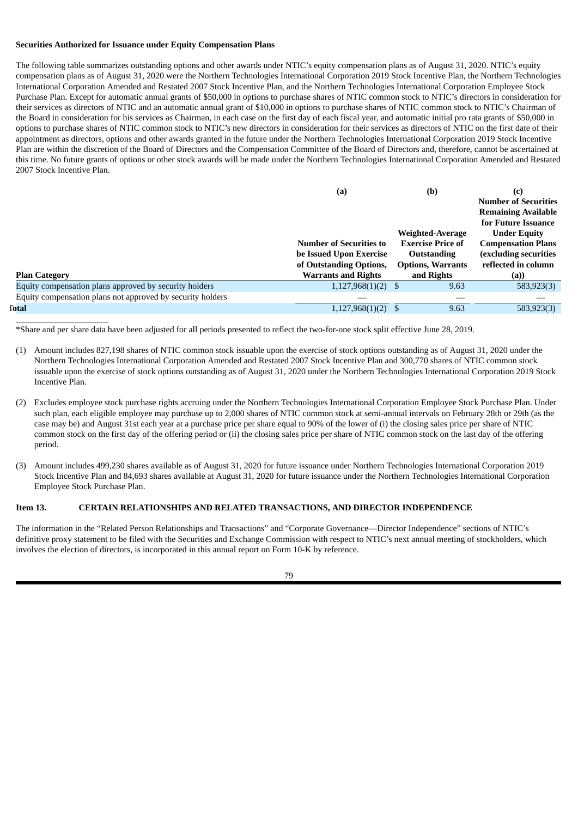### **Securities Authorized for Issuance under Equity Compensation Plans**

The following table summarizes outstanding options and other awards under NTIC's equity compensation plans as of August 31, 2020. NTIC's equity compensation plans as of August 31, 2020 were the Northern Technologies International Corporation 2019 Stock Incentive Plan, the Northern Technologies International Corporation Amended and Restated 2007 Stock Incentive Plan, and the Northern Technologies International Corporation Employee Stock Purchase Plan. Except for automatic annual grants of \$50,000 in options to purchase shares of NTIC common stock to NTIC's directors in consideration for their services as directors of NTIC and an automatic annual grant of \$10,000 in options to purchase shares of NTIC common stock to NTIC's Chairman of the Board in consideration for his services as Chairman, in each case on the first day of each fiscal year, and automatic initial pro rata grants of \$50,000 in options to purchase shares of NTIC common stock to NTIC's new directors in consideration for their services as directors of NTIC on the first date of their appointment as directors, options and other awards granted in the future under the Northern Technologies International Corporation 2019 Stock Incentive Plan are within the discretion of the Board of Directors and the Compensation Committee of the Board of Directors and, therefore, cannot be ascertained at this time. No future grants of options or other stock awards will be made under the Northern Technologies International Corporation Amended and Restated 2007 Stock Incentive Plan.

| <b>Plan Category</b>                                       | (a)<br><b>Number of Securities to</b><br>be Issued Upon Exercise<br>of Outstanding Options,<br><b>Warrants and Rights</b> | (b)<br>Weighted-Average<br><b>Exercise Price of</b><br><b>Outstanding</b><br><b>Options, Warrants</b><br>and Rights | (c)<br><b>Number of Securities</b><br><b>Remaining Available</b><br>for Future Issuance<br><b>Under Equity</b><br><b>Compensation Plans</b><br>(excluding securities<br>reflected in column<br>(a)) |
|------------------------------------------------------------|---------------------------------------------------------------------------------------------------------------------------|---------------------------------------------------------------------------------------------------------------------|-----------------------------------------------------------------------------------------------------------------------------------------------------------------------------------------------------|
| Equity compensation plans approved by security holders     | 1,127,968(1)(2)                                                                                                           | 9.63<br>- \$                                                                                                        | 583,923(3)                                                                                                                                                                                          |
| Equity compensation plans not approved by security holders |                                                                                                                           |                                                                                                                     |                                                                                                                                                                                                     |
| <b>Total</b>                                               | 1,127,968(1)(2)                                                                                                           | 9.63                                                                                                                | 583,923(3)                                                                                                                                                                                          |
|                                                            |                                                                                                                           |                                                                                                                     |                                                                                                                                                                                                     |

\*Share and per share data have been adjusted for all periods presented to reflect the two-for-one stock split effective June 28, 2019.

- (1) Amount includes 827,198 shares of NTIC common stock issuable upon the exercise of stock options outstanding as of August 31, 2020 under the Northern Technologies International Corporation Amended and Restated 2007 Stock Incentive Plan and 300,770 shares of NTIC common stock issuable upon the exercise of stock options outstanding as of August 31, 2020 under the Northern Technologies International Corporation 2019 Stock Incentive Plan.
- (2) Excludes employee stock purchase rights accruing under the Northern Technologies International Corporation Employee Stock Purchase Plan. Under such plan, each eligible employee may purchase up to 2,000 shares of NTIC common stock at semi-annual intervals on February 28th or 29th (as the case may be) and August 31st each year at a purchase price per share equal to 90% of the lower of (i) the closing sales price per share of NTIC common stock on the first day of the offering period or (ii) the closing sales price per share of NTIC common stock on the last day of the offering period.
- (3) Amount includes 499,230 shares available as of August 31, 2020 for future issuance under Northern Technologies International Corporation 2019 Stock Incentive Plan and 84,693 shares available at August 31, 2020 for future issuance under the Northern Technologies International Corporation Employee Stock Purchase Plan.

## **Item 13. CERTAIN RELATIONSHIPS AND RELATED TRANSACTIONS, AND DIRECTOR INDEPENDENCE**

The information in the "Related Person Relationships and Transactions" and "Corporate Governance—Director Independence" sections of NTIC's definitive proxy statement to be filed with the Securities and Exchange Commission with respect to NTIC's next annual meeting of stockholders, which involves the election of directors, is incorporated in this annual report on Form 10-K by reference.

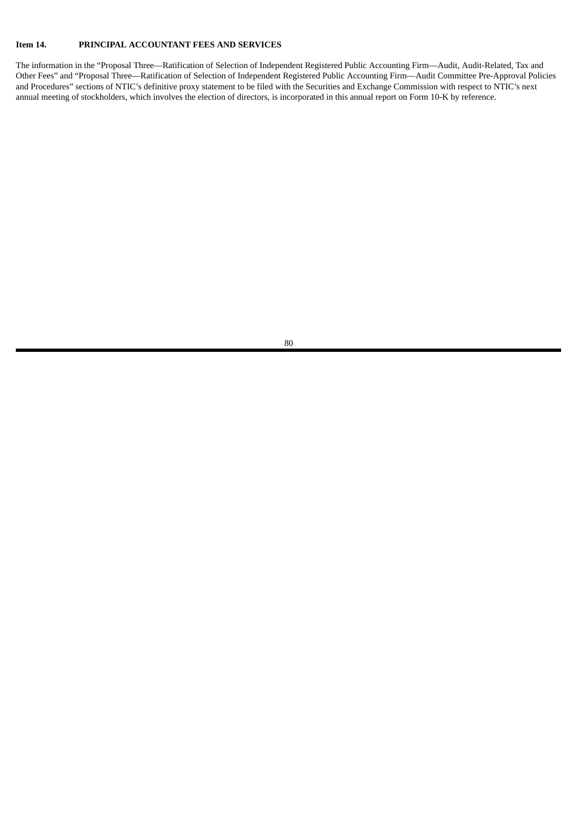## **Item 14. PRINCIPAL ACCOUNTANT FEES AND SERVICES**

The information in the "Proposal Three—Ratification of Selection of Independent Registered Public Accounting Firm—Audit, Audit-Related, Tax and Other Fees" and "Proposal Three—Ratification of Selection of Independent Registered Public Accounting Firm—Audit Committee Pre-Approval Policies and Procedures" sections of NTIC's definitive proxy statement to be filed with the Securities and Exchange Commission with respect to NTIC's next annual meeting of stockholders, which involves the election of directors, is incorporated in this annual report on Form 10-K by reference.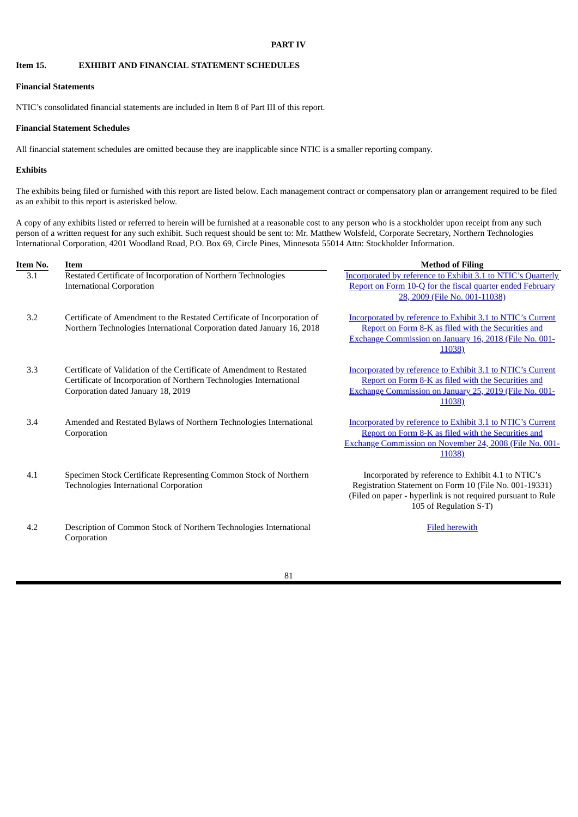## **Item 15. EXHIBIT AND FINANCIAL STATEMENT SCHEDULES**

#### **Financial Statements**

NTIC's consolidated financial statements are included in Item 8 of Part III of this report.

#### **Financial Statement Schedules**

All financial statement schedules are omitted because they are inapplicable since NTIC is a smaller reporting company.

## **Exhibits**

The exhibits being filed or furnished with this report are listed below. Each management contract or compensatory plan or arrangement required to be filed as an exhibit to this report is asterisked below.

A copy of any exhibits listed or referred to herein will be furnished at a reasonable cost to any person who is a stockholder upon receipt from any such person of a written request for any such exhibit. Such request should be sent to: Mr. Matthew Wolsfeld, Corporate Secretary, Northern Technologies International Corporation, 4201 Woodland Road, P.O. Box 69, Circle Pines, Minnesota 55014 Attn: Stockholder Information.

| Item No. | <b>Item</b>                                                                                                                                                                        | <b>Method of Filing</b>                                                                                                                                                                                |
|----------|------------------------------------------------------------------------------------------------------------------------------------------------------------------------------------|--------------------------------------------------------------------------------------------------------------------------------------------------------------------------------------------------------|
| 3.1      | Restated Certificate of Incorporation of Northern Technologies<br><b>International Corporation</b>                                                                                 | Incorporated by reference to Exhibit 3.1 to NTIC's Quarterly<br>Report on Form 10-Q for the fiscal quarter ended February<br>28, 2009 (File No. 001-11038)                                             |
| 3.2      | Certificate of Amendment to the Restated Certificate of Incorporation of<br>Northern Technologies International Corporation dated January 16, 2018                                 | <b>Incorporated by reference to Exhibit 3.1 to NTIC's Current</b><br>Report on Form 8-K as filed with the Securities and<br>Exchange Commission on January 16, 2018 (File No. 001-<br>11038)           |
| 3.3      | Certificate of Validation of the Certificate of Amendment to Restated<br>Certificate of Incorporation of Northern Technologies International<br>Corporation dated January 18, 2019 | <b>Incorporated by reference to Exhibit 3.1 to NTIC's Current</b><br>Report on Form 8-K as filed with the Securities and<br>Exchange Commission on January 25, 2019 (File No. 001-<br>11038)           |
| 3.4      | Amended and Restated Bylaws of Northern Technologies International<br>Corporation                                                                                                  | Incorporated by reference to Exhibit 3.1 to NTIC's Current<br>Report on Form 8-K as filed with the Securities and<br>Exchange Commission on November 24, 2008 (File No. 001-<br>11038)                 |
| 4.1      | Specimen Stock Certificate Representing Common Stock of Northern<br>Technologies International Corporation                                                                         | Incorporated by reference to Exhibit 4.1 to NTIC's<br>Registration Statement on Form 10 (File No. 001-19331)<br>(Filed on paper - hyperlink is not required pursuant to Rule<br>105 of Regulation S-T) |
| 4.2      | Description of Common Stock of Northern Technologies International<br>Corporation                                                                                                  | <b>Filed herewith</b>                                                                                                                                                                                  |

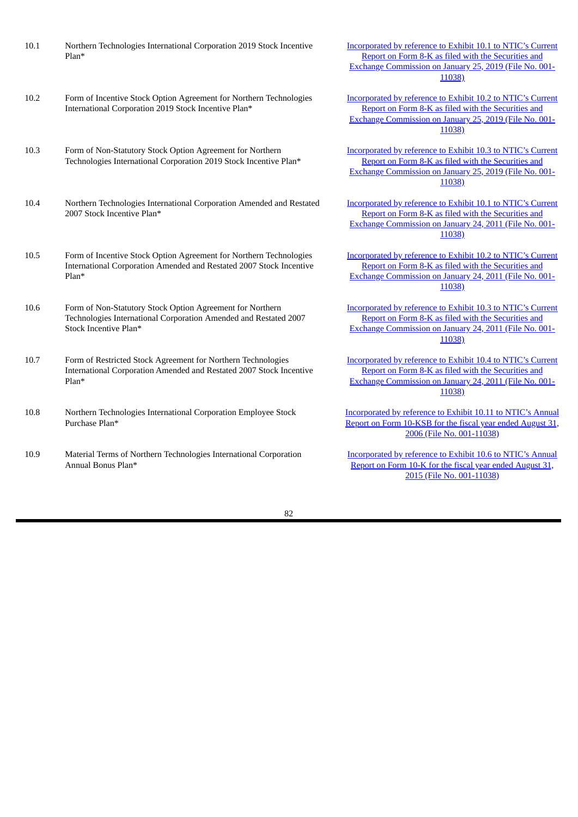| 10.1 | Northern Technologies International Corporation 2019 Stock Incentive<br>Plan*                                                                          | Incorporated by reference to Exhibit 10.1 to NTIC's Current<br>Report on Form 8-K as filed with the Securities and<br>Exchange Commission on January 25, 2019 (File No. 001-<br>11038) |
|------|--------------------------------------------------------------------------------------------------------------------------------------------------------|----------------------------------------------------------------------------------------------------------------------------------------------------------------------------------------|
| 10.2 | Form of Incentive Stock Option Agreement for Northern Technologies<br>International Corporation 2019 Stock Incentive Plan*                             | Incorporated by reference to Exhibit 10.2 to NTIC's Current<br>Report on Form 8-K as filed with the Securities and<br>Exchange Commission on January 25, 2019 (File No. 001-<br>11038) |
| 10.3 | Form of Non-Statutory Stock Option Agreement for Northern<br>Technologies International Corporation 2019 Stock Incentive Plan*                         | Incorporated by reference to Exhibit 10.3 to NTIC's Current<br>Report on Form 8-K as filed with the Securities and<br>Exchange Commission on January 25, 2019 (File No. 001-<br>11038) |
| 10.4 | Northern Technologies International Corporation Amended and Restated<br>2007 Stock Incentive Plan*                                                     | Incorporated by reference to Exhibit 10.1 to NTIC's Current<br>Report on Form 8-K as filed with the Securities and<br>Exchange Commission on January 24, 2011 (File No. 001-<br>11038) |
| 10.5 | Form of Incentive Stock Option Agreement for Northern Technologies<br>International Corporation Amended and Restated 2007 Stock Incentive<br>Plan*     | Incorporated by reference to Exhibit 10.2 to NTIC's Current<br>Report on Form 8-K as filed with the Securities and<br>Exchange Commission on January 24, 2011 (File No. 001-<br>11038) |
| 10.6 | Form of Non-Statutory Stock Option Agreement for Northern<br>Technologies International Corporation Amended and Restated 2007<br>Stock Incentive Plan* | Incorporated by reference to Exhibit 10.3 to NTIC's Current<br>Report on Form 8-K as filed with the Securities and<br>Exchange Commission on January 24, 2011 (File No. 001-<br>11038) |
| 10.7 | Form of Restricted Stock Agreement for Northern Technologies<br>International Corporation Amended and Restated 2007 Stock Incentive<br>Plan*           | Incorporated by reference to Exhibit 10.4 to NTIC's Current<br>Report on Form 8-K as filed with the Securities and<br>Exchange Commission on January 24, 2011 (File No. 001-<br>11038) |
| 10.8 | Northern Technologies International Corporation Employee Stock<br>Purchase Plan*                                                                       | Incorporated by reference to Exhibit 10.11 to NTIC's Annual<br>Report on Form 10-KSB for the fiscal year ended August 31,<br>2006 (File No. 001-11038)                                 |
| 10.9 | Material Terms of Northern Technologies International Corporation<br>Annual Bonus Plan*                                                                | Incorporated by reference to Exhibit 10.6 to NTIC's Annual<br>Report on Form 10-K for the fiscal year ended August 31,<br>2015 (File No. 001-11038)                                    |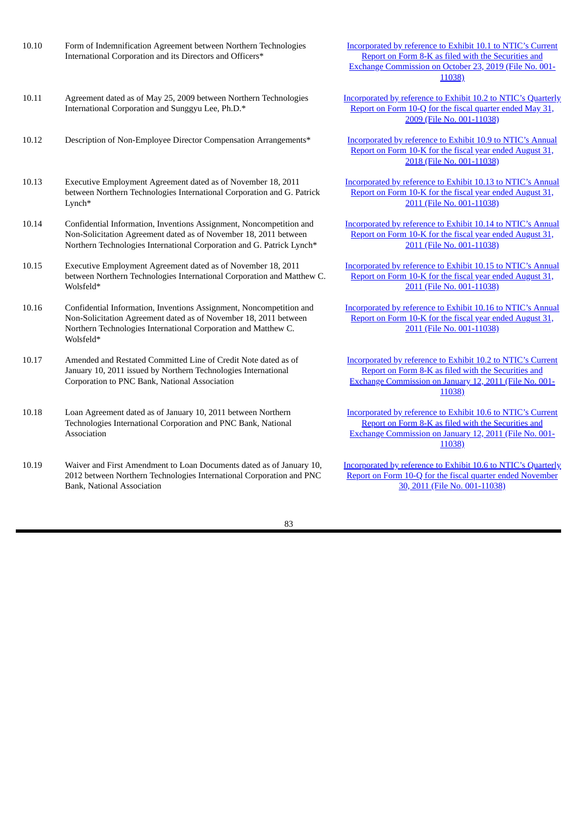| 10.10 | Form of Indemnification Agreement between Northern Technologies<br>International Corporation and its Directors and Officers*                                                                                           | <b>Incorp</b><br>R٥<br>Excha  |
|-------|------------------------------------------------------------------------------------------------------------------------------------------------------------------------------------------------------------------------|-------------------------------|
| 10.11 | Agreement dated as of May 25, 2009 between Northern Technologies<br>International Corporation and Sunggyu Lee, Ph.D.*                                                                                                  | Incorpo<br><b>Repo</b>        |
| 10.12 | Description of Non-Employee Director Compensation Arrangements*                                                                                                                                                        | Incorp<br><u>Repo</u>         |
| 10.13 | Executive Employment Agreement dated as of November 18, 2011<br>between Northern Technologies International Corporation and G. Patrick<br>Lynch*                                                                       | <b>Incorpe</b><br><u>Repo</u> |
| 10.14 | Confidential Information, Inventions Assignment, Noncompetition and<br>Non-Solicitation Agreement dated as of November 18, 2011 between<br>Northern Technologies International Corporation and G. Patrick Lynch*       | <b>Incorpe</b><br><b>Repo</b> |
| 10.15 | Executive Employment Agreement dated as of November 18, 2011<br>between Northern Technologies International Corporation and Matthew C.<br>Wolsfeld*                                                                    | <b>Incorpe</b><br><b>Repo</b> |
| 10.16 | Confidential Information, Inventions Assignment, Noncompetition and<br>Non-Solicitation Agreement dated as of November 18, 2011 between<br>Northern Technologies International Corporation and Matthew C.<br>Wolsfeld* | <b>Incorpe</b><br><u>Repo</u> |
| 10.17 | Amended and Restated Committed Line of Credit Note dated as of<br>January 10, 2011 issued by Northern Technologies International<br>Corporation to PNC Bank, National Association                                      | <b>Incorp</b><br>R٥<br>Excha  |
| 10.18 | Loan Agreement dated as of January 10, 2011 between Northern<br>Technologies International Corporation and PNC Bank, National<br>Association                                                                           | <b>Incorp</b><br>R٥<br>Excha  |
| 10.19 | Waiver and First Amendment to Loan Documents dated as of January 10,<br>2012 between Northern Technologies International Corporation and PNC<br>Bank, National Association                                             | Incorpo<br>Report             |

[Incorporated](https://www.sec.gov/Archives/edgar/data/875582/000117184319006706/exh_101.htm) by reference to Exhibit 10.1 to NTIC's Current eport on Form 8-K as filed with the Securities and ange Commission on October 23, 2019 (File No. 001-11038)

brated by reference to Exhibit 10.2 to NTIC's Quarterly rt on Form 10-Q for the fiscal quarter ended May 31, 2009 (File No. 001-11038)

**2008 Description of Director Competer Orangel Separated by reference to Exhibit 10.9 to NTIC's Annual** ort on Form 10-K for the fiscal year ended August 31, 2018 (File No. 001-11038)

orated by reference to Exhibit 10.13 to NTIC's Annual ort on Form 10-K for the fiscal year ended August 31, 2011 (File No. 001-11038)

orated by reference to Exhibit 10.14 to NTIC's Annual ort on Form 10-K for the fiscal year ended August 31, 2011 (File No. 001-11038)

orated by reference to Exhibit 10.15 to NTIC's Annual ort on Form 10-K for the fiscal year ended August 31, 2011 (File No. 001-11038)

orated by reference to Exhibit 10.16 to NTIC's Annual ort on Form 10-K for the fiscal year ended August 31, 2011 (File No. 001-11038)

**Incorated by reference to Exhibit 10.2 to NTIC's Current** eport on Form 8-K as filed with the Securities and ang<u>e Commission on January 12, 2011 (File No. 001-</u> 11038)

**[Incorporated](https://www.sec.gov/Archives/edgar/data/875582/000110465911001232/a11-3475_1ex10d6.htm) by reference to Exhibit 10.6 to NTIC's Current** eport on Form 8-K as filed with the Securities and ange Commission on January 12, 2011 (File No. 001-11038)

**Drated by reference to Exhibit 10.6 to NTIC's Quarterly** t on Form 10-Q for the fiscal quarter ended November 30, 2011 (File No. 001-11038)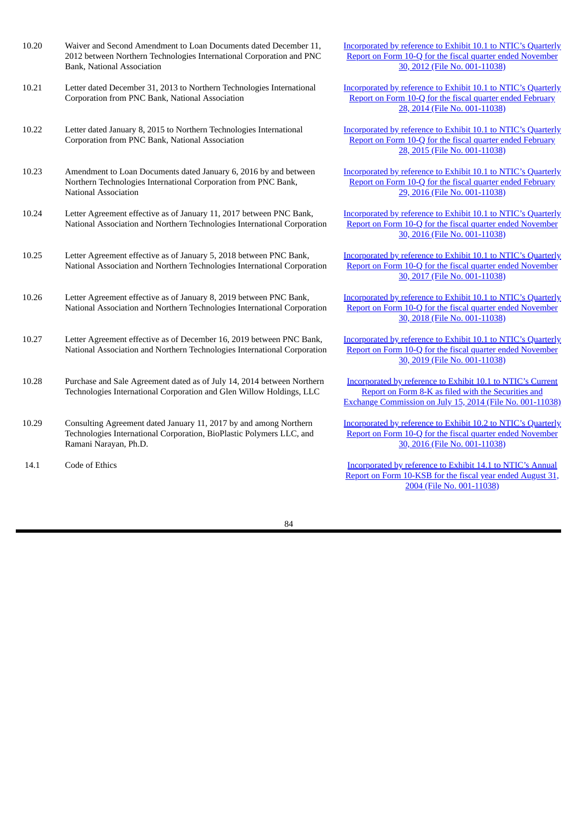| 10.20 | Waiver and Second Amendment to Loan Documents dated December 11,<br>2012 between Northern Technologies International Corporation and PNC<br>Bank, National Association | Incorporated by reference to Exhibit 10.1 to NTIC's Quarterly<br>Report on Form 10-Q for the fiscal quarter ended November<br>30, 2012 (File No. 001-11038)                     |
|-------|------------------------------------------------------------------------------------------------------------------------------------------------------------------------|---------------------------------------------------------------------------------------------------------------------------------------------------------------------------------|
| 10.21 | Letter dated December 31, 2013 to Northern Technologies International<br>Corporation from PNC Bank, National Association                                               | Incorporated by reference to Exhibit 10.1 to NTIC's Quarterly<br>Report on Form 10-Q for the fiscal quarter ended February<br>28, 2014 (File No. 001-11038)                     |
| 10.22 | Letter dated January 8, 2015 to Northern Technologies International<br>Corporation from PNC Bank, National Association                                                 | Incorporated by reference to Exhibit 10.1 to NTIC's Quarterly<br>Report on Form 10-Q for the fiscal quarter ended February<br>28, 2015 (File No. 001-11038)                     |
| 10.23 | Amendment to Loan Documents dated January 6, 2016 by and between<br>Northern Technologies International Corporation from PNC Bank,<br><b>National Association</b>      | Incorporated by reference to Exhibit 10.1 to NTIC's Quarterly<br>Report on Form 10-Q for the fiscal quarter ended February<br>29, 2016 (File No. 001-11038)                     |
| 10.24 | Letter Agreement effective as of January 11, 2017 between PNC Bank,<br>National Association and Northern Technologies International Corporation                        | Incorporated by reference to Exhibit 10.1 to NTIC's Quarterly<br>Report on Form 10-Q for the fiscal quarter ended November<br>30, 2016 (File No. 001-11038)                     |
| 10.25 | Letter Agreement effective as of January 5, 2018 between PNC Bank,<br>National Association and Northern Technologies International Corporation                         | Incorporated by reference to Exhibit 10.1 to NTIC's Quarterly<br>Report on Form 10-Q for the fiscal quarter ended November<br>30, 2017 (File No. 001-11038)                     |
| 10.26 | Letter Agreement effective as of January 8, 2019 between PNC Bank,<br>National Association and Northern Technologies International Corporation                         | Incorporated by reference to Exhibit 10.1 to NTIC's Quarterly<br>Report on Form 10-Q for the fiscal quarter ended November<br>30, 2018 (File No. 001-11038)                     |
| 10.27 | Letter Agreement effective as of December 16, 2019 between PNC Bank,<br>National Association and Northern Technologies International Corporation                       | Incorporated by reference to Exhibit 10.1 to NTIC's Quarterly<br>Report on Form 10-Q for the fiscal quarter ended November<br>30, 2019 (File No. 001-11038)                     |
| 10.28 | Purchase and Sale Agreement dated as of July 14, 2014 between Northern<br>Technologies International Corporation and Glen Willow Holdings, LLC                         | Incorporated by reference to Exhibit 10.1 to NTIC's Current<br>Report on Form 8-K as filed with the Securities and<br>Exchange Commission on July 15, 2014 (File No. 001-11038) |
| 10.29 | Consulting Agreement dated January 11, 2017 by and among Northern<br>Technologies International Corporation, BioPlastic Polymers LLC, and<br>Ramani Narayan, Ph.D.     | Incorporated by reference to Exhibit 10.2 to NTIC's Quarterly<br>Report on Form 10-Q for the fiscal quarter ended November<br>30, 2016 (File No. 001-11038)                     |
| 14.1  | Code of Ethics                                                                                                                                                         | Incorporated by reference to Exhibit 14.1 to NTIC's Annual<br>Report on Form 10-KSB for the fiscal year ended August 31,<br>2004 (File No. 001-11038)                           |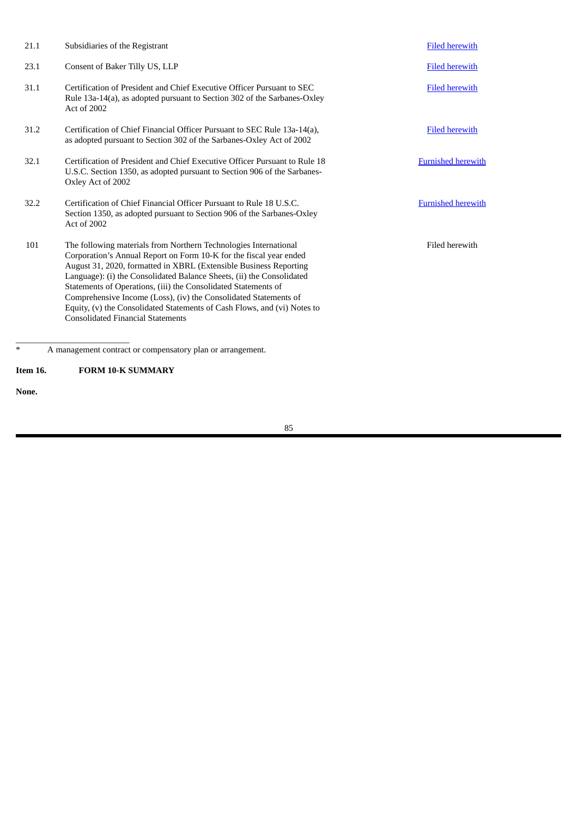| 21.1 | Subsidiaries of the Registrant                                                                                                                                                                                                                                                                                                                                                                                                                                                                                                                     | <b>Filed herewith</b>     |
|------|----------------------------------------------------------------------------------------------------------------------------------------------------------------------------------------------------------------------------------------------------------------------------------------------------------------------------------------------------------------------------------------------------------------------------------------------------------------------------------------------------------------------------------------------------|---------------------------|
| 23.1 | Consent of Baker Tilly US, LLP                                                                                                                                                                                                                                                                                                                                                                                                                                                                                                                     | <b>Filed herewith</b>     |
| 31.1 | Certification of President and Chief Executive Officer Pursuant to SEC<br>Rule 13a-14(a), as adopted pursuant to Section 302 of the Sarbanes-Oxley<br>Act of 2002                                                                                                                                                                                                                                                                                                                                                                                  | <b>Filed herewith</b>     |
| 31.2 | Certification of Chief Financial Officer Pursuant to SEC Rule 13a-14(a),<br>as adopted pursuant to Section 302 of the Sarbanes-Oxley Act of 2002                                                                                                                                                                                                                                                                                                                                                                                                   | <b>Filed herewith</b>     |
| 32.1 | Certification of President and Chief Executive Officer Pursuant to Rule 18<br>U.S.C. Section 1350, as adopted pursuant to Section 906 of the Sarbanes-<br>Oxley Act of 2002                                                                                                                                                                                                                                                                                                                                                                        | <b>Furnished herewith</b> |
| 32.2 | Certification of Chief Financial Officer Pursuant to Rule 18 U.S.C.<br>Section 1350, as adopted pursuant to Section 906 of the Sarbanes-Oxley<br>Act of 2002                                                                                                                                                                                                                                                                                                                                                                                       | <b>Furnished herewith</b> |
| 101  | The following materials from Northern Technologies International<br>Corporation's Annual Report on Form 10-K for the fiscal year ended<br>August 31, 2020, formatted in XBRL (Extensible Business Reporting<br>Language): (i) the Consolidated Balance Sheets, (ii) the Consolidated<br>Statements of Operations, (iii) the Consolidated Statements of<br>Comprehensive Income (Loss), (iv) the Consolidated Statements of<br>Equity, (v) the Consolidated Statements of Cash Flows, and (vi) Notes to<br><b>Consolidated Financial Statements</b> | Filed herewith            |
| *    | A management contract or compensatory plan or arrangement.                                                                                                                                                                                                                                                                                                                                                                                                                                                                                         |                           |

**Item 16. FORM 10-K SUMMARY**

**None.**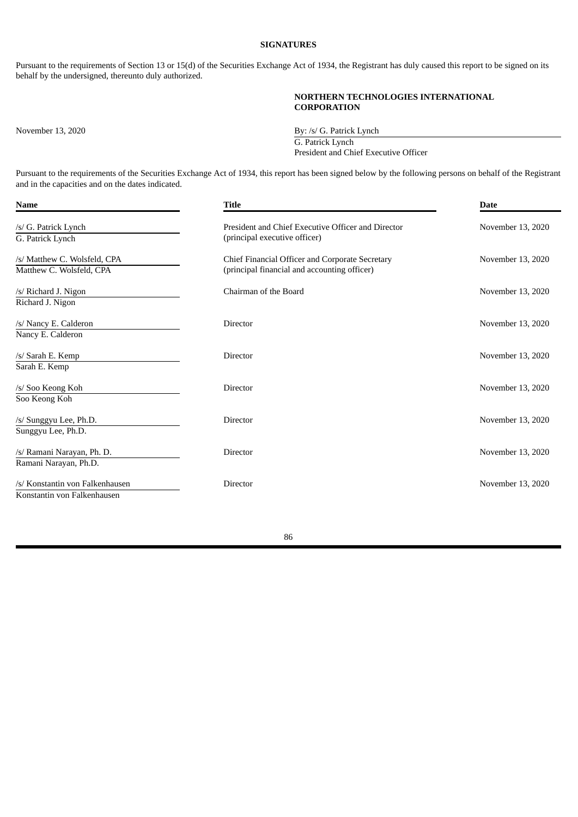## **SIGNATURES**

Pursuant to the requirements of Section 13 or 15(d) of the Securities Exchange Act of 1934, the Registrant has duly caused this report to be signed on its behalf by the undersigned, thereunto duly authorized.

# **NORTHERN TECHNOLOGIES INTERNATIONAL CORPORATION**

November 13, 2020 By: /s/ G. Patrick Lynch G. Patrick Lynch President and Chief Executive Officer

Pursuant to the requirements of the Securities Exchange Act of 1934, this report has been signed below by the following persons on behalf of the Registrant and in the capacities and on the dates indicated.

| <b>Title</b><br>Name                                           |                                                                                                 | <b>Date</b>       |  |
|----------------------------------------------------------------|-------------------------------------------------------------------------------------------------|-------------------|--|
| /s/ G. Patrick Lynch<br>G. Patrick Lynch                       | President and Chief Executive Officer and Director<br>(principal executive officer)             | November 13, 2020 |  |
| /s/ Matthew C. Wolsfeld, CPA<br>Matthew C. Wolsfeld, CPA       | Chief Financial Officer and Corporate Secretary<br>(principal financial and accounting officer) | November 13, 2020 |  |
| /s/ Richard J. Nigon<br>Richard J. Nigon                       | Chairman of the Board                                                                           | November 13, 2020 |  |
| /s/ Nancy E. Calderon<br>Nancy E. Calderon                     | Director                                                                                        | November 13, 2020 |  |
| /s/ Sarah E. Kemp<br>Sarah E. Kemp                             | Director                                                                                        | November 13, 2020 |  |
| /s/ Soo Keong Koh<br>Soo Keong Koh                             | Director                                                                                        | November 13, 2020 |  |
| /s/ Sunggyu Lee, Ph.D.<br>Sunggyu Lee, Ph.D.                   | Director                                                                                        | November 13, 2020 |  |
| /s/ Ramani Narayan, Ph. D.<br>Ramani Narayan, Ph.D.            | Director                                                                                        | November 13, 2020 |  |
| /s/ Konstantin von Falkenhausen<br>Konstantin von Falkenhausen | Director                                                                                        | November 13, 2020 |  |

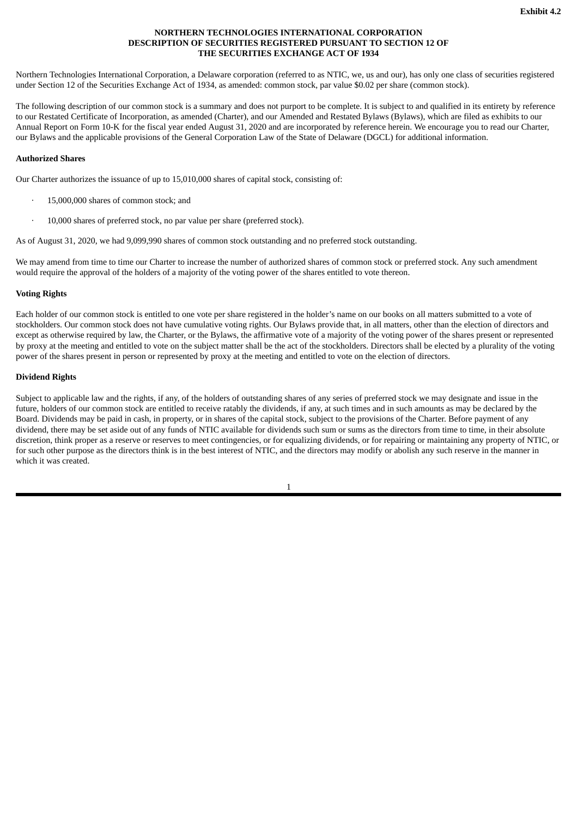## **NORTHERN TECHNOLOGIES INTERNATIONAL CORPORATION DESCRIPTION OF SECURITIES REGISTERED PURSUANT TO SECTION 12 OF THE SECURITIES EXCHANGE ACT OF 1934**

<span id="page-90-0"></span>Northern Technologies International Corporation, a Delaware corporation (referred to as NTIC, we, us and our), has only one class of securities registered under Section 12 of the Securities Exchange Act of 1934, as amended: common stock, par value \$0.02 per share (common stock).

The following description of our common stock is a summary and does not purport to be complete. It is subject to and qualified in its entirety by reference to our Restated Certificate of Incorporation, as amended (Charter), and our Amended and Restated Bylaws (Bylaws), which are filed as exhibits to our Annual Report on Form 10-K for the fiscal year ended August 31, 2020 and are incorporated by reference herein. We encourage you to read our Charter, our Bylaws and the applicable provisions of the General Corporation Law of the State of Delaware (DGCL) for additional information.

## **Authorized Shares**

Our Charter authorizes the issuance of up to 15,010,000 shares of capital stock, consisting of:

- · 15,000,000 shares of common stock; and
- · 10,000 shares of preferred stock, no par value per share (preferred stock).

As of August 31, 2020, we had 9,099,990 shares of common stock outstanding and no preferred stock outstanding.

We may amend from time to time our Charter to increase the number of authorized shares of common stock or preferred stock. Any such amendment would require the approval of the holders of a majority of the voting power of the shares entitled to vote thereon.

## **Voting Rights**

Each holder of our common stock is entitled to one vote per share registered in the holder's name on our books on all matters submitted to a vote of stockholders. Our common stock does not have cumulative voting rights. Our Bylaws provide that, in all matters, other than the election of directors and except as otherwise required by law, the Charter, or the Bylaws, the affirmative vote of a majority of the voting power of the shares present or represented by proxy at the meeting and entitled to vote on the subject matter shall be the act of the stockholders. Directors shall be elected by a plurality of the voting power of the shares present in person or represented by proxy at the meeting and entitled to vote on the election of directors.

## **Dividend Rights**

Subject to applicable law and the rights, if any, of the holders of outstanding shares of any series of preferred stock we may designate and issue in the future, holders of our common stock are entitled to receive ratably the dividends, if any, at such times and in such amounts as may be declared by the Board. Dividends may be paid in cash, in property, or in shares of the capital stock, subject to the provisions of the Charter. Before payment of any dividend, there may be set aside out of any funds of NTIC available for dividends such sum or sums as the directors from time to time, in their absolute discretion, think proper as a reserve or reserves to meet contingencies, or for equalizing dividends, or for repairing or maintaining any property of NTIC, or for such other purpose as the directors think is in the best interest of NTIC, and the directors may modify or abolish any such reserve in the manner in which it was created.

|  | I |   |  |
|--|---|---|--|
|  |   |   |  |
|  |   | ٠ |  |
|  |   |   |  |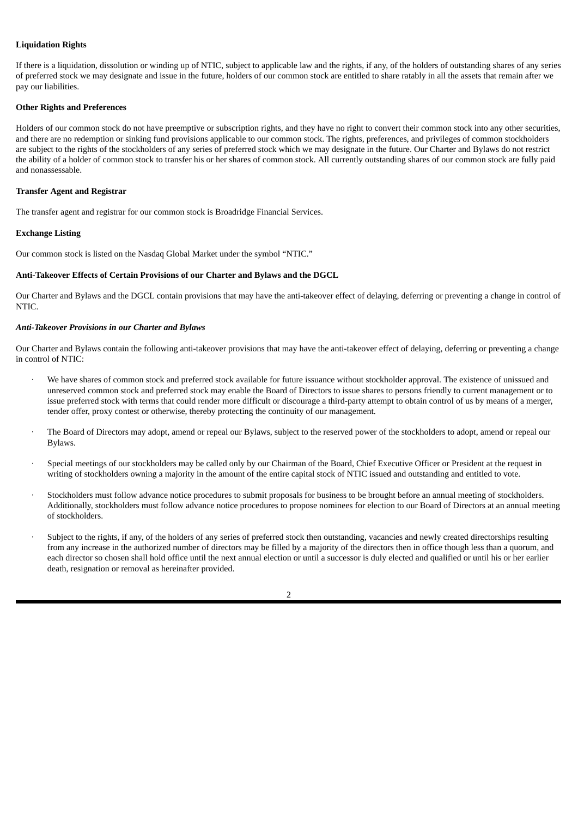## **Liquidation Rights**

If there is a liquidation, dissolution or winding up of NTIC, subject to applicable law and the rights, if any, of the holders of outstanding shares of any series of preferred stock we may designate and issue in the future, holders of our common stock are entitled to share ratably in all the assets that remain after we pay our liabilities.

## **Other Rights and Preferences**

Holders of our common stock do not have preemptive or subscription rights, and they have no right to convert their common stock into any other securities, and there are no redemption or sinking fund provisions applicable to our common stock. The rights, preferences, and privileges of common stockholders are subject to the rights of the stockholders of any series of preferred stock which we may designate in the future. Our Charter and Bylaws do not restrict the ability of a holder of common stock to transfer his or her shares of common stock. All currently outstanding shares of our common stock are fully paid and nonassessable.

### **Transfer Agent and Registrar**

The transfer agent and registrar for our common stock is Broadridge Financial Services.

### **Exchange Listing**

Our common stock is listed on the Nasdaq Global Market under the symbol "NTIC."

### **Anti-Takeover Effects of Certain Provisions of our Charter and Bylaws and the DGCL**

Our Charter and Bylaws and the DGCL contain provisions that may have the anti-takeover effect of delaying, deferring or preventing a change in control of NTIC.

### *Anti-Takeover Provisions in our Charter and Bylaws*

Our Charter and Bylaws contain the following anti-takeover provisions that may have the anti-takeover effect of delaying, deferring or preventing a change in control of NTIC:

- We have shares of common stock and preferred stock available for future issuance without stockholder approval. The existence of unissued and unreserved common stock and preferred stock may enable the Board of Directors to issue shares to persons friendly to current management or to issue preferred stock with terms that could render more difficult or discourage a third-party attempt to obtain control of us by means of a merger, tender offer, proxy contest or otherwise, thereby protecting the continuity of our management.
- · The Board of Directors may adopt, amend or repeal our Bylaws, subject to the reserved power of the stockholders to adopt, amend or repeal our Bylaws.
- · Special meetings of our stockholders may be called only by our Chairman of the Board, Chief Executive Officer or President at the request in writing of stockholders owning a majority in the amount of the entire capital stock of NTIC issued and outstanding and entitled to vote.
- · Stockholders must follow advance notice procedures to submit proposals for business to be brought before an annual meeting of stockholders. Additionally, stockholders must follow advance notice procedures to propose nominees for election to our Board of Directors at an annual meeting of stockholders.
- Subject to the rights, if any, of the holders of any series of preferred stock then outstanding, vacancies and newly created directorships resulting from any increase in the authorized number of directors may be filled by a majority of the directors then in office though less than a quorum, and each director so chosen shall hold office until the next annual election or until a successor is duly elected and qualified or until his or her earlier death, resignation or removal as hereinafter provided.

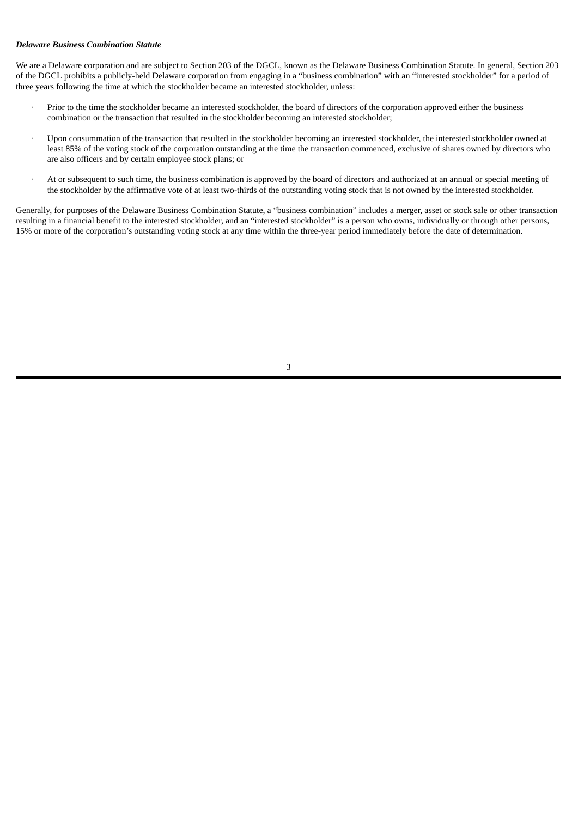### *Delaware Business Combination Statute*

We are a Delaware corporation and are subject to Section 203 of the DGCL, known as the Delaware Business Combination Statute. In general, Section 203 of the DGCL prohibits a publicly-held Delaware corporation from engaging in a "business combination" with an "interested stockholder" for a period of three years following the time at which the stockholder became an interested stockholder, unless:

- · Prior to the time the stockholder became an interested stockholder, the board of directors of the corporation approved either the business combination or the transaction that resulted in the stockholder becoming an interested stockholder;
- · Upon consummation of the transaction that resulted in the stockholder becoming an interested stockholder, the interested stockholder owned at least 85% of the voting stock of the corporation outstanding at the time the transaction commenced, exclusive of shares owned by directors who are also officers and by certain employee stock plans; or
- · At or subsequent to such time, the business combination is approved by the board of directors and authorized at an annual or special meeting of the stockholder by the affirmative vote of at least two-thirds of the outstanding voting stock that is not owned by the interested stockholder.

Generally, for purposes of the Delaware Business Combination Statute, a "business combination" includes a merger, asset or stock sale or other transaction resulting in a financial benefit to the interested stockholder, and an "interested stockholder" is a person who owns, individually or through other persons, 15% or more of the corporation's outstanding voting stock at any time within the three-year period immediately before the date of determination.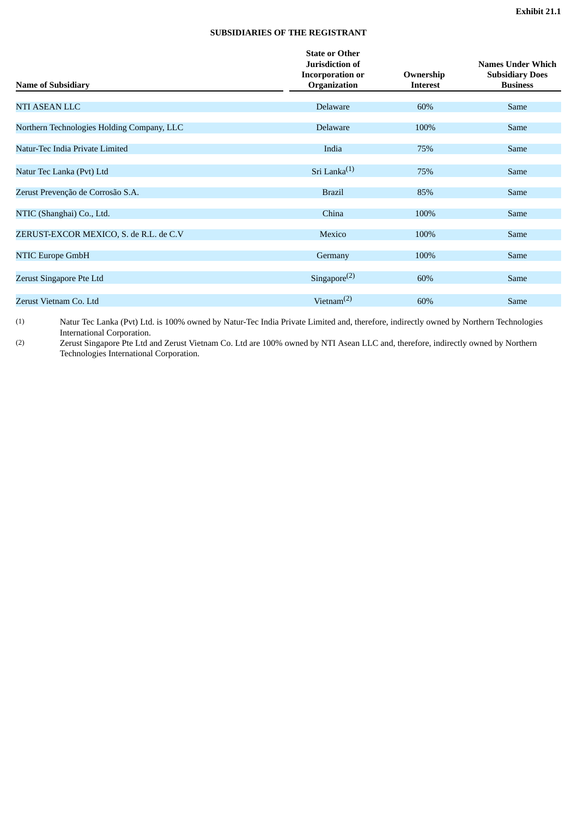# **SUBSIDIARIES OF THE REGISTRANT**

<span id="page-93-0"></span>

| <b>Name of Subsidiary</b>                  | <b>State or Other</b><br>Jurisdiction of<br><b>Incorporation or</b><br>Organization | Ownership<br><b>Interest</b> | <b>Names Under Which</b><br><b>Subsidiary Does</b><br><b>Business</b> |
|--------------------------------------------|-------------------------------------------------------------------------------------|------------------------------|-----------------------------------------------------------------------|
|                                            |                                                                                     |                              |                                                                       |
| <b>NTI ASEAN LLC</b>                       | Delaware                                                                            | 60%                          | Same                                                                  |
| Northern Technologies Holding Company, LLC | <b>Delaware</b>                                                                     | 100%                         | Same                                                                  |
| Natur-Tec India Private Limited            | India                                                                               | 75%                          | Same                                                                  |
| Natur Tec Lanka (Pvt) Ltd                  | $Sri$ Lanka $(1)$                                                                   | 75%                          | Same                                                                  |
| Zerust Prevenção de Corrosão S.A.          | <b>Brazil</b>                                                                       | 85%                          | Same                                                                  |
| NTIC (Shanghai) Co., Ltd.                  | China                                                                               | 100%                         | Same                                                                  |
| ZERUST-EXCOR MEXICO, S. de R.L. de C.V     | Mexico                                                                              | 100%                         | Same                                                                  |
| <b>NTIC Europe GmbH</b>                    | Germany                                                                             | 100%                         | Same                                                                  |
| Zerust Singapore Pte Ltd                   | Singapore $(2)$                                                                     | 60%                          | Same                                                                  |
| Zerust Vietnam Co. Ltd                     | Vietnam $(2)$                                                                       | 60%                          | <b>Same</b>                                                           |

(1) Natur Tec Lanka (Pvt) Ltd. is 100% owned by Natur-Tec India Private Limited and, therefore, indirectly owned by Northern Technologies International Corporation.

(2) Zerust Singapore Pte Ltd and Zerust Vietnam Co. Ltd are 100% owned by NTI Asean LLC and, therefore, indirectly owned by Northern Technologies International Corporation.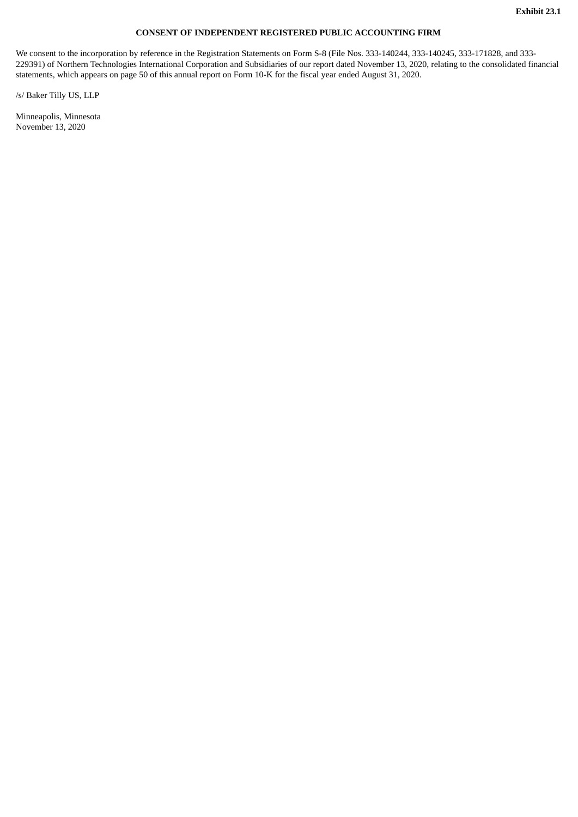## **CONSENT OF INDEPENDENT REGISTERED PUBLIC ACCOUNTING FIRM**

<span id="page-94-0"></span>We consent to the incorporation by reference in the Registration Statements on Form S-8 (File Nos. 333-140244, 333-140245, 333-171828, and 333- 229391) of Northern Technologies International Corporation and Subsidiaries of our report dated November 13, 2020, relating to the consolidated financial statements, which appears on page 50 of this annual report on Form 10-K for the fiscal year ended August 31, 2020.

/s/ Baker Tilly US, LLP

Minneapolis, Minnesota November 13, 2020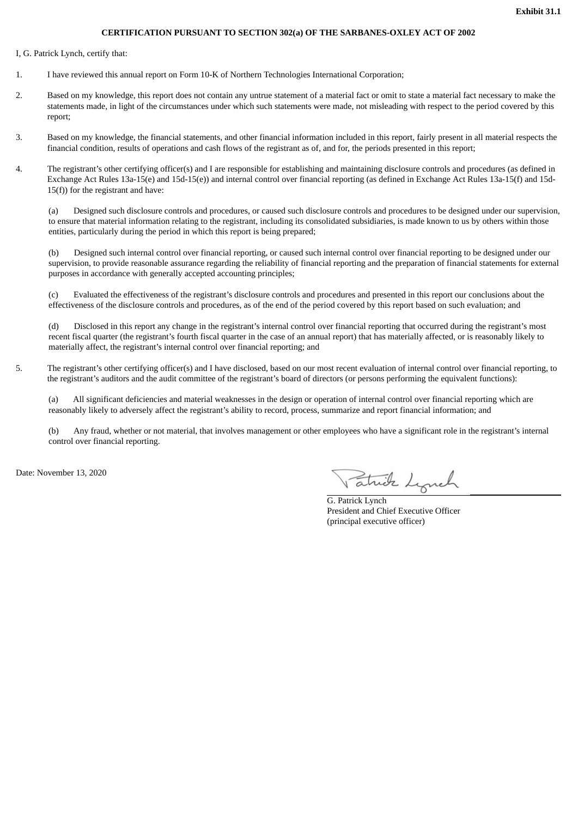## **CERTIFICATION PURSUANT TO SECTION 302(a) OF THE SARBANES-OXLEY ACT OF 2002**

<span id="page-95-0"></span>I, G. Patrick Lynch, certify that:

- 1. I have reviewed this annual report on Form 10-K of Northern Technologies International Corporation;
- 2. Based on my knowledge, this report does not contain any untrue statement of a material fact or omit to state a material fact necessary to make the statements made, in light of the circumstances under which such statements were made, not misleading with respect to the period covered by this report;
- 3. Based on my knowledge, the financial statements, and other financial information included in this report, fairly present in all material respects the financial condition, results of operations and cash flows of the registrant as of, and for, the periods presented in this report;
- 4. The registrant's other certifying officer(s) and I are responsible for establishing and maintaining disclosure controls and procedures (as defined in Exchange Act Rules 13a-15(e) and 15d-15(e)) and internal control over financial reporting (as defined in Exchange Act Rules 13a-15(f) and 15d- $15(f)$ ) for the registrant and have:

(a) Designed such disclosure controls and procedures, or caused such disclosure controls and procedures to be designed under our supervision, to ensure that material information relating to the registrant, including its consolidated subsidiaries, is made known to us by others within those entities, particularly during the period in which this report is being prepared;

(b) Designed such internal control over financial reporting, or caused such internal control over financial reporting to be designed under our supervision, to provide reasonable assurance regarding the reliability of financial reporting and the preparation of financial statements for external purposes in accordance with generally accepted accounting principles;

(c) Evaluated the effectiveness of the registrant's disclosure controls and procedures and presented in this report our conclusions about the effectiveness of the disclosure controls and procedures, as of the end of the period covered by this report based on such evaluation; and

(d) Disclosed in this report any change in the registrant's internal control over financial reporting that occurred during the registrant's most recent fiscal quarter (the registrant's fourth fiscal quarter in the case of an annual report) that has materially affected, or is reasonably likely to materially affect, the registrant's internal control over financial reporting; and

5. The registrant's other certifying officer(s) and I have disclosed, based on our most recent evaluation of internal control over financial reporting, to the registrant's auditors and the audit committee of the registrant's board of directors (or persons performing the equivalent functions):

(a) All significant deficiencies and material weaknesses in the design or operation of internal control over financial reporting which are reasonably likely to adversely affect the registrant's ability to record, process, summarize and report financial information; and

(b) Any fraud, whether or not material, that involves management or other employees who have a significant role in the registrant's internal control over financial reporting.

Date: November 13, 2020

Tatuck Lynch

G. Patrick Lynch President and Chief Executive Officer (principal executive officer)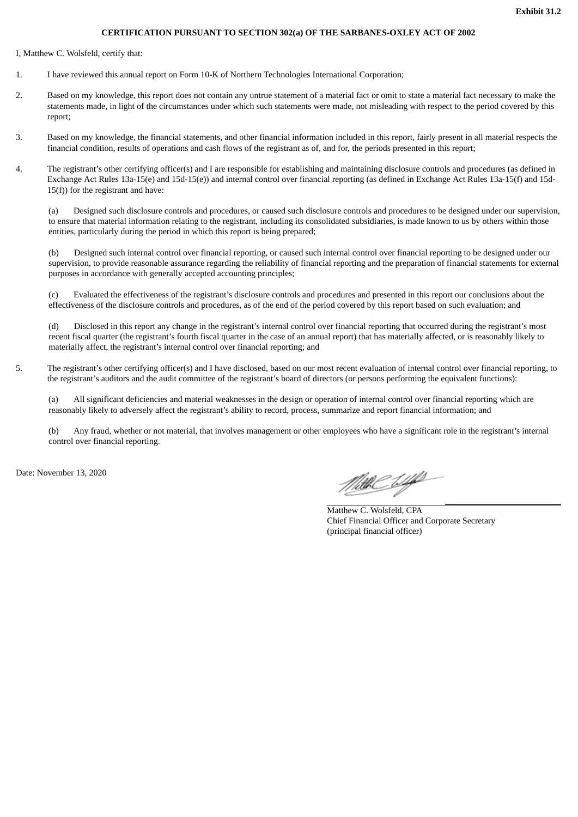## **CERTIFICATION PURSUANT TO SECTION 302(a) OF THE SARBANES-OXLEY ACT OF 2002**

<span id="page-96-0"></span>I, Matthew C. Wolsfeld, certify that:

- 1. I have reviewed this annual report on Form 10-K of Northern Technologies International Corporation;
- 2. Based on my knowledge, this report does not contain any untrue statement of a material fact or omit to state a material fact necessary to make the statements made, in light of the circumstances under which such statements were made, not misleading with respect to the period covered by this report;
- 3. Based on my knowledge, the financial statements, and other financial information included in this report, fairly present in all material respects the financial condition, results of operations and cash flows of the registrant as of, and for, the periods presented in this report;
- 4. The registrant's other certifying officer(s) and I are responsible for establishing and maintaining disclosure controls and procedures (as defined in Exchange Act Rules 13a-15(e) and 15d-15(e)) and internal control over financial reporting (as defined in Exchange Act Rules 13a-15(f) and 15d- $15(f)$ ) for the registrant and have:

(a) Designed such disclosure controls and procedures, or caused such disclosure controls and procedures to be designed under our supervision, to ensure that material information relating to the registrant, including its consolidated subsidiaries, is made known to us by others within those entities, particularly during the period in which this report is being prepared;

(b) Designed such internal control over financial reporting, or caused such internal control over financial reporting to be designed under our supervision, to provide reasonable assurance regarding the reliability of financial reporting and the preparation of financial statements for external purposes in accordance with generally accepted accounting principles;

(c) Evaluated the effectiveness of the registrant's disclosure controls and procedures and presented in this report our conclusions about the effectiveness of the disclosure controls and procedures, as of the end of the period covered by this report based on such evaluation; and

(d) Disclosed in this report any change in the registrant's internal control over financial reporting that occurred during the registrant's most recent fiscal quarter (the registrant's fourth fiscal quarter in the case of an annual report) that has materially affected, or is reasonably likely to materially affect, the registrant's internal control over financial reporting; and

5. The registrant's other certifying officer(s) and I have disclosed, based on our most recent evaluation of internal control over financial reporting, to the registrant's auditors and the audit committee of the registrant's board of directors (or persons performing the equivalent functions):

(a) All significant deficiencies and material weaknesses in the design or operation of internal control over financial reporting which are reasonably likely to adversely affect the registrant's ability to record, process, summarize and report financial information; and

(b) Any fraud, whether or not material, that involves management or other employees who have a significant role in the registrant's internal control over financial reporting.

Date: November 13, 2020

The Web

Matthew C. Wolsfeld, CPA Chief Financial Officer and Corporate Secretary (principal financial officer)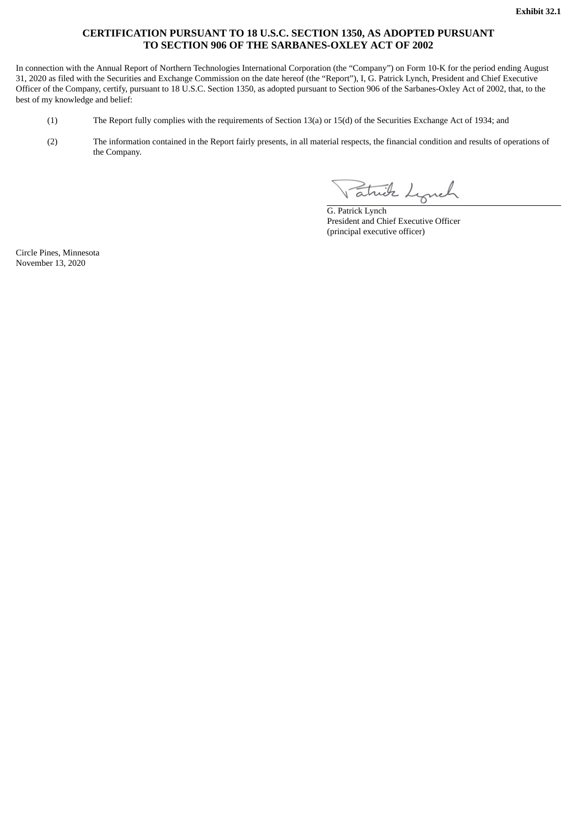# **CERTIFICATION PURSUANT TO 18 U.S.C. SECTION 1350, AS ADOPTED PURSUANT TO SECTION 906 OF THE SARBANES-OXLEY ACT OF 2002**

<span id="page-97-0"></span>In connection with the Annual Report of Northern Technologies International Corporation (the "Company") on Form 10-K for the period ending August 31, 2020 as filed with the Securities and Exchange Commission on the date hereof (the "Report"), I, G. Patrick Lynch, President and Chief Executive Officer of the Company, certify, pursuant to 18 U.S.C. Section 1350, as adopted pursuant to Section 906 of the Sarbanes-Oxley Act of 2002, that, to the best of my knowledge and belief:

- (1) The Report fully complies with the requirements of Section 13(a) or 15(d) of the Securities Exchange Act of 1934; and
- (2) The information contained in the Report fairly presents, in all material respects, the financial condition and results of operations of the Company.

Vatrick Lynch

G. Patrick Lynch President and Chief Executive Officer (principal executive officer)

Circle Pines, Minnesota November 13, 2020